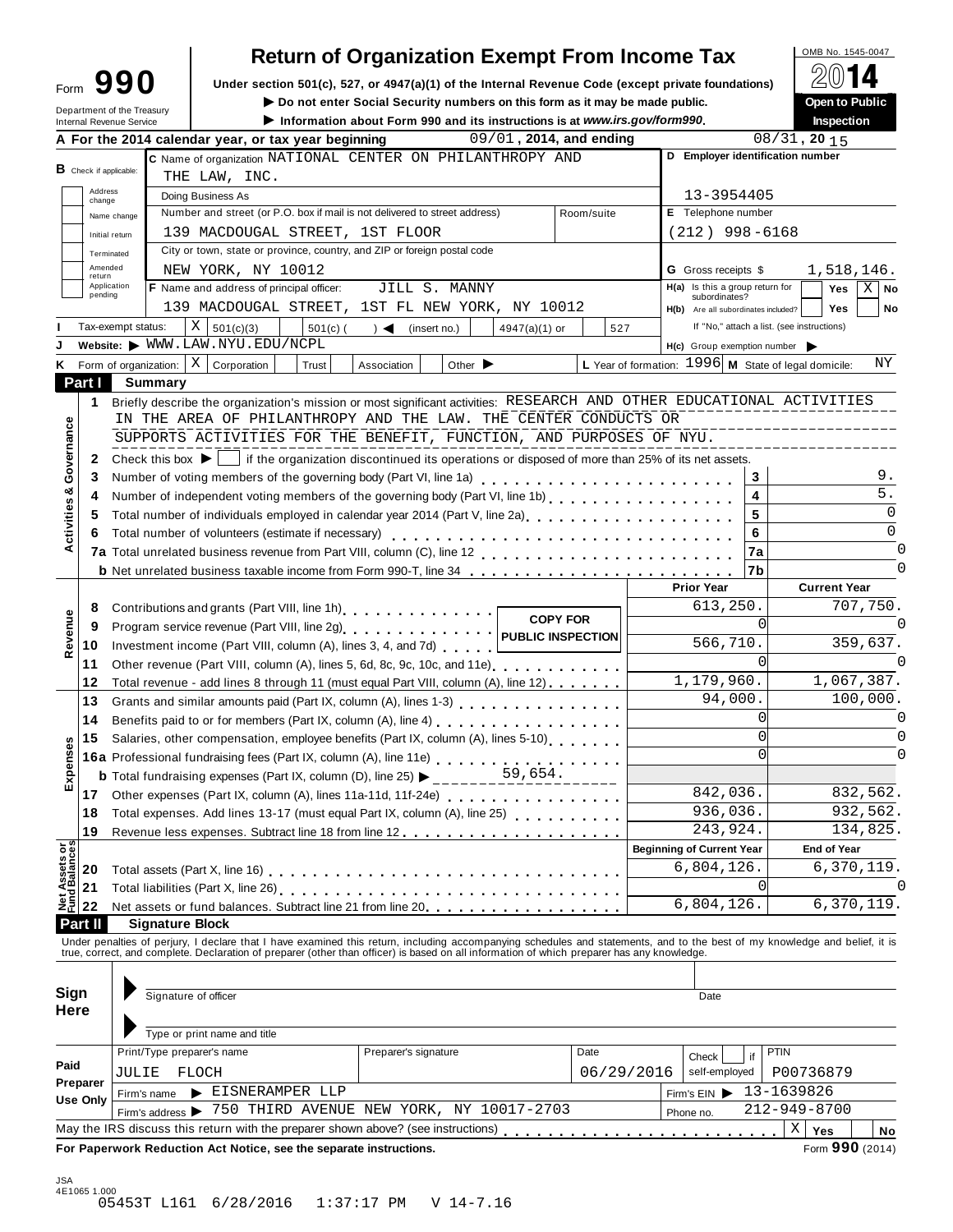| Form                                                          | 9 |  |
|---------------------------------------------------------------|---|--|
| Department of the Treasury<br><b>Internal Revenue Service</b> |   |  |

## **Return of Organization Exempt From Income Tax**

**Under section 501(c), 527, or 4947(a)(1)** of the Internal Revenue Code (except private foundations) <u>Form **990**</u> **E**<br>Do not enter Social Security numbers on this form as it may be made public. Open to Public

■ **Do** not enter Social Security numbers on this form as it may be made public. **Download** Open to Public <br>■ Information about Form 990 and its instructions is at www.irs.cov/form990. Inspection

Information about Form 990 and its instructions is at www.irs.gov/form990.

|                                              |                                  | A For the 2014 calendar year, or tax year beginning                                                                                                                                      | 09/01, 2014, and ending                         |            |                                                      |          | $08/31$ , 20 15                                              |
|----------------------------------------------|----------------------------------|------------------------------------------------------------------------------------------------------------------------------------------------------------------------------------------|-------------------------------------------------|------------|------------------------------------------------------|----------|--------------------------------------------------------------|
|                                              |                                  | C Name of organization NATIONAL CENTER ON PHILANTHROPY AND                                                                                                                               |                                                 |            |                                                      |          | D Employer identification number                             |
|                                              | $\mathbf B$ Check if applicable: | THE LAW, INC.                                                                                                                                                                            |                                                 |            |                                                      |          |                                                              |
|                                              | Address<br>change                | Doing Business As                                                                                                                                                                        |                                                 |            | 13-3954405                                           |          |                                                              |
|                                              | Name change                      | Number and street (or P.O. box if mail is not delivered to street address)                                                                                                               |                                                 | Room/suite | E Telephone number                                   |          |                                                              |
|                                              | Initial return                   | 139 MACDOUGAL STREET, 1ST FLOOR                                                                                                                                                          |                                                 |            | $(212)$ 998-6168                                     |          |                                                              |
|                                              | Terminated                       | City or town, state or province, country, and ZIP or foreign postal code                                                                                                                 |                                                 |            |                                                      |          |                                                              |
|                                              | Amended                          | NEW YORK, NY 10012                                                                                                                                                                       |                                                 |            | <b>G</b> Gross receipts \$                           |          | 1,518,146.                                                   |
| return                                       | Application                      | F Name and address of principal officer:                                                                                                                                                 | JILL S. MANNY                                   |            | H(a) Is this a group return for                      |          | $X \mid$ No<br>Yes                                           |
|                                              | pending                          |                                                                                                                                                                                          | 139 MACDOUGAL STREET, 1ST FL NEW YORK, NY 10012 |            | subordinates?<br>H(b) Are all subordinates included? |          | <b>Yes</b><br>No                                             |
|                                              | Tax-exempt status:               | X   501(c)(3)                                                                                                                                                                            | $501(c)$ ( ) < (insert no.)<br>$4947(a)(1)$ or  | 527        |                                                      |          | If "No," attach a list. (see instructions)                   |
|                                              |                                  | Website: $\triangleright$ WWW.LAW.NYU.EDU/NCPL                                                                                                                                           |                                                 |            | $H(c)$ Group exemption number                        |          |                                                              |
|                                              |                                  | <b>K</b> Form of organization: $X \mid$ Corporation<br><b>Trust</b>                                                                                                                      | Association<br>Other $\blacktriangleright$      |            |                                                      |          | L Year of formation: $1996$ M State of legal domicile:<br>ΝY |
| Part I                                       |                                  | <b>Summary</b>                                                                                                                                                                           |                                                 |            |                                                      |          |                                                              |
| 1.                                           |                                  | Briefly describe the organization's mission or most significant activities: RESEARCH AND OTHER EDUCATIONAL ACTIVITIES                                                                    |                                                 |            |                                                      |          |                                                              |
|                                              |                                  | IN THE AREA OF PHILANTHROPY AND THE LAW. THE CENTER CONDUCTS OR                                                                                                                          |                                                 |            |                                                      |          |                                                              |
|                                              |                                  | SUPPORTS ACTIVITIES FOR THE BENEFIT, FUNCTION, AND PURPOSES OF NYU.                                                                                                                      |                                                 |            |                                                      |          |                                                              |
| 2                                            |                                  | Check this box $\blacktriangleright$   if the organization discontinued its operations or disposed of more than 25% of its net assets.                                                   |                                                 |            |                                                      |          |                                                              |
| Governance<br>3                              |                                  |                                                                                                                                                                                          |                                                 |            |                                                      | 3        | 9.                                                           |
| య                                            |                                  |                                                                                                                                                                                          |                                                 |            |                                                      | 4        | $\overline{5}$ .                                             |
| 4                                            |                                  | Number of independent voting members of the governing body (Part VI, line 1b)                                                                                                            |                                                 |            |                                                      | 5        | $\mathbf 0$                                                  |
| 5                                            |                                  | Total number of individuals employed in calendar year 2014 (Part V, line 2a)<br>The 2a)                                                                                                  |                                                 |            |                                                      |          | 0                                                            |
| Activities<br>6                              |                                  | Total number of volunteers (estimate if necessary)                                                                                                                                       |                                                 |            |                                                      | 6        | $\Omega$                                                     |
|                                              |                                  |                                                                                                                                                                                          |                                                 |            |                                                      | 7a       | $\Omega$                                                     |
|                                              |                                  | <b>b</b> Net unrelated business taxable income from Form 990-T, line 34                                                                                                                  |                                                 |            |                                                      | 7b       |                                                              |
|                                              |                                  |                                                                                                                                                                                          |                                                 |            | <b>Prior Year</b>                                    |          | <b>Current Year</b>                                          |
| 8                                            |                                  | Contributions and grants (Part VIII, line 1h)<br>[10] Contributions and grants (Part VIII, line 1h)                                                                                      | <b>COPY FOR</b>                                 |            |                                                      | 613,250. | 707,750.                                                     |
| 9                                            |                                  |                                                                                                                                                                                          |                                                 |            |                                                      |          | $\Omega$                                                     |
| Revenue<br>10                                |                                  | Investment income (Part VIII, column (A), lines 3, 4, and 7d)                                                                                                                            |                                                 |            |                                                      | 566,710. | 359,637.                                                     |
| 11                                           |                                  | Other revenue (Part VIII, column (A), lines 5, 6d, 8c, 9c, 10c, and 11e)                                                                                                                 |                                                 |            |                                                      |          | $\Omega$                                                     |
| 12                                           |                                  | Total revenue - add lines 8 through 11 (must equal Part VIII, column (A), line 12)                                                                                                       |                                                 |            | 1,179,960.                                           |          | 1,067,387.                                                   |
| 13                                           |                                  | Grants and similar amounts paid (Part IX, column (A), lines 1-3)                                                                                                                         |                                                 |            |                                                      | 94,000.  | 100,000.                                                     |
| 14                                           |                                  |                                                                                                                                                                                          |                                                 |            |                                                      |          | $\Omega$<br>0                                                |
| 15                                           |                                  | Salaries, other compensation, employee benefits (Part IX, column (A), lines 5-10)                                                                                                        |                                                 |            |                                                      |          | $\Omega$<br>$\Omega$                                         |
|                                              |                                  |                                                                                                                                                                                          |                                                 |            |                                                      |          | $\Omega$<br>$\Omega$                                         |
| xpenses                                      |                                  | <b>16a</b> Professional fundraising fees (Part IX, column (A), line 11e)<br><b>b</b> Total fundraising expenses (Part IX, column (D), line 25)<br>$\begin{array}{c} 59,654. \end{array}$ |                                                 |            |                                                      |          |                                                              |
| ш<br>17                                      |                                  |                                                                                                                                                                                          |                                                 |            |                                                      | 842,036. | 832,562.                                                     |
|                                              |                                  | 18 Total expenses. Add lines 13-17 (must equal Part IX, column (A), line 25) [11] [11] [11] [11]                                                                                         |                                                 |            |                                                      | 936,036. | 932,562.                                                     |
| 19                                           |                                  |                                                                                                                                                                                          |                                                 |            |                                                      | 243,924. | 134,825.                                                     |
|                                              |                                  |                                                                                                                                                                                          |                                                 |            | <b>Beginning of Current Year</b>                     |          | <b>End of Year</b>                                           |
| 20                                           |                                  |                                                                                                                                                                                          |                                                 |            | 6,804,126.                                           |          | 6,370,119.                                                   |
| <b>Net Assets or<br/>Fund Balances</b><br>21 |                                  |                                                                                                                                                                                          |                                                 |            |                                                      |          | 0                                                            |
| 22                                           |                                  | Net assets or fund balances. Subtract line 21 from line 20                                                                                                                               |                                                 |            | 6,804,126.                                           |          | 6,370,119.                                                   |
| Part II                                      |                                  | <b>Signature Block</b>                                                                                                                                                                   |                                                 |            |                                                      |          |                                                              |
|                                              |                                  | Under penalties of perjury, I declare that I have examined this return, including accompanying schedules and statements, and to the best of my knowledge and belief, it is               |                                                 |            |                                                      |          |                                                              |
|                                              |                                  | true, correct, and complete. Declaration of preparer (other than officer) is based on all information of which preparer has any knowledge.                                               |                                                 |            |                                                      |          |                                                              |
|                                              |                                  |                                                                                                                                                                                          |                                                 |            |                                                      |          |                                                              |
| Sign                                         |                                  | Signature of officer                                                                                                                                                                     |                                                 |            | Date                                                 |          |                                                              |
| Here                                         |                                  |                                                                                                                                                                                          |                                                 |            |                                                      |          |                                                              |
|                                              |                                  | Type or print name and title                                                                                                                                                             |                                                 |            |                                                      |          |                                                              |
|                                              |                                  | Print/Type preparer's name                                                                                                                                                               | Preparer's signature                            | Date       |                                                      |          | <b>PTIN</b>                                                  |
| Paid                                         |                                  |                                                                                                                                                                                          |                                                 |            | Check<br>self-employed                               | if       |                                                              |
| Preparer                                     | JULIE                            | FLOCH                                                                                                                                                                                    |                                                 | 06/29/2016 |                                                      |          | P00736879                                                    |
| Use Only                                     |                                  | EISNERAMPER LLP<br>Firm's name                                                                                                                                                           |                                                 |            | Firm's EIN                                           |          | 13-1639826                                                   |
|                                              |                                  | Firm's address > 750 THIRD AVENUE NEW YORK, NY 10017-2703                                                                                                                                |                                                 |            | Phone no.                                            |          | 212-949-8700                                                 |
|                                              |                                  | May the IRS discuss this return with the preparer shown above? (see instructions)                                                                                                        |                                                 |            |                                                      |          | $\mathbf X$<br>Yes<br>No                                     |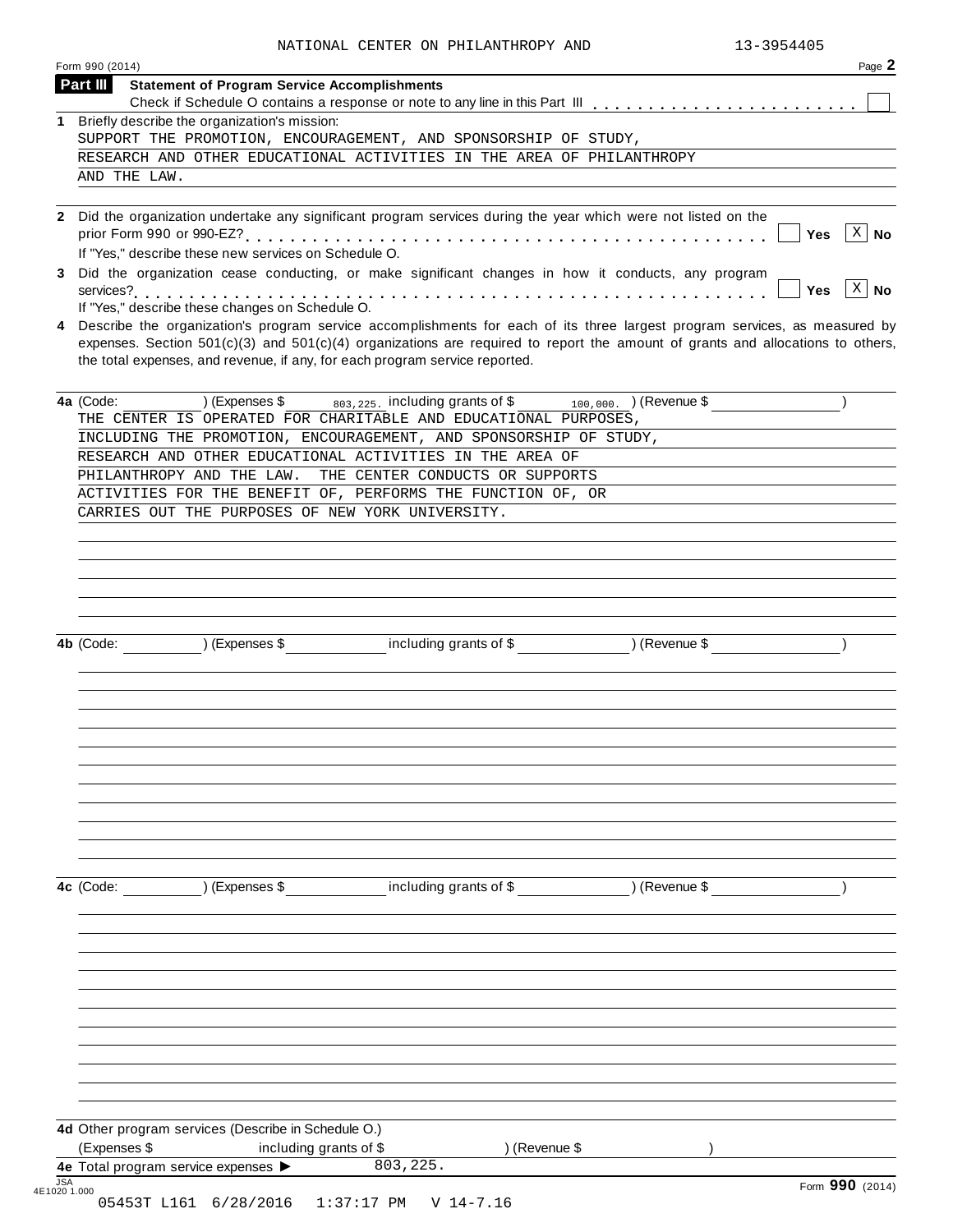| 1. | Briefly describe the organization's mission:                                                                                                                                                                                                                                                                                                    |                                 |                                                             |                                               |
|----|-------------------------------------------------------------------------------------------------------------------------------------------------------------------------------------------------------------------------------------------------------------------------------------------------------------------------------------------------|---------------------------------|-------------------------------------------------------------|-----------------------------------------------|
|    | SUPPORT THE PROMOTION, ENCOURAGEMENT, AND SPONSORSHIP OF STUDY,<br>RESEARCH AND OTHER EDUCATIONAL ACTIVITIES IN THE AREA OF PHILANTHROPY                                                                                                                                                                                                        |                                 |                                                             |                                               |
|    | AND THE LAW.                                                                                                                                                                                                                                                                                                                                    |                                 |                                                             |                                               |
|    |                                                                                                                                                                                                                                                                                                                                                 |                                 |                                                             |                                               |
|    | 2 Did the organization undertake any significant program services during the year which were not listed on the<br>If "Yes," describe these new services on Schedule O.                                                                                                                                                                          |                                 |                                                             | $\lceil x \rceil$ No<br><b>Yes</b>            |
|    | Did the organization cease conducting, or make significant changes in how it conducts, any program<br>If "Yes," describe these changes on Schedule O.                                                                                                                                                                                           |                                 |                                                             | $\left\lceil x \right\rceil$ No<br><b>Yes</b> |
| 4  | Describe the organization's program service accomplishments for each of its three largest program services, as measured by<br>expenses. Section $501(c)(3)$ and $501(c)(4)$ organizations are required to report the amount of grants and allocations to others,<br>the total expenses, and revenue, if any, for each program service reported. |                                 |                                                             |                                               |
|    | 4a (Code:<br>) (Expenses \$<br>THE CENTER IS OPERATED FOR CHARITABLE AND EDUCATIONAL PURPOSES,                                                                                                                                                                                                                                                  |                                 | 803,225. including grants of \$ 100,000. ) (Revenue \$      |                                               |
|    | INCLUDING THE PROMOTION, ENCOURAGEMENT, AND SPONSORSHIP OF STUDY,                                                                                                                                                                                                                                                                               |                                 |                                                             |                                               |
|    | RESEARCH AND OTHER EDUCATIONAL ACTIVITIES IN THE AREA OF                                                                                                                                                                                                                                                                                        |                                 |                                                             |                                               |
|    | PHILANTHROPY AND THE LAW.                                                                                                                                                                                                                                                                                                                       | THE CENTER CONDUCTS OR SUPPORTS |                                                             |                                               |
|    | ACTIVITIES FOR THE BENEFIT OF, PERFORMS THE FUNCTION OF, OR<br>CARRIES OUT THE PURPOSES OF NEW YORK UNIVERSITY.                                                                                                                                                                                                                                 |                                 |                                                             |                                               |
|    |                                                                                                                                                                                                                                                                                                                                                 |                                 |                                                             |                                               |
|    |                                                                                                                                                                                                                                                                                                                                                 |                                 |                                                             |                                               |
|    |                                                                                                                                                                                                                                                                                                                                                 |                                 |                                                             |                                               |
|    |                                                                                                                                                                                                                                                                                                                                                 |                                 |                                                             |                                               |
|    |                                                                                                                                                                                                                                                                                                                                                 |                                 |                                                             |                                               |
|    | ) (Expenses \$<br>4b (Code:                                                                                                                                                                                                                                                                                                                     |                                 | $\frac{1}{2}$ including grants of \$ $\sqrt{8}$ (Revenue \$ |                                               |
|    |                                                                                                                                                                                                                                                                                                                                                 |                                 |                                                             |                                               |
|    |                                                                                                                                                                                                                                                                                                                                                 |                                 |                                                             |                                               |
|    |                                                                                                                                                                                                                                                                                                                                                 |                                 |                                                             |                                               |
|    |                                                                                                                                                                                                                                                                                                                                                 |                                 |                                                             |                                               |
|    |                                                                                                                                                                                                                                                                                                                                                 |                                 |                                                             |                                               |
|    |                                                                                                                                                                                                                                                                                                                                                 |                                 |                                                             |                                               |
|    |                                                                                                                                                                                                                                                                                                                                                 |                                 |                                                             |                                               |
|    |                                                                                                                                                                                                                                                                                                                                                 |                                 |                                                             |                                               |
|    |                                                                                                                                                                                                                                                                                                                                                 |                                 |                                                             |                                               |
|    |                                                                                                                                                                                                                                                                                                                                                 |                                 |                                                             |                                               |
|    | $\sqrt{2}$ (Expenses \$<br>4c (Code:                                                                                                                                                                                                                                                                                                            | including grants of \$          | ) (Revenue \$                                               |                                               |
|    |                                                                                                                                                                                                                                                                                                                                                 |                                 |                                                             |                                               |
|    |                                                                                                                                                                                                                                                                                                                                                 |                                 |                                                             |                                               |
|    |                                                                                                                                                                                                                                                                                                                                                 |                                 |                                                             |                                               |
|    |                                                                                                                                                                                                                                                                                                                                                 |                                 |                                                             |                                               |
|    |                                                                                                                                                                                                                                                                                                                                                 |                                 |                                                             |                                               |
|    |                                                                                                                                                                                                                                                                                                                                                 |                                 |                                                             |                                               |
|    |                                                                                                                                                                                                                                                                                                                                                 |                                 |                                                             |                                               |
|    |                                                                                                                                                                                                                                                                                                                                                 |                                 |                                                             |                                               |
|    |                                                                                                                                                                                                                                                                                                                                                 |                                 |                                                             |                                               |
|    |                                                                                                                                                                                                                                                                                                                                                 |                                 |                                                             |                                               |
|    | 4d Other program services (Describe in Schedule O.)                                                                                                                                                                                                                                                                                             |                                 |                                                             |                                               |
|    | (Expenses \$<br>including grants of \$                                                                                                                                                                                                                                                                                                          | ) (Revenue \$                   |                                                             |                                               |
|    | 4e Total program service expenses >                                                                                                                                                                                                                                                                                                             | 803, 225.                       |                                                             |                                               |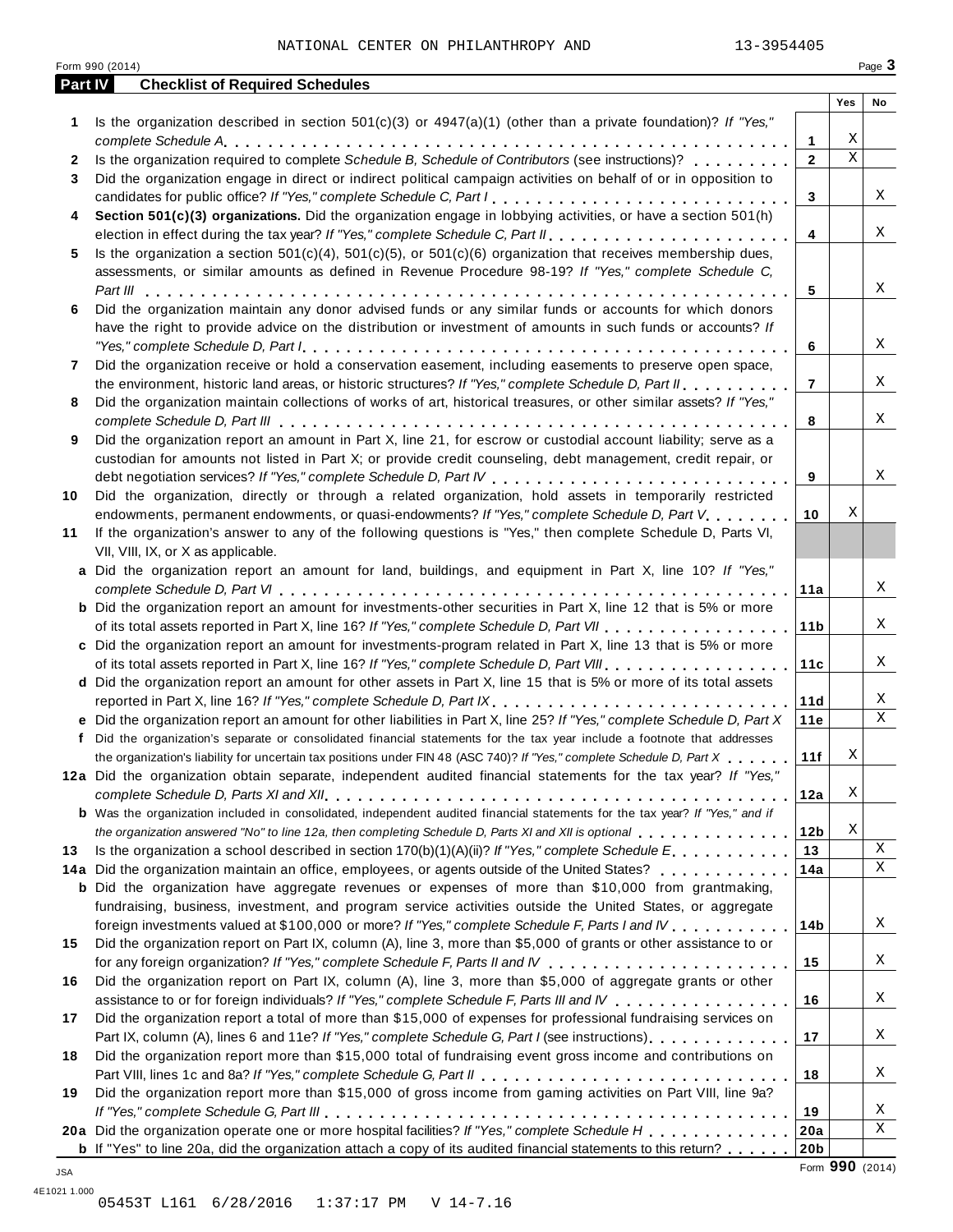|              | Form 990 (2014)                                                                                                                                                                                                                                                                                                                                                                               |                 |                 | Page 3 |
|--------------|-----------------------------------------------------------------------------------------------------------------------------------------------------------------------------------------------------------------------------------------------------------------------------------------------------------------------------------------------------------------------------------------------|-----------------|-----------------|--------|
|              | Part IV<br><b>Checklist of Required Schedules</b>                                                                                                                                                                                                                                                                                                                                             |                 | Yes             | No     |
| 1            | Is the organization described in section $501(c)(3)$ or $4947(a)(1)$ (other than a private foundation)? If "Yes,"                                                                                                                                                                                                                                                                             |                 |                 |        |
|              |                                                                                                                                                                                                                                                                                                                                                                                               | $\mathbf{1}$    | Χ               |        |
| $\mathbf{2}$ | Is the organization required to complete Schedule B, Schedule of Contributors (see instructions)?                                                                                                                                                                                                                                                                                             | $\mathbf{2}$    | $\mathbf X$     |        |
| 3            | Did the organization engage in direct or indirect political campaign activities on behalf of or in opposition to                                                                                                                                                                                                                                                                              |                 |                 |        |
|              | candidates for public office? If "Yes," complete Schedule C, Part I.                                                                                                                                                                                                                                                                                                                          | 3               |                 | Χ      |
| 4            | Section 501(c)(3) organizations. Did the organization engage in lobbying activities, or have a section 501(h)                                                                                                                                                                                                                                                                                 |                 |                 |        |
|              |                                                                                                                                                                                                                                                                                                                                                                                               | 4               |                 | Χ      |
| 5            | Is the organization a section $501(c)(4)$ , $501(c)(5)$ , or $501(c)(6)$ organization that receives membership dues,                                                                                                                                                                                                                                                                          |                 |                 |        |
|              | assessments, or similar amounts as defined in Revenue Procedure 98-19? If "Yes," complete Schedule C,                                                                                                                                                                                                                                                                                         |                 |                 |        |
|              |                                                                                                                                                                                                                                                                                                                                                                                               | 5               |                 | Χ      |
| 6            | Did the organization maintain any donor advised funds or any similar funds or accounts for which donors                                                                                                                                                                                                                                                                                       |                 |                 |        |
|              | have the right to provide advice on the distribution or investment of amounts in such funds or accounts? If                                                                                                                                                                                                                                                                                   |                 |                 |        |
|              | "Yes," complete Schedule D, Part $l_1, \ldots, l_k, \ldots, l_k, \ldots, l_k, \ldots, l_k, \ldots, l_k, \ldots, l_k, \ldots, l_k, \ldots, l_k, \ldots, l_k, \ldots, l_k, \ldots, l_k, \ldots, l_k, \ldots, l_k, \ldots, l_k, \ldots, l_k, \ldots, l_k, \ldots, l_k, \ldots, l_k, \ldots, l_k, \ldots, l_k, \ldots, l_k, \ldots, l_k, \ldots, l_k, \ldots, l_k, \ldots, l_k, \ldots, l_k, \ld$ | 6               |                 | Χ      |
| 7            | Did the organization receive or hold a conservation easement, including easements to preserve open space,                                                                                                                                                                                                                                                                                     | $\overline{7}$  |                 | Χ      |
| 8            | the environment, historic land areas, or historic structures? If "Yes," complete Schedule D, Part II.<br>Did the organization maintain collections of works of art, historical treasures, or other similar assets? If "Yes,"                                                                                                                                                                  |                 |                 |        |
|              |                                                                                                                                                                                                                                                                                                                                                                                               | 8               |                 | Χ      |
| 9            | Did the organization report an amount in Part X, line 21, for escrow or custodial account liability; serve as a                                                                                                                                                                                                                                                                               |                 |                 |        |
|              | custodian for amounts not listed in Part X; or provide credit counseling, debt management, credit repair, or                                                                                                                                                                                                                                                                                  |                 |                 |        |
|              |                                                                                                                                                                                                                                                                                                                                                                                               | 9               |                 | Χ      |
| 10           | Did the organization, directly or through a related organization, hold assets in temporarily restricted                                                                                                                                                                                                                                                                                       |                 |                 |        |
|              | endowments, permanent endowments, or quasi-endowments? If "Yes," complete Schedule D, Part V. ,                                                                                                                                                                                                                                                                                               | 10              | Χ               |        |
| 11           | If the organization's answer to any of the following questions is "Yes," then complete Schedule D, Parts VI,                                                                                                                                                                                                                                                                                  |                 |                 |        |
|              | VII, VIII, IX, or X as applicable.                                                                                                                                                                                                                                                                                                                                                            |                 |                 |        |
|              | a Did the organization report an amount for land, buildings, and equipment in Part X, line 10? If "Yes,"                                                                                                                                                                                                                                                                                      |                 |                 |        |
|              |                                                                                                                                                                                                                                                                                                                                                                                               | 11a             |                 | X      |
|              | <b>b</b> Did the organization report an amount for investments-other securities in Part X, line 12 that is 5% or more                                                                                                                                                                                                                                                                         |                 |                 |        |
|              | of its total assets reported in Part X, line 16? If "Yes," complete Schedule D, Part VII                                                                                                                                                                                                                                                                                                      | 11 <sub>b</sub> |                 | Χ      |
|              | c Did the organization report an amount for investments-program related in Part X, line 13 that is 5% or more                                                                                                                                                                                                                                                                                 |                 |                 |        |
|              |                                                                                                                                                                                                                                                                                                                                                                                               | 11c             |                 | Χ      |
|              | d Did the organization report an amount for other assets in Part X, line 15 that is 5% or more of its total assets                                                                                                                                                                                                                                                                            |                 |                 |        |
|              | reported in Part X, line 16? If "Yes," complete Schedule D, Part IX.                                                                                                                                                                                                                                                                                                                          | 11d             |                 | Χ<br>X |
|              | e Did the organization report an amount for other liabilities in Part X, line 25? If "Yes," complete Schedule D, Part X                                                                                                                                                                                                                                                                       | 11e             |                 |        |
|              | f Did the organization's separate or consolidated financial statements for the tax year include a footnote that addresses                                                                                                                                                                                                                                                                     | 11f             | Χ               |        |
|              | the organization's liability for uncertain tax positions under FIN 48 (ASC 740)? If "Yes," complete Schedule D, Part X<br>12a Did the organization obtain separate, independent audited financial statements for the tax year? If "Yes,"                                                                                                                                                      |                 |                 |        |
|              |                                                                                                                                                                                                                                                                                                                                                                                               | 12a             | Χ               |        |
|              | <b>b</b> Was the organization included in consolidated, independent audited financial statements for the tax year? If "Yes," and if                                                                                                                                                                                                                                                           |                 |                 |        |
|              | the organization answered "No" to line 12a, then completing Schedule D, Parts XI and XII is optional entertainment of the content of the original content of the original content of the content of the content of the origina                                                                                                                                                                | 12b             | Χ               |        |
| 13           | Is the organization a school described in section $170(b)(1)(A)(ii)?$ If "Yes," complete Schedule E                                                                                                                                                                                                                                                                                           | 13              |                 | Χ      |
| 14a          | Did the organization maintain an office, employees, or agents outside of the United States?                                                                                                                                                                                                                                                                                                   | 14a             |                 | Χ      |
|              | <b>b</b> Did the organization have aggregate revenues or expenses of more than \$10,000 from grantmaking,                                                                                                                                                                                                                                                                                     |                 |                 |        |
|              | fundraising, business, investment, and program service activities outside the United States, or aggregate                                                                                                                                                                                                                                                                                     |                 |                 |        |
|              | foreign investments valued at \$100,000 or more? If "Yes," complete Schedule F, Parts I and IV                                                                                                                                                                                                                                                                                                | 14b             |                 | Χ      |
| 15           | Did the organization report on Part IX, column (A), line 3, more than \$5,000 of grants or other assistance to or                                                                                                                                                                                                                                                                             |                 |                 |        |
|              |                                                                                                                                                                                                                                                                                                                                                                                               | 15              |                 | Χ      |
| 16           | Did the organization report on Part IX, column (A), line 3, more than \$5,000 of aggregate grants or other                                                                                                                                                                                                                                                                                    |                 |                 |        |
|              | assistance to or for foreign individuals? If "Yes," complete Schedule F, Parts III and IV                                                                                                                                                                                                                                                                                                     | 16              |                 | Χ      |
| 17           | Did the organization report a total of more than \$15,000 of expenses for professional fundraising services on                                                                                                                                                                                                                                                                                |                 |                 |        |
|              | Part IX, column (A), lines 6 and 11e? If "Yes," complete Schedule G, Part I (see instructions)                                                                                                                                                                                                                                                                                                | 17              |                 | Χ      |
| 18           | Did the organization report more than \$15,000 total of fundraising event gross income and contributions on                                                                                                                                                                                                                                                                                   |                 |                 |        |
|              |                                                                                                                                                                                                                                                                                                                                                                                               | 18              |                 | Χ      |
| 19           | Did the organization report more than \$15,000 of gross income from gaming activities on Part VIII, line 9a?                                                                                                                                                                                                                                                                                  | 19              |                 | Χ      |
|              | 20a Did the organization operate one or more hospital facilities? If "Yes," complete Schedule H                                                                                                                                                                                                                                                                                               | 20a             |                 | Χ      |
|              | <b>b</b> If "Yes" to line 20a, did the organization attach a copy of its audited financial statements to this return?                                                                                                                                                                                                                                                                         | 20 <sub>b</sub> |                 |        |
|              |                                                                                                                                                                                                                                                                                                                                                                                               |                 | Form 990 (2014) |        |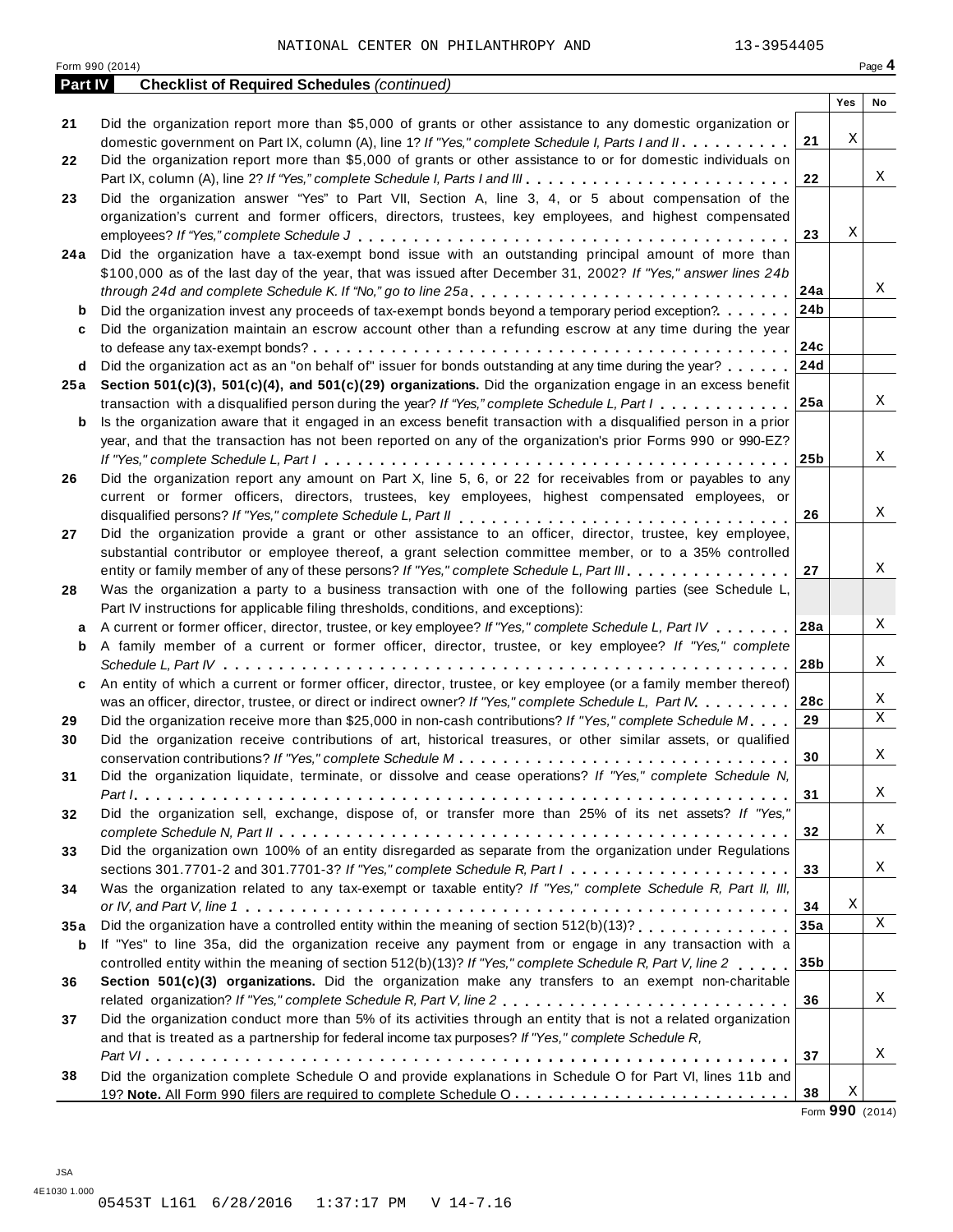|                | 13-3954405<br>NATIONAL CENTER ON PHILANTHROPY AND<br>Form 990 (2014)                                                                                                                                                                                  |                 |     | Page 4                  |
|----------------|-------------------------------------------------------------------------------------------------------------------------------------------------------------------------------------------------------------------------------------------------------|-----------------|-----|-------------------------|
| <b>Part IV</b> | <b>Checklist of Required Schedules (continued)</b>                                                                                                                                                                                                    |                 |     |                         |
|                |                                                                                                                                                                                                                                                       |                 | Yes | No                      |
| 21             | Did the organization report more than \$5,000 of grants or other assistance to any domestic organization or                                                                                                                                           |                 |     |                         |
|                | domestic government on Part IX, column (A), line 1? If "Yes," complete Schedule I, Parts I and II.                                                                                                                                                    | 21              | X   |                         |
| 22             | Did the organization report more than \$5,000 of grants or other assistance to or for domestic individuals on                                                                                                                                         |                 |     |                         |
|                |                                                                                                                                                                                                                                                       | 22              |     | Χ                       |
| 23             | Did the organization answer "Yes" to Part VII, Section A, line 3, 4, or 5 about compensation of the                                                                                                                                                   |                 |     |                         |
|                | organization's current and former officers, directors, trustees, key employees, and highest compensated                                                                                                                                               | 23              | X   |                         |
| 24 a           | Did the organization have a tax-exempt bond issue with an outstanding principal amount of more than                                                                                                                                                   |                 |     |                         |
|                | \$100,000 as of the last day of the year, that was issued after December 31, 2002? If "Yes," answer lines 24b                                                                                                                                         |                 |     |                         |
|                |                                                                                                                                                                                                                                                       | 24a             |     | Χ                       |
| b              | Did the organization invest any proceeds of tax-exempt bonds beyond a temporary period exception?                                                                                                                                                     | 24 <sub>b</sub> |     |                         |
| c              | Did the organization maintain an escrow account other than a refunding escrow at any time during the year                                                                                                                                             |                 |     |                         |
|                |                                                                                                                                                                                                                                                       | 24c             |     |                         |
| d              | Did the organization act as an "on behalf of" issuer for bonds outstanding at any time during the year?                                                                                                                                               | 24d             |     |                         |
| 25 a           | Section 501(c)(3), 501(c)(4), and 501(c)(29) organizations. Did the organization engage in an excess benefit                                                                                                                                          |                 |     |                         |
|                | transaction with a disqualified person during the year? If "Yes," complete Schedule L, Part I                                                                                                                                                         | 25a             |     | Χ                       |
| b              | Is the organization aware that it engaged in an excess benefit transaction with a disqualified person in a prior<br>year, and that the transaction has not been reported on any of the organization's prior Forms 990 or 990-EZ?                      |                 |     |                         |
|                |                                                                                                                                                                                                                                                       | 25 <sub>b</sub> |     | Χ                       |
| 26             | Did the organization report any amount on Part X, line 5, 6, or 22 for receivables from or payables to any                                                                                                                                            |                 |     |                         |
|                | current or former officers, directors, trustees, key employees, highest compensated employees, or                                                                                                                                                     |                 |     |                         |
|                |                                                                                                                                                                                                                                                       | 26              |     | Χ                       |
| 27             | Did the organization provide a grant or other assistance to an officer, director, trustee, key employee,                                                                                                                                              |                 |     |                         |
|                | substantial contributor or employee thereof, a grant selection committee member, or to a 35% controlled                                                                                                                                               |                 |     |                         |
|                | entity or family member of any of these persons? If "Yes," complete Schedule L, Part III.                                                                                                                                                             | 27              |     | Χ                       |
| 28             | Was the organization a party to a business transaction with one of the following parties (see Schedule L,                                                                                                                                             |                 |     |                         |
|                | Part IV instructions for applicable filing thresholds, conditions, and exceptions):                                                                                                                                                                   |                 |     |                         |
| а              | A current or former officer, director, trustee, or key employee? If "Yes," complete Schedule L, Part IV                                                                                                                                               | 28a             |     | X                       |
| b              | A family member of a current or former officer, director, trustee, or key employee? If "Yes," complete                                                                                                                                                | 28b             |     | Χ                       |
| c              | An entity of which a current or former officer, director, trustee, or key employee (or a family member thereof)                                                                                                                                       |                 |     |                         |
|                | was an officer, director, trustee, or direct or indirect owner? If "Yes," complete Schedule L, Part IV                                                                                                                                                | 28c             |     | Χ                       |
| 29             | Did the organization receive more than \$25,000 in non-cash contributions? If "Yes," complete Schedule M.                                                                                                                                             | 29              |     | $\overline{\textbf{X}}$ |
| 30             | Did the organization receive contributions of art, historical treasures, or other similar assets, or qualified                                                                                                                                        |                 |     |                         |
|                |                                                                                                                                                                                                                                                       | 30              |     | X                       |
| 31             | Did the organization liquidate, terminate, or dissolve and cease operations? If "Yes," complete Schedule N,                                                                                                                                           |                 |     |                         |
|                |                                                                                                                                                                                                                                                       | 31              |     | Χ                       |
| 32             | Did the organization sell, exchange, dispose of, or transfer more than 25% of its net assets? If "Yes,"                                                                                                                                               |                 |     |                         |
|                |                                                                                                                                                                                                                                                       | 32              |     | Χ                       |
| 33             | Did the organization own 100% of an entity disregarded as separate from the organization under Regulations                                                                                                                                            |                 |     | Χ                       |
|                | sections 301.7701-2 and 301.7701-3? If "Yes," complete Schedule R, Part $l_1, \ldots, l_l, l_l, \ldots, l_l, l_l, \ldots, l_l, l_l$<br>Was the organization related to any tax-exempt or taxable entity? If "Yes," complete Schedule R, Part II, III, | 33              |     |                         |
| 34             | or IV, and Part V, line 1 $\dots$ , $\dots$ , $\dots$ , $\dots$ , $\dots$ , $\dots$ , $\dots$ , $\dots$ , $\dots$ , $\dots$ , $\dots$ , $\dots$ , $\dots$ , $\dots$ , $\dots$                                                                         | 34              | Χ   |                         |
| 35a            |                                                                                                                                                                                                                                                       | 35a             |     | X                       |
| b              | If "Yes" to line 35a, did the organization receive any payment from or engage in any transaction with a                                                                                                                                               |                 |     |                         |
|                | controlled entity within the meaning of section 512(b)(13)? If "Yes," complete Schedule R, Part V, line 2                                                                                                                                             | 35 <sub>b</sub> |     |                         |
| 36             | Section 501(c)(3) organizations. Did the organization make any transfers to an exempt non-charitable                                                                                                                                                  |                 |     |                         |
|                |                                                                                                                                                                                                                                                       | 36              |     | X                       |
| 37             | Did the organization conduct more than 5% of its activities through an entity that is not a related organization                                                                                                                                      |                 |     |                         |
|                | and that is treated as a partnership for federal income tax purposes? If "Yes," complete Schedule R,                                                                                                                                                  |                 |     |                         |
|                |                                                                                                                                                                                                                                                       | 37              |     | Χ                       |
| 38             | Did the organization complete Schedule O and provide explanations in Schedule O for Part VI, lines 11b and                                                                                                                                            |                 | Χ   |                         |
|                |                                                                                                                                                                                                                                                       | 38              |     |                         |

Form **990** (2014)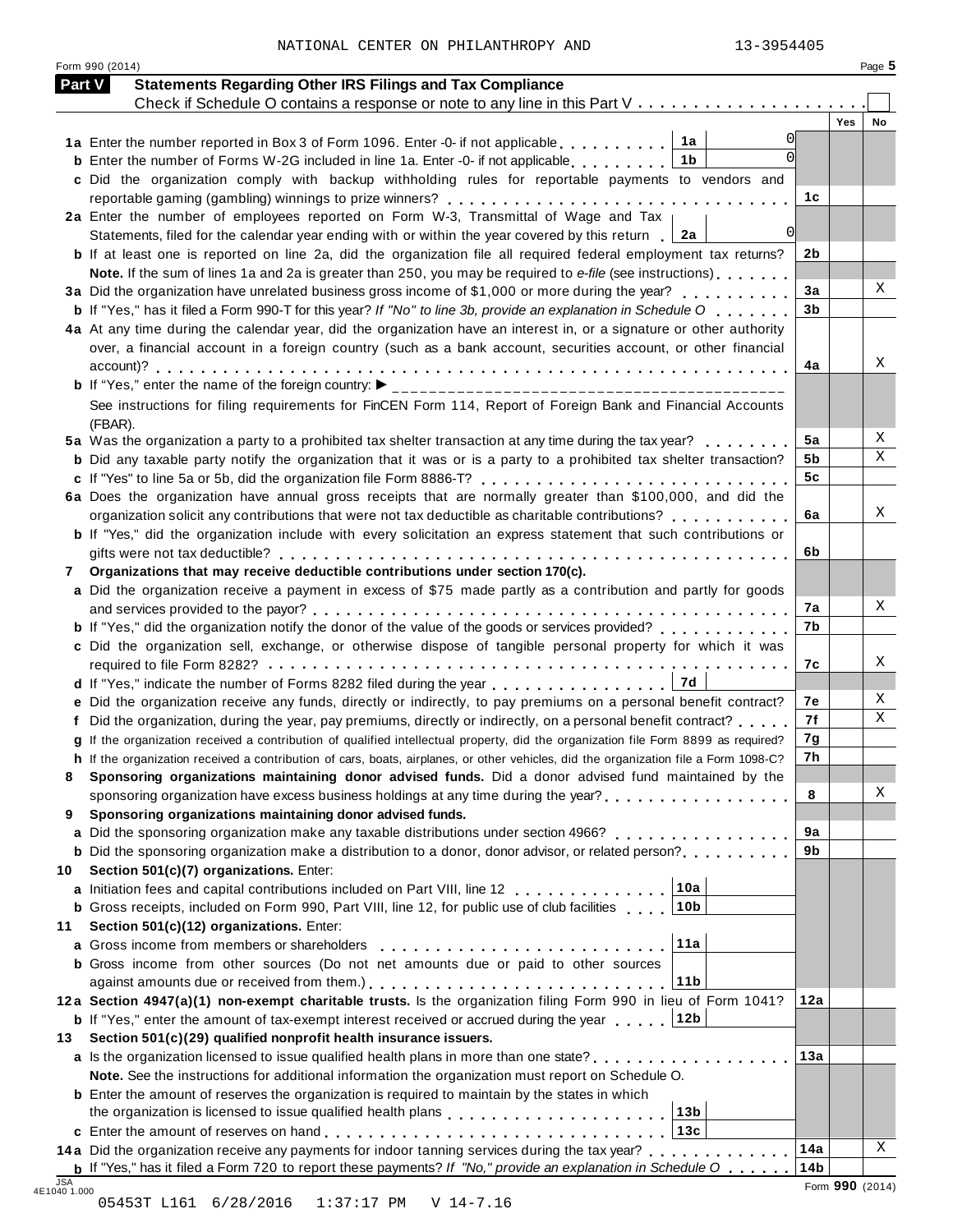|  | NATIONAL CENTER ON PHILANTHROPY AND | 13-3954405 |
|--|-------------------------------------|------------|

Form 990 (2014) Page **5**

| <b>Part V</b> | <b>Statements Regarding Other IRS Filings and Tax Compliance</b>                                                                     |                 |                 |    |
|---------------|--------------------------------------------------------------------------------------------------------------------------------------|-----------------|-----------------|----|
|               | Check if Schedule O contains a response or note to any line in this Part V                                                           |                 | <b>Yes</b>      | No |
|               | 1a<br>1a Enter the number reported in Box 3 of Form 1096. Enter -0- if not applicable                                                |                 |                 |    |
|               | 1 <sub>b</sub><br><b>b</b> Enter the number of Forms W-2G included in line 1a. Enter -0- if not applicable                           |                 |                 |    |
|               | c Did the organization comply with backup withholding rules for reportable payments to vendors and                                   |                 |                 |    |
|               |                                                                                                                                      | 1с              |                 |    |
|               | 2a Enter the number of employees reported on Form W-3, Transmittal of Wage and Tax                                                   |                 |                 |    |
|               | $\Omega$<br>Statements, filed for the calendar year ending with or within the year covered by this return $\Box$ 2a                  |                 |                 |    |
|               | <b>b</b> If at least one is reported on line 2a, did the organization file all required federal employment tax returns?              | 2b              |                 |    |
|               | Note. If the sum of lines 1a and 2a is greater than 250, you may be required to e-file (see instructions)                            |                 |                 |    |
|               | 3a Did the organization have unrelated business gross income of \$1,000 or more during the year?                                     | 3a              |                 | X  |
|               | <b>b</b> If "Yes," has it filed a Form 990-T for this year? If "No" to line 3b, provide an explanation in Schedule O                 | 3 <sub>b</sub>  |                 |    |
|               | 4a At any time during the calendar year, did the organization have an interest in, or a signature or other authority                 |                 |                 |    |
|               | over, a financial account in a foreign country (such as a bank account, securities account, or other financial                       |                 |                 |    |
|               |                                                                                                                                      | 4a              |                 | Χ  |
|               |                                                                                                                                      |                 |                 |    |
|               | See instructions for filing requirements for FinCEN Form 114, Report of Foreign Bank and Financial Accounts                          |                 |                 |    |
|               | (FBAR).                                                                                                                              |                 |                 |    |
|               | 5a Was the organization a party to a prohibited tax shelter transaction at any time during the tax year?                             | 5a              |                 | Χ  |
|               | <b>b</b> Did any taxable party notify the organization that it was or is a party to a prohibited tax shelter transaction?            | 5b              |                 | Χ  |
|               | c If "Yes" to line 5a or 5b, did the organization file Form 8886-T?                                                                  | 5 <sub>c</sub>  |                 |    |
|               | 6a Does the organization have annual gross receipts that are normally greater than \$100,000, and did the                            |                 |                 |    |
|               |                                                                                                                                      | 6a              |                 | Χ  |
|               | b If "Yes," did the organization include with every solicitation an express statement that such contributions or                     |                 |                 |    |
|               |                                                                                                                                      | 6b              |                 |    |
| 7             | Organizations that may receive deductible contributions under section 170(c).                                                        |                 |                 |    |
|               | a Did the organization receive a payment in excess of \$75 made partly as a contribution and partly for goods                        |                 |                 |    |
|               |                                                                                                                                      | 7a              |                 | Χ  |
|               | <b>b</b> If "Yes," did the organization notify the donor of the value of the goods or services provided?                             | 7b              |                 |    |
|               | c Did the organization sell, exchange, or otherwise dispose of tangible personal property for which it was                           |                 |                 |    |
|               |                                                                                                                                      | 7с              |                 | Χ  |
|               | 7d<br>d If "Yes," indicate the number of Forms 8282 filed during the year                                                            |                 |                 |    |
|               | e Did the organization receive any funds, directly or indirectly, to pay premiums on a personal benefit contract?                    | 7е              |                 | Χ  |
| f             | Did the organization, during the year, pay premiums, directly or indirectly, on a personal benefit contract?                         | 7f              |                 | X  |
|               | If the organization received a contribution of qualified intellectual property, did the organization file Form 8899 as required?     | 7g              |                 |    |
|               | h If the organization received a contribution of cars, boats, airplanes, or other vehicles, did the organization file a Form 1098-C? | 7h              |                 |    |
|               | Sponsoring organizations maintaining donor advised funds. Did a donor advised fund maintained by the                                 |                 |                 |    |
|               | sponsoring organization have excess business holdings at any time during the year?                                                   | 8               |                 | Χ  |
| 9             | Sponsoring organizations maintaining donor advised funds.                                                                            |                 |                 |    |
| a             | Did the sponsoring organization make any taxable distributions under section 4966?                                                   | 9a              |                 |    |
|               | <b>b</b> Did the sponsoring organization make a distribution to a donor, donor advisor, or related person?                           | 9b              |                 |    |
| 10            | Section 501(c)(7) organizations. Enter:                                                                                              |                 |                 |    |
|               | 10a<br>a Initiation fees and capital contributions included on Part VIII, line 12                                                    |                 |                 |    |
|               | 10 <sub>b</sub><br><b>b</b> Gross receipts, included on Form 990, Part VIII, line 12, for public use of club facilities              |                 |                 |    |
| 11            | Section 501(c)(12) organizations. Enter:                                                                                             |                 |                 |    |
|               | 11a<br>a Gross income from members or shareholders                                                                                   |                 |                 |    |
|               | <b>b</b> Gross income from other sources (Do not net amounts due or paid to other sources                                            |                 |                 |    |
|               | 11 <sub>b</sub>                                                                                                                      |                 |                 |    |
|               | 12a Section 4947(a)(1) non-exempt charitable trusts. Is the organization filing Form 990 in lieu of Form 1041?                       | 12a             |                 |    |
|               | <b>b</b> If "Yes," enter the amount of tax-exempt interest received or accrued during the year<br>12b                                |                 |                 |    |
| 13            | Section 501(c)(29) qualified nonprofit health insurance issuers.                                                                     |                 |                 |    |
|               | a Is the organization licensed to issue qualified health plans in more than one state?                                               | 13a             |                 |    |
|               | Note. See the instructions for additional information the organization must report on Schedule O.                                    |                 |                 |    |
|               | <b>b</b> Enter the amount of reserves the organization is required to maintain by the states in which                                |                 |                 |    |
|               | 13 <sub>b</sub>                                                                                                                      |                 |                 |    |
|               | 13c                                                                                                                                  |                 |                 |    |
|               | 14a Did the organization receive any payments for indoor tanning services during the tax year?                                       | 14a             |                 | X  |
|               | <b>b</b> If "Yes," has it filed a Form 720 to report these payments? If "No," provide an explanation in Schedule $0, \ldots, n$      | 14 <sub>b</sub> |                 |    |
| JSA           |                                                                                                                                      |                 | Form 990 (2014) |    |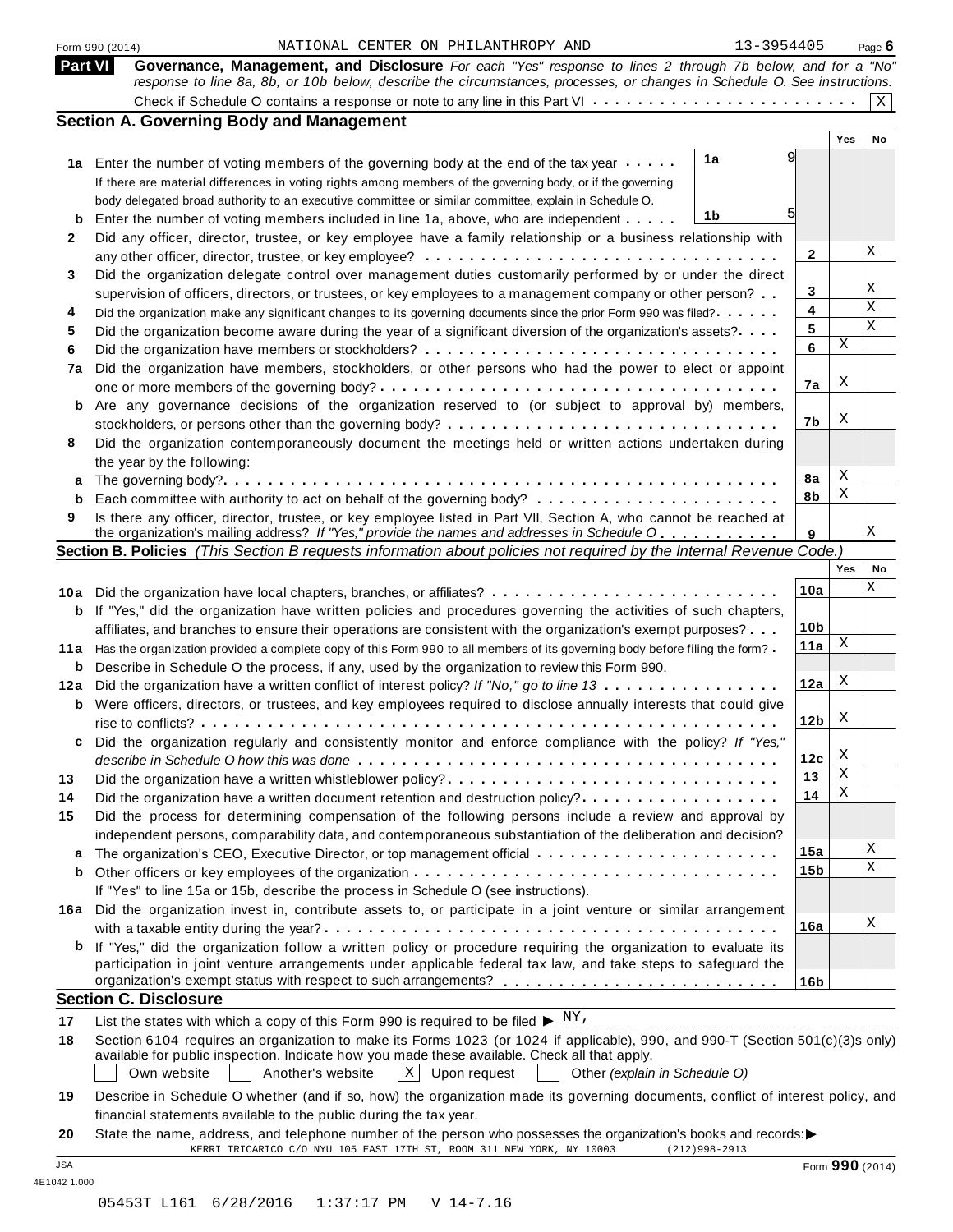| NATIONAL CENTER ON PHILANTHROPY AND<br>Form 990 (2014)                                                                                                                                               | 13-3954405                                                                                                                                                                                                                                                                                                                                                                                                                                                                                                                                                                   |                                                                                                                                                                                                                                                                                                                                                                                                                                                                                                                                                                                                                                                                                                                                                                                                                                                                                                                                                                                                                                                                                                                                                                                                                                                                                                                                                                                                                                                                                                                                                                                                                                                                                                                                                                                                                                                                                                                                                                                                                                                                                                                                                                                                                                                                                                                                                                                                                                                                                                                                                                                                                                                                                                                                                                                                                                                                                                                                                                                                                                        |                                                                | Page $6$                                                                                                                                                                                                                                                                                                                                                                                     |
|------------------------------------------------------------------------------------------------------------------------------------------------------------------------------------------------------|------------------------------------------------------------------------------------------------------------------------------------------------------------------------------------------------------------------------------------------------------------------------------------------------------------------------------------------------------------------------------------------------------------------------------------------------------------------------------------------------------------------------------------------------------------------------------|----------------------------------------------------------------------------------------------------------------------------------------------------------------------------------------------------------------------------------------------------------------------------------------------------------------------------------------------------------------------------------------------------------------------------------------------------------------------------------------------------------------------------------------------------------------------------------------------------------------------------------------------------------------------------------------------------------------------------------------------------------------------------------------------------------------------------------------------------------------------------------------------------------------------------------------------------------------------------------------------------------------------------------------------------------------------------------------------------------------------------------------------------------------------------------------------------------------------------------------------------------------------------------------------------------------------------------------------------------------------------------------------------------------------------------------------------------------------------------------------------------------------------------------------------------------------------------------------------------------------------------------------------------------------------------------------------------------------------------------------------------------------------------------------------------------------------------------------------------------------------------------------------------------------------------------------------------------------------------------------------------------------------------------------------------------------------------------------------------------------------------------------------------------------------------------------------------------------------------------------------------------------------------------------------------------------------------------------------------------------------------------------------------------------------------------------------------------------------------------------------------------------------------------------------------------------------------------------------------------------------------------------------------------------------------------------------------------------------------------------------------------------------------------------------------------------------------------------------------------------------------------------------------------------------------------------------------------------------------------------------------------------------------------|----------------------------------------------------------------|----------------------------------------------------------------------------------------------------------------------------------------------------------------------------------------------------------------------------------------------------------------------------------------------------------------------------------------------------------------------------------------------|
| Part VI                                                                                                                                                                                              |                                                                                                                                                                                                                                                                                                                                                                                                                                                                                                                                                                              |                                                                                                                                                                                                                                                                                                                                                                                                                                                                                                                                                                                                                                                                                                                                                                                                                                                                                                                                                                                                                                                                                                                                                                                                                                                                                                                                                                                                                                                                                                                                                                                                                                                                                                                                                                                                                                                                                                                                                                                                                                                                                                                                                                                                                                                                                                                                                                                                                                                                                                                                                                                                                                                                                                                                                                                                                                                                                                                                                                                                                                        |                                                                |                                                                                                                                                                                                                                                                                                                                                                                              |
|                                                                                                                                                                                                      |                                                                                                                                                                                                                                                                                                                                                                                                                                                                                                                                                                              |                                                                                                                                                                                                                                                                                                                                                                                                                                                                                                                                                                                                                                                                                                                                                                                                                                                                                                                                                                                                                                                                                                                                                                                                                                                                                                                                                                                                                                                                                                                                                                                                                                                                                                                                                                                                                                                                                                                                                                                                                                                                                                                                                                                                                                                                                                                                                                                                                                                                                                                                                                                                                                                                                                                                                                                                                                                                                                                                                                                                                                        |                                                                | Χ                                                                                                                                                                                                                                                                                                                                                                                            |
|                                                                                                                                                                                                      |                                                                                                                                                                                                                                                                                                                                                                                                                                                                                                                                                                              |                                                                                                                                                                                                                                                                                                                                                                                                                                                                                                                                                                                                                                                                                                                                                                                                                                                                                                                                                                                                                                                                                                                                                                                                                                                                                                                                                                                                                                                                                                                                                                                                                                                                                                                                                                                                                                                                                                                                                                                                                                                                                                                                                                                                                                                                                                                                                                                                                                                                                                                                                                                                                                                                                                                                                                                                                                                                                                                                                                                                                                        |                                                                |                                                                                                                                                                                                                                                                                                                                                                                              |
|                                                                                                                                                                                                      |                                                                                                                                                                                                                                                                                                                                                                                                                                                                                                                                                                              |                                                                                                                                                                                                                                                                                                                                                                                                                                                                                                                                                                                                                                                                                                                                                                                                                                                                                                                                                                                                                                                                                                                                                                                                                                                                                                                                                                                                                                                                                                                                                                                                                                                                                                                                                                                                                                                                                                                                                                                                                                                                                                                                                                                                                                                                                                                                                                                                                                                                                                                                                                                                                                                                                                                                                                                                                                                                                                                                                                                                                                        | Yes                                                            | No                                                                                                                                                                                                                                                                                                                                                                                           |
|                                                                                                                                                                                                      |                                                                                                                                                                                                                                                                                                                                                                                                                                                                                                                                                                              |                                                                                                                                                                                                                                                                                                                                                                                                                                                                                                                                                                                                                                                                                                                                                                                                                                                                                                                                                                                                                                                                                                                                                                                                                                                                                                                                                                                                                                                                                                                                                                                                                                                                                                                                                                                                                                                                                                                                                                                                                                                                                                                                                                                                                                                                                                                                                                                                                                                                                                                                                                                                                                                                                                                                                                                                                                                                                                                                                                                                                                        |                                                                |                                                                                                                                                                                                                                                                                                                                                                                              |
|                                                                                                                                                                                                      |                                                                                                                                                                                                                                                                                                                                                                                                                                                                                                                                                                              |                                                                                                                                                                                                                                                                                                                                                                                                                                                                                                                                                                                                                                                                                                                                                                                                                                                                                                                                                                                                                                                                                                                                                                                                                                                                                                                                                                                                                                                                                                                                                                                                                                                                                                                                                                                                                                                                                                                                                                                                                                                                                                                                                                                                                                                                                                                                                                                                                                                                                                                                                                                                                                                                                                                                                                                                                                                                                                                                                                                                                                        |                                                                |                                                                                                                                                                                                                                                                                                                                                                                              |
|                                                                                                                                                                                                      |                                                                                                                                                                                                                                                                                                                                                                                                                                                                                                                                                                              |                                                                                                                                                                                                                                                                                                                                                                                                                                                                                                                                                                                                                                                                                                                                                                                                                                                                                                                                                                                                                                                                                                                                                                                                                                                                                                                                                                                                                                                                                                                                                                                                                                                                                                                                                                                                                                                                                                                                                                                                                                                                                                                                                                                                                                                                                                                                                                                                                                                                                                                                                                                                                                                                                                                                                                                                                                                                                                                                                                                                                                        |                                                                |                                                                                                                                                                                                                                                                                                                                                                                              |
|                                                                                                                                                                                                      |                                                                                                                                                                                                                                                                                                                                                                                                                                                                                                                                                                              |                                                                                                                                                                                                                                                                                                                                                                                                                                                                                                                                                                                                                                                                                                                                                                                                                                                                                                                                                                                                                                                                                                                                                                                                                                                                                                                                                                                                                                                                                                                                                                                                                                                                                                                                                                                                                                                                                                                                                                                                                                                                                                                                                                                                                                                                                                                                                                                                                                                                                                                                                                                                                                                                                                                                                                                                                                                                                                                                                                                                                                        |                                                                |                                                                                                                                                                                                                                                                                                                                                                                              |
|                                                                                                                                                                                                      |                                                                                                                                                                                                                                                                                                                                                                                                                                                                                                                                                                              |                                                                                                                                                                                                                                                                                                                                                                                                                                                                                                                                                                                                                                                                                                                                                                                                                                                                                                                                                                                                                                                                                                                                                                                                                                                                                                                                                                                                                                                                                                                                                                                                                                                                                                                                                                                                                                                                                                                                                                                                                                                                                                                                                                                                                                                                                                                                                                                                                                                                                                                                                                                                                                                                                                                                                                                                                                                                                                                                                                                                                                        |                                                                |                                                                                                                                                                                                                                                                                                                                                                                              |
|                                                                                                                                                                                                      |                                                                                                                                                                                                                                                                                                                                                                                                                                                                                                                                                                              | 2                                                                                                                                                                                                                                                                                                                                                                                                                                                                                                                                                                                                                                                                                                                                                                                                                                                                                                                                                                                                                                                                                                                                                                                                                                                                                                                                                                                                                                                                                                                                                                                                                                                                                                                                                                                                                                                                                                                                                                                                                                                                                                                                                                                                                                                                                                                                                                                                                                                                                                                                                                                                                                                                                                                                                                                                                                                                                                                                                                                                                                      |                                                                | Χ                                                                                                                                                                                                                                                                                                                                                                                            |
|                                                                                                                                                                                                      |                                                                                                                                                                                                                                                                                                                                                                                                                                                                                                                                                                              |                                                                                                                                                                                                                                                                                                                                                                                                                                                                                                                                                                                                                                                                                                                                                                                                                                                                                                                                                                                                                                                                                                                                                                                                                                                                                                                                                                                                                                                                                                                                                                                                                                                                                                                                                                                                                                                                                                                                                                                                                                                                                                                                                                                                                                                                                                                                                                                                                                                                                                                                                                                                                                                                                                                                                                                                                                                                                                                                                                                                                                        |                                                                |                                                                                                                                                                                                                                                                                                                                                                                              |
|                                                                                                                                                                                                      |                                                                                                                                                                                                                                                                                                                                                                                                                                                                                                                                                                              | 3                                                                                                                                                                                                                                                                                                                                                                                                                                                                                                                                                                                                                                                                                                                                                                                                                                                                                                                                                                                                                                                                                                                                                                                                                                                                                                                                                                                                                                                                                                                                                                                                                                                                                                                                                                                                                                                                                                                                                                                                                                                                                                                                                                                                                                                                                                                                                                                                                                                                                                                                                                                                                                                                                                                                                                                                                                                                                                                                                                                                                                      |                                                                | Χ                                                                                                                                                                                                                                                                                                                                                                                            |
|                                                                                                                                                                                                      |                                                                                                                                                                                                                                                                                                                                                                                                                                                                                                                                                                              | 4                                                                                                                                                                                                                                                                                                                                                                                                                                                                                                                                                                                                                                                                                                                                                                                                                                                                                                                                                                                                                                                                                                                                                                                                                                                                                                                                                                                                                                                                                                                                                                                                                                                                                                                                                                                                                                                                                                                                                                                                                                                                                                                                                                                                                                                                                                                                                                                                                                                                                                                                                                                                                                                                                                                                                                                                                                                                                                                                                                                                                                      |                                                                | X                                                                                                                                                                                                                                                                                                                                                                                            |
|                                                                                                                                                                                                      |                                                                                                                                                                                                                                                                                                                                                                                                                                                                                                                                                                              | 5                                                                                                                                                                                                                                                                                                                                                                                                                                                                                                                                                                                                                                                                                                                                                                                                                                                                                                                                                                                                                                                                                                                                                                                                                                                                                                                                                                                                                                                                                                                                                                                                                                                                                                                                                                                                                                                                                                                                                                                                                                                                                                                                                                                                                                                                                                                                                                                                                                                                                                                                                                                                                                                                                                                                                                                                                                                                                                                                                                                                                                      |                                                                | Χ                                                                                                                                                                                                                                                                                                                                                                                            |
|                                                                                                                                                                                                      |                                                                                                                                                                                                                                                                                                                                                                                                                                                                                                                                                                              | 6                                                                                                                                                                                                                                                                                                                                                                                                                                                                                                                                                                                                                                                                                                                                                                                                                                                                                                                                                                                                                                                                                                                                                                                                                                                                                                                                                                                                                                                                                                                                                                                                                                                                                                                                                                                                                                                                                                                                                                                                                                                                                                                                                                                                                                                                                                                                                                                                                                                                                                                                                                                                                                                                                                                                                                                                                                                                                                                                                                                                                                      | Χ                                                              |                                                                                                                                                                                                                                                                                                                                                                                              |
|                                                                                                                                                                                                      |                                                                                                                                                                                                                                                                                                                                                                                                                                                                                                                                                                              |                                                                                                                                                                                                                                                                                                                                                                                                                                                                                                                                                                                                                                                                                                                                                                                                                                                                                                                                                                                                                                                                                                                                                                                                                                                                                                                                                                                                                                                                                                                                                                                                                                                                                                                                                                                                                                                                                                                                                                                                                                                                                                                                                                                                                                                                                                                                                                                                                                                                                                                                                                                                                                                                                                                                                                                                                                                                                                                                                                                                                                        |                                                                |                                                                                                                                                                                                                                                                                                                                                                                              |
|                                                                                                                                                                                                      |                                                                                                                                                                                                                                                                                                                                                                                                                                                                                                                                                                              | 7a                                                                                                                                                                                                                                                                                                                                                                                                                                                                                                                                                                                                                                                                                                                                                                                                                                                                                                                                                                                                                                                                                                                                                                                                                                                                                                                                                                                                                                                                                                                                                                                                                                                                                                                                                                                                                                                                                                                                                                                                                                                                                                                                                                                                                                                                                                                                                                                                                                                                                                                                                                                                                                                                                                                                                                                                                                                                                                                                                                                                                                     | Χ                                                              |                                                                                                                                                                                                                                                                                                                                                                                              |
|                                                                                                                                                                                                      |                                                                                                                                                                                                                                                                                                                                                                                                                                                                                                                                                                              |                                                                                                                                                                                                                                                                                                                                                                                                                                                                                                                                                                                                                                                                                                                                                                                                                                                                                                                                                                                                                                                                                                                                                                                                                                                                                                                                                                                                                                                                                                                                                                                                                                                                                                                                                                                                                                                                                                                                                                                                                                                                                                                                                                                                                                                                                                                                                                                                                                                                                                                                                                                                                                                                                                                                                                                                                                                                                                                                                                                                                                        |                                                                |                                                                                                                                                                                                                                                                                                                                                                                              |
|                                                                                                                                                                                                      |                                                                                                                                                                                                                                                                                                                                                                                                                                                                                                                                                                              | 7b                                                                                                                                                                                                                                                                                                                                                                                                                                                                                                                                                                                                                                                                                                                                                                                                                                                                                                                                                                                                                                                                                                                                                                                                                                                                                                                                                                                                                                                                                                                                                                                                                                                                                                                                                                                                                                                                                                                                                                                                                                                                                                                                                                                                                                                                                                                                                                                                                                                                                                                                                                                                                                                                                                                                                                                                                                                                                                                                                                                                                                     | Χ                                                              |                                                                                                                                                                                                                                                                                                                                                                                              |
|                                                                                                                                                                                                      |                                                                                                                                                                                                                                                                                                                                                                                                                                                                                                                                                                              |                                                                                                                                                                                                                                                                                                                                                                                                                                                                                                                                                                                                                                                                                                                                                                                                                                                                                                                                                                                                                                                                                                                                                                                                                                                                                                                                                                                                                                                                                                                                                                                                                                                                                                                                                                                                                                                                                                                                                                                                                                                                                                                                                                                                                                                                                                                                                                                                                                                                                                                                                                                                                                                                                                                                                                                                                                                                                                                                                                                                                                        |                                                                |                                                                                                                                                                                                                                                                                                                                                                                              |
|                                                                                                                                                                                                      |                                                                                                                                                                                                                                                                                                                                                                                                                                                                                                                                                                              |                                                                                                                                                                                                                                                                                                                                                                                                                                                                                                                                                                                                                                                                                                                                                                                                                                                                                                                                                                                                                                                                                                                                                                                                                                                                                                                                                                                                                                                                                                                                                                                                                                                                                                                                                                                                                                                                                                                                                                                                                                                                                                                                                                                                                                                                                                                                                                                                                                                                                                                                                                                                                                                                                                                                                                                                                                                                                                                                                                                                                                        |                                                                |                                                                                                                                                                                                                                                                                                                                                                                              |
|                                                                                                                                                                                                      |                                                                                                                                                                                                                                                                                                                                                                                                                                                                                                                                                                              | 8a                                                                                                                                                                                                                                                                                                                                                                                                                                                                                                                                                                                                                                                                                                                                                                                                                                                                                                                                                                                                                                                                                                                                                                                                                                                                                                                                                                                                                                                                                                                                                                                                                                                                                                                                                                                                                                                                                                                                                                                                                                                                                                                                                                                                                                                                                                                                                                                                                                                                                                                                                                                                                                                                                                                                                                                                                                                                                                                                                                                                                                     | Χ                                                              |                                                                                                                                                                                                                                                                                                                                                                                              |
|                                                                                                                                                                                                      |                                                                                                                                                                                                                                                                                                                                                                                                                                                                                                                                                                              | 8b                                                                                                                                                                                                                                                                                                                                                                                                                                                                                                                                                                                                                                                                                                                                                                                                                                                                                                                                                                                                                                                                                                                                                                                                                                                                                                                                                                                                                                                                                                                                                                                                                                                                                                                                                                                                                                                                                                                                                                                                                                                                                                                                                                                                                                                                                                                                                                                                                                                                                                                                                                                                                                                                                                                                                                                                                                                                                                                                                                                                                                     | Χ                                                              |                                                                                                                                                                                                                                                                                                                                                                                              |
|                                                                                                                                                                                                      |                                                                                                                                                                                                                                                                                                                                                                                                                                                                                                                                                                              |                                                                                                                                                                                                                                                                                                                                                                                                                                                                                                                                                                                                                                                                                                                                                                                                                                                                                                                                                                                                                                                                                                                                                                                                                                                                                                                                                                                                                                                                                                                                                                                                                                                                                                                                                                                                                                                                                                                                                                                                                                                                                                                                                                                                                                                                                                                                                                                                                                                                                                                                                                                                                                                                                                                                                                                                                                                                                                                                                                                                                                        |                                                                |                                                                                                                                                                                                                                                                                                                                                                                              |
|                                                                                                                                                                                                      |                                                                                                                                                                                                                                                                                                                                                                                                                                                                                                                                                                              | 9                                                                                                                                                                                                                                                                                                                                                                                                                                                                                                                                                                                                                                                                                                                                                                                                                                                                                                                                                                                                                                                                                                                                                                                                                                                                                                                                                                                                                                                                                                                                                                                                                                                                                                                                                                                                                                                                                                                                                                                                                                                                                                                                                                                                                                                                                                                                                                                                                                                                                                                                                                                                                                                                                                                                                                                                                                                                                                                                                                                                                                      |                                                                | Χ                                                                                                                                                                                                                                                                                                                                                                                            |
|                                                                                                                                                                                                      |                                                                                                                                                                                                                                                                                                                                                                                                                                                                                                                                                                              |                                                                                                                                                                                                                                                                                                                                                                                                                                                                                                                                                                                                                                                                                                                                                                                                                                                                                                                                                                                                                                                                                                                                                                                                                                                                                                                                                                                                                                                                                                                                                                                                                                                                                                                                                                                                                                                                                                                                                                                                                                                                                                                                                                                                                                                                                                                                                                                                                                                                                                                                                                                                                                                                                                                                                                                                                                                                                                                                                                                                                                        |                                                                |                                                                                                                                                                                                                                                                                                                                                                                              |
|                                                                                                                                                                                                      |                                                                                                                                                                                                                                                                                                                                                                                                                                                                                                                                                                              |                                                                                                                                                                                                                                                                                                                                                                                                                                                                                                                                                                                                                                                                                                                                                                                                                                                                                                                                                                                                                                                                                                                                                                                                                                                                                                                                                                                                                                                                                                                                                                                                                                                                                                                                                                                                                                                                                                                                                                                                                                                                                                                                                                                                                                                                                                                                                                                                                                                                                                                                                                                                                                                                                                                                                                                                                                                                                                                                                                                                                                        | Yes                                                            | No                                                                                                                                                                                                                                                                                                                                                                                           |
|                                                                                                                                                                                                      |                                                                                                                                                                                                                                                                                                                                                                                                                                                                                                                                                                              | 10a                                                                                                                                                                                                                                                                                                                                                                                                                                                                                                                                                                                                                                                                                                                                                                                                                                                                                                                                                                                                                                                                                                                                                                                                                                                                                                                                                                                                                                                                                                                                                                                                                                                                                                                                                                                                                                                                                                                                                                                                                                                                                                                                                                                                                                                                                                                                                                                                                                                                                                                                                                                                                                                                                                                                                                                                                                                                                                                                                                                                                                    |                                                                | Χ                                                                                                                                                                                                                                                                                                                                                                                            |
|                                                                                                                                                                                                      |                                                                                                                                                                                                                                                                                                                                                                                                                                                                                                                                                                              |                                                                                                                                                                                                                                                                                                                                                                                                                                                                                                                                                                                                                                                                                                                                                                                                                                                                                                                                                                                                                                                                                                                                                                                                                                                                                                                                                                                                                                                                                                                                                                                                                                                                                                                                                                                                                                                                                                                                                                                                                                                                                                                                                                                                                                                                                                                                                                                                                                                                                                                                                                                                                                                                                                                                                                                                                                                                                                                                                                                                                                        |                                                                |                                                                                                                                                                                                                                                                                                                                                                                              |
|                                                                                                                                                                                                      |                                                                                                                                                                                                                                                                                                                                                                                                                                                                                                                                                                              | 10 <sub>b</sub>                                                                                                                                                                                                                                                                                                                                                                                                                                                                                                                                                                                                                                                                                                                                                                                                                                                                                                                                                                                                                                                                                                                                                                                                                                                                                                                                                                                                                                                                                                                                                                                                                                                                                                                                                                                                                                                                                                                                                                                                                                                                                                                                                                                                                                                                                                                                                                                                                                                                                                                                                                                                                                                                                                                                                                                                                                                                                                                                                                                                                        |                                                                |                                                                                                                                                                                                                                                                                                                                                                                              |
|                                                                                                                                                                                                      |                                                                                                                                                                                                                                                                                                                                                                                                                                                                                                                                                                              | 11a                                                                                                                                                                                                                                                                                                                                                                                                                                                                                                                                                                                                                                                                                                                                                                                                                                                                                                                                                                                                                                                                                                                                                                                                                                                                                                                                                                                                                                                                                                                                                                                                                                                                                                                                                                                                                                                                                                                                                                                                                                                                                                                                                                                                                                                                                                                                                                                                                                                                                                                                                                                                                                                                                                                                                                                                                                                                                                                                                                                                                                    |                                                                |                                                                                                                                                                                                                                                                                                                                                                                              |
| Describe in Schedule O the process, if any, used by the organization to review this Form 990.                                                                                                        |                                                                                                                                                                                                                                                                                                                                                                                                                                                                                                                                                                              |                                                                                                                                                                                                                                                                                                                                                                                                                                                                                                                                                                                                                                                                                                                                                                                                                                                                                                                                                                                                                                                                                                                                                                                                                                                                                                                                                                                                                                                                                                                                                                                                                                                                                                                                                                                                                                                                                                                                                                                                                                                                                                                                                                                                                                                                                                                                                                                                                                                                                                                                                                                                                                                                                                                                                                                                                                                                                                                                                                                                                                        |                                                                |                                                                                                                                                                                                                                                                                                                                                                                              |
|                                                                                                                                                                                                      |                                                                                                                                                                                                                                                                                                                                                                                                                                                                                                                                                                              |                                                                                                                                                                                                                                                                                                                                                                                                                                                                                                                                                                                                                                                                                                                                                                                                                                                                                                                                                                                                                                                                                                                                                                                                                                                                                                                                                                                                                                                                                                                                                                                                                                                                                                                                                                                                                                                                                                                                                                                                                                                                                                                                                                                                                                                                                                                                                                                                                                                                                                                                                                                                                                                                                                                                                                                                                                                                                                                                                                                                                                        |                                                                |                                                                                                                                                                                                                                                                                                                                                                                              |
|                                                                                                                                                                                                      |                                                                                                                                                                                                                                                                                                                                                                                                                                                                                                                                                                              |                                                                                                                                                                                                                                                                                                                                                                                                                                                                                                                                                                                                                                                                                                                                                                                                                                                                                                                                                                                                                                                                                                                                                                                                                                                                                                                                                                                                                                                                                                                                                                                                                                                                                                                                                                                                                                                                                                                                                                                                                                                                                                                                                                                                                                                                                                                                                                                                                                                                                                                                                                                                                                                                                                                                                                                                                                                                                                                                                                                                                                        |                                                                |                                                                                                                                                                                                                                                                                                                                                                                              |
|                                                                                                                                                                                                      |                                                                                                                                                                                                                                                                                                                                                                                                                                                                                                                                                                              |                                                                                                                                                                                                                                                                                                                                                                                                                                                                                                                                                                                                                                                                                                                                                                                                                                                                                                                                                                                                                                                                                                                                                                                                                                                                                                                                                                                                                                                                                                                                                                                                                                                                                                                                                                                                                                                                                                                                                                                                                                                                                                                                                                                                                                                                                                                                                                                                                                                                                                                                                                                                                                                                                                                                                                                                                                                                                                                                                                                                                                        |                                                                |                                                                                                                                                                                                                                                                                                                                                                                              |
|                                                                                                                                                                                                      |                                                                                                                                                                                                                                                                                                                                                                                                                                                                                                                                                                              |                                                                                                                                                                                                                                                                                                                                                                                                                                                                                                                                                                                                                                                                                                                                                                                                                                                                                                                                                                                                                                                                                                                                                                                                                                                                                                                                                                                                                                                                                                                                                                                                                                                                                                                                                                                                                                                                                                                                                                                                                                                                                                                                                                                                                                                                                                                                                                                                                                                                                                                                                                                                                                                                                                                                                                                                                                                                                                                                                                                                                                        |                                                                |                                                                                                                                                                                                                                                                                                                                                                                              |
|                                                                                                                                                                                                      |                                                                                                                                                                                                                                                                                                                                                                                                                                                                                                                                                                              |                                                                                                                                                                                                                                                                                                                                                                                                                                                                                                                                                                                                                                                                                                                                                                                                                                                                                                                                                                                                                                                                                                                                                                                                                                                                                                                                                                                                                                                                                                                                                                                                                                                                                                                                                                                                                                                                                                                                                                                                                                                                                                                                                                                                                                                                                                                                                                                                                                                                                                                                                                                                                                                                                                                                                                                                                                                                                                                                                                                                                                        |                                                                |                                                                                                                                                                                                                                                                                                                                                                                              |
|                                                                                                                                                                                                      |                                                                                                                                                                                                                                                                                                                                                                                                                                                                                                                                                                              |                                                                                                                                                                                                                                                                                                                                                                                                                                                                                                                                                                                                                                                                                                                                                                                                                                                                                                                                                                                                                                                                                                                                                                                                                                                                                                                                                                                                                                                                                                                                                                                                                                                                                                                                                                                                                                                                                                                                                                                                                                                                                                                                                                                                                                                                                                                                                                                                                                                                                                                                                                                                                                                                                                                                                                                                                                                                                                                                                                                                                                        |                                                                |                                                                                                                                                                                                                                                                                                                                                                                              |
|                                                                                                                                                                                                      |                                                                                                                                                                                                                                                                                                                                                                                                                                                                                                                                                                              |                                                                                                                                                                                                                                                                                                                                                                                                                                                                                                                                                                                                                                                                                                                                                                                                                                                                                                                                                                                                                                                                                                                                                                                                                                                                                                                                                                                                                                                                                                                                                                                                                                                                                                                                                                                                                                                                                                                                                                                                                                                                                                                                                                                                                                                                                                                                                                                                                                                                                                                                                                                                                                                                                                                                                                                                                                                                                                                                                                                                                                        |                                                                |                                                                                                                                                                                                                                                                                                                                                                                              |
|                                                                                                                                                                                                      |                                                                                                                                                                                                                                                                                                                                                                                                                                                                                                                                                                              |                                                                                                                                                                                                                                                                                                                                                                                                                                                                                                                                                                                                                                                                                                                                                                                                                                                                                                                                                                                                                                                                                                                                                                                                                                                                                                                                                                                                                                                                                                                                                                                                                                                                                                                                                                                                                                                                                                                                                                                                                                                                                                                                                                                                                                                                                                                                                                                                                                                                                                                                                                                                                                                                                                                                                                                                                                                                                                                                                                                                                                        |                                                                |                                                                                                                                                                                                                                                                                                                                                                                              |
|                                                                                                                                                                                                      |                                                                                                                                                                                                                                                                                                                                                                                                                                                                                                                                                                              |                                                                                                                                                                                                                                                                                                                                                                                                                                                                                                                                                                                                                                                                                                                                                                                                                                                                                                                                                                                                                                                                                                                                                                                                                                                                                                                                                                                                                                                                                                                                                                                                                                                                                                                                                                                                                                                                                                                                                                                                                                                                                                                                                                                                                                                                                                                                                                                                                                                                                                                                                                                                                                                                                                                                                                                                                                                                                                                                                                                                                                        |                                                                |                                                                                                                                                                                                                                                                                                                                                                                              |
|                                                                                                                                                                                                      |                                                                                                                                                                                                                                                                                                                                                                                                                                                                                                                                                                              |                                                                                                                                                                                                                                                                                                                                                                                                                                                                                                                                                                                                                                                                                                                                                                                                                                                                                                                                                                                                                                                                                                                                                                                                                                                                                                                                                                                                                                                                                                                                                                                                                                                                                                                                                                                                                                                                                                                                                                                                                                                                                                                                                                                                                                                                                                                                                                                                                                                                                                                                                                                                                                                                                                                                                                                                                                                                                                                                                                                                                                        |                                                                | Χ                                                                                                                                                                                                                                                                                                                                                                                            |
|                                                                                                                                                                                                      |                                                                                                                                                                                                                                                                                                                                                                                                                                                                                                                                                                              |                                                                                                                                                                                                                                                                                                                                                                                                                                                                                                                                                                                                                                                                                                                                                                                                                                                                                                                                                                                                                                                                                                                                                                                                                                                                                                                                                                                                                                                                                                                                                                                                                                                                                                                                                                                                                                                                                                                                                                                                                                                                                                                                                                                                                                                                                                                                                                                                                                                                                                                                                                                                                                                                                                                                                                                                                                                                                                                                                                                                                                        |                                                                | X                                                                                                                                                                                                                                                                                                                                                                                            |
|                                                                                                                                                                                                      |                                                                                                                                                                                                                                                                                                                                                                                                                                                                                                                                                                              |                                                                                                                                                                                                                                                                                                                                                                                                                                                                                                                                                                                                                                                                                                                                                                                                                                                                                                                                                                                                                                                                                                                                                                                                                                                                                                                                                                                                                                                                                                                                                                                                                                                                                                                                                                                                                                                                                                                                                                                                                                                                                                                                                                                                                                                                                                                                                                                                                                                                                                                                                                                                                                                                                                                                                                                                                                                                                                                                                                                                                                        |                                                                |                                                                                                                                                                                                                                                                                                                                                                                              |
|                                                                                                                                                                                                      |                                                                                                                                                                                                                                                                                                                                                                                                                                                                                                                                                                              |                                                                                                                                                                                                                                                                                                                                                                                                                                                                                                                                                                                                                                                                                                                                                                                                                                                                                                                                                                                                                                                                                                                                                                                                                                                                                                                                                                                                                                                                                                                                                                                                                                                                                                                                                                                                                                                                                                                                                                                                                                                                                                                                                                                                                                                                                                                                                                                                                                                                                                                                                                                                                                                                                                                                                                                                                                                                                                                                                                                                                                        |                                                                |                                                                                                                                                                                                                                                                                                                                                                                              |
|                                                                                                                                                                                                      |                                                                                                                                                                                                                                                                                                                                                                                                                                                                                                                                                                              |                                                                                                                                                                                                                                                                                                                                                                                                                                                                                                                                                                                                                                                                                                                                                                                                                                                                                                                                                                                                                                                                                                                                                                                                                                                                                                                                                                                                                                                                                                                                                                                                                                                                                                                                                                                                                                                                                                                                                                                                                                                                                                                                                                                                                                                                                                                                                                                                                                                                                                                                                                                                                                                                                                                                                                                                                                                                                                                                                                                                                                        |                                                                | Χ                                                                                                                                                                                                                                                                                                                                                                                            |
|                                                                                                                                                                                                      |                                                                                                                                                                                                                                                                                                                                                                                                                                                                                                                                                                              |                                                                                                                                                                                                                                                                                                                                                                                                                                                                                                                                                                                                                                                                                                                                                                                                                                                                                                                                                                                                                                                                                                                                                                                                                                                                                                                                                                                                                                                                                                                                                                                                                                                                                                                                                                                                                                                                                                                                                                                                                                                                                                                                                                                                                                                                                                                                                                                                                                                                                                                                                                                                                                                                                                                                                                                                                                                                                                                                                                                                                                        |                                                                |                                                                                                                                                                                                                                                                                                                                                                                              |
|                                                                                                                                                                                                      |                                                                                                                                                                                                                                                                                                                                                                                                                                                                                                                                                                              |                                                                                                                                                                                                                                                                                                                                                                                                                                                                                                                                                                                                                                                                                                                                                                                                                                                                                                                                                                                                                                                                                                                                                                                                                                                                                                                                                                                                                                                                                                                                                                                                                                                                                                                                                                                                                                                                                                                                                                                                                                                                                                                                                                                                                                                                                                                                                                                                                                                                                                                                                                                                                                                                                                                                                                                                                                                                                                                                                                                                                                        |                                                                |                                                                                                                                                                                                                                                                                                                                                                                              |
| <b>Section C. Disclosure</b>                                                                                                                                                                         |                                                                                                                                                                                                                                                                                                                                                                                                                                                                                                                                                                              | 16 <sub>b</sub>                                                                                                                                                                                                                                                                                                                                                                                                                                                                                                                                                                                                                                                                                                                                                                                                                                                                                                                                                                                                                                                                                                                                                                                                                                                                                                                                                                                                                                                                                                                                                                                                                                                                                                                                                                                                                                                                                                                                                                                                                                                                                                                                                                                                                                                                                                                                                                                                                                                                                                                                                                                                                                                                                                                                                                                                                                                                                                                                                                                                                        |                                                                |                                                                                                                                                                                                                                                                                                                                                                                              |
|                                                                                                                                                                                                      |                                                                                                                                                                                                                                                                                                                                                                                                                                                                                                                                                                              |                                                                                                                                                                                                                                                                                                                                                                                                                                                                                                                                                                                                                                                                                                                                                                                                                                                                                                                                                                                                                                                                                                                                                                                                                                                                                                                                                                                                                                                                                                                                                                                                                                                                                                                                                                                                                                                                                                                                                                                                                                                                                                                                                                                                                                                                                                                                                                                                                                                                                                                                                                                                                                                                                                                                                                                                                                                                                                                                                                                                                                        |                                                                |                                                                                                                                                                                                                                                                                                                                                                                              |
|                                                                                                                                                                                                      |                                                                                                                                                                                                                                                                                                                                                                                                                                                                                                                                                                              |                                                                                                                                                                                                                                                                                                                                                                                                                                                                                                                                                                                                                                                                                                                                                                                                                                                                                                                                                                                                                                                                                                                                                                                                                                                                                                                                                                                                                                                                                                                                                                                                                                                                                                                                                                                                                                                                                                                                                                                                                                                                                                                                                                                                                                                                                                                                                                                                                                                                                                                                                                                                                                                                                                                                                                                                                                                                                                                                                                                                                                        |                                                                |                                                                                                                                                                                                                                                                                                                                                                                              |
| List the states with which a copy of this Form 990 is required to be filed $\blacktriangleright_{-}^{\text{NY}}$ .                                                                                   |                                                                                                                                                                                                                                                                                                                                                                                                                                                                                                                                                                              |                                                                                                                                                                                                                                                                                                                                                                                                                                                                                                                                                                                                                                                                                                                                                                                                                                                                                                                                                                                                                                                                                                                                                                                                                                                                                                                                                                                                                                                                                                                                                                                                                                                                                                                                                                                                                                                                                                                                                                                                                                                                                                                                                                                                                                                                                                                                                                                                                                                                                                                                                                                                                                                                                                                                                                                                                                                                                                                                                                                                                                        |                                                                |                                                                                                                                                                                                                                                                                                                                                                                              |
| Section 6104 requires an organization to make its Forms 1023 (or 1024 if applicable), 990, and 990-T (Section 501(c)(3)s only)                                                                       |                                                                                                                                                                                                                                                                                                                                                                                                                                                                                                                                                                              |                                                                                                                                                                                                                                                                                                                                                                                                                                                                                                                                                                                                                                                                                                                                                                                                                                                                                                                                                                                                                                                                                                                                                                                                                                                                                                                                                                                                                                                                                                                                                                                                                                                                                                                                                                                                                                                                                                                                                                                                                                                                                                                                                                                                                                                                                                                                                                                                                                                                                                                                                                                                                                                                                                                                                                                                                                                                                                                                                                                                                                        |                                                                |                                                                                                                                                                                                                                                                                                                                                                                              |
| available for public inspection. Indicate how you made these available. Check all that apply.                                                                                                        |                                                                                                                                                                                                                                                                                                                                                                                                                                                                                                                                                                              |                                                                                                                                                                                                                                                                                                                                                                                                                                                                                                                                                                                                                                                                                                                                                                                                                                                                                                                                                                                                                                                                                                                                                                                                                                                                                                                                                                                                                                                                                                                                                                                                                                                                                                                                                                                                                                                                                                                                                                                                                                                                                                                                                                                                                                                                                                                                                                                                                                                                                                                                                                                                                                                                                                                                                                                                                                                                                                                                                                                                                                        |                                                                |                                                                                                                                                                                                                                                                                                                                                                                              |
| $X$ Upon request<br>Own website<br>Another's website<br>Other (explain in Schedule O)                                                                                                                |                                                                                                                                                                                                                                                                                                                                                                                                                                                                                                                                                                              |                                                                                                                                                                                                                                                                                                                                                                                                                                                                                                                                                                                                                                                                                                                                                                                                                                                                                                                                                                                                                                                                                                                                                                                                                                                                                                                                                                                                                                                                                                                                                                                                                                                                                                                                                                                                                                                                                                                                                                                                                                                                                                                                                                                                                                                                                                                                                                                                                                                                                                                                                                                                                                                                                                                                                                                                                                                                                                                                                                                                                                        |                                                                |                                                                                                                                                                                                                                                                                                                                                                                              |
| Describe in Schedule O whether (and if so, how) the organization made its governing documents, conflict of interest policy, and<br>financial statements available to the public during the tax year. |                                                                                                                                                                                                                                                                                                                                                                                                                                                                                                                                                                              |                                                                                                                                                                                                                                                                                                                                                                                                                                                                                                                                                                                                                                                                                                                                                                                                                                                                                                                                                                                                                                                                                                                                                                                                                                                                                                                                                                                                                                                                                                                                                                                                                                                                                                                                                                                                                                                                                                                                                                                                                                                                                                                                                                                                                                                                                                                                                                                                                                                                                                                                                                                                                                                                                                                                                                                                                                                                                                                                                                                                                                        |                                                                |                                                                                                                                                                                                                                                                                                                                                                                              |
|                                                                                                                                                                                                      | <b>Section A. Governing Body and Management</b><br>1a Enter the number of voting members of the governing body at the end of the tax year<br>If there are material differences in voting rights among members of the governing body, or if the governing<br>body delegated broad authority to an executive committee or similar committee, explain in Schedule O.<br>Enter the number of voting members included in line 1a, above, who are independent<br>the year by the following:<br>If "Yes" to line 15a or 15b, describe the process in Schedule O (see instructions). | 1a<br>1b<br>Did any officer, director, trustee, or key employee have a family relationship or a business relationship with<br>any other officer, director, trustee, or key employee? $\ldots \ldots \ldots \ldots \ldots \ldots \ldots \ldots \ldots \ldots$<br>Did the organization delegate control over management duties customarily performed by or under the direct<br>supervision of officers, directors, or trustees, or key employees to a management company or other person?<br>Did the organization make any significant changes to its governing documents since the prior Form 990 was filed?<br>Did the organization become aware during the year of a significant diversion of the organization's assets?<br>Did the organization have members, stockholders, or other persons who had the power to elect or appoint<br>Are any governance decisions of the organization reserved to (or subject to approval by) members,<br>stockholders, or persons other than the governing body? $\dots \dots \dots \dots \dots \dots \dots \dots \dots \dots \dots \dots$<br>Did the organization contemporaneously document the meetings held or written actions undertaken during<br>Is there any officer, director, trustee, or key employee listed in Part VII, Section A, who cannot be reached at<br>the organization's mailing address? If "Yes," provide the names and addresses in Schedule O<br>10a Did the organization have local chapters, branches, or affiliates?<br>If "Yes," did the organization have written policies and procedures governing the activities of such chapters,<br>affiliates, and branches to ensure their operations are consistent with the organization's exempt purposes?<br>Has the organization provided a complete copy of this Form 990 to all members of its governing body before filing the form?<br>Did the organization have a written conflict of interest policy? If "No," go to line 13<br>Were officers, directors, or trustees, and key employees required to disclose annually interests that could give<br>Did the organization regularly and consistently monitor and enforce compliance with the policy? If "Yes,'<br>describe in Schedule O how this was done with example to contain the content of the series of the series of th<br>Did the organization have a written whistleblower policy?<br>Did the organization have a written document retention and destruction policy?<br>Did the process for determining compensation of the following persons include a review and approval by<br>independent persons, comparability data, and contemporaneous substantiation of the deliberation and decision?<br>16a Did the organization invest in, contribute assets to, or participate in a joint venture or similar arrangement<br>If "Yes," did the organization follow a written policy or procedure requiring the organization to evaluate its<br>participation in joint venture arrangements under applicable federal tax law, and take steps to safeguard the | 12a<br>12 <sub>b</sub><br>12c<br>13<br>14<br>15a<br>15b<br>16a | Governance, Management, and Disclosure For each "Yes" response to lines 2 through 7b below, and for a "No"<br>response to line 8a, 8b, or 10b below, describe the circumstances, processes, or changes in Schedule O. See instructions.<br>Section B. Policies (This Section B requests information about policies not required by the Internal Revenue Code.)<br>Χ<br>Χ<br>Χ<br>Χ<br>Χ<br>Χ |

4E1042 1.000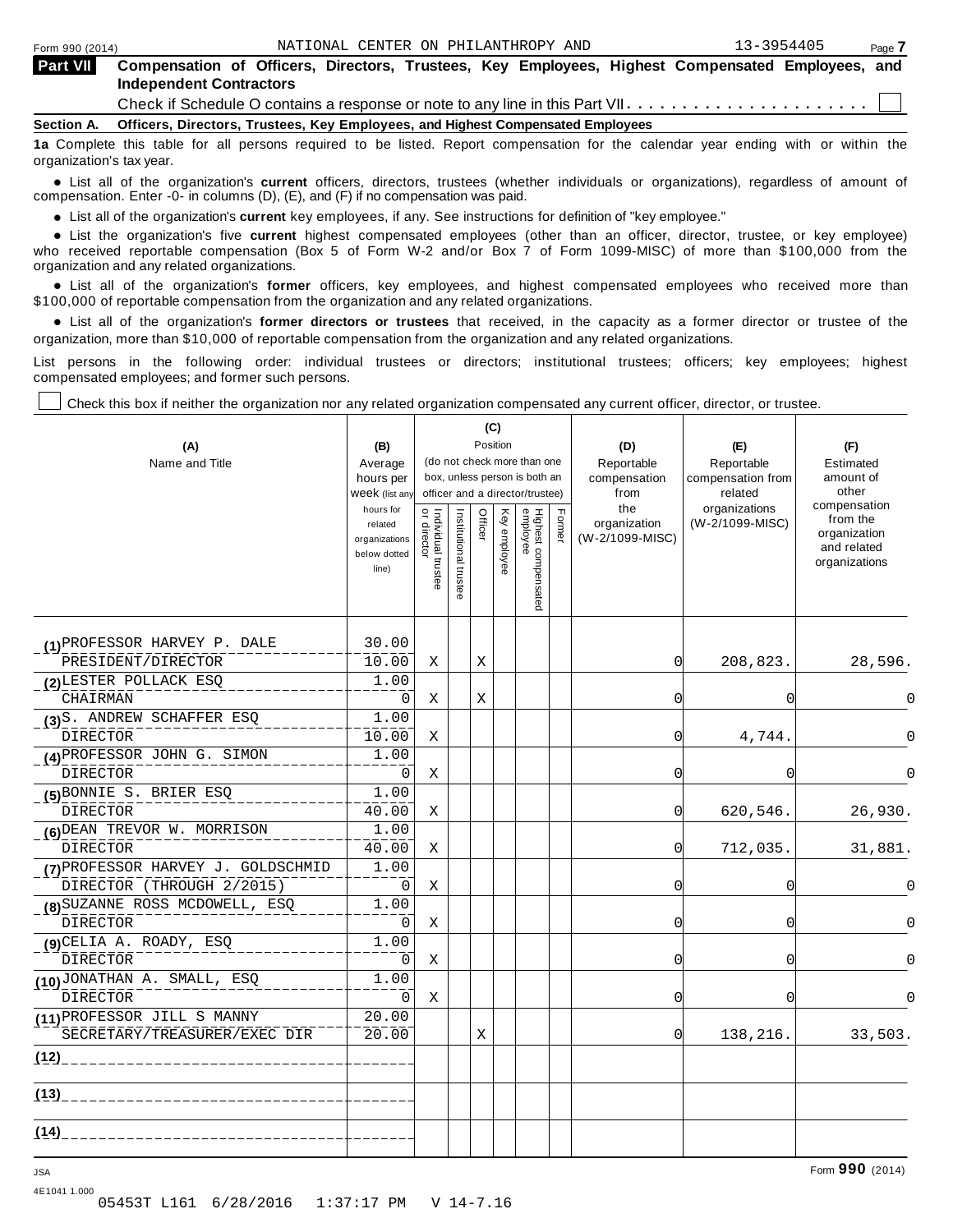⊤

|--|

| <b>Part VII</b>          | Compensation of Officers, Directors, Trustees, Key Employees, Highest Compensated Employees, and<br><b>Independent Contractors</b> |
|--------------------------|------------------------------------------------------------------------------------------------------------------------------------|
|                          | Check if Schedule O contains a response or note to any line in this Part VII                                                       |
|                          | Section A. Officers, Directors, Trustees, Key Employees, and Highest Compensated Employees                                         |
|                          | 1a Complete this table for all persons required to be listed. Report compensation for the calendar year ending with or within the  |
| organization's tax year. |                                                                                                                                    |

anization's lax year.<br>● List all of the organization's **current** officers, directors, trustees (whether individuals or organizations), regardless of amount of<br>nnensation Enter -0- in columns (D) (E) and (E) if no compensa compensation. Enter -0- in columns (D), (E), and (F) if no compensation was paid.

• List all of the organization's **current** key employees, if any. See instructions for definition of "key employee."<br>● List the experientials five expect highest expressed explores (other than an efficer director of

⊤

• List all of the organization's **current** key employees, if any. See instructions for definition of key employee.<br>• List the organization's five **current** highest compensated employees (other than an officer, director, tr who received reportable compensation (Box 5 of Form W-2 and/or Box 7 of Form 1099-MISC) of more than \$100,000 from the

organization and any related organizations.<br>• List all of the organization's **former** officers, key employees, and highest compensated employees who received more than<br>\$1.00.000 of reportable componention from the erganiza \$100,000 of reportable compensation from the organization and any related organizations.

% List all of the organization's **former directors or trustees** that received, in the capacity as a former director or trustee of the organization, more than \$10,000 of reportable compensation from the organization and any related organizations.

List persons in the following order: individual trustees or directors; institutional trustees; officers; key employees; highest compensated employees; and former such persons.

┯

Т

Check this box if neither the organization nor any related organization compensated any current officer, director, or trustee.

┱

| (A)<br>Name and Title                                           | (B)<br>Average<br>hours per<br>Week (list any<br>hours for<br>related<br>organizations<br>below dotted<br>line) | Individual trustee<br>  or director | Institutional trustee | Position<br>Officer | (C)<br>Key employee | (do not check more than one<br>box, unless person is both an<br>officer and a director/trustee)<br>Highest compensated<br>employee | Fomer | (D)<br>Reportable<br>compensation<br>from<br>the<br>organization<br>(W-2/1099-MISC) | (E)<br>Reportable<br>compensation from<br>related<br>organizations<br>(W-2/1099-MISC) | (F)<br>Estimated<br>amount of<br>other<br>compensation<br>from the<br>organization<br>and related<br>organizations |
|-----------------------------------------------------------------|-----------------------------------------------------------------------------------------------------------------|-------------------------------------|-----------------------|---------------------|---------------------|------------------------------------------------------------------------------------------------------------------------------------|-------|-------------------------------------------------------------------------------------|---------------------------------------------------------------------------------------|--------------------------------------------------------------------------------------------------------------------|
| (1)PROFESSOR HARVEY P. DALE                                     | 30.00                                                                                                           |                                     |                       |                     |                     |                                                                                                                                    |       |                                                                                     |                                                                                       |                                                                                                                    |
| PRESIDENT/DIRECTOR                                              | 10.00                                                                                                           | Χ                                   |                       | Χ                   |                     |                                                                                                                                    |       | 0                                                                                   | 208,823.                                                                              | 28,596.                                                                                                            |
| (2) LESTER POLLACK ESQ<br>CHAIRMAN                              | 1.00<br>$\mathbf 0$                                                                                             | X                                   |                       | X                   |                     |                                                                                                                                    |       | $\Omega$                                                                            |                                                                                       | $\Omega$                                                                                                           |
| (3)S. ANDREW SCHAFFER ESQ                                       | 1.00                                                                                                            |                                     |                       |                     |                     |                                                                                                                                    |       |                                                                                     |                                                                                       |                                                                                                                    |
| <b>DIRECTOR</b>                                                 | 10.00                                                                                                           | Χ                                   |                       |                     |                     |                                                                                                                                    |       | 0                                                                                   | 4,744.                                                                                | <sup>n</sup>                                                                                                       |
| (4) PROFESSOR JOHN G. SIMON                                     | 1.00                                                                                                            |                                     |                       |                     |                     |                                                                                                                                    |       |                                                                                     |                                                                                       |                                                                                                                    |
| <b>DIRECTOR</b>                                                 | $\mathbf 0$                                                                                                     | X                                   |                       |                     |                     |                                                                                                                                    |       | $\Omega$                                                                            | O                                                                                     | $\Omega$                                                                                                           |
| (5) BONNIE S. BRIER ESQ                                         | 1.00                                                                                                            |                                     |                       |                     |                     |                                                                                                                                    |       |                                                                                     |                                                                                       |                                                                                                                    |
| <b>DIRECTOR</b>                                                 | 40.00                                                                                                           | X                                   |                       |                     |                     |                                                                                                                                    |       | $\Omega$                                                                            | 620,546.                                                                              | 26,930.                                                                                                            |
| (6) DEAN TREVOR W. MORRISON                                     | 1.00                                                                                                            |                                     |                       |                     |                     |                                                                                                                                    |       |                                                                                     |                                                                                       |                                                                                                                    |
| <b>DIRECTOR</b>                                                 | 40.00                                                                                                           | Χ                                   |                       |                     |                     |                                                                                                                                    |       | 0                                                                                   | 712,035.                                                                              | 31,881.                                                                                                            |
| (7) PROFESSOR HARVEY J. GOLDSCHMID<br>DIRECTOR (THROUGH 2/2015) | 1.00<br>0                                                                                                       | Χ                                   |                       |                     |                     |                                                                                                                                    |       | 0                                                                                   |                                                                                       | $\Omega$                                                                                                           |
| (8) SUZANNE ROSS MCDOWELL, ESQ                                  | 1.00                                                                                                            |                                     |                       |                     |                     |                                                                                                                                    |       |                                                                                     |                                                                                       |                                                                                                                    |
| <b>DIRECTOR</b>                                                 | 0                                                                                                               | Χ                                   |                       |                     |                     |                                                                                                                                    |       | 0                                                                                   | O                                                                                     | 0                                                                                                                  |
| (9) CELIA A. ROADY, ESQ                                         | 1.00                                                                                                            |                                     |                       |                     |                     |                                                                                                                                    |       |                                                                                     |                                                                                       |                                                                                                                    |
| <b>DIRECTOR</b>                                                 | 0                                                                                                               | Χ                                   |                       |                     |                     |                                                                                                                                    |       | 0                                                                                   |                                                                                       | 0                                                                                                                  |
| $(10)$ JONATHAN A. SMALL, ESQ                                   | 1.00                                                                                                            |                                     |                       |                     |                     |                                                                                                                                    |       |                                                                                     |                                                                                       |                                                                                                                    |
| <b>DIRECTOR</b>                                                 | 0                                                                                                               | Χ                                   |                       |                     |                     |                                                                                                                                    |       | $\Omega$                                                                            | U                                                                                     | $\Omega$                                                                                                           |
| (11) PROFESSOR JILL S MANNY                                     | 20.00                                                                                                           |                                     |                       |                     |                     |                                                                                                                                    |       |                                                                                     |                                                                                       |                                                                                                                    |
| SECRETARY/TREASURER/EXEC DIR                                    | 20.00                                                                                                           |                                     |                       | X                   |                     |                                                                                                                                    |       | $\Omega$                                                                            | 138,216.                                                                              | 33,503.                                                                                                            |
| (12)                                                            |                                                                                                                 |                                     |                       |                     |                     |                                                                                                                                    |       |                                                                                     |                                                                                       |                                                                                                                    |
| (13)                                                            |                                                                                                                 |                                     |                       |                     |                     |                                                                                                                                    |       |                                                                                     |                                                                                       |                                                                                                                    |
| (14)                                                            |                                                                                                                 |                                     |                       |                     |                     |                                                                                                                                    |       |                                                                                     |                                                                                       |                                                                                                                    |

4E1041 1.000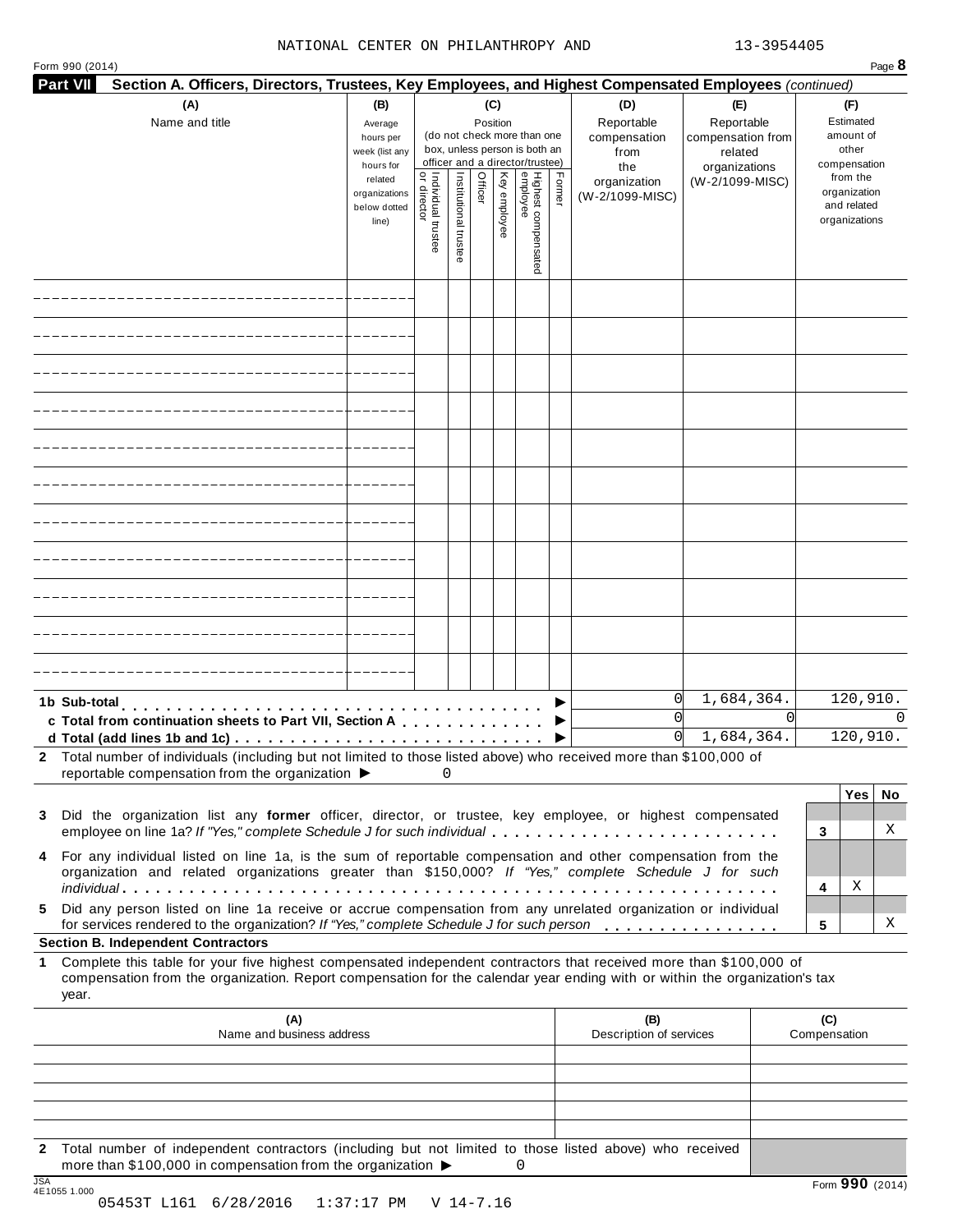#### NATIONAL CENTER ON PHILANTHROPY AND 13-3954405

**Part VII Section A. Officers, Directors, Trustees, Key Employees, and Highest Compensated Employees** *(continued)*

Form <sup>990</sup> (2014) Page **8**

| (A)<br>(C)<br>(D)<br>(E)<br>(B)<br>Reportable<br>Reportable<br>Name and title<br>Position<br>Average<br>(do not check more than one<br>compensation<br>compensation from<br>hours per<br>box, unless person is both an<br>week (list any<br>from<br>related<br>officer and a director/trustee)<br>hours for<br>organizations<br>the<br>Highest compensated<br>employee<br>윽<br>Officer<br>Former<br>Individual trustee<br>Institutional trustee<br>Key employee<br>related<br>(W-2/1099-MISC)<br>organization<br>director<br>organizations<br>(W-2/1099-MISC)<br>below dotted<br>line) |                                                                                                                                                                                                                                                    |  |  |   |  |  |  |  |                                |            |          |                     | (F)<br>Estimated<br>amount of<br>other<br>compensation<br>from the<br>organization<br>and related<br>organizations |   |
|----------------------------------------------------------------------------------------------------------------------------------------------------------------------------------------------------------------------------------------------------------------------------------------------------------------------------------------------------------------------------------------------------------------------------------------------------------------------------------------------------------------------------------------------------------------------------------------|----------------------------------------------------------------------------------------------------------------------------------------------------------------------------------------------------------------------------------------------------|--|--|---|--|--|--|--|--------------------------------|------------|----------|---------------------|--------------------------------------------------------------------------------------------------------------------|---|
|                                                                                                                                                                                                                                                                                                                                                                                                                                                                                                                                                                                        |                                                                                                                                                                                                                                                    |  |  |   |  |  |  |  |                                |            |          |                     |                                                                                                                    |   |
|                                                                                                                                                                                                                                                                                                                                                                                                                                                                                                                                                                                        |                                                                                                                                                                                                                                                    |  |  |   |  |  |  |  |                                |            |          |                     |                                                                                                                    |   |
|                                                                                                                                                                                                                                                                                                                                                                                                                                                                                                                                                                                        |                                                                                                                                                                                                                                                    |  |  |   |  |  |  |  |                                |            |          |                     |                                                                                                                    |   |
|                                                                                                                                                                                                                                                                                                                                                                                                                                                                                                                                                                                        |                                                                                                                                                                                                                                                    |  |  |   |  |  |  |  |                                |            |          |                     |                                                                                                                    |   |
|                                                                                                                                                                                                                                                                                                                                                                                                                                                                                                                                                                                        |                                                                                                                                                                                                                                                    |  |  |   |  |  |  |  |                                |            |          |                     |                                                                                                                    |   |
|                                                                                                                                                                                                                                                                                                                                                                                                                                                                                                                                                                                        |                                                                                                                                                                                                                                                    |  |  |   |  |  |  |  |                                |            |          |                     |                                                                                                                    |   |
|                                                                                                                                                                                                                                                                                                                                                                                                                                                                                                                                                                                        |                                                                                                                                                                                                                                                    |  |  |   |  |  |  |  |                                |            |          |                     |                                                                                                                    |   |
|                                                                                                                                                                                                                                                                                                                                                                                                                                                                                                                                                                                        |                                                                                                                                                                                                                                                    |  |  |   |  |  |  |  |                                |            |          |                     |                                                                                                                    |   |
|                                                                                                                                                                                                                                                                                                                                                                                                                                                                                                                                                                                        |                                                                                                                                                                                                                                                    |  |  |   |  |  |  |  |                                |            |          |                     |                                                                                                                    |   |
|                                                                                                                                                                                                                                                                                                                                                                                                                                                                                                                                                                                        |                                                                                                                                                                                                                                                    |  |  |   |  |  |  |  |                                |            |          |                     |                                                                                                                    |   |
|                                                                                                                                                                                                                                                                                                                                                                                                                                                                                                                                                                                        |                                                                                                                                                                                                                                                    |  |  |   |  |  |  |  |                                |            |          |                     |                                                                                                                    |   |
| 1b Sub-total                                                                                                                                                                                                                                                                                                                                                                                                                                                                                                                                                                           | .<br>c Total from continuation sheets to Part VII, Section A                                                                                                                                                                                       |  |  |   |  |  |  |  | 0 <br>$\Omega$                 | 1,684,364. | $\Omega$ |                     | 120,910.                                                                                                           |   |
|                                                                                                                                                                                                                                                                                                                                                                                                                                                                                                                                                                                        | d Total (add lines 1b and 1c)                                                                                                                                                                                                                      |  |  |   |  |  |  |  | $\Omega$                       | 1,684,364. |          |                     | 120,910.                                                                                                           |   |
| 2                                                                                                                                                                                                                                                                                                                                                                                                                                                                                                                                                                                      | Total number of individuals (including but not limited to those listed above) who received more than \$100,000 of<br>reportable compensation from the organization ▶                                                                               |  |  | 0 |  |  |  |  |                                |            |          |                     |                                                                                                                    |   |
|                                                                                                                                                                                                                                                                                                                                                                                                                                                                                                                                                                                        |                                                                                                                                                                                                                                                    |  |  |   |  |  |  |  |                                |            |          |                     | Yes No                                                                                                             |   |
| 3                                                                                                                                                                                                                                                                                                                                                                                                                                                                                                                                                                                      | Did the organization list any former officer, director, or trustee, key employee, or highest compensated<br>employee on line 1a? If "Yes," complete Schedule J for such individual                                                                 |  |  |   |  |  |  |  |                                |            |          | 3                   |                                                                                                                    | Χ |
| 4                                                                                                                                                                                                                                                                                                                                                                                                                                                                                                                                                                                      | For any individual listed on line 1a, is the sum of reportable compensation and other compensation from the<br>organization and related organizations greater than \$150,000? If "Yes," complete Schedule J for such                               |  |  |   |  |  |  |  |                                |            |          |                     |                                                                                                                    |   |
|                                                                                                                                                                                                                                                                                                                                                                                                                                                                                                                                                                                        |                                                                                                                                                                                                                                                    |  |  |   |  |  |  |  |                                |            |          | 4                   | Χ                                                                                                                  |   |
| 5                                                                                                                                                                                                                                                                                                                                                                                                                                                                                                                                                                                      | Did any person listed on line 1a receive or accrue compensation from any unrelated organization or individual<br>for services rendered to the organization? If "Yes," complete Schedule J for such person                                          |  |  |   |  |  |  |  |                                |            |          | 5                   |                                                                                                                    | Χ |
| <b>Section B. Independent Contractors</b>                                                                                                                                                                                                                                                                                                                                                                                                                                                                                                                                              |                                                                                                                                                                                                                                                    |  |  |   |  |  |  |  |                                |            |          |                     |                                                                                                                    |   |
| year.                                                                                                                                                                                                                                                                                                                                                                                                                                                                                                                                                                                  | 1 Complete this table for your five highest compensated independent contractors that received more than \$100,000 of<br>compensation from the organization. Report compensation for the calendar year ending with or within the organization's tax |  |  |   |  |  |  |  |                                |            |          |                     |                                                                                                                    |   |
|                                                                                                                                                                                                                                                                                                                                                                                                                                                                                                                                                                                        | (A)<br>Name and business address                                                                                                                                                                                                                   |  |  |   |  |  |  |  | (B)<br>Description of services |            |          | (C)<br>Compensation |                                                                                                                    |   |
|                                                                                                                                                                                                                                                                                                                                                                                                                                                                                                                                                                                        |                                                                                                                                                                                                                                                    |  |  |   |  |  |  |  |                                |            |          |                     |                                                                                                                    |   |
|                                                                                                                                                                                                                                                                                                                                                                                                                                                                                                                                                                                        |                                                                                                                                                                                                                                                    |  |  |   |  |  |  |  |                                |            |          |                     |                                                                                                                    |   |

**2** Total number of independent contractors (including but not limited to those listed above) who received more than \$100,000 in compensation from the organization  $\blacktriangleright$ <br>4E1055 1.000 0

| JSA         |  |  | Form $990$ (2014) |
|-------------|--|--|-------------------|
| 4E10551.000 |  |  |                   |
|             |  |  |                   |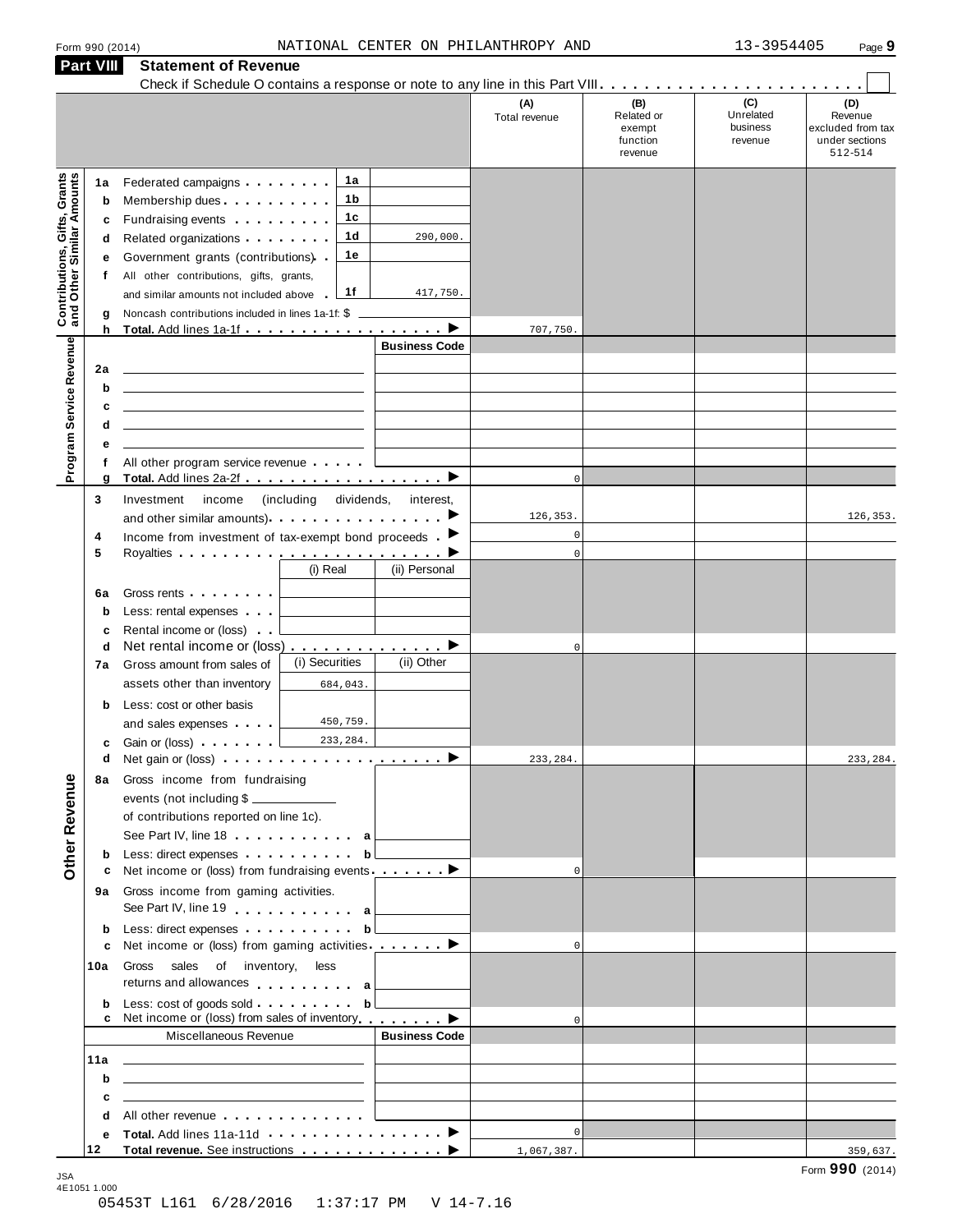| Form 990 (2014)                                                  |                                              | NATIONAL CENTER ON PHILANTHROPY AND                                                                                                                                                                                                                                                                                                                                                                                                                                                                                                          | 13-3954405                                        | Page 9                    |                                                    |                                         |                                                                  |
|------------------------------------------------------------------|----------------------------------------------|----------------------------------------------------------------------------------------------------------------------------------------------------------------------------------------------------------------------------------------------------------------------------------------------------------------------------------------------------------------------------------------------------------------------------------------------------------------------------------------------------------------------------------------------|---------------------------------------------------|---------------------------|----------------------------------------------------|-----------------------------------------|------------------------------------------------------------------|
|                                                                  | <b>Part VIII</b>                             | <b>Statement of Revenue</b>                                                                                                                                                                                                                                                                                                                                                                                                                                                                                                                  |                                                   |                           |                                                    |                                         |                                                                  |
|                                                                  |                                              |                                                                                                                                                                                                                                                                                                                                                                                                                                                                                                                                              |                                                   |                           |                                                    |                                         |                                                                  |
|                                                                  |                                              |                                                                                                                                                                                                                                                                                                                                                                                                                                                                                                                                              |                                                   | (A)<br>Total revenue      | (B)<br>Related or<br>exempt<br>function<br>revenue | (C)<br>Unrelated<br>business<br>revenue | (D)<br>Revenue<br>excluded from tax<br>under sections<br>512-514 |
| <b>Contributions, Gifts, Grants</b><br>and Other Similar Amounts | 1а<br>b<br>c<br>d<br>е<br>f<br>g<br>h.<br>2a | 1a<br>Federated campaigns<br>1 b<br>Membership dues<br>1c<br>Fundraising events <b>Fundraising</b><br>1d<br>Related organizations <b>and the set of the set of the set of the set of the set of the set of the set of the set of the set of the set of the set of the set of the set of the set of the set of the set of the set of the set </b><br>1е<br>Government grants (contributions).<br>All other contributions, gifts, grants,<br>1f<br>and similar amounts not included above<br>Noncash contributions included in lines 1a-1f: \$ | 290,000.<br>417,750.<br>▶<br><b>Business Code</b> | 707,750.                  |                                                    |                                         |                                                                  |
| Program Service Revenue                                          | b<br>c<br>d<br>е<br>f                        | the control of the control of the control of the control of the control of the control of<br>the control of the control of the control of the control of the control of<br>All other program service revenue                                                                                                                                                                                                                                                                                                                                 |                                                   |                           |                                                    |                                         |                                                                  |
|                                                                  | g                                            | Total. Add lines 2a-2f ▶                                                                                                                                                                                                                                                                                                                                                                                                                                                                                                                     |                                                   | $\Omega$                  |                                                    |                                         |                                                                  |
|                                                                  | 3<br>4<br>5                                  | (including dividends,<br>Investment<br>income<br>and other similar amounts).<br>Income from investment of tax-exempt bond proceeds $\blacktriangleright$<br>(i) Real                                                                                                                                                                                                                                                                                                                                                                         | interest,<br>(ii) Personal                        | 126,353.<br>0<br>$\Omega$ |                                                    |                                         | 126,353.                                                         |
|                                                                  | 6a<br>b<br>c<br>d<br>7а                      | Gross rents <b>Container and Container</b><br>Less: rental expenses<br>Rental income or (loss)<br>Net rental income or (loss) ▶<br>(i) Securities<br>Gross amount from sales of<br>assets other than inventory<br>684,043.                                                                                                                                                                                                                                                                                                                   | (ii) Other                                        | 0                         |                                                    |                                         |                                                                  |
|                                                                  | b<br>c<br>d                                  | Less: cost or other basis<br>450,759.<br>and sales expenses<br>Gain or (loss) $\cdots$ $\cdots$ $\qquad \qquad$ 233, 284.<br>Net gain or (loss) $\cdots$ $\cdots$ $\cdots$ $\cdots$ $\cdots$ $\cdots$                                                                                                                                                                                                                                                                                                                                        |                                                   | 233, 284.                 |                                                    |                                         | 233, 284.                                                        |
| <b>Other Revenue</b>                                             | 8а                                           | Gross income from fundraising<br>events (not including \$<br>of contributions reported on line 1c).<br>See Part IV, line 18 $\ldots$ $\ldots$ $\ldots$ a                                                                                                                                                                                                                                                                                                                                                                                     |                                                   |                           |                                                    |                                         |                                                                  |
|                                                                  | b                                            | Less: direct expenses b                                                                                                                                                                                                                                                                                                                                                                                                                                                                                                                      |                                                   |                           |                                                    |                                         |                                                                  |
|                                                                  | c<br>9а                                      | Net income or (loss) from fundraising events ________<br>Gross income from gaming activities.<br>See Part IV, line 19 a <b>  _ _ _ _ _ _ _ _ _ _ _</b>                                                                                                                                                                                                                                                                                                                                                                                       |                                                   |                           |                                                    |                                         |                                                                  |
|                                                                  | b<br>c                                       | Less: direct expenses b<br>Net income or (loss) from gaming activities ________ ▶                                                                                                                                                                                                                                                                                                                                                                                                                                                            |                                                   | $\Omega$                  |                                                    |                                         |                                                                  |
|                                                                  | 10a                                          | Gross sales of inventory, less<br>returns and allowances $a \mid$                                                                                                                                                                                                                                                                                                                                                                                                                                                                            |                                                   |                           |                                                    |                                         |                                                                  |
|                                                                  | b                                            | Net income or (loss) from sales of inventory <b>every</b> be ■                                                                                                                                                                                                                                                                                                                                                                                                                                                                               |                                                   | $\Omega$                  |                                                    |                                         |                                                                  |
|                                                                  |                                              | Miscellaneous Revenue                                                                                                                                                                                                                                                                                                                                                                                                                                                                                                                        | <b>Business Code</b>                              |                           |                                                    |                                         |                                                                  |
|                                                                  | 11a                                          | <u> 1989 - Johann John Stone, markin film yn y brening yn y brening yn y brening yn y brening y brening yn y bre</u>                                                                                                                                                                                                                                                                                                                                                                                                                         |                                                   |                           |                                                    |                                         |                                                                  |
|                                                                  | b                                            | the control of the control of the control of the control of the control of the control of                                                                                                                                                                                                                                                                                                                                                                                                                                                    |                                                   |                           |                                                    |                                         |                                                                  |
|                                                                  | c<br>d                                       | the contract of the contract of the contract of the<br>All other revenue                                                                                                                                                                                                                                                                                                                                                                                                                                                                     |                                                   |                           |                                                    |                                         |                                                                  |
|                                                                  | е                                            |                                                                                                                                                                                                                                                                                                                                                                                                                                                                                                                                              |                                                   | $\Omega$                  |                                                    |                                         |                                                                  |
|                                                                  | 12                                           |                                                                                                                                                                                                                                                                                                                                                                                                                                                                                                                                              |                                                   | 1,067,387.                |                                                    |                                         | 359,637.                                                         |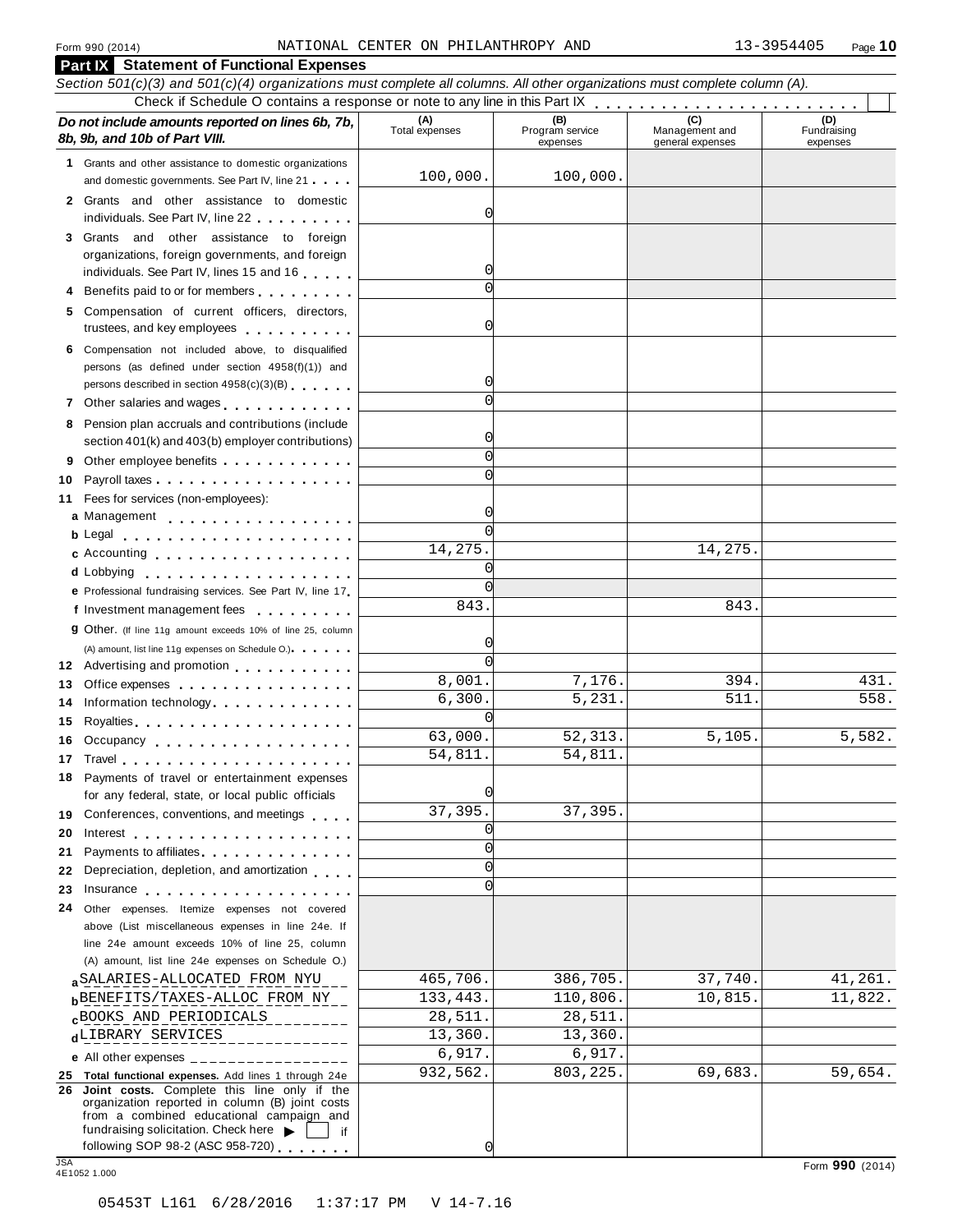|            | <b>Part IX Statement of Functional Expenses</b>                                                                                                                                                                                                                               |                                  |                                    |                                           |                                |  |  |  |
|------------|-------------------------------------------------------------------------------------------------------------------------------------------------------------------------------------------------------------------------------------------------------------------------------|----------------------------------|------------------------------------|-------------------------------------------|--------------------------------|--|--|--|
|            | Section 501(c)(3) and 501(c)(4) organizations must complete all columns. All other organizations must complete column (A).                                                                                                                                                    |                                  |                                    |                                           |                                |  |  |  |
|            |                                                                                                                                                                                                                                                                               |                                  |                                    |                                           |                                |  |  |  |
|            | Do not include amounts reported on lines 6b, 7b,<br>8b, 9b, and 10b of Part VIII.                                                                                                                                                                                             | (A)<br>Total expenses            | (B)<br>Program service<br>expenses | (C)<br>Management and<br>general expenses | (D)<br>Fundraising<br>expenses |  |  |  |
|            | 1 Grants and other assistance to domestic organizations<br>and domestic governments. See Part IV, line 21                                                                                                                                                                     | 100,000.                         | 100,000.                           |                                           |                                |  |  |  |
|            |                                                                                                                                                                                                                                                                               |                                  |                                    |                                           |                                |  |  |  |
|            | 2 Grants and other assistance to domestic<br>individuals. See Part IV, line 22                                                                                                                                                                                                | 0                                |                                    |                                           |                                |  |  |  |
|            | 3 Grants and other assistance to foreign                                                                                                                                                                                                                                      |                                  |                                    |                                           |                                |  |  |  |
|            | organizations, foreign governments, and foreign                                                                                                                                                                                                                               |                                  |                                    |                                           |                                |  |  |  |
|            | individuals. See Part IV, lines 15 and 16                                                                                                                                                                                                                                     | 01                               |                                    |                                           |                                |  |  |  |
|            | 4 Benefits paid to or for members                                                                                                                                                                                                                                             | $\Omega$                         |                                    |                                           |                                |  |  |  |
|            | 5 Compensation of current officers, directors,<br>trustees, and key employees                                                                                                                                                                                                 | O                                |                                    |                                           |                                |  |  |  |
|            | 6 Compensation not included above, to disqualified                                                                                                                                                                                                                            |                                  |                                    |                                           |                                |  |  |  |
|            | persons (as defined under section 4958(f)(1)) and<br>persons described in section 4958(c)(3)(B)                                                                                                                                                                               | Ol                               |                                    |                                           |                                |  |  |  |
|            | 7 Other salaries and wages                                                                                                                                                                                                                                                    | $\Omega$                         |                                    |                                           |                                |  |  |  |
|            | 8 Pension plan accruals and contributions (include                                                                                                                                                                                                                            |                                  |                                    |                                           |                                |  |  |  |
|            | section 401(k) and 403(b) employer contributions)                                                                                                                                                                                                                             | 0                                |                                    |                                           |                                |  |  |  |
|            | 9 Other employee benefits                                                                                                                                                                                                                                                     | <sub>0</sub>                     |                                    |                                           |                                |  |  |  |
| 10         |                                                                                                                                                                                                                                                                               | $\Omega$                         |                                    |                                           |                                |  |  |  |
| 11         | Fees for services (non-employees):                                                                                                                                                                                                                                            |                                  |                                    |                                           |                                |  |  |  |
|            | a Management                                                                                                                                                                                                                                                                  | 0                                |                                    |                                           |                                |  |  |  |
|            |                                                                                                                                                                                                                                                                               | $\Omega$                         |                                    |                                           |                                |  |  |  |
|            | c Accounting entries and the set of the set of the set of the set of the set of the set of the set of the set of the set of the set of the set of the set of the set of the set of the set of the set of the set of the set of                                                | 14,275.                          |                                    | 14,275.                                   |                                |  |  |  |
|            | d Lobbying                                                                                                                                                                                                                                                                    | 0                                |                                    |                                           |                                |  |  |  |
|            | e Professional fundraising services. See Part IV, line 17                                                                                                                                                                                                                     | $\Omega$                         |                                    |                                           |                                |  |  |  |
|            | f Investment management fees                                                                                                                                                                                                                                                  | 843.                             |                                    | 843.                                      |                                |  |  |  |
|            | <b>g</b> Other. (If line 11g amount exceeds 10% of line 25, column                                                                                                                                                                                                            |                                  |                                    |                                           |                                |  |  |  |
|            | (A) amount, list line 11g expenses on Schedule O.)                                                                                                                                                                                                                            | 0                                |                                    |                                           |                                |  |  |  |
|            | 12 Advertising and promotion                                                                                                                                                                                                                                                  | Ωl                               |                                    |                                           |                                |  |  |  |
| 13         | Office expenses expenses                                                                                                                                                                                                                                                      | 8,001.                           | 7,176.                             | 394.                                      | 431.                           |  |  |  |
| 14         | Information technology experience in the set of the set of the set of the set of the set of the set of the set of the set of the set of the set of the set of the set of the set of the set of the set of the set of the set o                                                | 6,300.                           | 5,231.                             | 511.                                      | 558.                           |  |  |  |
| 15         | Royalties <b>Royalties Royalties Royalties Royalties Royalties Royalties Royalties Royalties Royalties Royalties Royalties Royalties Royalties Royalties Royalties Royalties Royalties Royalti</b>                                                                            | 0l                               |                                    |                                           |                                |  |  |  |
| 16         | Occupancy experience and the control of the set of the set of the set of the set of the set of the set of the                                                                                                                                                                 | 63,000.<br>$\overline{54,811}$ . | 52,313.                            | 5,105.                                    | 5,582.                         |  |  |  |
|            |                                                                                                                                                                                                                                                                               |                                  | 54,811.                            |                                           |                                |  |  |  |
|            | 18 Payments of travel or entertainment expenses                                                                                                                                                                                                                               |                                  |                                    |                                           |                                |  |  |  |
|            | for any federal, state, or local public officials                                                                                                                                                                                                                             | 0<br>37, 395.                    | 37,395.                            |                                           |                                |  |  |  |
|            | 19 Conferences, conventions, and meetings                                                                                                                                                                                                                                     | 0                                |                                    |                                           |                                |  |  |  |
| 20         |                                                                                                                                                                                                                                                                               | $\Omega$                         |                                    |                                           |                                |  |  |  |
| 21         | Payments to affiliates.                                                                                                                                                                                                                                                       | $\Omega$                         |                                    |                                           |                                |  |  |  |
| 22         | Depreciation, depletion, and amortization                                                                                                                                                                                                                                     | $\Omega$                         |                                    |                                           |                                |  |  |  |
| 23<br>24   | Insurance the contract of the contract of the contract of the contract of the contract of the contract of the contract of the contract of the contract of the contract of the contract of the contract of the contract of the<br>Other expenses. Itemize expenses not covered |                                  |                                    |                                           |                                |  |  |  |
|            | above (List miscellaneous expenses in line 24e. If                                                                                                                                                                                                                            |                                  |                                    |                                           |                                |  |  |  |
|            | line 24e amount exceeds 10% of line 25, column                                                                                                                                                                                                                                |                                  |                                    |                                           |                                |  |  |  |
|            | (A) amount, list line 24e expenses on Schedule O.)                                                                                                                                                                                                                            |                                  |                                    |                                           |                                |  |  |  |
|            | a SALARIES-ALLOCATED FROM NYU                                                                                                                                                                                                                                                 | 465,706.                         | 386,705.                           | 37,740.                                   | 41,261.                        |  |  |  |
|            | <b>b</b> BENEFITS/TAXES-ALLOC FROM NY                                                                                                                                                                                                                                         | 133,443.                         | 110,806.                           | 10,815.                                   | 11,822.                        |  |  |  |
|            | <b>CBOOKS AND PERIODICALS</b>                                                                                                                                                                                                                                                 | 28,511.                          | 28,511.                            |                                           |                                |  |  |  |
|            | dLIBRARY SERVICES                                                                                                                                                                                                                                                             | 13,360.                          | 13,360.                            |                                           |                                |  |  |  |
|            | e All other expenses $\frac{1}{1}$                                                                                                                                                                                                                                            | 6,917.                           | 6,917.                             |                                           |                                |  |  |  |
|            | 25 Total functional expenses. Add lines 1 through 24e                                                                                                                                                                                                                         | 932,562.                         | 803,225.                           | 69,683.                                   | 59,654.                        |  |  |  |
|            | 26 Joint costs. Complete this line only if the                                                                                                                                                                                                                                |                                  |                                    |                                           |                                |  |  |  |
|            | organization reported in column (B) joint costs<br>from a combined educational campaign and                                                                                                                                                                                   |                                  |                                    |                                           |                                |  |  |  |
|            | fundraising solicitation. Check here $\blacktriangleright$<br>if                                                                                                                                                                                                              |                                  |                                    |                                           |                                |  |  |  |
|            | following SOP 98-2 (ASC 958-720)                                                                                                                                                                                                                                              | 0                                |                                    |                                           |                                |  |  |  |
| <b>JSA</b> | 4E1052 1.000                                                                                                                                                                                                                                                                  |                                  |                                    |                                           | Form 990 (2014)                |  |  |  |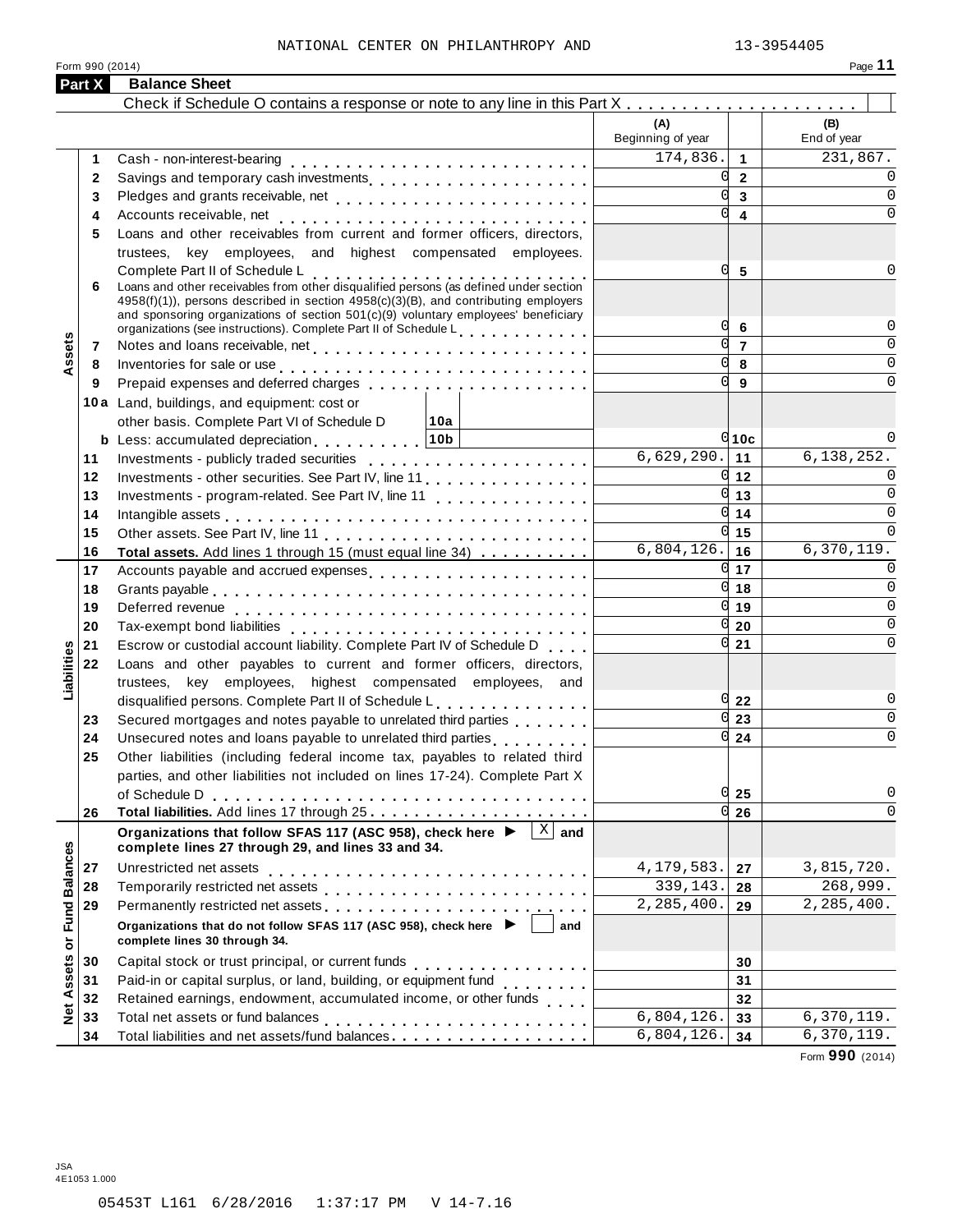| Form 990 (2014) | Page |
|-----------------|------|
|-----------------|------|

|                  |              | Check if Schedule O contains a response or note to any line in this Part X                                                                                                                                                       | (A)               |                |                            |
|------------------|--------------|----------------------------------------------------------------------------------------------------------------------------------------------------------------------------------------------------------------------------------|-------------------|----------------|----------------------------|
|                  |              |                                                                                                                                                                                                                                  |                   |                |                            |
|                  |              |                                                                                                                                                                                                                                  | Beginning of year |                | (B)<br>End of year         |
|                  | 1            |                                                                                                                                                                                                                                  | 174,836.          | $\overline{1}$ | $\overline{231,867}$ .     |
|                  | $\mathbf{2}$ |                                                                                                                                                                                                                                  |                   | $\overline{2}$ | $\Omega$                   |
|                  | 3            |                                                                                                                                                                                                                                  |                   | 3              | $\Omega$                   |
|                  | 4            |                                                                                                                                                                                                                                  |                   | 4              | <sup>0</sup>               |
|                  | 5            | Loans and other receivables from current and former officers, directors,                                                                                                                                                         |                   |                |                            |
|                  |              | trustees, key employees, and highest compensated employees.                                                                                                                                                                      |                   |                |                            |
|                  |              | Complete Part II of Schedule L<br>Loans and other receivables from other disqualified persons (as defined under section                                                                                                          | Ω                 | 5              | <sup>n</sup>               |
|                  | 6            | 4958(f)(1)), persons described in section 4958(c)(3)(B), and contributing employers<br>and sponsoring organizations of section 501(c)(9) voluntary employees' beneficiary                                                        |                   |                | $\Omega$                   |
|                  |              | organizations (see instructions). Complete Part II of Schedule L                                                                                                                                                                 |                   | 6              | <sup>0</sup>               |
| Assets           | 7            |                                                                                                                                                                                                                                  |                   | $\overline{7}$ | $\Omega$                   |
|                  | 8            | Inventories for sale or use enterpreteral resources in the sale or use of the set of the set of the set of the                                                                                                                   |                   | 8              | $\Omega$                   |
|                  | 9            |                                                                                                                                                                                                                                  |                   | 9              |                            |
|                  |              | 10a Land, buildings, and equipment: cost or                                                                                                                                                                                      |                   |                |                            |
|                  |              | other basis. Complete Part VI of Schedule D<br>10a                                                                                                                                                                               |                   |                | <sup>n</sup>               |
|                  |              | <b>b</b> Less: accumulated depreciation <b>10b</b>                                                                                                                                                                               | 6,629,290.        | 910c<br>11     | 6, 138, 252.               |
|                  | 11<br>12     | Investments - publicly traded securities                                                                                                                                                                                         |                   | 12             | <sup>n</sup>               |
|                  | 13           | Investments - other securities. See Part IV, line 11.                                                                                                                                                                            |                   | 13             | $\Omega$                   |
|                  | 14           | Investments - program-related. See Part IV, line 11                                                                                                                                                                              |                   | 14             | $\Omega$                   |
|                  | 15           |                                                                                                                                                                                                                                  |                   | 15             | $\Omega$                   |
|                  | 16           | Total assets. Add lines 1 through 15 (must equal line 34)                                                                                                                                                                        | 6,804,126.        | 16             | $\overline{6, 370, 119}$ . |
|                  | 17           |                                                                                                                                                                                                                                  |                   | 17             | $\Omega$                   |
|                  | 18           |                                                                                                                                                                                                                                  |                   | 18             | $\Omega$                   |
|                  | 19           |                                                                                                                                                                                                                                  |                   | 19             | $\Omega$                   |
|                  | 20           |                                                                                                                                                                                                                                  |                   | 20             | $\Omega$                   |
|                  | 21           | Escrow or custodial account liability. Complete Part IV of Schedule D                                                                                                                                                            |                   | 21             | 0                          |
| Liabilities      | 22           | Loans and other payables to current and former officers, directors,                                                                                                                                                              |                   |                |                            |
|                  |              | trustees, key employees, highest compensated employees, and                                                                                                                                                                      |                   |                |                            |
|                  |              | disqualified persons. Complete Part II of Schedule L.                                                                                                                                                                            |                   | 22             | $\Omega$                   |
|                  | 23           | Secured mortgages and notes payable to unrelated third parties                                                                                                                                                                   |                   | 23             | $\Omega$                   |
|                  | 24           | Unsecured notes and loans payable to unrelated third parties                                                                                                                                                                     |                   | 24             | $\Omega$                   |
|                  | 25           | Other liabilities (including federal income tax, payables to related third                                                                                                                                                       |                   |                |                            |
|                  |              | parties, and other liabilities not included on lines 17-24). Complete Part X                                                                                                                                                     |                   |                |                            |
|                  |              | of Schedule D                                                                                                                                                                                                                    |                   | 25             | 0                          |
|                  | 26           |                                                                                                                                                                                                                                  |                   | 26             | $\Omega$                   |
|                  |              | $\overline{X}$ and<br>Organizations that follow SFAS 117 (ASC 958), check here ▶<br>complete lines 27 through 29, and lines 33 and 34.                                                                                           |                   |                |                            |
|                  | 27           | Unrestricted net assets                                                                                                                                                                                                          | 4,179,583.        | 27             | 3,815,720.                 |
|                  | 28           |                                                                                                                                                                                                                                  | 339,143.          | 28             | 268,999.                   |
|                  | 29           | Permanently restricted net assets<br>interior  interior  interior  interior  interior  interior  interior  interior  interior  interior  interior  interior  interior  interior  interior  interior  interior  interior  interio | 2, 285, 400.      | 29             | 2,285,400.                 |
| or Fund Balances |              | Organizations that do not follow SFAS 117 (ASC 958), check here ▶<br>and<br>complete lines 30 through 34.                                                                                                                        |                   |                |                            |
|                  | 30           |                                                                                                                                                                                                                                  |                   | 30             |                            |
| Assets           | 31           | Paid-in or capital surplus, or land, building, or equipment fund<br>                                                                                                                                                             |                   | 31             |                            |
|                  | 32           | Retained earnings, endowment, accumulated income, or other funds                                                                                                                                                                 |                   | 32             |                            |
| Net              | 33           |                                                                                                                                                                                                                                  | 6,804,126.        | 33             | 6,370,119.                 |
|                  | 34           |                                                                                                                                                                                                                                  | 6,804,126.        | 34             | 6,370,119.                 |

Form **990** (2014)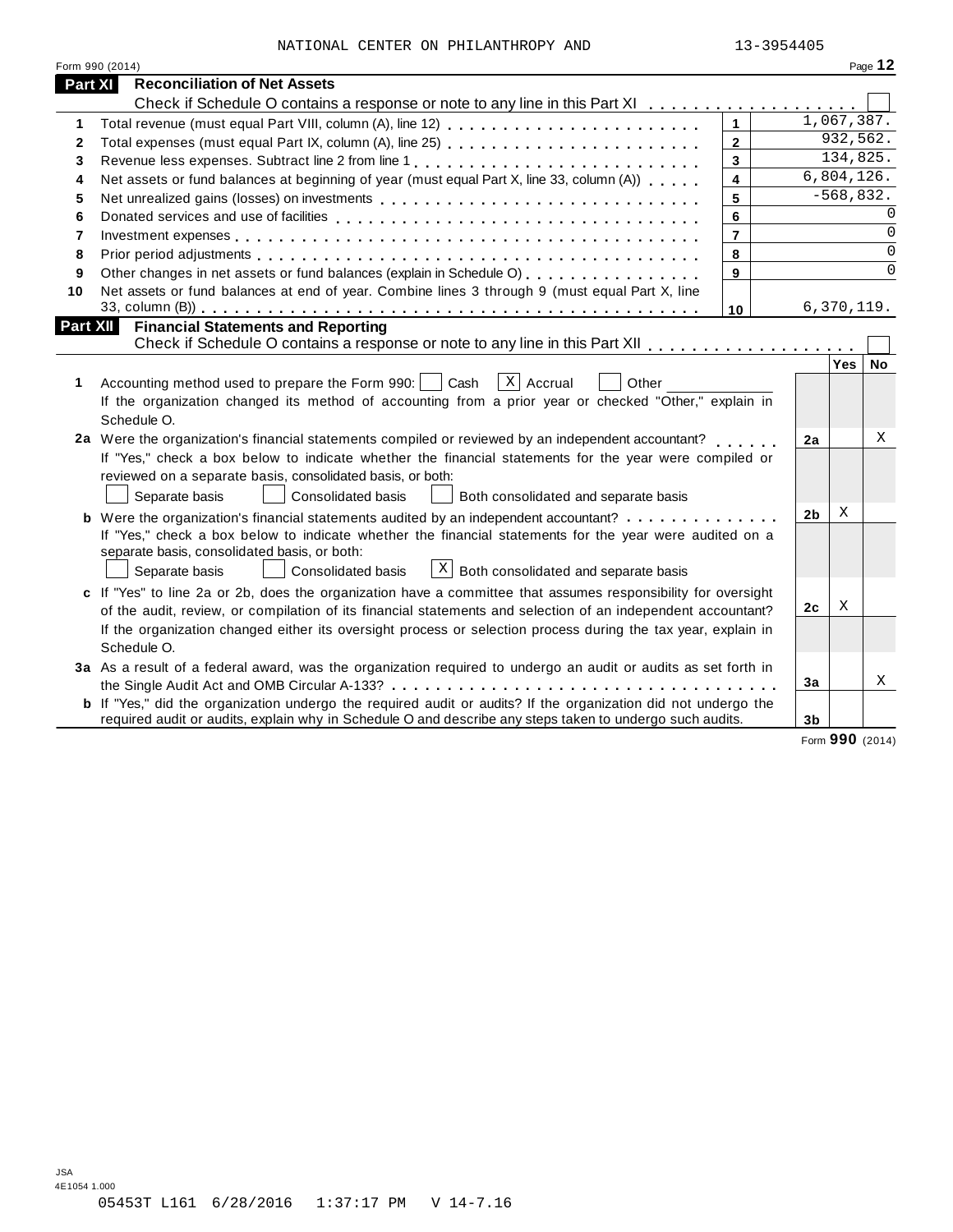|  |  | NATIONAL CENTER ON PHILANTHROPY AND | 13-3954405 |
|--|--|-------------------------------------|------------|
|  |  |                                     |            |

|                 | Form 990 (2014)                                                                                                                                                                                                                                                                                                                                            |                         |                |                  | Page 12      |
|-----------------|------------------------------------------------------------------------------------------------------------------------------------------------------------------------------------------------------------------------------------------------------------------------------------------------------------------------------------------------------------|-------------------------|----------------|------------------|--------------|
| Part XI         | <b>Reconciliation of Net Assets</b>                                                                                                                                                                                                                                                                                                                        |                         |                |                  |              |
|                 | Check if Schedule O contains a response or note to any line in this Part XI                                                                                                                                                                                                                                                                                |                         |                |                  |              |
| 1               |                                                                                                                                                                                                                                                                                                                                                            | $\mathbf{1}$            |                | 1,067,387.       |              |
| 2               |                                                                                                                                                                                                                                                                                                                                                            | $\overline{2}$          |                | 932,562.         |              |
| 3               |                                                                                                                                                                                                                                                                                                                                                            | 134,825.<br>3           |                |                  |              |
| 4               | Net assets or fund balances at beginning of year (must equal Part X, line 33, column (A))                                                                                                                                                                                                                                                                  | $\overline{\mathbf{4}}$ |                | 6,804,126.       |              |
| 5               |                                                                                                                                                                                                                                                                                                                                                            | 5                       |                | $-568,832.$      |              |
| 6               |                                                                                                                                                                                                                                                                                                                                                            | 6                       |                |                  | <sup>0</sup> |
| 7               |                                                                                                                                                                                                                                                                                                                                                            | $\overline{7}$          |                |                  | 0            |
| 8               |                                                                                                                                                                                                                                                                                                                                                            | 8                       |                |                  | $\Omega$     |
| 9               | Other changes in net assets or fund balances (explain in Schedule O)                                                                                                                                                                                                                                                                                       | 9                       |                |                  | $\Omega$     |
| 10              | Net assets or fund balances at end of year. Combine lines 3 through 9 (must equal Part X, line                                                                                                                                                                                                                                                             |                         |                |                  |              |
|                 |                                                                                                                                                                                                                                                                                                                                                            | 10                      |                | 6,370,119.       |              |
| <b>Part XII</b> | <b>Financial Statements and Reporting</b>                                                                                                                                                                                                                                                                                                                  |                         |                |                  |              |
| 1               | $x \mid \text{Accrual}$<br>Accounting method used to prepare the Form 990:     Cash<br>Other<br>If the organization changed its method of accounting from a prior year or checked "Other," explain in<br>Schedule O.                                                                                                                                       |                         |                | Yes <sub>1</sub> | <b>No</b>    |
|                 | 2a Were the organization's financial statements compiled or reviewed by an independent accountant?<br>If "Yes," check a box below to indicate whether the financial statements for the year were compiled or<br>reviewed on a separate basis, consolidated basis, or both:<br>Consolidated basis<br>Separate basis<br>Both consolidated and separate basis |                         | 2a             |                  | X            |
|                 | <b>b</b> Were the organization's financial statements audited by an independent accountant?<br>If "Yes," check a box below to indicate whether the financial statements for the year were audited on a<br>separate basis, consolidated basis, or both:<br>$\lfloor x \rfloor$ Both consolidated and separate basis<br>Consolidated basis<br>Separate basis |                         | 2 <sub>b</sub> | X                |              |
|                 | c If "Yes" to line 2a or 2b, does the organization have a committee that assumes responsibility for oversight<br>of the audit, review, or compilation of its financial statements and selection of an independent accountant?<br>If the organization changed either its oversight process or selection process during the tax year, explain in             |                         |                |                  |              |
|                 | Schedule O.                                                                                                                                                                                                                                                                                                                                                |                         |                |                  |              |
|                 | 3a As a result of a federal award, was the organization required to undergo an audit or audits as set forth in                                                                                                                                                                                                                                             |                         | 3a             |                  | X            |
|                 | <b>b</b> If "Yes," did the organization undergo the required audit or audits? If the organization did not undergo the<br>required audit or audits, explain why in Schedule O and describe any steps taken to undergo such audits.                                                                                                                          |                         | 3b             |                  |              |

Form **990** (2014)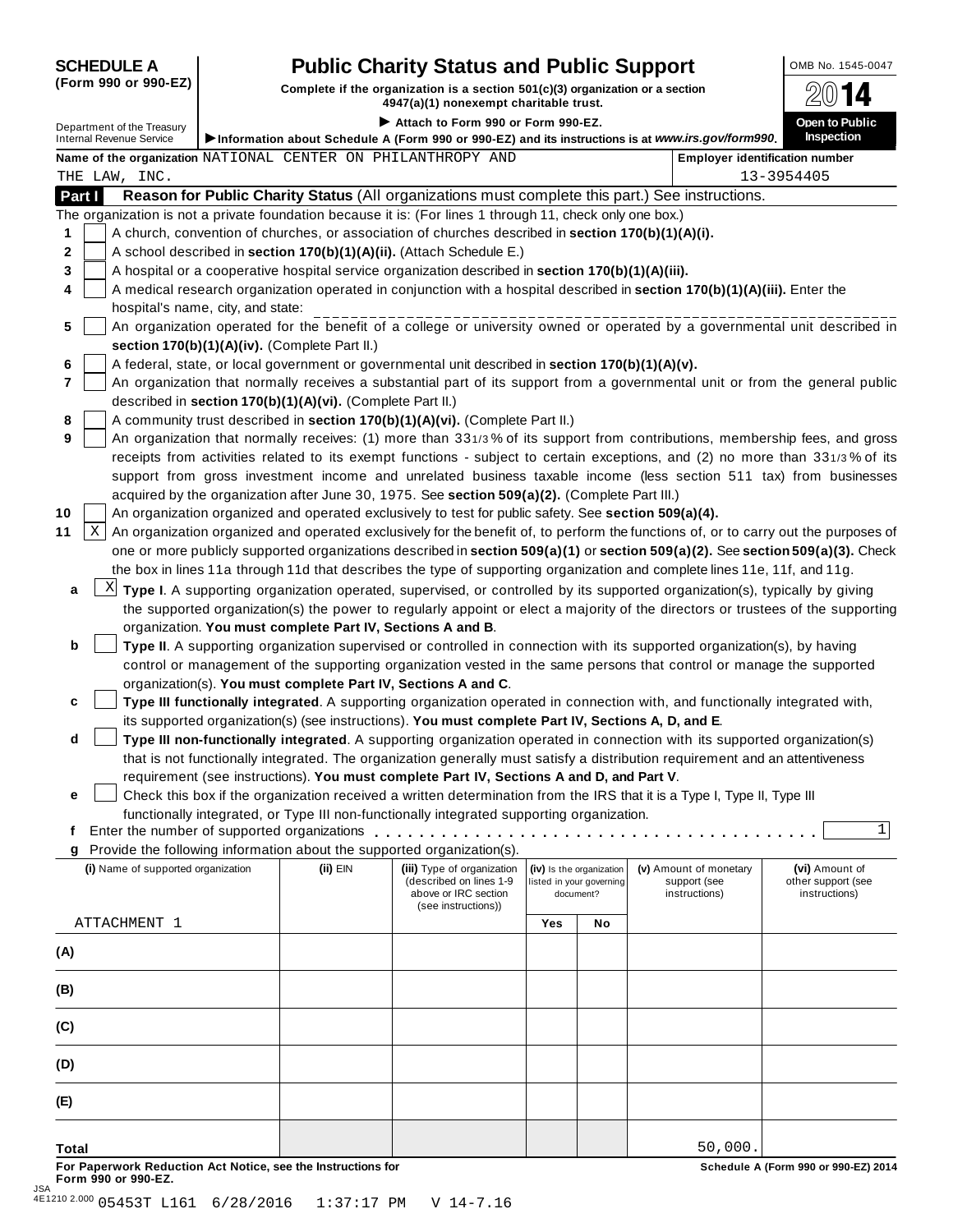**SCHEDULE A Public Charity Status and Public Support**  $\overline{\text{SUSP}}$   $\overline{\text{SUSP}}$   $\overline{\text{SUSP}}$   $\overline{\text{SUSP}}$   $\overline{\text{SUSP}}$   $\overline{\text{SUSP}}$   $\overline{\text{SUSP}}$   $\overline{\text{SUSP}}$   $\overline{\text{SUSP}}$   $\overline{\text{SUSP}}$   $\overline{\text{SUSP}}$   $\overline{\text{SUSP}}$   $\overline{\text{S$ (Form 990 or 990-EZ) Complete if the organization is a section 501(c)(3) organization or a section  $4947(a)(1)$  nonexempt charitable trust. I ■ 4947(a)(1) nonexempt charitable trust.<br>Department of the Treasury ■ ★ Information about Schedule A (Form 990 or 990-EZ) and its instructions is at www.irs.gov/form990. Inspection Department of the Treasury Minister Multic<br>Internal Revenue Service Multicromation about Schedule A (Form 990 or 990-EZ) and its instructions is at www.*irs.gov/form990.*<br>Name of the organization NATIONAL CENTER ON PHILAN **Part I Reason for Public Charity Status** (All organizations must complete this part.) See instructions. The organization is not a private foundation because it is: (For lines 1 through 11, check only one box.) **1 2 3 4 5 6 7 8 9 10 11** X A church, convention of churches, or association of churches described in **section 170(b)(1)(A)(i).** A school described in **section 170(b)(1)(A)(ii).** (Attach Schedule E.) A hospital or a cooperative hospital service organization described in **section 170(b)(1)(A)(iii).** A medical research organization operated in conjunction with a hospital described in **section 170(b)(1)(A)(iii).** Enter the hospital's name, city, and state: An organization operated for the benefit of a college or university owned or operated by a governmental unit described in **section 170(b)(1)(A)(iv).** (Complete Part II.) A federal, state, or local government or governmental unit described in **section 170(b)(1)(A)(v).** An organization that normally receives a substantial part of its support from a governmental unit or from the general public described in **section 170(b)(1)(A)(vi).** (Complete Part II.) A community trust described in **section 170(b)(1)(A)(vi).** (Complete Part II.) An organization that normally receives: (1) more than 331/3 % of its support from contributions, membership fees, and gross receipts from activities related to its exempt functions - subject to certain exceptions, and (2) no more than 331/3 % of its support from gross investment income and unrelated business taxable income (less section 511 tax) from businesses acquired by the organization after June 30, 1975. See **section 509(a)(2).** (Complete Part III.) An organization organized and operated exclusively to test for public safety. See **section 509(a)(4).** An organization organized and operated exclusively for the benefit of, to perform the functions of, or to carry out the purposes of one or more publicly supported organizations described in **section 509(a)(1)** or **section 509(a)(2).** See **section 509(a)(3).** Check the box in lines 11a through 11d that describes the type of supporting organization and complete lines 11e, 11f, and 11g. **a b c d e**  $\mathbb{X}$  Type I. A supporting organization operated, supervised, or controlled by its supported organization(s), typically by giving the supported organization(s) the power to regularly appoint or elect a majority of the directors or trustees of the supporting organization. **You must complete Part IV, Sections A and B**. **Type II**. A supporting organization supervised or controlled in connection with its supported organization(s), by having control or management of the supporting organization vested in the same persons that control or manage the supported organization(s). **You must complete Part IV, Sections A and C**. **Type III functionally integrated**. A supporting organization operated in connection with, and functionally integrated with, its supported organization(s) (see instructions). **You must complete Part IV, Sections A, D, and E**. **Type III non-functionally integrated**. A supporting organization operated in connection with its supported organization(s) that is not functionally integrated. The organization generally must satisfy a distribution requirement and an attentiveness requirement (see instructions). **You must complete Part IV, Sections A and D, and Part V**. Check this box if the organization received a written determination from the IRS that it is a Type I, Type II, Type III functionally integrated, or Type III non-functionally integrated supporting organization. functionally integrated, or Type III non-functionally integrated supporting organization.<br>**f** Enter the number of supported organizations **g** Provide the following information about the supported organization(s). **(i)** Name of supported organization **(ii)** EIN **(iii)** Type of organization (described on lines 1-9 above or IRC section (see instructions)) **(iv)** Is the organization listed in your governing document? **(v)** Amount of monetary support (see instructions) **(vi)** Amount of other support (see instructions) **Yes No (A) (B) (C)** THE LAW, INC. 13-3954405 1 [ATTACHMENT 1](#page-19-0)

For Paperwork Reduction Act Notice, see the Instructions for the controll of the control of the Schedule A (Form 990 or 990-EZ) 2014<br>Form 990 or 990-EZ.

**(D)**

**(E)**

**Total**

50,000.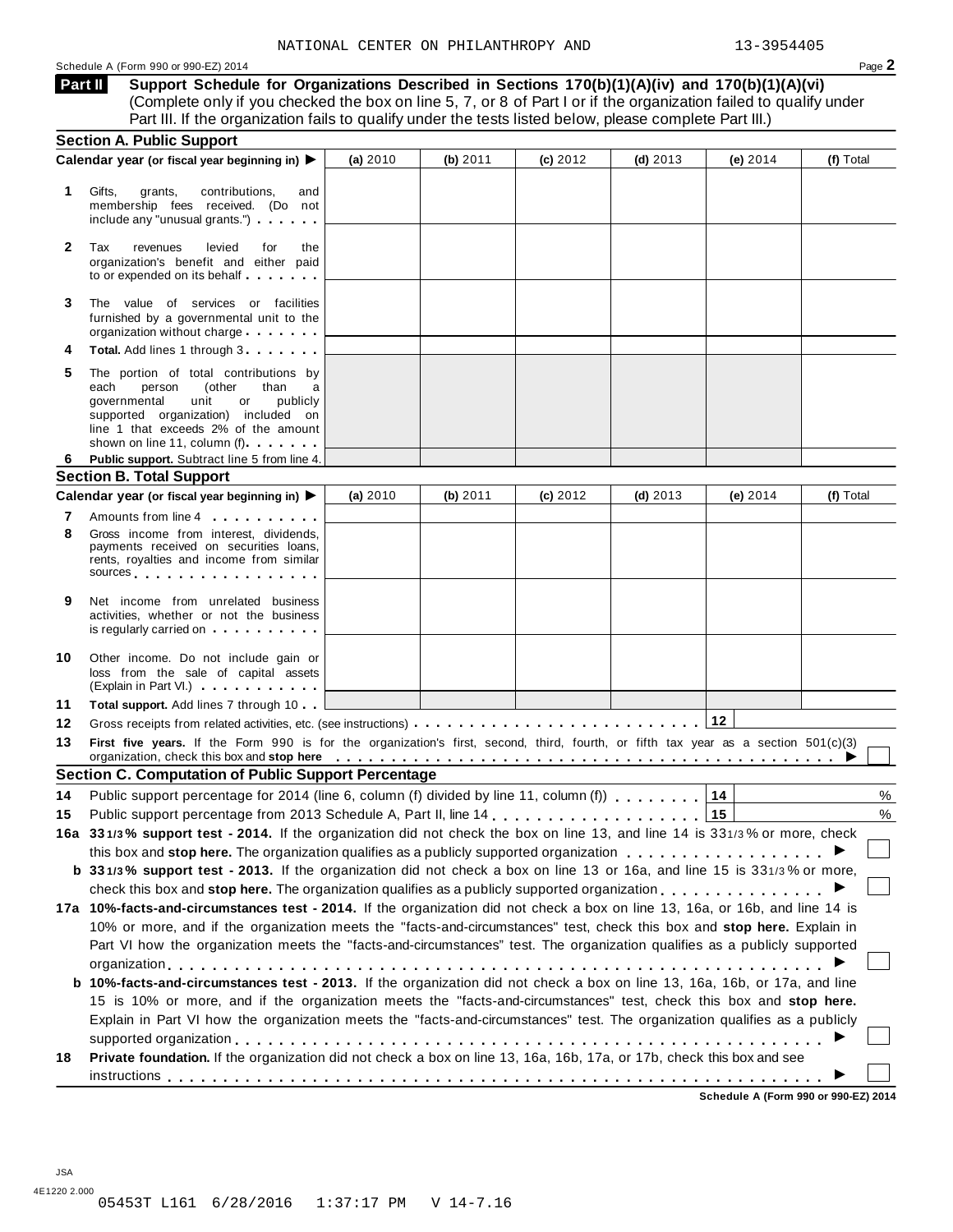#### Schedule <sup>A</sup> (Form <sup>990</sup> or 990-EZ) <sup>2014</sup> Page **2**

**Support Schedule for Organizations Described in Sections 170(b)(1)(A)(iv) and 170(b)(1)(A)(vi)** Complete only if you checked the box on line 5, 7, or 8 of Part I or if the organization failed to qualify under Part III. If the organization fails to qualify under the tests listed below, please complete Part III.) **Part II**

|              | <b>Section A. Public Support</b>                                                                                                                                                                                                                                                                                                                                    |            |          |          |            |            |           |
|--------------|---------------------------------------------------------------------------------------------------------------------------------------------------------------------------------------------------------------------------------------------------------------------------------------------------------------------------------------------------------------------|------------|----------|----------|------------|------------|-----------|
|              | Calendar year (or fiscal year beginning in) ▶                                                                                                                                                                                                                                                                                                                       | (a) $2010$ | (b) 2011 | (c) 2012 | $(d)$ 2013 | (e) $2014$ | (f) Total |
| 1.           | Gifts,<br>grants,<br>contributions,<br>and<br>membership fees received. (Do not<br>include any "unusual grants.")                                                                                                                                                                                                                                                   |            |          |          |            |            |           |
| $\mathbf{2}$ | Tax<br>levied<br>revenues<br>for<br>the<br>organization's benefit and either paid<br>to or expended on its behalf                                                                                                                                                                                                                                                   |            |          |          |            |            |           |
| 3            | The value of services or facilities<br>furnished by a governmental unit to the<br>organization without charge                                                                                                                                                                                                                                                       |            |          |          |            |            |           |
|              | Total. Add lines 1 through 3.                                                                                                                                                                                                                                                                                                                                       |            |          |          |            |            |           |
| 5            | The portion of total contributions by<br>each<br>(other<br>than<br>person<br>governmental<br>unit<br>or<br>publicly<br>supported organization) included on<br>line 1 that exceeds 2% of the amount<br>shown on line 11, column (f)                                                                                                                                  |            |          |          |            |            |           |
| 6            | <b>Public support.</b> Subtract line 5 from line 4.                                                                                                                                                                                                                                                                                                                 |            |          |          |            |            |           |
|              | <b>Section B. Total Support</b>                                                                                                                                                                                                                                                                                                                                     |            |          |          |            |            |           |
|              | Calendar year (or fiscal year beginning in) ▶                                                                                                                                                                                                                                                                                                                       | (a) $2010$ | (b) 2011 | (c) 2012 | (d) $2013$ | (e) $2014$ | (f) Total |
| 7            | Amounts from line 4                                                                                                                                                                                                                                                                                                                                                 |            |          |          |            |            |           |
| 8            | Gross income from interest. dividends.<br>payments received on securities loans,<br>rents, royalties and income from similar<br>sources sources                                                                                                                                                                                                                     |            |          |          |            |            |           |
| 9            | Net income from unrelated business<br>activities, whether or not the business<br>is regularly carried on each property of the set of the set of the set of the set of the set of the set of the                                                                                                                                                                     |            |          |          |            |            |           |
| 10           | Other income. Do not include gain or<br>loss from the sale of capital assets<br>(Explain in Part VI.)                                                                                                                                                                                                                                                               |            |          |          |            |            |           |
| 11           | <b>Total support.</b> Add lines 7 through 10                                                                                                                                                                                                                                                                                                                        |            |          |          |            |            |           |
| 12           | Gross receipts from related activities, etc. (see instructions)                                                                                                                                                                                                                                                                                                     |            |          |          |            | 12         |           |
| 13           | First five years. If the Form 990 is for the organization's first, second, third, fourth, or fifth tax year as a section 501(c)(3)<br>organization, check this box and stop here entired to prove the content of the content of the content of the content of the content of the content of the content of the content of the content of the content of the content |            |          |          |            |            |           |
|              | <b>Section C. Computation of Public Support Percentage</b>                                                                                                                                                                                                                                                                                                          |            |          |          |            |            |           |
| 14           | Public support percentage for 2014 (line 6, column (f) divided by line 11, column (f)                                                                                                                                                                                                                                                                               |            |          |          |            | 14         | %         |
| 15           |                                                                                                                                                                                                                                                                                                                                                                     |            |          |          |            | 15         | %         |
|              | 16a 331/3% support test - 2014. If the organization did not check the box on line 13, and line 14 is 331/3% or more, check                                                                                                                                                                                                                                          |            |          |          |            |            |           |
|              | this box and stop here. The organization qualifies as a publicly supported organization                                                                                                                                                                                                                                                                             |            |          |          |            |            |           |
|              | b 331/3% support test - 2013. If the organization did not check a box on line 13 or 16a, and line 15 is 331/3% or more,                                                                                                                                                                                                                                             |            |          |          |            |            |           |
|              | check this box and stop here. The organization qualifies as a publicly supported organization $\dots$ , $\dots$ , $\dots$ , $\dots$                                                                                                                                                                                                                                 |            |          |          |            |            |           |
|              | 17a 10%-facts-and-circumstances test - 2014. If the organization did not check a box on line 13, 16a, or 16b, and line 14 is                                                                                                                                                                                                                                        |            |          |          |            |            |           |
|              | 10% or more, and if the organization meets the "facts-and-circumstances" test, check this box and stop here. Explain in                                                                                                                                                                                                                                             |            |          |          |            |            |           |
|              | Part VI how the organization meets the "facts-and-circumstances" test. The organization qualifies as a publicly supported                                                                                                                                                                                                                                           |            |          |          |            |            |           |
|              |                                                                                                                                                                                                                                                                                                                                                                     |            |          |          |            |            |           |
|              | b 10%-facts-and-circumstances test - 2013. If the organization did not check a box on line 13, 16a, 16b, or 17a, and line                                                                                                                                                                                                                                           |            |          |          |            |            |           |
|              | 15 is 10% or more, and if the organization meets the "facts-and-circumstances" test, check this box and stop here.                                                                                                                                                                                                                                                  |            |          |          |            |            |           |
|              | Explain in Part VI how the organization meets the "facts-and-circumstances" test. The organization qualifies as a publicly                                                                                                                                                                                                                                          |            |          |          |            |            |           |
| 18           | Private foundation. If the organization did not check a box on line 13, 16a, 16b, 17a, or 17b, check this box and see                                                                                                                                                                                                                                               |            |          |          |            |            |           |
|              |                                                                                                                                                                                                                                                                                                                                                                     |            |          |          |            |            |           |
|              |                                                                                                                                                                                                                                                                                                                                                                     |            |          |          |            |            |           |

**Schedule A (Form 990 or 990-EZ) 2014**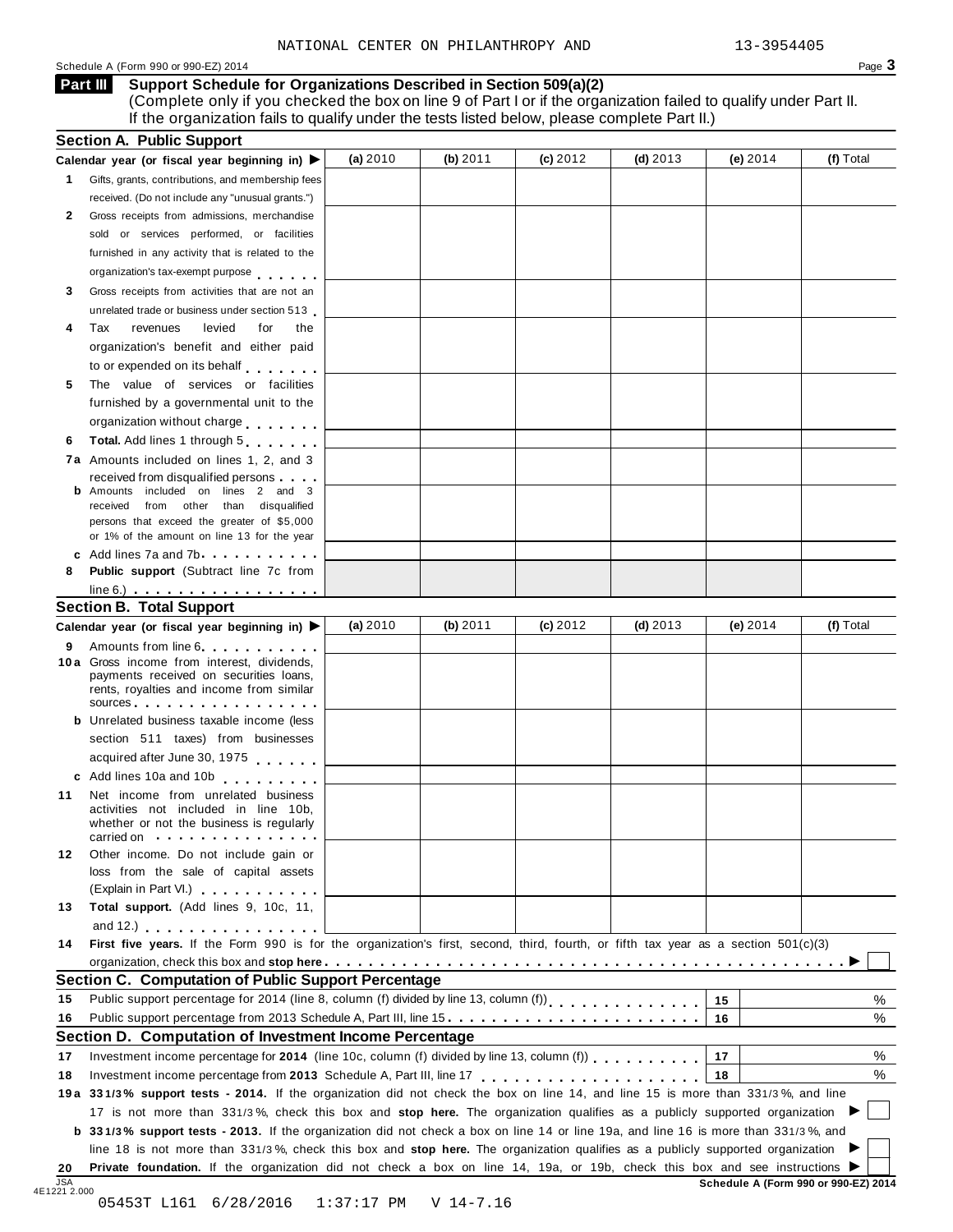#### Schedule <sup>A</sup> (Form <sup>990</sup> or 990-EZ) <sup>2014</sup> Page **3**

### **Support Schedule for Organizations Described in Section 509(a)(2) Part III**

(Complete only if you checked the box on line 9 of Part I or if the organization failed to qualify under Part II. If the organization fails to qualify under the tests listed below, please complete Part II.)

|                      | <b>Section A. Public Support</b><br>Calendar year (or fiscal year beginning in) $\blacktriangleright$                                                                                                                                                                        | (a) 2010 | (b) 2011 | (c) 2012 | $(d)$ 2013 | (e) 2014   | (f) Total   |
|----------------------|------------------------------------------------------------------------------------------------------------------------------------------------------------------------------------------------------------------------------------------------------------------------------|----------|----------|----------|------------|------------|-------------|
|                      | 1 Gifts, grants, contributions, and membership fees                                                                                                                                                                                                                          |          |          |          |            |            |             |
|                      | received. (Do not include any "unusual grants.")                                                                                                                                                                                                                             |          |          |          |            |            |             |
| 2                    | Gross receipts from admissions, merchandise                                                                                                                                                                                                                                  |          |          |          |            |            |             |
|                      | sold or services performed, or facilities                                                                                                                                                                                                                                    |          |          |          |            |            |             |
|                      | furnished in any activity that is related to the                                                                                                                                                                                                                             |          |          |          |            |            |             |
|                      | organization's tax-exempt purpose                                                                                                                                                                                                                                            |          |          |          |            |            |             |
| 3                    | Gross receipts from activities that are not an                                                                                                                                                                                                                               |          |          |          |            |            |             |
|                      | unrelated trade or business under section 513                                                                                                                                                                                                                                |          |          |          |            |            |             |
| 4                    | Tax<br>revenues<br>levied<br>for<br>the                                                                                                                                                                                                                                      |          |          |          |            |            |             |
|                      | organization's benefit and either paid                                                                                                                                                                                                                                       |          |          |          |            |            |             |
|                      | to or expended on its behalf                                                                                                                                                                                                                                                 |          |          |          |            |            |             |
| 5                    | The value of services or facilities                                                                                                                                                                                                                                          |          |          |          |            |            |             |
|                      | furnished by a governmental unit to the                                                                                                                                                                                                                                      |          |          |          |            |            |             |
|                      | organization without charge                                                                                                                                                                                                                                                  |          |          |          |            |            |             |
| 6                    | Total. Add lines 1 through 5                                                                                                                                                                                                                                                 |          |          |          |            |            |             |
|                      | 7a Amounts included on lines 1, 2, and 3                                                                                                                                                                                                                                     |          |          |          |            |            |             |
|                      | received from disqualified persons                                                                                                                                                                                                                                           |          |          |          |            |            |             |
|                      | <b>b</b> Amounts included on lines 2 and 3<br>received from other than disqualified                                                                                                                                                                                          |          |          |          |            |            |             |
|                      | persons that exceed the greater of \$5,000                                                                                                                                                                                                                                   |          |          |          |            |            |             |
|                      | or 1% of the amount on line 13 for the year                                                                                                                                                                                                                                  |          |          |          |            |            |             |
|                      | c Add lines 7a and 7b.                                                                                                                                                                                                                                                       |          |          |          |            |            |             |
| 8                    | Public support (Subtract line 7c from                                                                                                                                                                                                                                        |          |          |          |            |            |             |
|                      | $line 6.)$                                                                                                                                                                                                                                                                   |          |          |          |            |            |             |
|                      | <b>Section B. Total Support</b>                                                                                                                                                                                                                                              |          |          |          |            |            |             |
|                      | Calendar year (or fiscal year beginning in) $\blacktriangleright$                                                                                                                                                                                                            | (a) 2010 | (b) 2011 | (c) 2012 | $(d)$ 2013 | (e) $2014$ | (f) Total   |
| 9                    | Amounts from line 6                                                                                                                                                                                                                                                          |          |          |          |            |            |             |
|                      | 10a Gross income from interest, dividends,<br>payments received on securities loans,                                                                                                                                                                                         |          |          |          |            |            |             |
|                      | rents, royalties and income from similar                                                                                                                                                                                                                                     |          |          |          |            |            |             |
|                      | sources entering the set of the set of the set of the set of the set of the set of the set of the set of the set of the set of the set of the set of the set of the set of the set of the set of the set of the set of the set                                               |          |          |          |            |            |             |
|                      | <b>b</b> Unrelated business taxable income (less                                                                                                                                                                                                                             |          |          |          |            |            |             |
|                      | section 511 taxes) from businesses                                                                                                                                                                                                                                           |          |          |          |            |            |             |
|                      | acquired after June 30, 1975                                                                                                                                                                                                                                                 |          |          |          |            |            |             |
|                      | c Add lines 10a and 10b                                                                                                                                                                                                                                                      |          |          |          |            |            |             |
| 11                   | Net income from unrelated business<br>activities not included in line 10b,                                                                                                                                                                                                   |          |          |          |            |            |             |
|                      | whether or not the business is regularly                                                                                                                                                                                                                                     |          |          |          |            |            |             |
|                      | carried on the carried on the contract of the contract of the contract of the contract of the contract of the contract of the contract of the contract of the contract of the contract of the contract of the contract of the                                                |          |          |          |            |            |             |
| 12                   | Other income. Do not include gain or                                                                                                                                                                                                                                         |          |          |          |            |            |             |
|                      | loss from the sale of capital assets                                                                                                                                                                                                                                         |          |          |          |            |            |             |
|                      | (Explain in Part VI.) <b>CONTAINS</b>                                                                                                                                                                                                                                        |          |          |          |            |            |             |
| 13                   | Total support. (Add lines 9, 10c, 11,                                                                                                                                                                                                                                        |          |          |          |            |            |             |
|                      | and 12.) $\ldots$ $\ldots$ $\ldots$ $\ldots$ $\ldots$ .<br>First five years. If the Form 990 is for the organization's first, second, third, fourth, or fifth tax year as a section 501(c)(3)                                                                                |          |          |          |            |            |             |
| 14                   |                                                                                                                                                                                                                                                                              |          |          |          |            |            |             |
|                      |                                                                                                                                                                                                                                                                              |          |          |          |            |            |             |
|                      |                                                                                                                                                                                                                                                                              |          |          |          |            | 15         | %           |
|                      | Section C. Computation of Public Support Percentage                                                                                                                                                                                                                          |          |          |          |            |            |             |
|                      | Public support percentage for 2014 (line 8, column (f) divided by line 13, column (f))<br>Fublic support percentage for 2014 (line 8, column (f) divided by line 13, column (f))                                                                                             |          |          |          |            |            |             |
|                      | Public support percentage from 2013 Schedule A, Part III, line 15.                                                                                                                                                                                                           |          |          |          |            | 16         |             |
|                      | Section D. Computation of Investment Income Percentage                                                                                                                                                                                                                       |          |          |          |            |            |             |
|                      | Investment income percentage for 2014 (line 10c, column (f) divided by line 13, column (f)                                                                                                                                                                                   |          |          |          |            | 17         |             |
|                      |                                                                                                                                                                                                                                                                              |          |          |          |            | 18         |             |
|                      | 19a 331/3% support tests - 2014. If the organization did not check the box on line 14, and line 15 is more than 331/3%, and line                                                                                                                                             |          |          |          |            |            |             |
|                      | 17 is not more than 331/3%, check this box and stop here. The organization qualifies as a publicly supported organization                                                                                                                                                    |          |          |          |            |            |             |
| 15<br>16<br>17<br>18 | <b>b</b> 331/3% support tests - 2013. If the organization did not check a box on line 14 or line 19a, and line 16 is more than 331/3%, and<br>line 18 is not more than 331/3%, check this box and stop here. The organization qualifies as a publicly supported organization |          |          |          |            |            | %<br>%<br>% |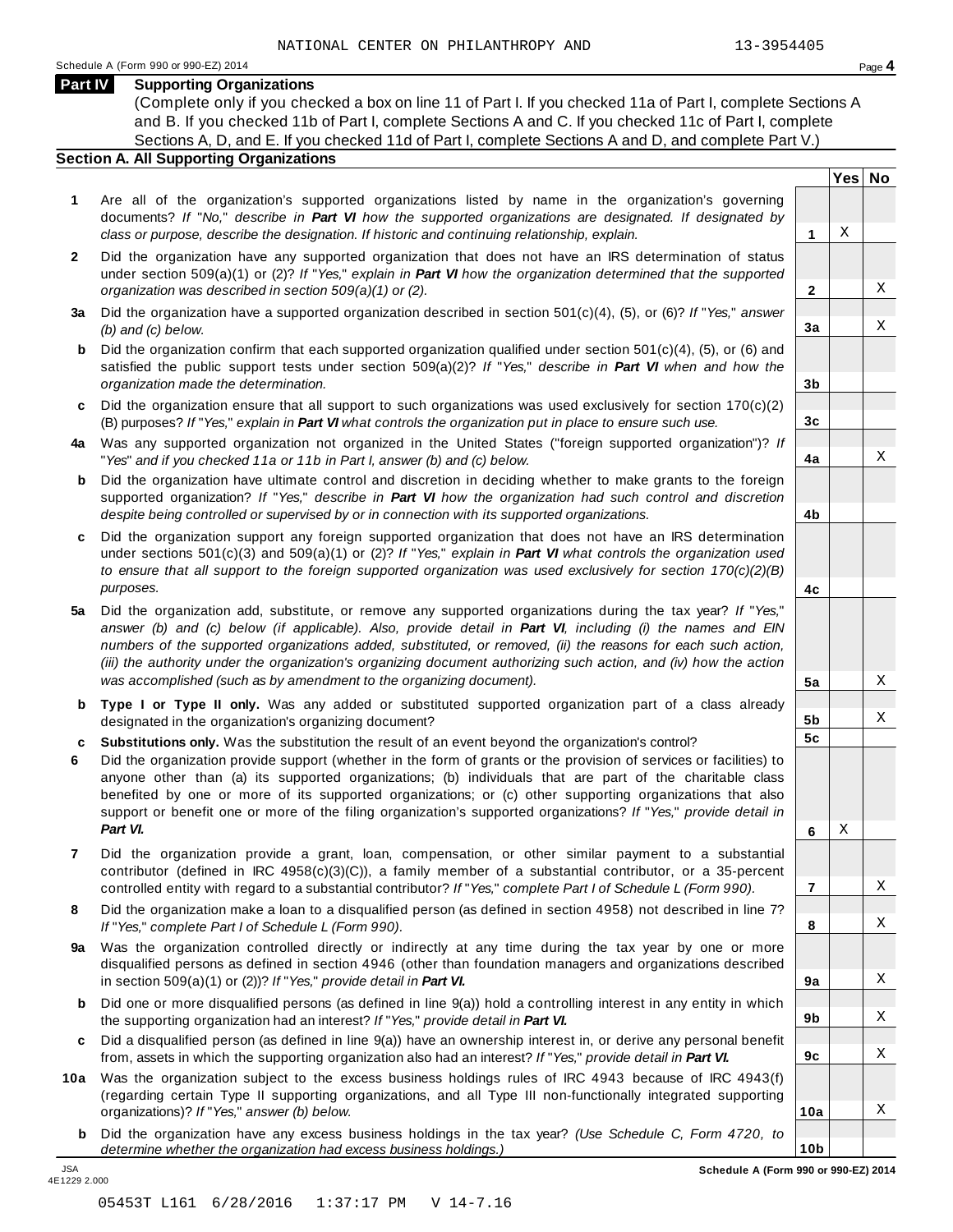**Yes No**

X

X

X

**2**

**3a**

#### **Part IV Supporting Organizations**

(Complete only if you checked a box on line 11 of Part I. If you checked 11a of Part I, complete Sections A and B. If you checked 11b of Part I, complete Sections A and C. If you checked 11c of Part I, complete Sections A, D, and E. If you checked 11d of Part I, complete Sections A and D, and complete Part V.)

### **Section A. All Supporting Organizations**

- **1** Are all of the organization's supported organizations listed by name in the organization's governing documents? *If* "*No,*" *describe in Part VI how the supported organizations are designated. If designated by class or purpose, describe the designation. If historic and continuing relationship, explain.* **1**
- **2** Did the organization have any supported organization that does not have an IRS determination of status under section 509(a)(1) or (2)? *If*"*Yes,*" *explain in Part VI how the organization determined that the supported organization was described in section 509(a)(1) or (2).*
- **3 a** Did the organization have a supported organization described in section 501(c)(4), (5), or (6)? *If* "*Yes,*" *answer (b) and (c) below.*
- **b** Did the organization confirm that each supported organization qualified under section 501(c)(4), (5), or (6) and | satisfied the public support tests under section 509(a)(2)? *If* "*Yes,*" *describe in Part VI when and how the organization made the determination.*
- **c** Did the organization ensure that all support to such organizations was used exclusively for section 170(c)(2) (B) purposes? *If*"*Yes,*" *explain in Part VI what controls the organization put in place to ensure such use.*
- **4 a** Was any supported organization not organized in the United States ("foreign supported organization")? *If* "*Yes*" *and if you checked 11a or 11b in Part I, answer (b) and (c) below.*
- **b** Did the organization have ultimate control and discretion in deciding whether to make grants to the foreign | supported organization? *If* "*Yes,*" *describe in Part VI how the organization had such control and discretion despite being controlled or supervised by or in connection with its supported organizations.*
- **c** Did the organization support any foreign supported organization that does not have an IRS determination under sections 501(c)(3) and 509(a)(1) or (2)? *If* "*Yes,*" *explain in Part VI what controls the organization used to ensure that all support to the foreign supported organization was used exclusively for section 170(c)(2)(B) purposes.*
- **5 a** Did the organization add, substitute, or remove any supported organizations during the tax year? *If* "*Yes,*" answer (b) and (c) below (if applicable). Also, provide detail in Part VI, including (i) the names and EIN *numbers of the supported organizations added, substituted, or removed, (ii) the reasons for each such action,* (iii) the authority under the organization's organizing document authorizing such action, and (iv) how the action *was accomplished (such as by amendment to the organizing document).*
- **b** Type I or Type II only. Was any added or substituted supported organization part of a class already | designated in the organization's organizing document?
- **c Substitutions only.** Was the substitution the result of an event beyond the organization's control?
- **6** Did the organization provide support (whether in the form of grants or the provision of services or facilities) to anyone other than (a) its supported organizations; (b) individuals that are part of the charitable class benefited by one or more of its supported organizations; or (c) other supporting organizations that also support or benefit one or more of the filing organization's supported organizations? *If* "*Yes,*" *provide detail in Part VI.*
- **7** Did the organization provide a grant, loan, compensation, or other similar payment to a substantial contributor (defined in IRC 4958(c)(3)(C)), a family member of a substantial contributor, or a 35-percent controlled entity with regard to a substantial contributor? *If*"*Yes,*" *complete Part I of Schedule L (Form 990).*
- **8** Did the organization make a loan to a disqualified person (as defined in section 4958) not described in line 7? *If* "*Yes,*" *complete Part I of Schedule L (Form 990).*
- **9 a** Was the organization controlled directly or indirectly at any time during the tax year by one or more disqualified persons as defined in section 4946 (other than foundation managers and organizations described in section 509(a)(1) or (2))? *If*"*Yes,*" *provide detail in Part VI.*
- **b** Did one or more disqualified persons (as defined in line 9(a)) hold a controlling interest in any entity in which | the supporting organization had an interest? *If*"*Yes,*" *provide detail in Part VI.*
- **c** Did a disqualified person (as defined in line 9(a)) have an ownership interest in, or derive any personal benefit from, assets in which the supporting organization also had an interest? *If*"*Yes,*" *provide detail in Part VI.*
- **10a** Was the organization subject to the excess business holdings rules of IRC 4943 because of IRC 4943(f) | (regarding certain Type II supporting organizations, and all Type III non-functionally integrated supporting organizations)? *If*"*Yes,*" *answer (b) below.*
- **b** Did the organization have any excess business holdings in the tax year? *(Use Schedule C, Form 4720, to determine whether the organization had excess business holdings.)*

JSA **Schedule A (Form 990 or 990-EZ) 2014**

4E1229 2.000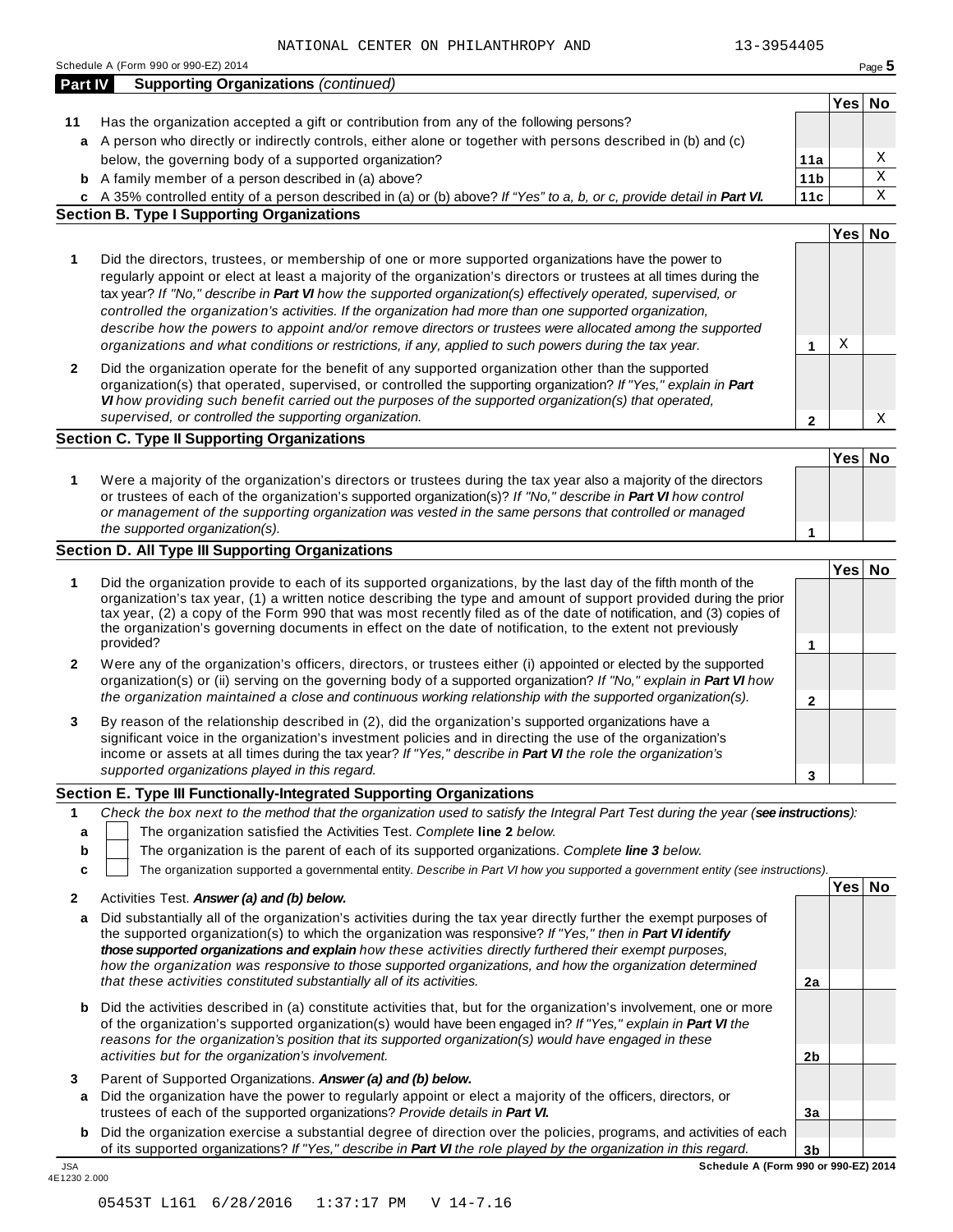| Part IV | <b>Supporting Organizations (continued)</b>                                                                                                                                                                                       |                 |        |             |
|---------|-----------------------------------------------------------------------------------------------------------------------------------------------------------------------------------------------------------------------------------|-----------------|--------|-------------|
|         |                                                                                                                                                                                                                                   |                 | Yes No |             |
| 11      | Has the organization accepted a gift or contribution from any of the following persons?                                                                                                                                           |                 |        |             |
|         | a A person who directly or indirectly controls, either alone or together with persons described in (b) and (c)                                                                                                                    |                 |        |             |
|         | below, the governing body of a supported organization?                                                                                                                                                                            | 11a             |        | Χ           |
|         | <b>b</b> A family member of a person described in (a) above?                                                                                                                                                                      | 11 <sub>b</sub> |        | $\mathbf X$ |
|         | c A 35% controlled entity of a person described in (a) or (b) above? If "Yes" to a, b, or c, provide detail in Part VI.                                                                                                           | 11c             |        | X           |
|         | <b>Section B. Type I Supporting Organizations</b>                                                                                                                                                                                 |                 |        |             |
|         |                                                                                                                                                                                                                                   |                 | Yes No |             |
| 1       | Did the directors, trustees, or membership of one or more supported organizations have the power to                                                                                                                               |                 |        |             |
|         | regularly appoint or elect at least a majority of the organization's directors or trustees at all times during the                                                                                                                |                 |        |             |
|         | tax year? If "No," describe in Part VI how the supported organization(s) effectively operated, supervised, or                                                                                                                     |                 |        |             |
|         | controlled the organization's activities. If the organization had more than one supported organization,                                                                                                                           |                 |        |             |
|         | describe how the powers to appoint and/or remove directors or trustees were allocated among the supported                                                                                                                         |                 |        |             |
|         | organizations and what conditions or restrictions, if any, applied to such powers during the tax year.                                                                                                                            | 1               | Χ      |             |
| 2       | Did the organization operate for the benefit of any supported organization other than the supported                                                                                                                               |                 |        |             |
|         | organization(s) that operated, supervised, or controlled the supporting organization? If "Yes," explain in Part                                                                                                                   |                 |        |             |
|         | VI how providing such benefit carried out the purposes of the supported organization(s) that operated,                                                                                                                            |                 |        |             |
|         | supervised, or controlled the supporting organization.                                                                                                                                                                            | 2               |        | Χ           |
|         | <b>Section C. Type II Supporting Organizations</b>                                                                                                                                                                                |                 |        |             |
|         |                                                                                                                                                                                                                                   |                 | Yes No |             |
| 1       | Were a majority of the organization's directors or trustees during the tax year also a majority of the directors                                                                                                                  |                 |        |             |
|         | or trustees of each of the organization's supported organization(s)? If "No," describe in Part VI how control                                                                                                                     |                 |        |             |
|         | or management of the supporting organization was vested in the same persons that controlled or managed                                                                                                                            |                 |        |             |
|         | the supported organization(s).                                                                                                                                                                                                    | 1               |        |             |
|         | <b>Section D. All Type III Supporting Organizations</b>                                                                                                                                                                           |                 |        |             |
|         |                                                                                                                                                                                                                                   |                 | Yes No |             |
| 1       | Did the organization provide to each of its supported organizations, by the last day of the fifth month of the                                                                                                                    |                 |        |             |
|         | organization's tax year, (1) a written notice describing the type and amount of support provided during the prior                                                                                                                 |                 |        |             |
|         | tax year, (2) a copy of the Form 990 that was most recently filed as of the date of notification, and (3) copies of                                                                                                               |                 |        |             |
|         | the organization's governing documents in effect on the date of notification, to the extent not previously<br>provided?                                                                                                           |                 |        |             |
|         |                                                                                                                                                                                                                                   | 1               |        |             |
| 2       | Were any of the organization's officers, directors, or trustees either (i) appointed or elected by the supported                                                                                                                  |                 |        |             |
|         | organization(s) or (ii) serving on the governing body of a supported organization? If "No," explain in Part VI how<br>the organization maintained a close and continuous working relationship with the supported organization(s). |                 |        |             |
|         |                                                                                                                                                                                                                                   | 2               |        |             |
| 3       | By reason of the relationship described in (2), did the organization's supported organizations have a                                                                                                                             |                 |        |             |
|         | significant voice in the organization's investment policies and in directing the use of the organization's                                                                                                                        |                 |        |             |
|         | income or assets at all times during the tax year? If "Yes," describe in Part VI the role the organization's                                                                                                                      |                 |        |             |
|         | supported organizations played in this regard.                                                                                                                                                                                    | 3               |        |             |
|         | Section E. Type III Functionally-Integrated Supporting Organizations                                                                                                                                                              |                 |        |             |
| 1       | Check the box next to the method that the organization used to satisfy the Integral Part Test during the year (see instructions):                                                                                                 |                 |        |             |
| a       | The organization satisfied the Activities Test. Complete line 2 below.                                                                                                                                                            |                 |        |             |
| b       | The organization is the parent of each of its supported organizations. Complete line 3 below.                                                                                                                                     |                 |        |             |
| c       | The organization supported a governmental entity. Describe in Part VI how you supported a government entity (see instructions).                                                                                                   |                 |        |             |
|         |                                                                                                                                                                                                                                   |                 | Yes No |             |
| 2       | Activities Test. Answer (a) and (b) below.                                                                                                                                                                                        |                 |        |             |
| a       | Did substantially all of the organization's activities during the tax year directly further the exempt purposes of                                                                                                                |                 |        |             |
|         | the supported organization(s) to which the organization was responsive? If "Yes," then in Part VI identify                                                                                                                        |                 |        |             |
|         | those supported organizations and explain how these activities directly furthered their exempt purposes,                                                                                                                          |                 |        |             |
|         | how the organization was responsive to those supported organizations, and how the organization determined<br>that these activities constituted substantially all of its activities.                                               | 2a              |        |             |
|         |                                                                                                                                                                                                                                   |                 |        |             |
| b       | Did the activities described in (a) constitute activities that, but for the organization's involvement, one or more                                                                                                               |                 |        |             |
|         | of the organization's supported organization(s) would have been engaged in? If "Yes," explain in Part VI the                                                                                                                      |                 |        |             |
|         | reasons for the organization's position that its supported organization(s) would have engaged in these<br>activities but for the organization's involvement.                                                                      |                 |        |             |
|         |                                                                                                                                                                                                                                   | 2 <sub>b</sub>  |        |             |
| 3       | Parent of Supported Organizations. Answer (a) and (b) below.                                                                                                                                                                      |                 |        |             |
| a       | Did the organization have the power to regularly appoint or elect a majority of the officers, directors, or                                                                                                                       |                 |        |             |
|         | trustees of each of the supported organizations? Provide details in Part VI.                                                                                                                                                      | 3a              |        |             |

**b** Did the organization exercise a substantial degree of direction over the policies, programs, and activities of each of its supported organizations? *If"Yes," describe in Part VI the role played by the organization in this regard.*

4E1230 2.000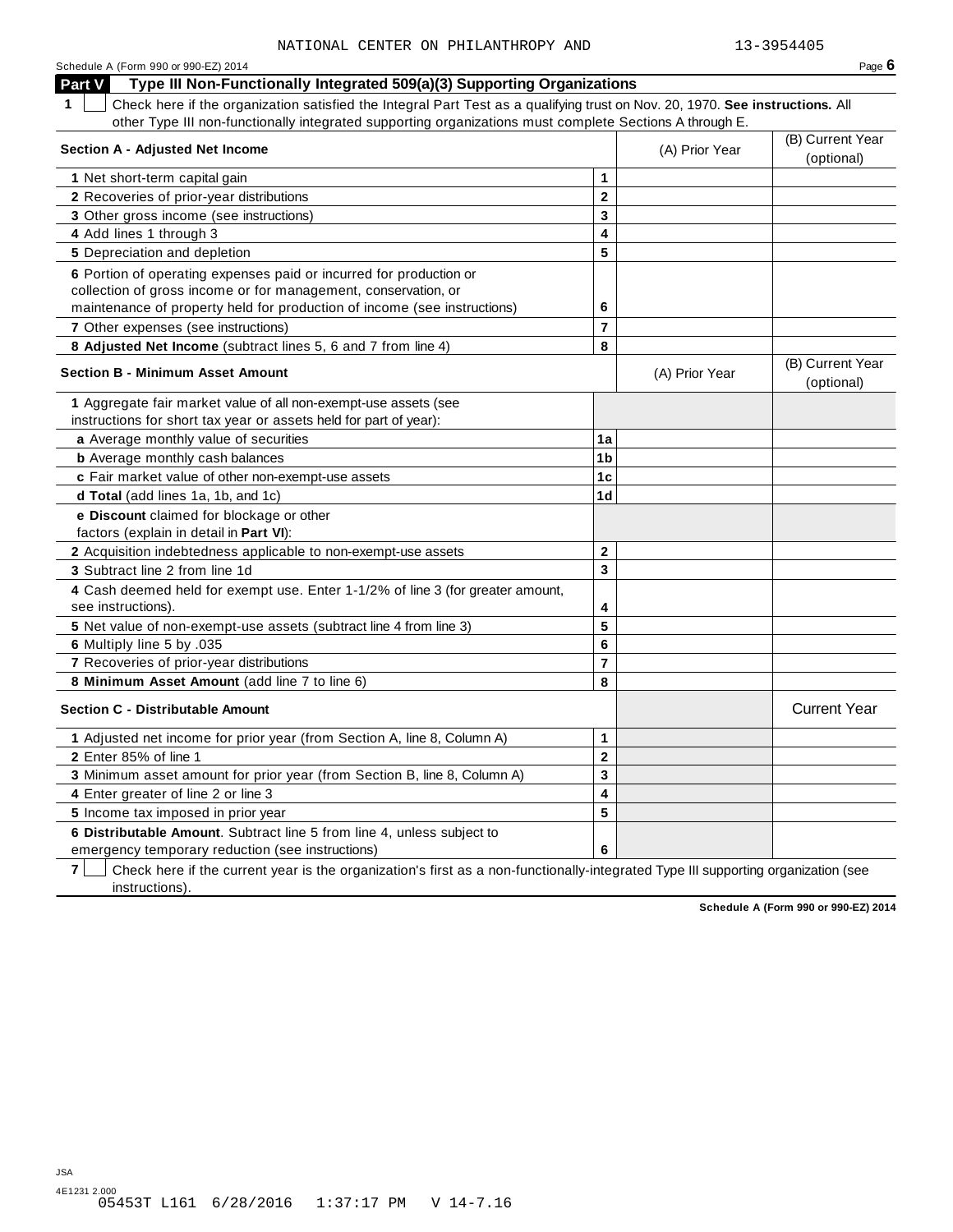| Schedule A (Form 990 or 990-EZ) 2014                                                                                                         |                         |                | Page $6$                       |
|----------------------------------------------------------------------------------------------------------------------------------------------|-------------------------|----------------|--------------------------------|
| Type III Non-Functionally Integrated 509(a)(3) Supporting Organizations<br>Part V                                                            |                         |                |                                |
| $\mathbf 1$<br>Check here if the organization satisfied the Integral Part Test as a qualifying trust on Nov. 20, 1970. See instructions. All |                         |                |                                |
| other Type III non-functionally integrated supporting organizations must complete Sections A through E.                                      |                         |                |                                |
| <b>Section A - Adjusted Net Income</b>                                                                                                       |                         | (A) Prior Year | (B) Current Year               |
|                                                                                                                                              |                         |                | (optional)                     |
| 1 Net short-term capital gain                                                                                                                | $\mathbf{1}$            |                |                                |
| 2 Recoveries of prior-year distributions                                                                                                     | $\mathbf{2}$            |                |                                |
| 3 Other gross income (see instructions)                                                                                                      | 3                       |                |                                |
| 4 Add lines 1 through 3                                                                                                                      | 4                       |                |                                |
| 5 Depreciation and depletion                                                                                                                 | 5                       |                |                                |
| 6 Portion of operating expenses paid or incurred for production or                                                                           |                         |                |                                |
| collection of gross income or for management, conservation, or                                                                               |                         |                |                                |
| maintenance of property held for production of income (see instructions)                                                                     | 6                       |                |                                |
| 7 Other expenses (see instructions)                                                                                                          | $\overline{7}$          |                |                                |
| 8 Adjusted Net Income (subtract lines 5, 6 and 7 from line 4)                                                                                | 8                       |                |                                |
| <b>Section B - Minimum Asset Amount</b>                                                                                                      |                         | (A) Prior Year | (B) Current Year<br>(optional) |
| 1 Aggregate fair market value of all non-exempt-use assets (see                                                                              |                         |                |                                |
| instructions for short tax year or assets held for part of year):                                                                            |                         |                |                                |
| a Average monthly value of securities                                                                                                        | 1a                      |                |                                |
| <b>b</b> Average monthly cash balances                                                                                                       | 1 <sub>b</sub>          |                |                                |
| c Fair market value of other non-exempt-use assets                                                                                           | 1 <sub>c</sub>          |                |                                |
| d Total (add lines 1a, 1b, and 1c)                                                                                                           | 1d                      |                |                                |
| e Discount claimed for blockage or other<br>factors (explain in detail in <b>Part VI)</b> :                                                  |                         |                |                                |
| 2 Acquisition indebtedness applicable to non-exempt-use assets                                                                               | $\overline{2}$          |                |                                |
| 3 Subtract line 2 from line 1d                                                                                                               | $\overline{3}$          |                |                                |
| 4 Cash deemed held for exempt use. Enter 1-1/2% of line 3 (for greater amount,<br>see instructions).                                         | 4                       |                |                                |
| 5 Net value of non-exempt-use assets (subtract line 4 from line 3)                                                                           | 5                       |                |                                |
| 6 Multiply line 5 by .035                                                                                                                    | $6\phantom{1}$          |                |                                |
| 7 Recoveries of prior-year distributions                                                                                                     | $\overline{7}$          |                |                                |
| 8 Minimum Asset Amount (add line 7 to line 6)                                                                                                | 8                       |                |                                |
| <b>Section C - Distributable Amount</b>                                                                                                      |                         |                | <b>Current Year</b>            |
| 1 Adjusted net income for prior year (from Section A, line 8, Column A)                                                                      | 1                       |                |                                |
| 2 Enter 85% of line 1                                                                                                                        | $\mathbf 2$             |                |                                |
| 3 Minimum asset amount for prior year (from Section B, line 8, Column A)                                                                     | 3                       |                |                                |
| 4 Enter greater of line 2 or line 3                                                                                                          | $\overline{\mathbf{4}}$ |                |                                |
| 5 Income tax imposed in prior year                                                                                                           | 5                       |                |                                |
| 6 Distributable Amount. Subtract line 5 from line 4, unless subject to                                                                       |                         |                |                                |
| emergency temporary reduction (see instructions)                                                                                             | 6                       |                |                                |

**7** Check here if the current year is the organization's first as a non-functionally-integrated Type III supporting organization (see instructions).

**Schedule A (Form 990 or 990-EZ) 2014**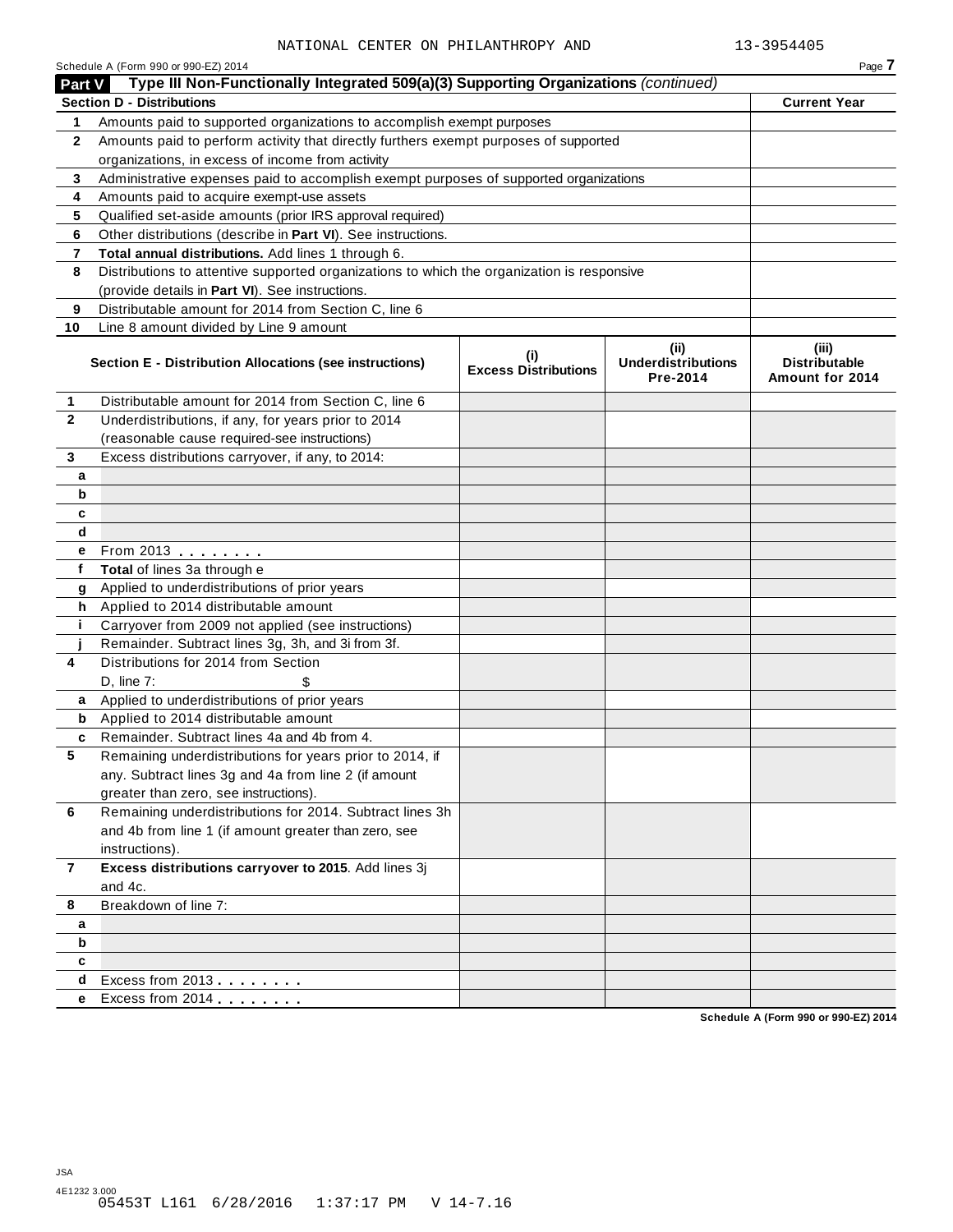|              | Schedule A (Form 990 or 990-EZ) 2014                                                       |                             |                                               | Page 7                                                                                                               |
|--------------|--------------------------------------------------------------------------------------------|-----------------------------|-----------------------------------------------|----------------------------------------------------------------------------------------------------------------------|
| Part V       | Type III Non-Functionally Integrated 509(a)(3) Supporting Organizations (continued)        |                             |                                               |                                                                                                                      |
|              | <b>Section D - Distributions</b>                                                           |                             |                                               | <b>Current Year</b>                                                                                                  |
| 1            | Amounts paid to supported organizations to accomplish exempt purposes                      |                             |                                               |                                                                                                                      |
| $\mathbf{2}$ | Amounts paid to perform activity that directly furthers exempt purposes of supported       |                             |                                               |                                                                                                                      |
|              | organizations, in excess of income from activity                                           |                             |                                               |                                                                                                                      |
| 3            | Administrative expenses paid to accomplish exempt purposes of supported organizations      |                             |                                               |                                                                                                                      |
| 4            | Amounts paid to acquire exempt-use assets                                                  |                             |                                               |                                                                                                                      |
| 5            | Qualified set-aside amounts (prior IRS approval required)                                  |                             |                                               |                                                                                                                      |
| 6            | Other distributions (describe in Part VI). See instructions.                               |                             |                                               |                                                                                                                      |
| 7            | Total annual distributions. Add lines 1 through 6.                                         |                             |                                               |                                                                                                                      |
| 8            | Distributions to attentive supported organizations to which the organization is responsive |                             |                                               |                                                                                                                      |
|              | (provide details in Part VI). See instructions.                                            |                             |                                               |                                                                                                                      |
| 9            | Distributable amount for 2014 from Section C, line 6                                       |                             |                                               |                                                                                                                      |
| 10           | Line 8 amount divided by Line 9 amount                                                     |                             |                                               |                                                                                                                      |
|              | Section E - Distribution Allocations (see instructions)                                    | <b>Excess Distributions</b> | (ii)<br><b>Underdistributions</b><br>Pre-2014 | (iii)<br><b>Distributable</b><br>Amount for 2014                                                                     |
| 1            | Distributable amount for 2014 from Section C, line 6                                       |                             |                                               |                                                                                                                      |
| $\mathbf{2}$ | Underdistributions, if any, for years prior to 2014                                        |                             |                                               |                                                                                                                      |
|              | (reasonable cause required-see instructions)                                               |                             |                                               |                                                                                                                      |
| 3            | Excess distributions carryover, if any, to 2014:                                           |                             |                                               |                                                                                                                      |
| а            |                                                                                            |                             |                                               |                                                                                                                      |
| b            |                                                                                            |                             |                                               |                                                                                                                      |
| c            |                                                                                            |                             |                                               |                                                                                                                      |
| d            |                                                                                            |                             |                                               |                                                                                                                      |
| е            | From 2013                                                                                  |                             |                                               |                                                                                                                      |
| f            | Total of lines 3a through e                                                                |                             |                                               |                                                                                                                      |
| g            | Applied to underdistributions of prior years                                               |                             |                                               |                                                                                                                      |
| h            | Applied to 2014 distributable amount                                                       |                             |                                               |                                                                                                                      |
| j.           | Carryover from 2009 not applied (see instructions)                                         |                             |                                               |                                                                                                                      |
| j            | Remainder. Subtract lines 3g, 3h, and 3i from 3f.                                          |                             |                                               |                                                                                                                      |
| 4            | Distributions for 2014 from Section                                                        |                             |                                               |                                                                                                                      |
|              | D, line 7:                                                                                 |                             |                                               |                                                                                                                      |
| a            | Applied to underdistributions of prior years                                               |                             |                                               |                                                                                                                      |
| b            | Applied to 2014 distributable amount                                                       |                             |                                               |                                                                                                                      |
| c            | Remainder. Subtract lines 4a and 4b from 4.                                                |                             |                                               |                                                                                                                      |
| 5            | Remaining underdistributions for years prior to 2014, if                                   |                             |                                               |                                                                                                                      |
|              | any. Subtract lines 3g and 4a from line 2 (if amount                                       |                             |                                               |                                                                                                                      |
|              | greater than zero, see instructions).                                                      |                             |                                               |                                                                                                                      |
| 6            | Remaining underdistributions for 2014. Subtract lines 3h                                   |                             |                                               |                                                                                                                      |
|              | and 4b from line 1 (if amount greater than zero, see                                       |                             |                                               |                                                                                                                      |
|              | instructions).                                                                             |                             |                                               |                                                                                                                      |
| 7            | Excess distributions carryover to 2015. Add lines 3j                                       |                             |                                               |                                                                                                                      |
|              | and 4c.                                                                                    |                             |                                               |                                                                                                                      |
| 8            | Breakdown of line 7:                                                                       |                             |                                               |                                                                                                                      |
| a            |                                                                                            |                             |                                               |                                                                                                                      |
| b            |                                                                                            |                             |                                               |                                                                                                                      |
| c            |                                                                                            |                             |                                               |                                                                                                                      |
| d            | Excess from 2013                                                                           |                             |                                               |                                                                                                                      |
| е            | Excess from 2014 <b>Excess</b>                                                             |                             |                                               |                                                                                                                      |
|              |                                                                                            |                             |                                               | $d_{11}$ $d_{12}$ $f_{22}$ $f_{23}$ $f_{24}$ $f_{20}$ $f_{21}$ $f_{20}$ $f_{21}$ $f_{20}$ $f_{21}$ $f_{20}$ $f_{21}$ |

**Schedule A (Form 990 or 990-EZ) 2014**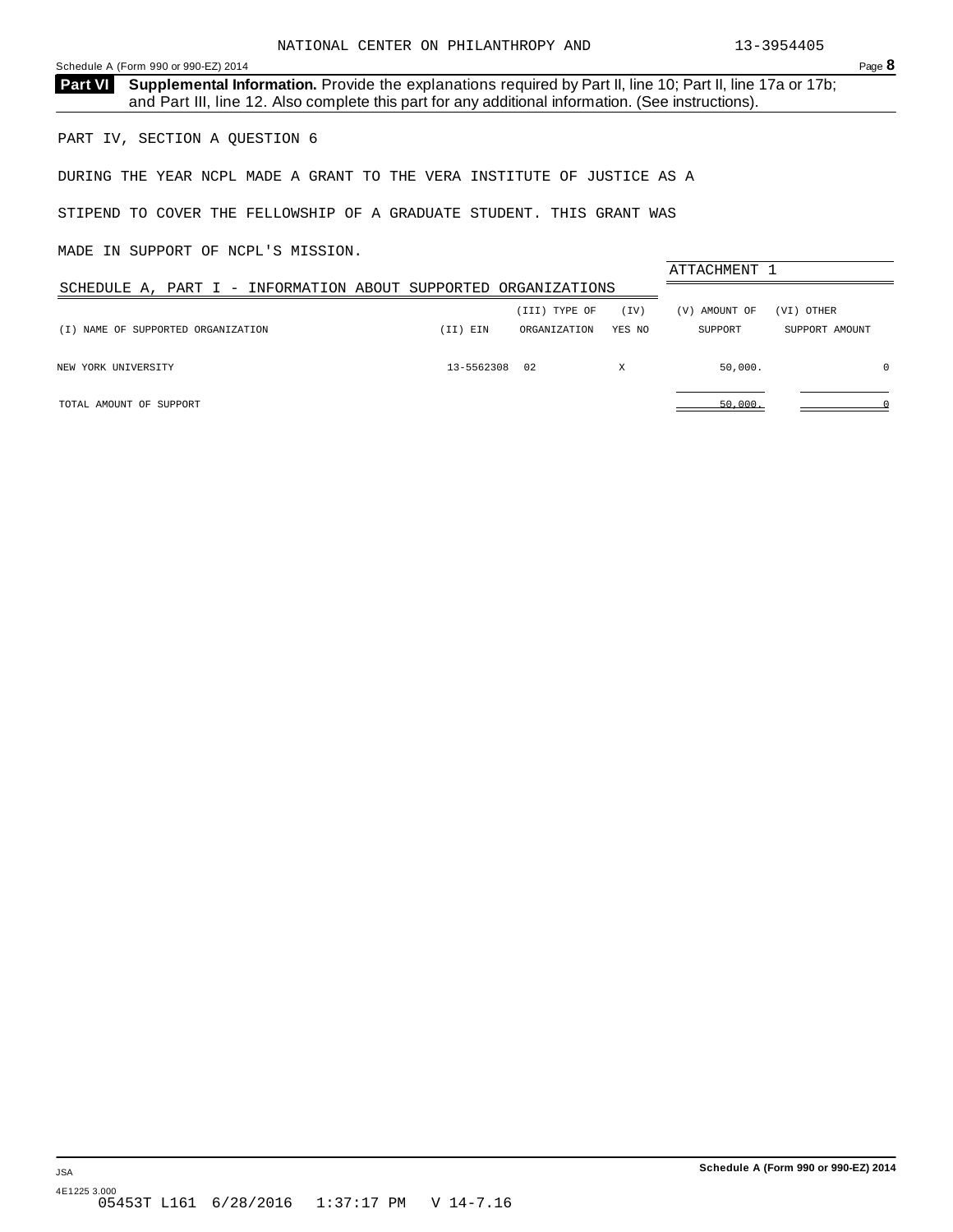<span id="page-19-0"></span>**Part VI** Supplemental Information. Provide the explanations required by Part II, line 10; Part II, line 17a or 17b; and Part III, line 12. Also complete this part for any additional information. (See instructions).

PART IV, SECTION A QUESTION 6

DURING THE YEAR NCPL MADE A GRANT TO THE VERA INSTITUTE OF JUSTICE AS A

STIPEND TO COVER THE FELLOWSHIP OF A GRADUATE STUDENT. THIS GRANT WAS

MADE IN SUPPORT OF NCPL'S MISSION.

|                                                                |            |              |               | ATTACHMENT 1  |                |
|----------------------------------------------------------------|------------|--------------|---------------|---------------|----------------|
| SCHEDULE A, PART I - INFORMATION ABOUT SUPPORTED ORGANIZATIONS |            |              |               |               |                |
|                                                                |            | III) TYPE OF | $(\text{IV})$ | (V) AMOUNT OF | OTHER<br>(VI)  |
| (I) NAME OF SUPPORTED ORGANIZATION                             | (II) EIN   | ORGANIZATION | YES NO        | SUPPORT       | SUPPORT AMOUNT |
|                                                                |            |              |               |               |                |
| NEW YORK UNIVERSITY                                            | 13-5562308 | - 0.2        | Χ             | 50,000.       | $\Omega$       |
|                                                                |            |              |               |               |                |
| TOTAL AMOUNT OF SUPPORT                                        |            |              |               | 50,000.       |                |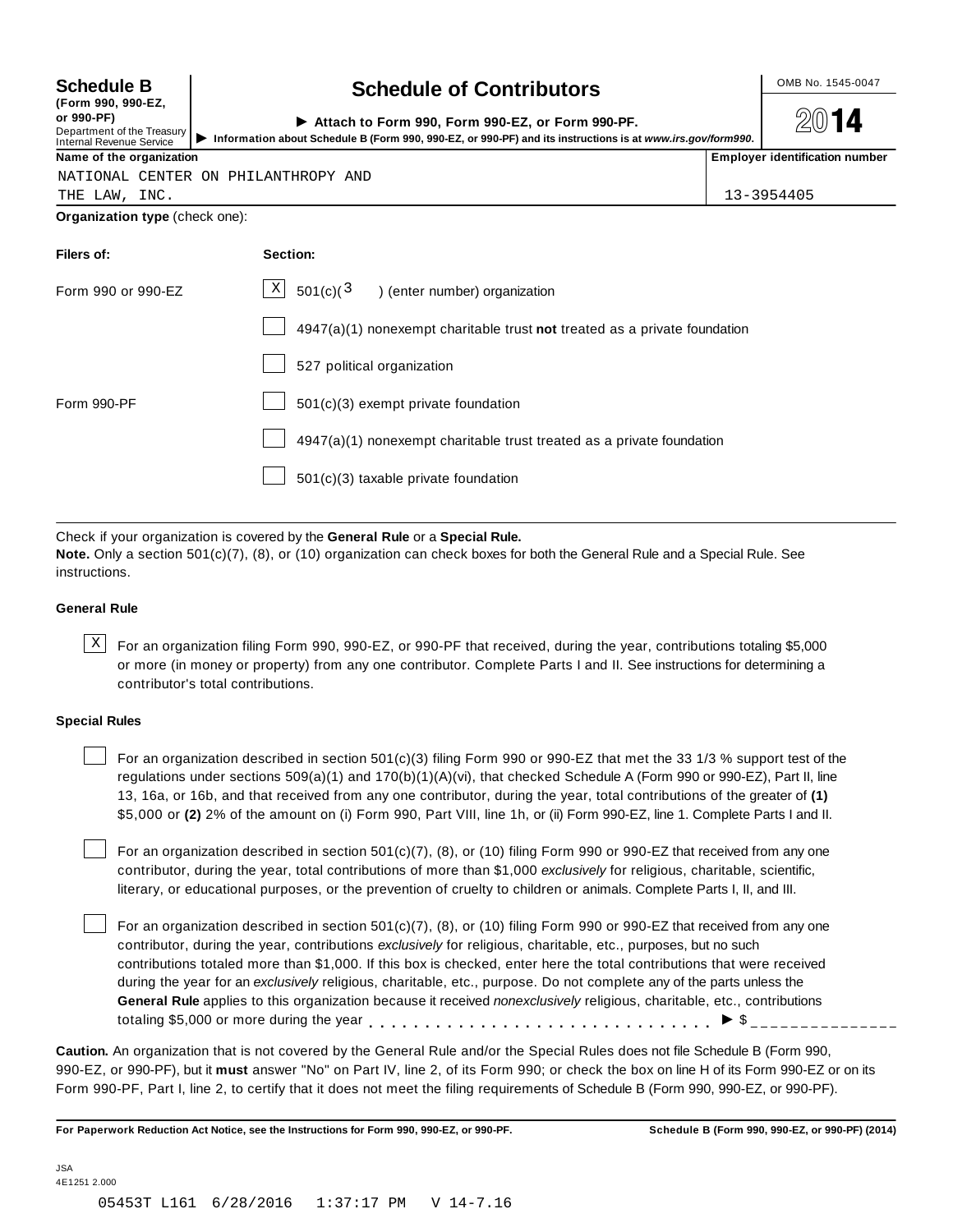| <b>Schedule B</b> |  |
|-------------------|--|
|-------------------|--|

|  |            | (Form 990, 990-EZ, |
|--|------------|--------------------|
|  | or 990-PF) |                    |

## **Schedule B**  $\leftarrow$  **Contributors**

**2014** 

| or 990-PF)<br>Department of the Treasury I<br>Internal Revenue Service | Attach to Form 990, Form 990-EZ, or Form 990-PF.<br>Information about Schedule B (Form 990, 990-EZ, or 990-PF) and its instructions is at www.irs.gov/form990. | 2014                                  |
|------------------------------------------------------------------------|----------------------------------------------------------------------------------------------------------------------------------------------------------------|---------------------------------------|
| Name of the organization                                               |                                                                                                                                                                | <b>Employer identification number</b> |

NATIONAL CENTER ON PHILANTHROPY AND

THE LAW, INC. 13-3954405

**Organization type** (check one):

| Filers of:         | Section:                                                                  |
|--------------------|---------------------------------------------------------------------------|
| Form 990 or 990-EZ | $X$ 501(c)( $3$ ) (enter number) organization                             |
|                    | 4947(a)(1) nonexempt charitable trust not treated as a private foundation |
|                    | 527 political organization                                                |
| Form 990-PF        | 501(c)(3) exempt private foundation                                       |
|                    | 4947(a)(1) nonexempt charitable trust treated as a private foundation     |
|                    | 501(c)(3) taxable private foundation                                      |
|                    |                                                                           |

Check if your organization is covered by the **General Rule** or a **Special Rule.**

**Note.** Only a section 501(c)(7), (8), or (10) organization can check boxes for both the General Rule and a Special Rule. See instructions.

#### **General Rule**

 $\text{X}$  For an organization filing Form 990, 990-EZ, or 990-PF that received, during the year, contributions totaling \$5,000 or more (in money or property) from any one contributor. Complete Parts I and II. See instructions for determining a contributor's total contributions.

#### **Special Rules**

For an organization described in section 501(c)(3) filing Form 990 or 990-EZ that met the 33 1/3 % support test of the regulations under sections 509(a)(1) and 170(b)(1)(A)(vi), that checked Schedule A (Form 990 or 990-EZ), Part II, line 13, 16a, or 16b, and that received from any one contributor, during the year, total contributions of the greater of **(1)** \$5,000 or **(2)** 2% of the amount on (i) Form 990, Part VIII, line 1h, or (ii) Form 990-EZ, line 1. Complete Parts I and II.

For an organization described in section 501(c)(7), (8), or (10) filing Form 990 or 990-EZ that received from any one contributor, during the year, total contributions of more than \$1,000 *exclusively* for religious, charitable, scientific, literary, or educational purposes, or the prevention of cruelty to children or animals. Complete Parts I, II, and III.

For an organization described in section 501(c)(7), (8), or (10) filing Form 990 or 990-EZ that received from any one contributor, during the year, contributions *exclusively* for religious, charitable, etc., purposes, but no such contributions totaled more than \$1,000. If this box is checked, enter here the total contributions that were received during the year for an *exclusively* religious, charitable, etc., purpose. Do not complete any of the parts unless the **General Rule** applies to this organization because it received *nonexclusively* religious, charitable, etc., contributions General Rule applies to this organization because it received *nonexclusively* religious, charitable, etc., contra<br>totaling \$5,000 or more during the year<br> $\bullet$   $\bullet$ 

**Caution.** An organization that is not covered by the General Rule and/or the Special Rules does not file Schedule B (Form 990, 990-EZ, or 990-PF), but it **must** answer "No" on Part IV, line 2, of its Form 990; or check the box on line H of its Form 990-EZ or on its Form 990-PF, Part I, line 2, to certify that it does not meet the filing requirements of Schedule B (Form 990, 990-EZ, or 990-PF).

For Paperwork Reduction Act Notice, see the Instructions for Form 990, 990-EZ, or 990-PF. Schedule B (Form 990, 990-EZ, or 990-PF) (2014)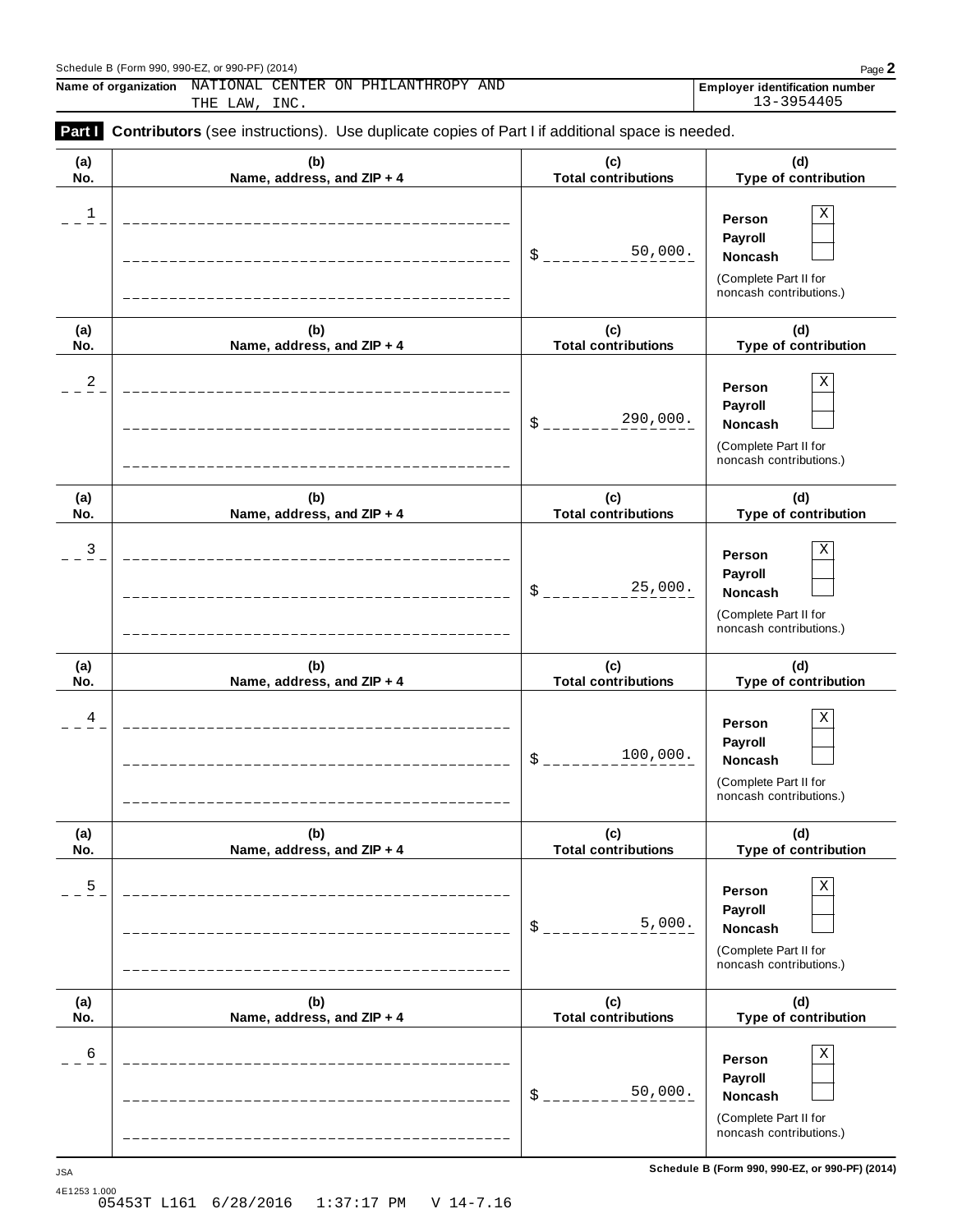### Schedule <sup>B</sup> (Form 990, 990-EZ, or 990-PF) (2014) Page **2**

÷

**Name of organization** NATIONAL CENTER ON PHILANTHROPY AND **FULLANDIES CONSERVANCE EMPLOYER Employer** identification number

THE LAW, INC. 13-3954405

|            | Part   Contributors (see instructions). Use duplicate copies of Part I if additional space is needed. |                                   |                                                                                       |
|------------|-------------------------------------------------------------------------------------------------------|-----------------------------------|---------------------------------------------------------------------------------------|
| (a)<br>No. | (b)<br>Name, address, and ZIP + 4                                                                     | (c)<br><b>Total contributions</b> | (d)<br>Type of contribution                                                           |
| 1          |                                                                                                       | 50,000.<br>\$                     | X<br>Person<br>Payroll<br>Noncash<br>(Complete Part II for<br>noncash contributions.) |
| (a)<br>No. | (b)<br>Name, address, and ZIP + 4                                                                     | (c)<br><b>Total contributions</b> | (d)<br>Type of contribution                                                           |
| 2          |                                                                                                       | 290,000.<br>\$                    | X<br>Person<br>Payroll<br>Noncash<br>(Complete Part II for<br>noncash contributions.) |
| (a)<br>No. | (b)<br>Name, address, and ZIP + 4                                                                     | (c)<br><b>Total contributions</b> | (d)<br>Type of contribution                                                           |
| 3          |                                                                                                       | 25,000.<br>\$                     | X<br>Person<br>Payroll<br>Noncash<br>(Complete Part II for<br>noncash contributions.) |
| (a)<br>No. | (b)<br>Name, address, and ZIP + 4                                                                     | (c)<br><b>Total contributions</b> | (d)<br>Type of contribution                                                           |
| 4          |                                                                                                       | 100,000.<br>\$                    | X<br>Person<br>Payroll<br>Noncash<br>(Complete Part II for<br>noncash contributions.) |
| (a)<br>No. | (b)<br>Name, address, and ZIP + 4                                                                     | (c)<br><b>Total contributions</b> | (d)<br>Type of contribution                                                           |
| 5          |                                                                                                       | 5,000.<br>\$                      | X<br>Person<br>Payroll<br>Noncash<br>(Complete Part II for<br>noncash contributions.) |
| (a)<br>No. | (b)<br>Name, address, and ZIP + 4                                                                     | (c)<br><b>Total contributions</b> | (d)<br>Type of contribution                                                           |
| 6          |                                                                                                       | 50,000.<br>\$                     | X<br>Person<br>Payroll<br>Noncash<br>(Complete Part II for<br>noncash contributions.) |

**Schedule B (Form 990, 990-EZ, or 990-PF) (2014)** JSA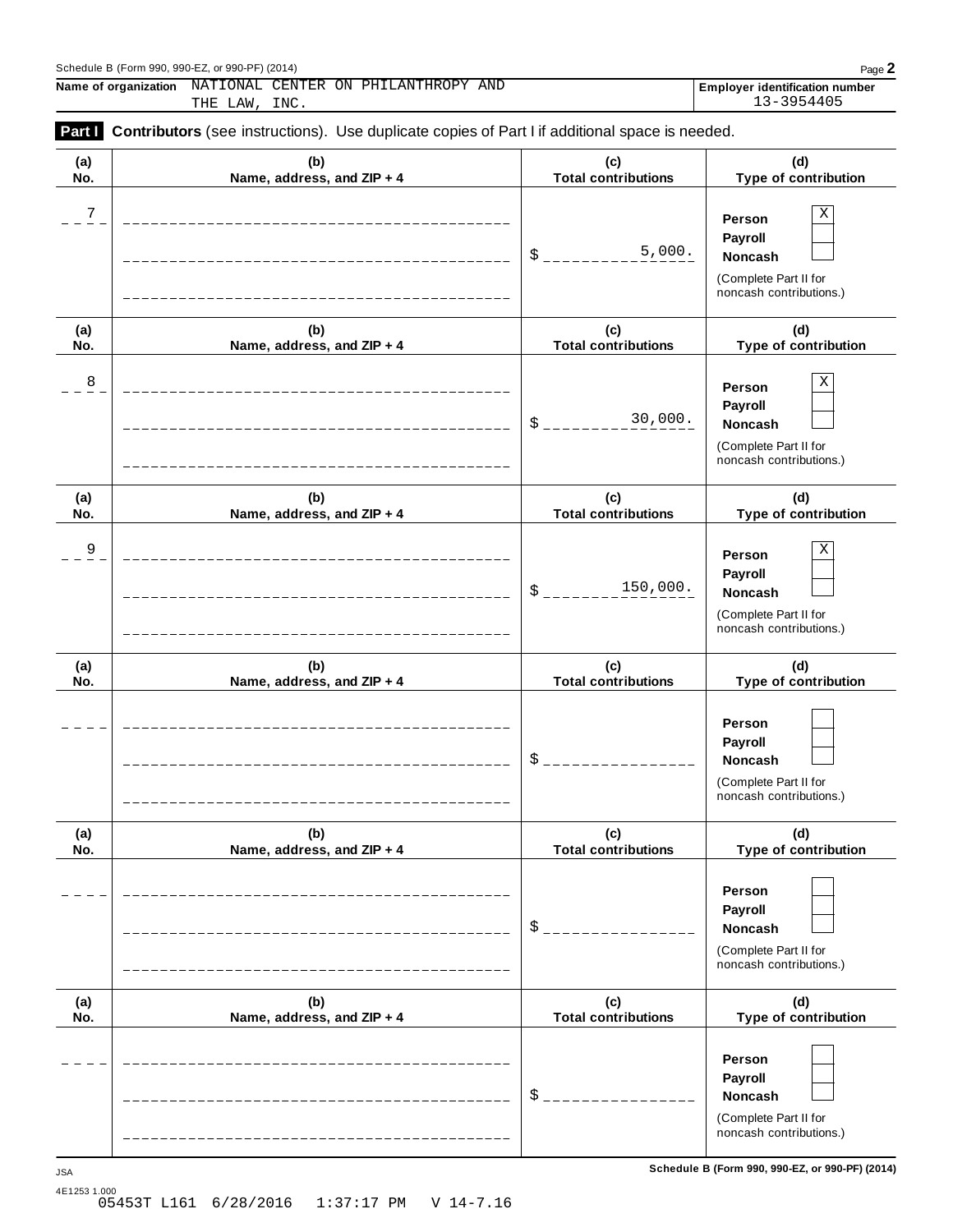### Schedule <sup>B</sup> (Form 990, 990-EZ, or 990-PF) (2014) Page **2**

**Name of organization** NATIONAL CENTER ON PHILANTHROPY AND **FULLANDIES CONSERVANCE EMPLOYER Employer** identification number

THE LAW, INC. 13-3954405

| Part I<br>Contributors (see instructions). Use duplicate copies of Part I if additional space is needed. |                                   |                                   |                                                                                         |  |  |
|----------------------------------------------------------------------------------------------------------|-----------------------------------|-----------------------------------|-----------------------------------------------------------------------------------------|--|--|
| (a)<br>No.                                                                                               | (b)<br>Name, address, and ZIP + 4 | (c)<br><b>Total contributions</b> | (d)<br>Type of contribution                                                             |  |  |
| 7                                                                                                        |                                   | 5,000.<br>\$                      | Χ<br>Person<br>Payroll<br>Noncash<br>(Complete Part II for<br>noncash contributions.)   |  |  |
| (a)<br>No.                                                                                               | (b)<br>Name, address, and ZIP + 4 | (c)<br><b>Total contributions</b> | (d)<br>Type of contribution                                                             |  |  |
| 8                                                                                                        |                                   | 30,000.<br>\$                     | Χ<br>Person<br>Payroll<br>Noncash<br>(Complete Part II for<br>noncash contributions.)   |  |  |
| (a)<br>No.                                                                                               | (b)<br>Name, address, and ZIP + 4 | (c)<br><b>Total contributions</b> | (d)<br>Type of contribution                                                             |  |  |
| 9                                                                                                        |                                   | 150,000.<br>\$                    | Χ<br>Person<br>Payroll<br>Noncash<br>(Complete Part II for<br>noncash contributions.)   |  |  |
| (a)<br>No.                                                                                               | (b)<br>Name, address, and ZIP + 4 | (c)<br><b>Total contributions</b> | (d)<br>Type of contribution                                                             |  |  |
|                                                                                                          |                                   | \$                                | Person<br>Payroll<br>Noncash<br>(Complete Part II for<br>noncash contributions.)        |  |  |
| (a)<br>No.                                                                                               | (b)<br>Name, address, and ZIP + 4 | (c)<br><b>Total contributions</b> | (d)<br>Type of contribution                                                             |  |  |
|                                                                                                          |                                   | \$                                | Person<br>Payroll<br>Noncash<br>(Complete Part II for<br>noncash contributions.)        |  |  |
| (a)<br>No.                                                                                               | (b)<br>Name, address, and ZIP + 4 | (c)<br><b>Total contributions</b> | (d)<br>Type of contribution                                                             |  |  |
|                                                                                                          |                                   | \$                                | Person<br>Payroll<br><b>Noncash</b><br>(Complete Part II for<br>noncash contributions.) |  |  |

**Schedule B (Form 990, 990-EZ, or 990-PF) (2014)** JSA

4E1253 1.000 05453T L161 6/28/2016 1:37:17 PM V 14-7.16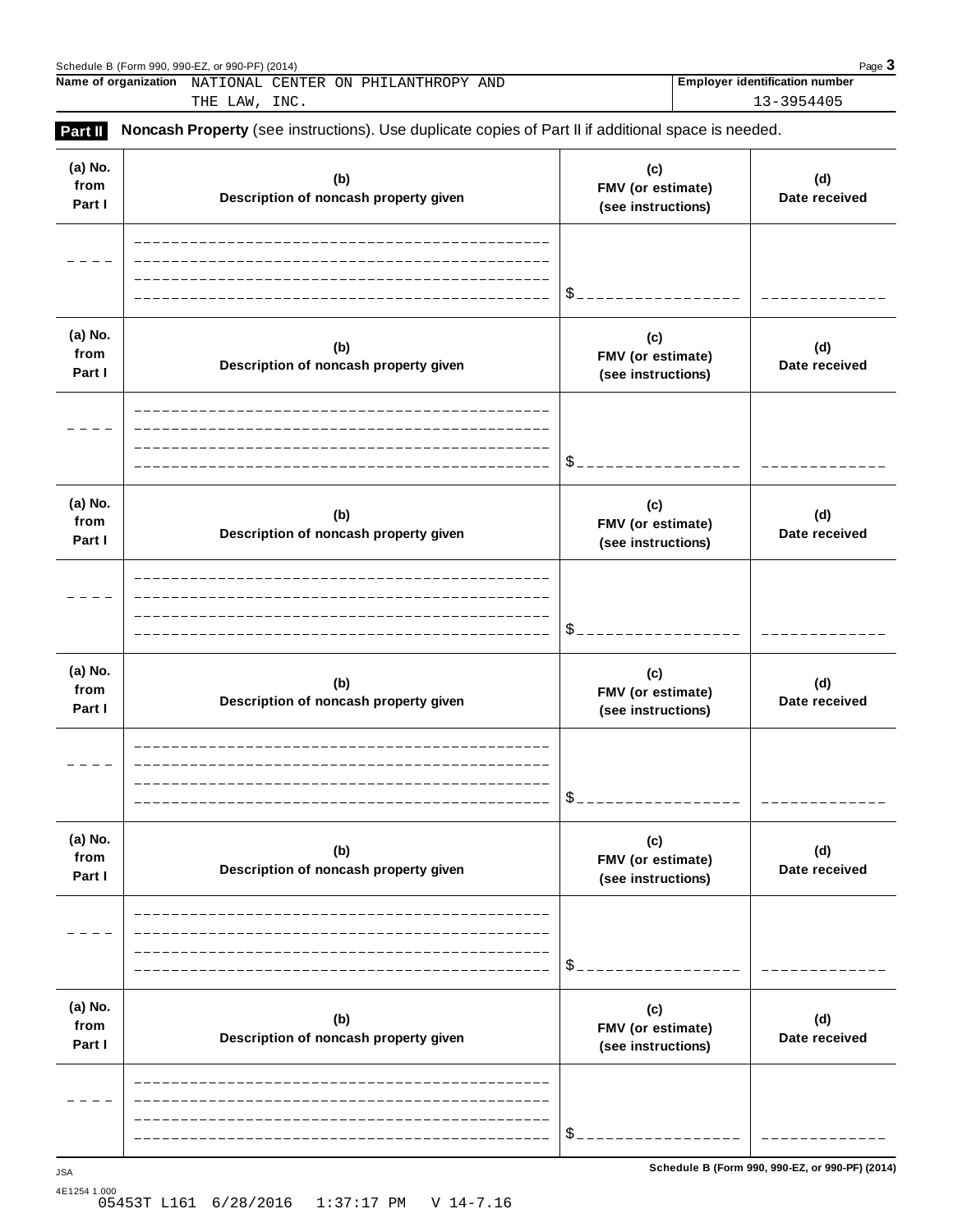| Schedule B (Form 990, 990-EZ, or 990-PF) (2014) |                                                                                                            | Page 3                                |
|-------------------------------------------------|------------------------------------------------------------------------------------------------------------|---------------------------------------|
| Name of organization                            | NATIONAL CENTER ON PHILANTHROPY AND                                                                        | <b>Employer identification number</b> |
|                                                 | THE LAW, INC.                                                                                              | 13-3954405                            |
| <b>Part II</b>                                  | <b>Noncash Property</b> (see instructions). Use duplicate copies of Part II if additional space is needed. |                                       |

| (a) No.<br>from<br>Part I | (b)<br>Description of noncash property given | (c)<br>FMV (or estimate)<br>(see instructions) | (d)<br>Date received |
|---------------------------|----------------------------------------------|------------------------------------------------|----------------------|
|                           |                                              | S                                              |                      |
| (a) No.<br>from<br>Part I | (b)<br>Description of noncash property given | (c)<br>FMV (or estimate)<br>(see instructions) | (d)<br>Date received |
|                           |                                              | \$                                             |                      |
| (a) No.<br>from<br>Part I | (b)<br>Description of noncash property given | (c)<br>FMV (or estimate)<br>(see instructions) | (d)<br>Date received |
|                           |                                              | \$                                             |                      |
| (a) No.<br>from<br>Part I | (b)<br>Description of noncash property given | (c)<br>FMV (or estimate)<br>(see instructions) | (d)<br>Date received |
|                           |                                              | \$                                             |                      |
| (a) No.<br>from<br>Part I | (b)<br>Description of noncash property given | (c)<br>FMV (or estimate)<br>(see instructions) | (d)<br>Date received |
|                           |                                              | \$                                             |                      |
| (a) No.<br>from<br>Part I | (b)<br>Description of noncash property given | (c)<br>FMV (or estimate)<br>(see instructions) | (d)<br>Date received |
|                           |                                              | S                                              |                      |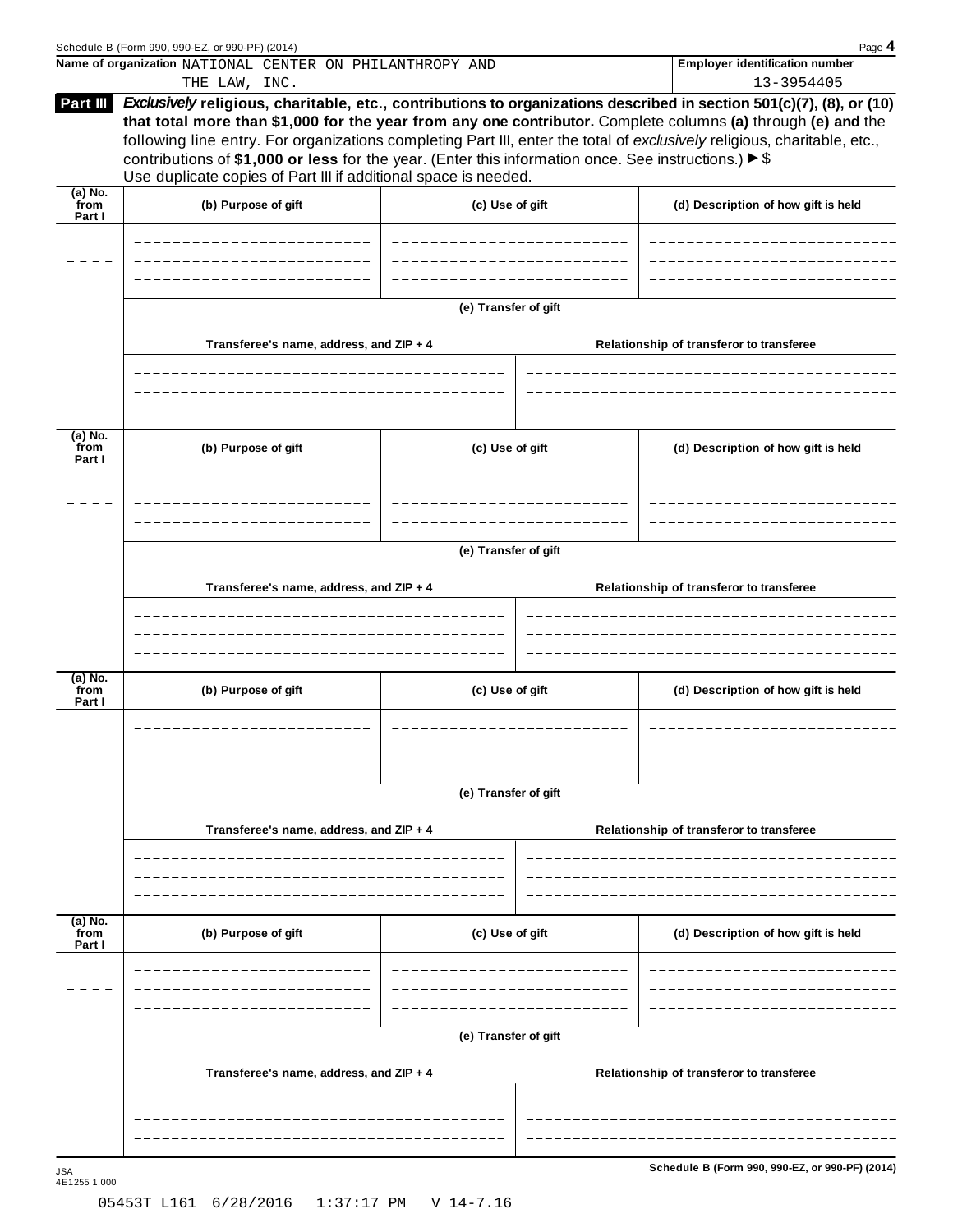|                             | Schedule B (Form 990, 990-EZ, or 990-PF) (2014)                                                                                                                                                                                                                                                                                                                                                                                                                                                                                                              |                      |                                          | Page 4                                          |  |  |  |
|-----------------------------|--------------------------------------------------------------------------------------------------------------------------------------------------------------------------------------------------------------------------------------------------------------------------------------------------------------------------------------------------------------------------------------------------------------------------------------------------------------------------------------------------------------------------------------------------------------|----------------------|------------------------------------------|-------------------------------------------------|--|--|--|
|                             | Name of organization NATIONAL CENTER ON PHILANTHROPY AND                                                                                                                                                                                                                                                                                                                                                                                                                                                                                                     |                      |                                          | <b>Employer identification number</b>           |  |  |  |
| Part III                    | THE LAW, INC.<br>Exclusively religious, charitable, etc., contributions to organizations described in section 501(c)(7), (8), or (10)<br>that total more than \$1,000 for the year from any one contributor. Complete columns (a) through (e) and the<br>following line entry. For organizations completing Part III, enter the total of exclusively religious, charitable, etc.,<br>contributions of \$1,000 or less for the year. (Enter this information once. See instructions.) ▶ \$<br>Use duplicate copies of Part III if additional space is needed. |                      |                                          | 13-3954405                                      |  |  |  |
| $(a)$ No.<br>from           | (b) Purpose of gift                                                                                                                                                                                                                                                                                                                                                                                                                                                                                                                                          | (c) Use of gift      |                                          | (d) Description of how gift is held             |  |  |  |
| Part I                      |                                                                                                                                                                                                                                                                                                                                                                                                                                                                                                                                                              |                      |                                          |                                                 |  |  |  |
|                             |                                                                                                                                                                                                                                                                                                                                                                                                                                                                                                                                                              |                      |                                          |                                                 |  |  |  |
|                             |                                                                                                                                                                                                                                                                                                                                                                                                                                                                                                                                                              | (e) Transfer of gift |                                          |                                                 |  |  |  |
|                             | Transferee's name, address, and ZIP + 4                                                                                                                                                                                                                                                                                                                                                                                                                                                                                                                      |                      |                                          | Relationship of transferor to transferee        |  |  |  |
|                             |                                                                                                                                                                                                                                                                                                                                                                                                                                                                                                                                                              |                      |                                          |                                                 |  |  |  |
|                             |                                                                                                                                                                                                                                                                                                                                                                                                                                                                                                                                                              |                      |                                          |                                                 |  |  |  |
| $(a)$ No.<br>from<br>Part I | (b) Purpose of gift                                                                                                                                                                                                                                                                                                                                                                                                                                                                                                                                          | (c) Use of gift      |                                          | (d) Description of how gift is held             |  |  |  |
|                             |                                                                                                                                                                                                                                                                                                                                                                                                                                                                                                                                                              |                      |                                          |                                                 |  |  |  |
|                             |                                                                                                                                                                                                                                                                                                                                                                                                                                                                                                                                                              | (e) Transfer of gift |                                          |                                                 |  |  |  |
|                             |                                                                                                                                                                                                                                                                                                                                                                                                                                                                                                                                                              |                      |                                          |                                                 |  |  |  |
|                             | Transferee's name, address, and ZIP + 4                                                                                                                                                                                                                                                                                                                                                                                                                                                                                                                      |                      | Relationship of transferor to transferee |                                                 |  |  |  |
|                             |                                                                                                                                                                                                                                                                                                                                                                                                                                                                                                                                                              |                      |                                          |                                                 |  |  |  |
| $(a)$ No.<br>from<br>Part I | (b) Purpose of gift                                                                                                                                                                                                                                                                                                                                                                                                                                                                                                                                          | (c) Use of gift      |                                          | (d) Description of how gift is held             |  |  |  |
|                             |                                                                                                                                                                                                                                                                                                                                                                                                                                                                                                                                                              |                      |                                          |                                                 |  |  |  |
|                             |                                                                                                                                                                                                                                                                                                                                                                                                                                                                                                                                                              | (e) Transfer of gift |                                          |                                                 |  |  |  |
|                             | Transferee's name, address, and ZIP + 4                                                                                                                                                                                                                                                                                                                                                                                                                                                                                                                      |                      |                                          | Relationship of transferor to transferee        |  |  |  |
|                             |                                                                                                                                                                                                                                                                                                                                                                                                                                                                                                                                                              |                      |                                          |                                                 |  |  |  |
|                             |                                                                                                                                                                                                                                                                                                                                                                                                                                                                                                                                                              |                      |                                          |                                                 |  |  |  |
| $(a)$ No.<br>from<br>Part I | (b) Purpose of gift                                                                                                                                                                                                                                                                                                                                                                                                                                                                                                                                          | (c) Use of gift      |                                          | (d) Description of how gift is held             |  |  |  |
|                             |                                                                                                                                                                                                                                                                                                                                                                                                                                                                                                                                                              |                      |                                          |                                                 |  |  |  |
|                             |                                                                                                                                                                                                                                                                                                                                                                                                                                                                                                                                                              |                      |                                          |                                                 |  |  |  |
|                             |                                                                                                                                                                                                                                                                                                                                                                                                                                                                                                                                                              | (e) Transfer of gift |                                          |                                                 |  |  |  |
|                             | Transferee's name, address, and ZIP + 4                                                                                                                                                                                                                                                                                                                                                                                                                                                                                                                      |                      |                                          | Relationship of transferor to transferee        |  |  |  |
|                             |                                                                                                                                                                                                                                                                                                                                                                                                                                                                                                                                                              |                      |                                          |                                                 |  |  |  |
|                             |                                                                                                                                                                                                                                                                                                                                                                                                                                                                                                                                                              |                      |                                          |                                                 |  |  |  |
| <b>JSA</b>                  |                                                                                                                                                                                                                                                                                                                                                                                                                                                                                                                                                              |                      |                                          | Schedule B (Form 990, 990-EZ, or 990-PF) (2014) |  |  |  |

4E1255 1.000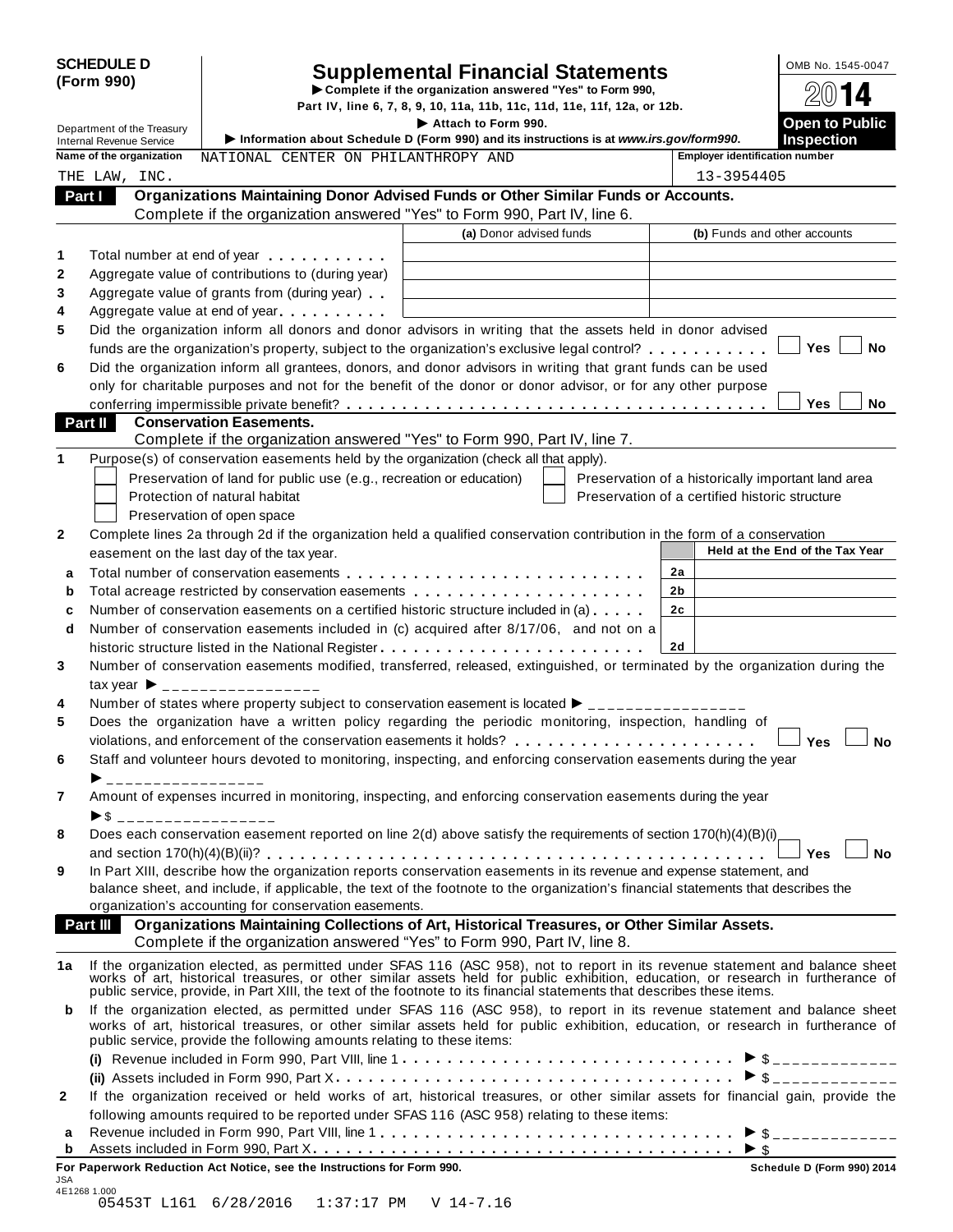| <b>SCHEDULE D</b> |  |
|-------------------|--|
| (Form 990)        |  |

# **Supplemental Financial Statements**<br>
Complete if the organization answered "Yes" to Form 990,<br>
Part IV, line 6, 7, 8, 9, 10, 11a, 11b, 11c, 11d, 11e, 11f, 12a, or 12b.

Part IV, line 6, 7, 8, 9, 10, 11a, 11b, 11c, 11d, 11e, 11f, 12a, or 12b.<br>
■ Department of the Treasury **Information shout Schoolule D** (Form 990.<br>
Information shout Schoolule D (Form 990.) and its instructions is at unau **Internal Revenue Service** III information about Schedule D (Form 990) and its instructions is at *www.irs.gov/form990*. Inspection<br>Inspection Internal Revenue Service Insurances in the Instructions of the *instructions* **Name of the organization** MATIONAL CENTER ON PHILANTHROPY AND **Final Propertion Employer** identification number **Organizations Maintaining Donor Advised Funds or Other Similar Funds or Accounts. Part I Complete if the organization answered "Yes" to Form 990, Part IV, line 6.<br>Complete if the organization answered "Yes" to Form 990, Part IV, line 6. (a)** Donor advised funds **(b)** Funds and other accounts **1 2 3 4 5 6** Total number at end of year  $\dots\dots\dots\dots$ Aggregate value of contributions to (during year) Aggregate value of contributions to (during year)<br>Aggregate value of grants from (during year) Aggregate value of grants from (during year)<br>Aggregate value at end of year Did the organization inform all donors and donor advisors in writing that the assets held in donor advised funds are the organization's property, subject to the organization's exclusive legal control? **mature m** m m m m m **Yes**  $\Box$  **No** Did the organization inform all grantees, donors, and donor advisors in writing that grant funds can be used only for charitable purposes and not for the benefit of the donor or donor advisor, or for any other purpose conferring impermissible private benefit? m m m m m m m m m m m m m m m m m m m m m m m m m m m m m m m m m m m m m m **Yes No Conservation Easements. Part II Conservation Easements.**<br>Complete if the organization answered "Yes" to Form 990, Part IV, line 7. **1** Purpose(s) of conservation easements held by the organization (check all that apply). Preservation of land for public use (e.g., recreation or education) Protection of natural habitat Preservation of open space Preservation of a historically important land area Preservation of a certified historic structure **2** Complete lines 2a through 2d if the organization held a qualified conservation contribution in the form of a conservation easement on the last day of the tax year. **Held at the End** of the Tax Year **2a 2b 2c 2d** easement on the last day of the tax year.<br>**a** Total number of conservation easements **...........................**. **a** Total number of conservation easements ............................<br>**b** Total acreage restricted by conservation easements ..................... **b** Total acreage restricted by conservation easements<br>**c** Number of conservation easements on a certified historic structure included in (a) . . . . . . **d** Number of conservation easements included in (c) acquired after 8/17/06, and not on a | historic structure listed in the National Register m m m m m m m m m m m m m m m m m m m m m m m m **3 4 5 6 7 8 9** Number of conservation easements modified, transferred, released, extinguished, or terminated by the organization during the  $\mathsf{tax}$  vear  $\blacktriangleright$ Number of states where property subject to conservation easement is located  $\blacktriangleright$  \_\_\_\_\_\_\_\_\_\_ Does the organization have a written policy regarding the periodic monitoring, inspection, handling of violations, and enforcement of the conservation easements it holds? musican man m m m m m m m m m m m m w w m m Staff and volunteer hours devoted to monitoring, inspecting, and enforcing conservation easements during the year Amount of expenses incurred in monitoring, inspecting, and enforcing conservation easements during the year I \$ Does each conservation easement reported on line 2(d) above satisfy the requirements of section 170(h)(4)(B)(i) Does each conservation easement reported on line 2(d) above satisty the requirements of section 170(h)(4)(B)(i)<br>and section 170(h)(4)(B)(ii)?<br>. ▶ .\_\_\_\_\_\_\_\_\_\_\_\_\_\_\_\_\_\_ In Part XIII, describe how the organization reports conservation easements in its revenue and expense statement, and balance sheet, and include, if applicable, the text of the footnote to the organization's financial statements that describes the organization's accounting for conservation easements. **Organizations Maintaining Collections of Art, Historical Treasures, or Other Similar Assets. Part III Organizations Maintaining Collections of Art, Historical Treasures, or C** Complete if the organization answered "Yes" to Form 990, Part IV, line 8. 1a If the organization elected, as permitted under SFAS 116 (ASC 958), not to report in its revenue statement and balance sheet<br>works of art, historical treasures, or other similar assets held for public exhibition, educat public service, provide, in Part XIII, the text of the footnote to its financial statements that describes these items. **b** If the organization elected, as permitted under SFAS 116 (ASC 958), to report in its revenue statement and balance sheet works of art, historical treasures, or other similar assets held for public exhibition, education, or research in furtherance of public service, provide the following amounts relating to these items: **(i)** I Revenue included in Form 990, Part VIII, line 1 m m m m m m m m m m m m m m m m m m m m m m m m m m m m m m \$ **(ii)** Assets included in Form 990, Part X m m m m m m m m m m m m m m m m m m m m m m m m m m m m m m m m m m m m I \$ **2** If the organization received or held works of art, historical treasures, or other similar assets for financial gain, provide the following amounts required to be reported under SFAS 116 (ASC 958) relating to these items: following amounts required to be reported under SFAS 116 (ASC 958) relating to these items:<br>**a** Revenue included in Form 990, Part VIII, line 1 **a** a more continuantly be a series included in Form 000, Dart Y Assets included in Form 990, Part X **<sup>b</sup>** m m m m m m m m m m m m m m m m m m m m m m m m m m m m m m m m m m m m m m I \$ **For Paperwork Reduction Act Notice, see the Instructions for Form 990. Schedule D (Form 990) 2014** THE LAW, INC. 13-3954405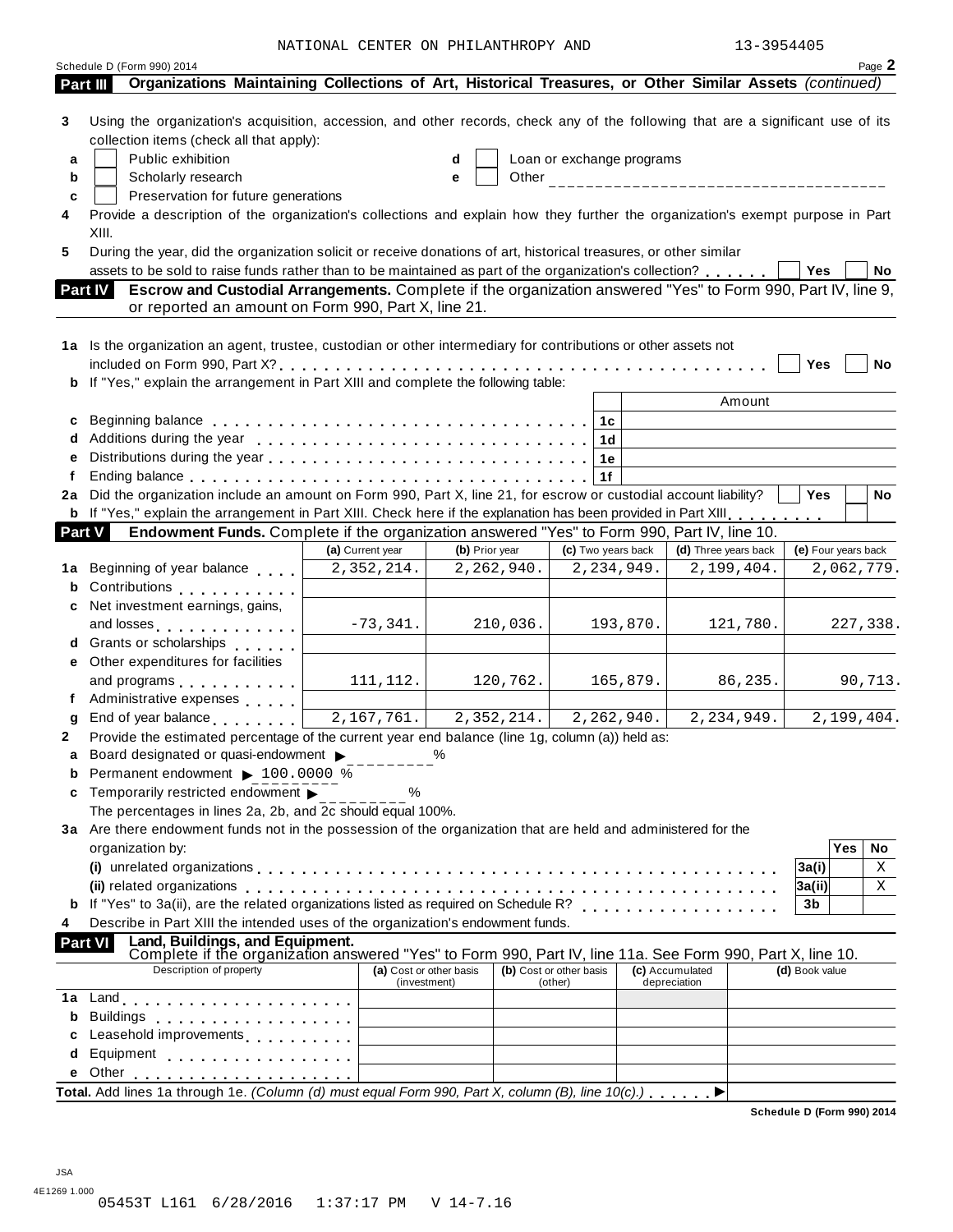NATIONAL CENTER ON PHILANTHROPY AND 13-3954405

|      | Schedule D (Form 990) 2014                                                                                                                                                                                                    |                                                             |                |                                    |                                 |                      |                     |            | Page 2    |
|------|-------------------------------------------------------------------------------------------------------------------------------------------------------------------------------------------------------------------------------|-------------------------------------------------------------|----------------|------------------------------------|---------------------------------|----------------------|---------------------|------------|-----------|
|      | Organizations Maintaining Collections of Art, Historical Treasures, or Other Similar Assets (continued)<br>Part III                                                                                                           |                                                             |                |                                    |                                 |                      |                     |            |           |
| 3    | Using the organization's acquisition, accession, and other records, check any of the following that are a significant use of its                                                                                              |                                                             |                |                                    |                                 |                      |                     |            |           |
|      | collection items (check all that apply):                                                                                                                                                                                      |                                                             |                |                                    |                                 |                      |                     |            |           |
| a    | Public exhibition                                                                                                                                                                                                             |                                                             | d              | Loan or exchange programs          |                                 |                      |                     |            |           |
| b    | Scholarly research                                                                                                                                                                                                            |                                                             | e              |                                    |                                 |                      |                     |            |           |
| C    | Preservation for future generations                                                                                                                                                                                           |                                                             |                |                                    |                                 |                      |                     |            |           |
| 4    | Provide a description of the organization's collections and explain how they further the organization's exempt purpose in Part                                                                                                |                                                             |                |                                    |                                 |                      |                     |            |           |
|      | XIII.                                                                                                                                                                                                                         |                                                             |                |                                    |                                 |                      |                     |            |           |
| 5    | During the year, did the organization solicit or receive donations of art, historical treasures, or other similar                                                                                                             |                                                             |                |                                    |                                 |                      |                     |            |           |
|      | assets to be sold to raise funds rather than to be maintained as part of the organization's collection?                                                                                                                       |                                                             |                |                                    |                                 |                      | <b>Yes</b>          |            | No        |
|      | Escrow and Custodial Arrangements. Complete if the organization answered "Yes" to Form 990, Part IV, line 9,<br><b>Part IV</b>                                                                                                |                                                             |                |                                    |                                 |                      |                     |            |           |
|      | or reported an amount on Form 990, Part X, line 21.                                                                                                                                                                           |                                                             |                |                                    |                                 |                      |                     |            |           |
|      | 1a Is the organization an agent, trustee, custodian or other intermediary for contributions or other assets not                                                                                                               |                                                             |                |                                    |                                 |                      |                     |            |           |
|      |                                                                                                                                                                                                                               |                                                             |                |                                    |                                 |                      | <b>Yes</b>          |            | <b>No</b> |
|      | b If "Yes," explain the arrangement in Part XIII and complete the following table:                                                                                                                                            |                                                             |                |                                    |                                 |                      |                     |            |           |
|      |                                                                                                                                                                                                                               |                                                             |                |                                    |                                 | Amount               |                     |            |           |
| c    |                                                                                                                                                                                                                               |                                                             |                | 1c                                 |                                 |                      |                     |            |           |
| d    |                                                                                                                                                                                                                               |                                                             |                | 1d                                 |                                 |                      |                     |            |           |
| е    |                                                                                                                                                                                                                               |                                                             |                | 1е                                 |                                 |                      |                     |            |           |
| f    |                                                                                                                                                                                                                               |                                                             |                | 1f                                 |                                 |                      |                     |            |           |
| 2a l | Did the organization include an amount on Form 990, Part X, line 21, for escrow or custodial account liability?                                                                                                               |                                                             |                |                                    |                                 |                      | <b>Yes</b>          |            | No        |
|      | b If "Yes," explain the arrangement in Part XIII. Check here if the explanation has been provided in Part XIII.                                                                                                               |                                                             |                |                                    |                                 |                      |                     |            |           |
|      | Endowment Funds. Complete if the organization answered "Yes" to Form 990, Part IV, line 10.<br><b>Part V</b>                                                                                                                  |                                                             |                |                                    |                                 |                      |                     |            |           |
|      |                                                                                                                                                                                                                               | (a) Current year                                            | (b) Prior year | (c) Two years back                 |                                 | (d) Three years back | (e) Four years back |            |           |
|      | 1a Beginning of year balance                                                                                                                                                                                                  | 2,352,214.                                                  | 2,262,940.     | 2,234,949.                         |                                 | 2,199,404.           |                     | 2,062,779. |           |
| b    | Contributions                                                                                                                                                                                                                 |                                                             |                |                                    |                                 |                      |                     |            |           |
| c    | Net investment earnings, gains,                                                                                                                                                                                               |                                                             |                |                                    |                                 |                      |                     |            |           |
|      | and losses                                                                                                                                                                                                                    | $-73,341.$                                                  | 210,036.       |                                    | 193,870.                        | 121,780.             |                     |            | 227,338.  |
|      | d Grants or scholarships entitled as a set of the set of the set of the set of the set of the set of the set of the set of the set of the set of the set of the set of the set of the set of the set of the set of the set of |                                                             |                |                                    |                                 |                      |                     |            |           |
|      | e Other expenditures for facilities                                                                                                                                                                                           |                                                             |                |                                    |                                 |                      |                     |            |           |
|      | and programs entitled and programs                                                                                                                                                                                            | 111, 112.                                                   | 120,762.       |                                    | 165,879.                        | 86,235.              |                     |            | 90,713.   |
| f    | Administrative expenses                                                                                                                                                                                                       |                                                             |                |                                    |                                 |                      |                     |            |           |
| g    | End of year balance                                                                                                                                                                                                           | $\overline{2,167,761.}$ 2,352,214.                          |                | 2,262,940.                         |                                 | 2,234,949.           |                     | 2,199,404. |           |
| 2    | Provide the estimated percentage of the current year end balance (line 1g, column (a)) held as:                                                                                                                               |                                                             |                |                                    |                                 |                      |                     |            |           |
|      | Board designated or quasi-endowment                                                                                                                                                                                           |                                                             |                |                                    |                                 |                      |                     |            |           |
|      | <b>b</b> Permanent endowment $\triangleright$ 100.0000 %                                                                                                                                                                      |                                                             |                |                                    |                                 |                      |                     |            |           |
| c    | Temporarily restricted endowment                                                                                                                                                                                              | ℅                                                           |                |                                    |                                 |                      |                     |            |           |
|      | The percentages in lines 2a, 2b, and 2c should equal 100%.                                                                                                                                                                    |                                                             |                |                                    |                                 |                      |                     |            |           |
|      | 3a Are there endowment funds not in the possession of the organization that are held and administered for the                                                                                                                 |                                                             |                |                                    |                                 |                      |                     |            |           |
|      | organization by:                                                                                                                                                                                                              |                                                             |                |                                    |                                 |                      |                     | <b>Yes</b> | No        |
|      |                                                                                                                                                                                                                               |                                                             |                |                                    |                                 |                      | 3a(i)               |            | Χ         |
|      |                                                                                                                                                                                                                               |                                                             |                |                                    |                                 |                      | 3a(ii)              |            | X         |
|      |                                                                                                                                                                                                                               |                                                             |                |                                    |                                 |                      | 3 <sub>b</sub>      |            |           |
| 4    | Describe in Part XIII the intended uses of the organization's endowment funds.                                                                                                                                                |                                                             |                |                                    |                                 |                      |                     |            |           |
|      | Land, Buildings, and Equipment.<br>Complete if the organization answered "Yes" to Form 990, Part IV, line 11a. See Form 990, Part X, line 10.<br>Part VI                                                                      |                                                             |                |                                    |                                 |                      |                     |            |           |
|      |                                                                                                                                                                                                                               |                                                             |                |                                    |                                 |                      |                     |            |           |
|      | Description of property                                                                                                                                                                                                       | (a) Cost or other basis<br>(investment)                     |                | (b) Cost or other basis<br>(other) | (c) Accumulated<br>depreciation |                      | (d) Book value      |            |           |
|      |                                                                                                                                                                                                                               |                                                             |                |                                    |                                 |                      |                     |            |           |
| 1a   |                                                                                                                                                                                                                               |                                                             |                |                                    |                                 |                      |                     |            |           |
| b    |                                                                                                                                                                                                                               | the control of the control of the control of the control of |                |                                    |                                 |                      |                     |            |           |
| c    | Buildings                                                                                                                                                                                                                     |                                                             |                |                                    |                                 |                      |                     |            |           |
| d    | Leasehold improvements entitled and the set of                                                                                                                                                                                |                                                             |                |                                    |                                 |                      |                     |            |           |
| е    | Equipment explorer and the end of the state of the state of the state of the state of the state of the state o                                                                                                                |                                                             |                |                                    |                                 |                      |                     |            |           |

**Schedule D (Form 990) 2014**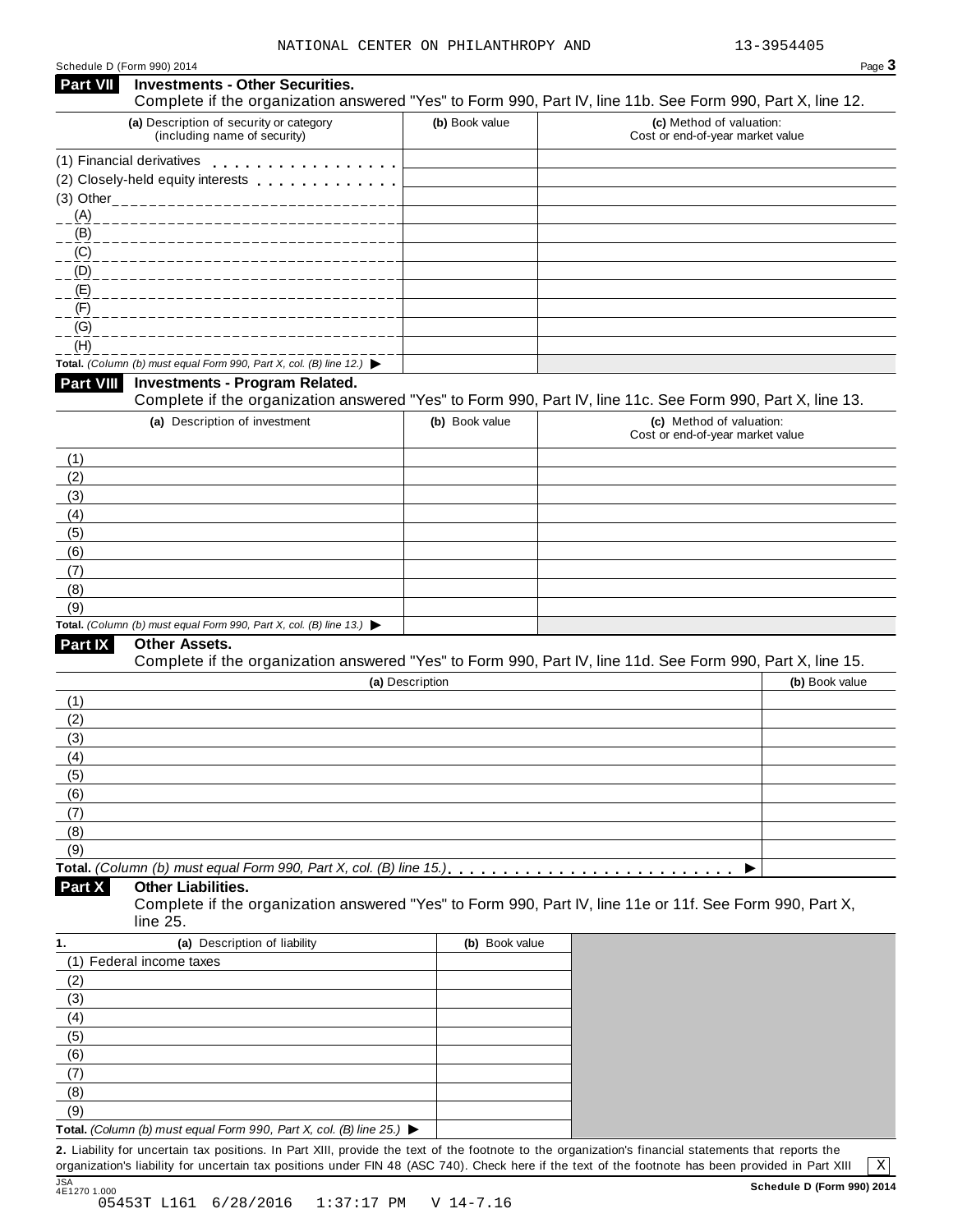| <b>Part VII</b>                                         | Schedule D (Form 990) 2014<br><b>Investments - Other Securities.</b>                                                                                                                                                           |                 | Page 3                                                                                                     |
|---------------------------------------------------------|--------------------------------------------------------------------------------------------------------------------------------------------------------------------------------------------------------------------------------|-----------------|------------------------------------------------------------------------------------------------------------|
|                                                         |                                                                                                                                                                                                                                |                 | Complete if the organization answered "Yes" to Form 990, Part IV, line 11b. See Form 990, Part X, line 12. |
|                                                         | (a) Description of security or category<br>(including name of security)                                                                                                                                                        | (b) Book value  | (c) Method of valuation:<br>Cost or end-of-year market value                                               |
|                                                         | (1) Financial derivatives                                                                                                                                                                                                      |                 |                                                                                                            |
|                                                         | (2) Closely-held equity interests entitled as a set of the control of the control of the control of the control of the control of the control of the control of the control of the control of the control of the control of th |                 |                                                                                                            |
|                                                         |                                                                                                                                                                                                                                |                 |                                                                                                            |
| (A)                                                     |                                                                                                                                                                                                                                |                 |                                                                                                            |
| (B)                                                     |                                                                                                                                                                                                                                |                 |                                                                                                            |
| $\underline{(C)}$                                       |                                                                                                                                                                                                                                |                 |                                                                                                            |
| (D)                                                     |                                                                                                                                                                                                                                |                 |                                                                                                            |
| (E)                                                     |                                                                                                                                                                                                                                |                 |                                                                                                            |
| (F)<br>(G)                                              |                                                                                                                                                                                                                                |                 |                                                                                                            |
| (H)                                                     |                                                                                                                                                                                                                                |                 |                                                                                                            |
|                                                         | Total. (Column (b) must equal Form 990, Part X, col. (B) line 12.) $\blacktriangleright$                                                                                                                                       |                 |                                                                                                            |
| Part VIII                                               | <b>Investments - Program Related.</b>                                                                                                                                                                                          |                 |                                                                                                            |
|                                                         |                                                                                                                                                                                                                                |                 | Complete if the organization answered "Yes" to Form 990, Part IV, line 11c. See Form 990, Part X, line 13. |
|                                                         | (a) Description of investment                                                                                                                                                                                                  | (b) Book value  | (c) Method of valuation:                                                                                   |
|                                                         |                                                                                                                                                                                                                                |                 | Cost or end-of-year market value                                                                           |
| (1)                                                     |                                                                                                                                                                                                                                |                 |                                                                                                            |
| (2)                                                     |                                                                                                                                                                                                                                |                 |                                                                                                            |
| (3)                                                     |                                                                                                                                                                                                                                |                 |                                                                                                            |
| (4)                                                     |                                                                                                                                                                                                                                |                 |                                                                                                            |
| (5)                                                     |                                                                                                                                                                                                                                |                 |                                                                                                            |
| (6)                                                     |                                                                                                                                                                                                                                |                 |                                                                                                            |
| (7)                                                     |                                                                                                                                                                                                                                |                 |                                                                                                            |
| (8)                                                     |                                                                                                                                                                                                                                |                 |                                                                                                            |
| (9)                                                     |                                                                                                                                                                                                                                |                 |                                                                                                            |
|                                                         | Total. (Column (b) must equal Form 990, Part X, col. (B) line 13.) $\blacktriangleright$<br><b>Other Assets.</b>                                                                                                               |                 |                                                                                                            |
| Part IX                                                 |                                                                                                                                                                                                                                |                 | Complete if the organization answered "Yes" to Form 990, Part IV, line 11d. See Form 990, Part X, line 15. |
|                                                         |                                                                                                                                                                                                                                | (a) Description | (b) Book value                                                                                             |
| (1)                                                     |                                                                                                                                                                                                                                |                 |                                                                                                            |
| (2)                                                     |                                                                                                                                                                                                                                |                 |                                                                                                            |
|                                                         |                                                                                                                                                                                                                                |                 |                                                                                                            |
|                                                         |                                                                                                                                                                                                                                |                 |                                                                                                            |
|                                                         |                                                                                                                                                                                                                                |                 |                                                                                                            |
|                                                         |                                                                                                                                                                                                                                |                 |                                                                                                            |
|                                                         |                                                                                                                                                                                                                                |                 |                                                                                                            |
|                                                         |                                                                                                                                                                                                                                |                 |                                                                                                            |
|                                                         |                                                                                                                                                                                                                                |                 |                                                                                                            |
|                                                         |                                                                                                                                                                                                                                |                 |                                                                                                            |
|                                                         |                                                                                                                                                                                                                                |                 | ▶                                                                                                          |
| (3)<br>(4)<br>(5)<br>(6)<br>(7)<br>(8)<br>(9)<br>Part X | <b>Other Liabilities.</b>                                                                                                                                                                                                      |                 | Complete if the organization answered "Yes" to Form 990, Part IV, line 11e or 11f. See Form 990, Part X,   |
|                                                         | line 25.                                                                                                                                                                                                                       |                 |                                                                                                            |
|                                                         | (a) Description of liability<br>(1) Federal income taxes                                                                                                                                                                       | (b) Book value  |                                                                                                            |
|                                                         |                                                                                                                                                                                                                                |                 |                                                                                                            |
|                                                         |                                                                                                                                                                                                                                |                 |                                                                                                            |
|                                                         |                                                                                                                                                                                                                                |                 |                                                                                                            |
|                                                         |                                                                                                                                                                                                                                |                 |                                                                                                            |
|                                                         |                                                                                                                                                                                                                                |                 |                                                                                                            |
|                                                         |                                                                                                                                                                                                                                |                 |                                                                                                            |
|                                                         |                                                                                                                                                                                                                                |                 |                                                                                                            |
| (2)<br>(3)<br>(4)<br>(5)<br>(6)<br>(7)<br>(8)<br>(9)    | Total. (Column (b) must equal Form 990, Part X, col. (B) line 25.) $\blacktriangleright$                                                                                                                                       |                 |                                                                                                            |

organization's liability for uncertain tax positions under FIN 48 (ASC 740). Check here ifthe text of the footnote has been provided in Part XIII

X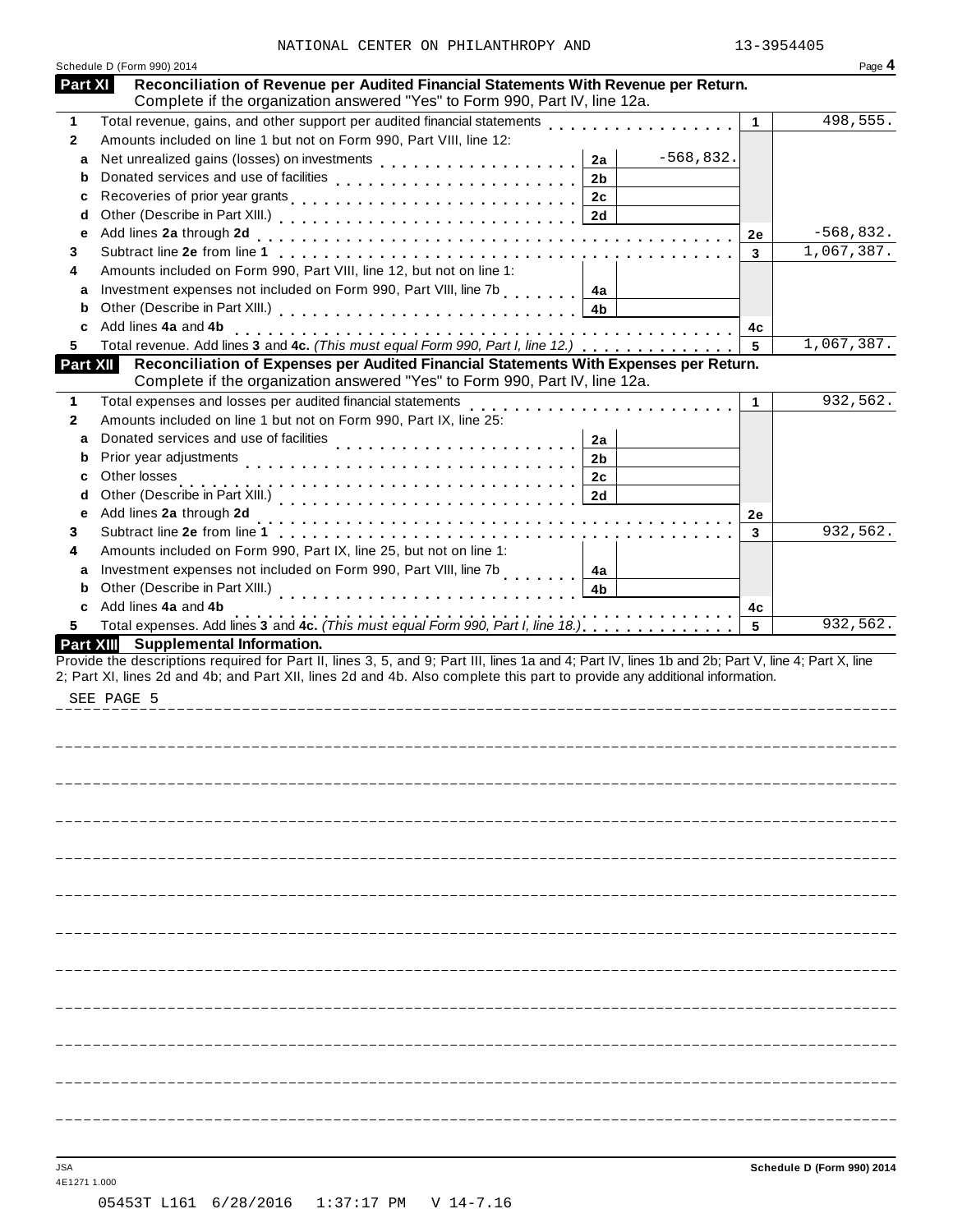|              | Schedule D (Form 990) 2014                                                                                                                                                                                                                                                                     |    | Page 4      |
|--------------|------------------------------------------------------------------------------------------------------------------------------------------------------------------------------------------------------------------------------------------------------------------------------------------------|----|-------------|
| Part XI      | Reconciliation of Revenue per Audited Financial Statements With Revenue per Return.<br>Complete if the organization answered "Yes" to Form 990, Part IV, line 12a.                                                                                                                             |    |             |
| $\mathbf 1$  | Total revenue, gains, and other support per audited financial statements                                                                                                                                                                                                                       | 1  | 498,555.    |
| $\mathbf{2}$ | Amounts included on line 1 but not on Form 990, Part VIII, line 12:                                                                                                                                                                                                                            |    |             |
| a            | $-568,832.$<br>2a                                                                                                                                                                                                                                                                              |    |             |
| b            | Donated services and use of facilities<br>2 <sub>b</sub>                                                                                                                                                                                                                                       |    |             |
| c            | 2c                                                                                                                                                                                                                                                                                             |    |             |
| d            | 2d                                                                                                                                                                                                                                                                                             |    |             |
| e            |                                                                                                                                                                                                                                                                                                | 2e | $-568,832.$ |
| 3            |                                                                                                                                                                                                                                                                                                | 3  | 1,067,387.  |
| 4            | Amounts included on Form 990, Part VIII, line 12, but not on line 1:                                                                                                                                                                                                                           |    |             |
| a            | Investment expenses not included on Form 990, Part VIII, line 7b<br>4a                                                                                                                                                                                                                         |    |             |
| b            | 4b                                                                                                                                                                                                                                                                                             |    |             |
| c            | Add lines 4a and 4b                                                                                                                                                                                                                                                                            | 4c |             |
| 5.           | Total revenue. Add lines 3 and 4c. (This must equal Form 990, Part I, line 12.)                                                                                                                                                                                                                | 5  | 1,067,387.  |
| Part XII     | Reconciliation of Expenses per Audited Financial Statements With Expenses per Return.<br>Complete if the organization answered "Yes" to Form 990, Part IV, line 12a.                                                                                                                           |    |             |
| $\mathbf 1$  | Total expenses and losses per audited financial statements                                                                                                                                                                                                                                     | 1  | 932,562.    |
| $\mathbf{2}$ | Amounts included on line 1 but not on Form 990, Part IX, line 25:                                                                                                                                                                                                                              |    |             |
| a            | Donated services and use of facilities<br>2a                                                                                                                                                                                                                                                   |    |             |
| b            | Prior year adjustments<br>2 <sub>b</sub>                                                                                                                                                                                                                                                       |    |             |
| c            | Other losses<br>2c                                                                                                                                                                                                                                                                             |    |             |
| d            | 2d                                                                                                                                                                                                                                                                                             |    |             |
| е            | Add lines 2a through 2d                                                                                                                                                                                                                                                                        | 2e |             |
| 3            |                                                                                                                                                                                                                                                                                                | 3  | 932,562.    |
| 4            | Amounts included on Form 990, Part IX, line 25, but not on line 1:                                                                                                                                                                                                                             |    |             |
| a            | Investment expenses not included on Form 990, Part VIII, line 7b<br>4a                                                                                                                                                                                                                         |    |             |
| b            | Other (Describe in Part XIII.)<br>4b                                                                                                                                                                                                                                                           |    |             |
| c            | Add lines 4a and 4b                                                                                                                                                                                                                                                                            | 4c |             |
| 5.           | Total expenses. Add lines 3 and 4c. (This must equal Form 990, Part I, line 18.)                                                                                                                                                                                                               | 5  | 932,562.    |
|              | Provide the descriptions required for Part II, lines 3, 5, and 9; Part III, lines 1a and 4; Part IV, lines 1b and 2b; Part V, line 4; Part X, line<br>2; Part XI, lines 2d and 4b; and Part XII, lines 2d and 4b. Also complete this part to provide any additional information.<br>SEE PAGE 5 |    |             |
|              |                                                                                                                                                                                                                                                                                                |    |             |
|              |                                                                                                                                                                                                                                                                                                |    |             |
|              |                                                                                                                                                                                                                                                                                                |    |             |
|              |                                                                                                                                                                                                                                                                                                |    |             |
|              |                                                                                                                                                                                                                                                                                                |    |             |
|              |                                                                                                                                                                                                                                                                                                |    |             |
|              |                                                                                                                                                                                                                                                                                                |    |             |
|              |                                                                                                                                                                                                                                                                                                |    |             |
|              |                                                                                                                                                                                                                                                                                                |    |             |
|              |                                                                                                                                                                                                                                                                                                |    |             |
|              |                                                                                                                                                                                                                                                                                                |    |             |
|              |                                                                                                                                                                                                                                                                                                |    |             |
|              |                                                                                                                                                                                                                                                                                                |    |             |
|              |                                                                                                                                                                                                                                                                                                |    |             |

4E1271 1.000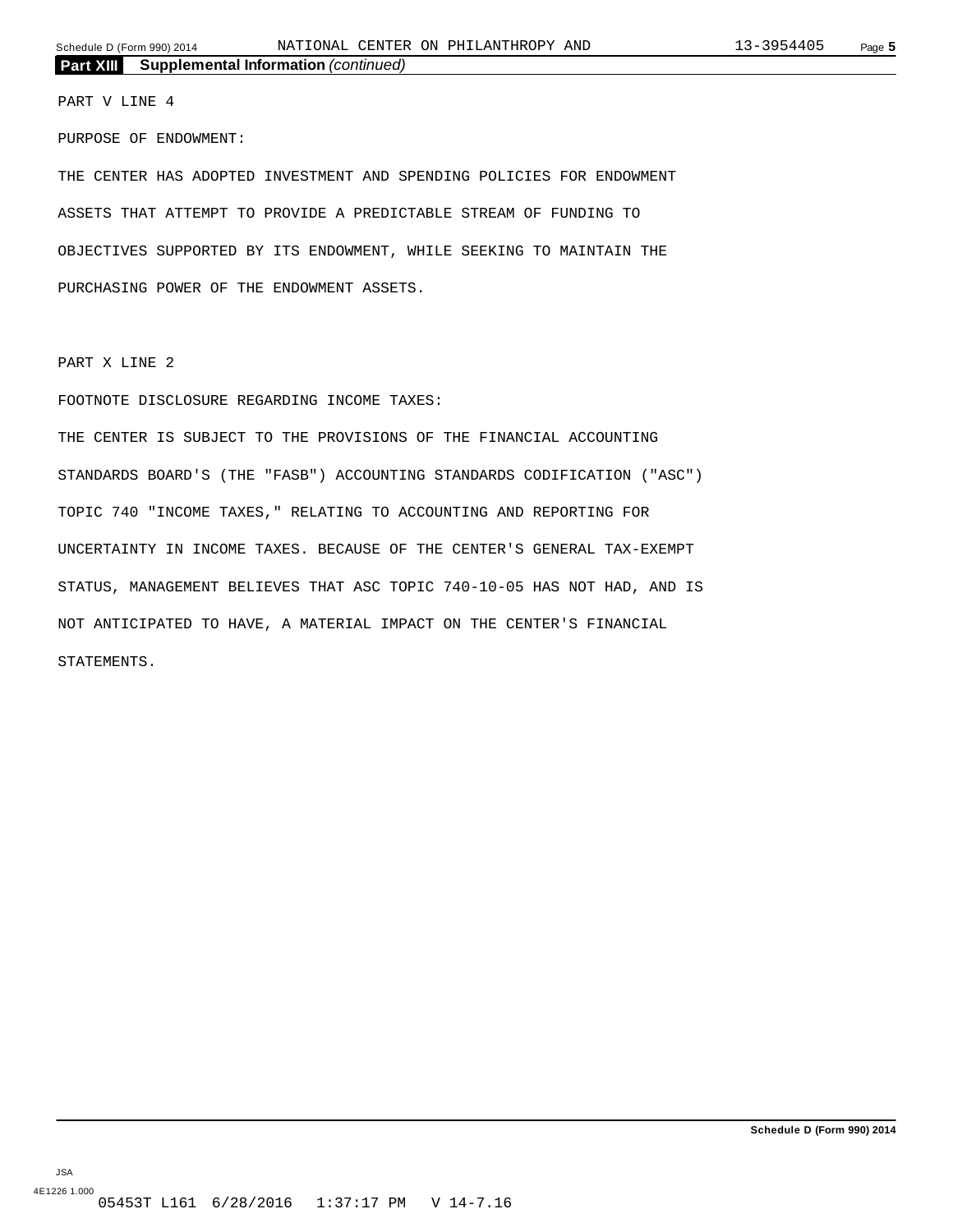#### PART V LINE 4

PURPOSE OF ENDOWMENT:

THE CENTER HAS ADOPTED INVESTMENT AND SPENDING POLICIES FOR ENDOWMENT ASSETS THAT ATTEMPT TO PROVIDE A PREDICTABLE STREAM OF FUNDING TO OBJECTIVES SUPPORTED BY ITS ENDOWMENT, WHILE SEEKING TO MAINTAIN THE PURCHASING POWER OF THE ENDOWMENT ASSETS.

PART X LINE 2

#### FOOTNOTE DISCLOSURE REGARDING INCOME TAXES:

THE CENTER IS SUBJECT TO THE PROVISIONS OF THE FINANCIAL ACCOUNTING STANDARDS BOARD'S (THE "FASB") ACCOUNTING STANDARDS CODIFICATION ("ASC") TOPIC 740 "INCOME TAXES," RELATING TO ACCOUNTING AND REPORTING FOR UNCERTAINTY IN INCOME TAXES. BECAUSE OF THE CENTER'S GENERAL TAX-EXEMPT STATUS, MANAGEMENT BELIEVES THAT ASC TOPIC 740-10-05 HAS NOT HAD, AND IS NOT ANTICIPATED TO HAVE, A MATERIAL IMPACT ON THE CENTER'S FINANCIAL STATEMENTS.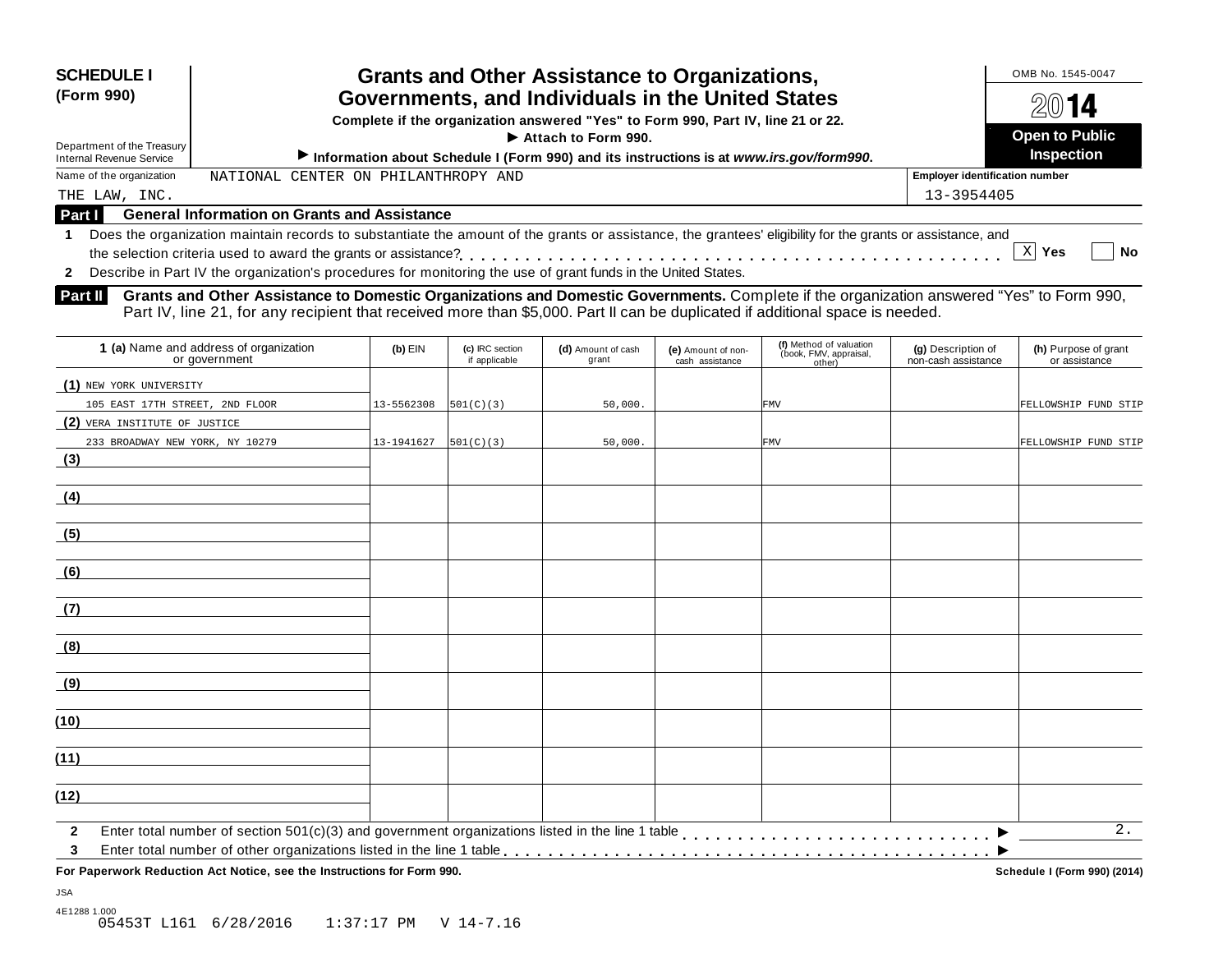| <b>SCHEDULE I</b><br>(Form 990)                               | <b>Grants and Other Assistance to Organizations,</b><br>Governments, and Individuals in the United States<br>Complete if the organization answered "Yes" to Form 990, Part IV, line 21 or 22.<br>Attach to Form 990. | OMB No. 1545-0047<br>2014<br><b>Open to Public</b> |
|---------------------------------------------------------------|----------------------------------------------------------------------------------------------------------------------------------------------------------------------------------------------------------------------|----------------------------------------------------|
| Department of the Treasury<br><b>Internal Revenue Service</b> | Information about Schedule I (Form 990) and its instructions is at www.irs.gov/form990.                                                                                                                              | <b>Inspection</b>                                  |
| Name of the organization                                      | NATIONAL CENTER ON PHILANTHROPY AND                                                                                                                                                                                  | <b>Employer identification number</b>              |
| THE LAW, INC.                                                 |                                                                                                                                                                                                                      | 13-3954405                                         |
| Part I                                                        | <b>General Information on Grants and Assistance</b>                                                                                                                                                                  |                                                    |
|                                                               | Does the organization maintain records to substantiate the amount of the grants or assistance, the grantees' eligibility for the grants or assistance, and                                                           | $\mathbf{X}$<br><b>No</b><br>Yes                   |
|                                                               | Describe in Part IV the organization's procedures for monitoring the use of grant funds in the United States.                                                                                                        |                                                    |

**Part II** Grants and Other Assistance to Domestic Organizations and Domestic Governments. Complete if the organization answered "Yes" to Form 990,<br>Part IV, line 21, for any recipient that received more than \$5,000. Part II

| 1 (a) Name and address of organization<br>or government                     | $(b)$ EIN  | (c) IRC section<br>if applicable | (d) Amount of cash<br>grant | (e) Amount of non-<br>cash assistance | (f) Method of valuation<br>(book, FMV, appraisal,<br>other) | (g) Description of<br>non-cash assistance | (h) Purpose of grant<br>or assistance |
|-----------------------------------------------------------------------------|------------|----------------------------------|-----------------------------|---------------------------------------|-------------------------------------------------------------|-------------------------------------------|---------------------------------------|
| (1) NEW YORK UNIVERSITY                                                     |            |                                  |                             |                                       |                                                             |                                           |                                       |
| 105 EAST 17TH STREET, 2ND FLOOR                                             | 13-5562308 | 501(C)(3)                        | 50,000.                     |                                       | <b>FMV</b>                                                  |                                           | FELLOWSHIP FUND STIP                  |
| (2) VERA INSTITUTE OF JUSTICE                                               |            |                                  |                             |                                       |                                                             |                                           |                                       |
| 233 BROADWAY NEW YORK, NY 10279                                             | 13-1941627 | 501(C)(3)                        | 50,000.                     |                                       | <b>FMV</b>                                                  |                                           | FELLOWSHIP FUND STIP                  |
| (3)                                                                         |            |                                  |                             |                                       |                                                             |                                           |                                       |
| (4)                                                                         |            |                                  |                             |                                       |                                                             |                                           |                                       |
| (5)<br><u> 1980 - Jan Samuel Barbara, politik e</u> ta p                    |            |                                  |                             |                                       |                                                             |                                           |                                       |
| (6)<br><u> 1989 - Andrea Station Barbara, amerikan personal (h. 1989)</u>   |            |                                  |                             |                                       |                                                             |                                           |                                       |
| (7)                                                                         |            |                                  |                             |                                       |                                                             |                                           |                                       |
| (8)                                                                         |            |                                  |                             |                                       |                                                             |                                           |                                       |
| (9)                                                                         |            |                                  |                             |                                       |                                                             |                                           |                                       |
| (10)<br><u> 1980 - Andrea Andrew Maria (h. 1980).</u>                       |            |                                  |                             |                                       |                                                             |                                           |                                       |
| (11)                                                                        |            |                                  |                             |                                       |                                                             |                                           |                                       |
| (12)                                                                        |            |                                  |                             |                                       |                                                             |                                           |                                       |
| $\mathbf{2}$                                                                |            |                                  |                             |                                       |                                                             |                                           | 2.                                    |
| 3<br>For Paperwork Reduction Act Notice, see the Instructions for Form 990. |            |                                  |                             |                                       |                                                             |                                           | Schedule I (Form 990) (2014)          |

4E1288 1.000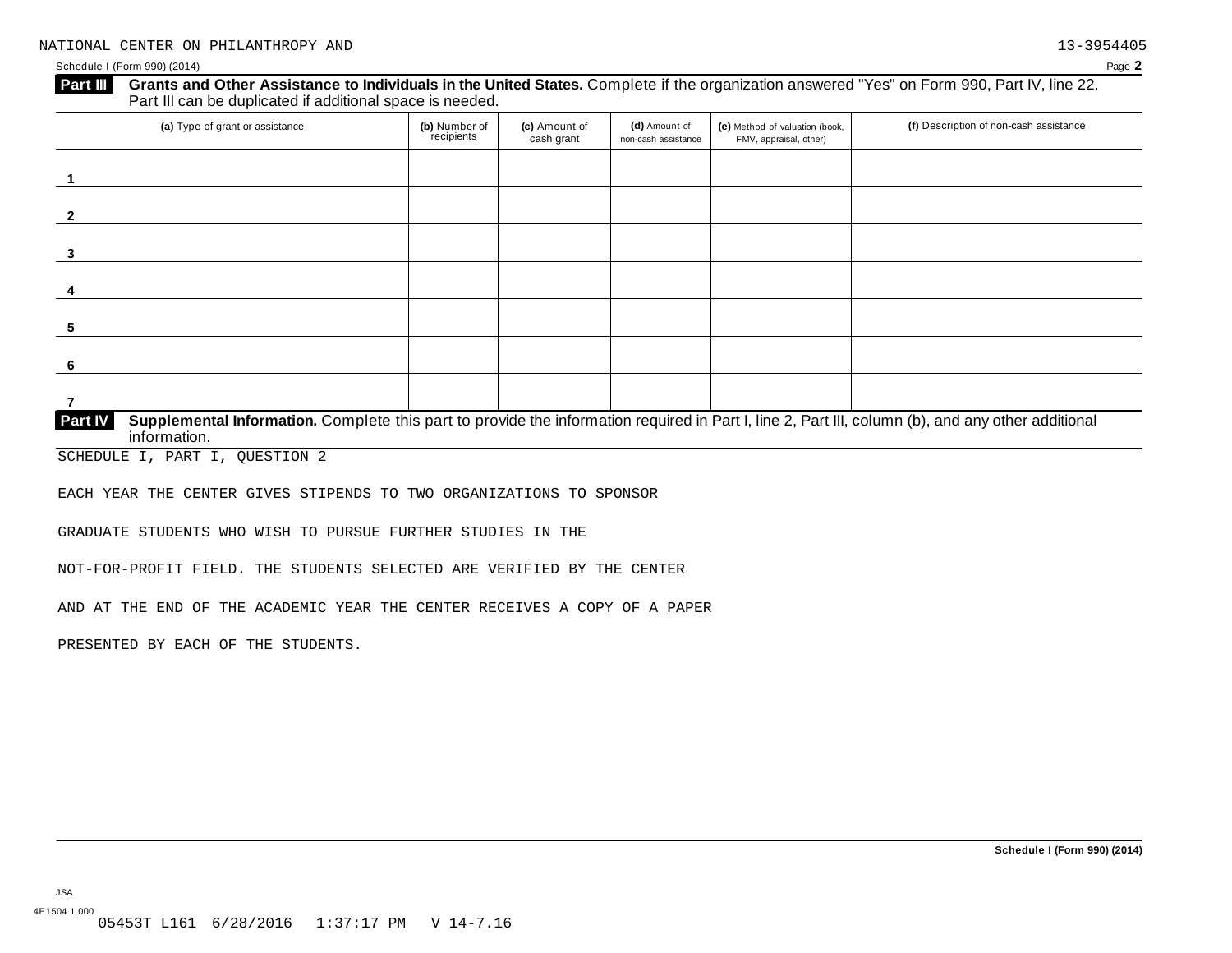#### Schedule I (Form 990) (2014) Page **2**

| (a) Type of grant or assistance | (b) Number of<br>recipients | (c) Amount of<br>cash grant | (d) Amount of<br>non-cash assistance | (e) Method of valuation (book,<br>FMV, appraisal, other) | (f) Description of non-cash assistance |
|---------------------------------|-----------------------------|-----------------------------|--------------------------------------|----------------------------------------------------------|----------------------------------------|
|                                 |                             |                             |                                      |                                                          |                                        |
|                                 |                             |                             |                                      |                                                          |                                        |
|                                 |                             |                             |                                      |                                                          |                                        |
|                                 |                             |                             |                                      |                                                          |                                        |
|                                 |                             |                             |                                      |                                                          |                                        |
|                                 |                             |                             |                                      |                                                          |                                        |
|                                 |                             |                             |                                      |                                                          |                                        |

SCHEDULE I, PART I, QUESTION 2

EACH YEAR THE CENTER GIVES STIPENDS TO TWO ORGANIZATIONS TO SPONSOR

GRADUATE STUDENTS WHO WISH TO PURSUE FURTHER STUDIES IN THE

NOT-FOR-PROFIT FIELD. THE STUDENTS SELECTED ARE VERIFIED BY THE CENTER

AND AT THE END OF THE ACADEMIC YEAR THE CENTER RECEIVES A COPY OF A PAPER

PRESENTED BY EACH OF THE STUDENTS.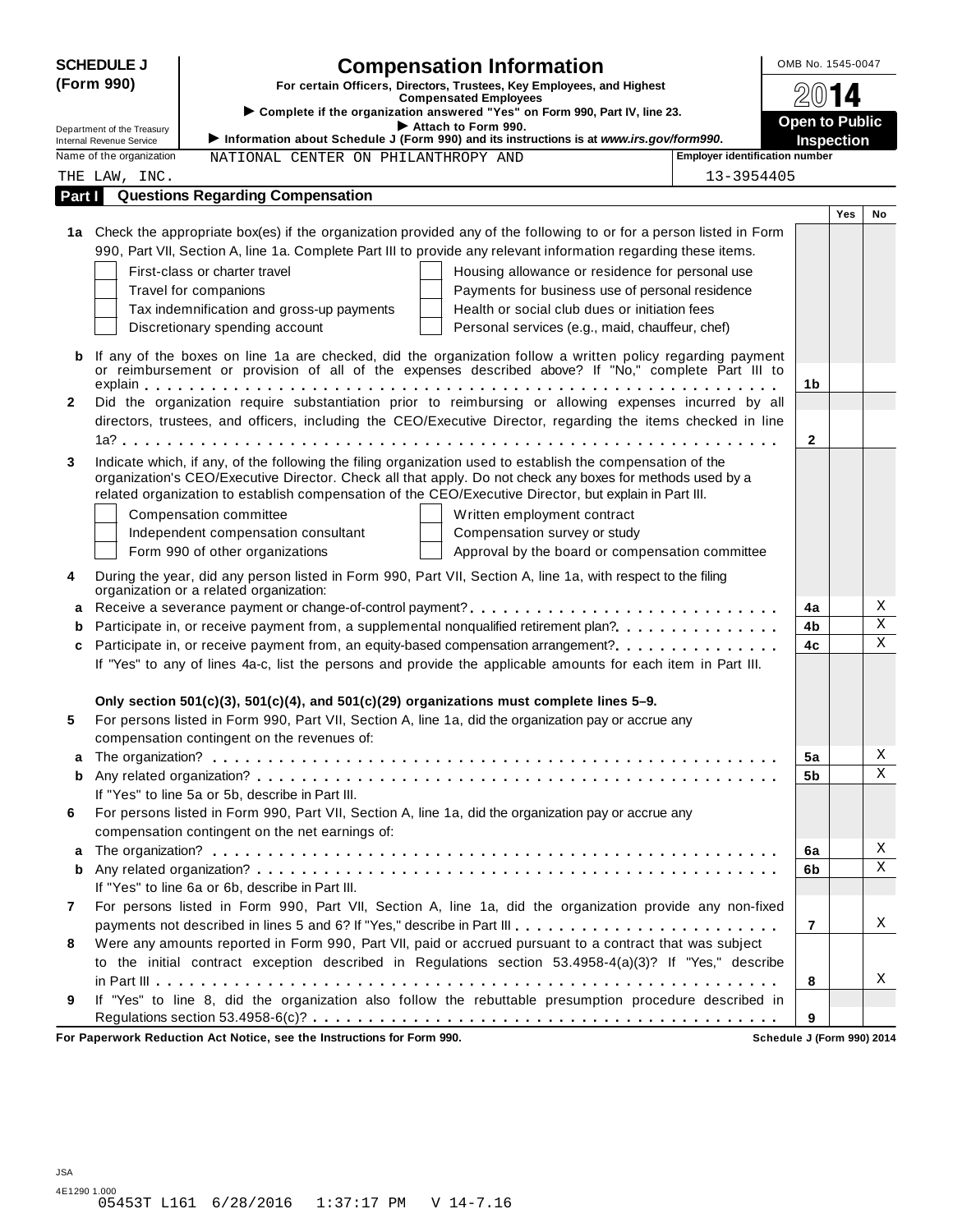|              | <b>SCHEDULE J</b>          |                                                                                                  | <b>Compensation Information</b>                                                                                      | OMB No. 1545-0047     |                   |                                        |
|--------------|----------------------------|--------------------------------------------------------------------------------------------------|----------------------------------------------------------------------------------------------------------------------|-----------------------|-------------------|----------------------------------------|
|              | (Form 990)                 |                                                                                                  | For certain Officers, Directors, Trustees, Key Employees, and Highest                                                |                       |                   |                                        |
|              |                            |                                                                                                  | <b>Compensated Employees</b><br>Complete if the organization answered "Yes" on Form 990, Part IV, line 23.           |                       | 4                 |                                        |
|              | Department of the Treasury |                                                                                                  | Attach to Form 990.                                                                                                  | <b>Open to Public</b> |                   |                                        |
|              | Internal Revenue Service   |                                                                                                  | Information about Schedule J (Form 990) and its instructions is at www.irs.gov/form990.                              |                       | <b>Inspection</b> |                                        |
|              | Name of the organization   | NATIONAL CENTER ON PHILANTHROPY AND                                                              | <b>Employer identification number</b>                                                                                |                       |                   |                                        |
|              | THE LAW, INC.              |                                                                                                  | 13-3954405                                                                                                           |                       |                   |                                        |
| Part I       |                            | <b>Questions Regarding Compensation</b>                                                          |                                                                                                                      |                       |                   |                                        |
|              |                            |                                                                                                  |                                                                                                                      |                       | <b>Yes</b>        | No                                     |
|              |                            |                                                                                                  | 1a Check the appropriate box(es) if the organization provided any of the following to or for a person listed in Form |                       |                   |                                        |
|              |                            |                                                                                                  | 990, Part VII, Section A, line 1a. Complete Part III to provide any relevant information regarding these items.      |                       |                   |                                        |
|              |                            | First-class or charter travel                                                                    | Housing allowance or residence for personal use                                                                      |                       |                   |                                        |
|              |                            | Travel for companions                                                                            | Payments for business use of personal residence                                                                      |                       |                   |                                        |
|              |                            | Tax indemnification and gross-up payments                                                        | Health or social club dues or initiation fees                                                                        |                       |                   |                                        |
|              |                            | Discretionary spending account                                                                   | Personal services (e.g., maid, chauffeur, chef)                                                                      |                       |                   |                                        |
| b            |                            |                                                                                                  | If any of the boxes on line 1a are checked, did the organization follow a written policy regarding payment           |                       |                   |                                        |
|              |                            |                                                                                                  | or reimbursement or provision of all of the expenses described above? If "No," complete Part III to                  |                       |                   |                                        |
|              |                            |                                                                                                  |                                                                                                                      | 1b                    |                   |                                        |
| $\mathbf{2}$ |                            |                                                                                                  | Did the organization require substantiation prior to reimbursing or allowing expenses incurred by all                |                       |                   |                                        |
|              |                            |                                                                                                  | directors, trustees, and officers, including the CEO/Executive Director, regarding the items checked in line         |                       |                   |                                        |
|              |                            |                                                                                                  |                                                                                                                      | $\mathbf{2}$          |                   |                                        |
| 3            |                            |                                                                                                  | Indicate which, if any, of the following the filing organization used to establish the compensation of the           |                       |                   |                                        |
|              |                            |                                                                                                  | organization's CEO/Executive Director. Check all that apply. Do not check any boxes for methods used by a            |                       |                   |                                        |
|              |                            |                                                                                                  | related organization to establish compensation of the CEO/Executive Director, but explain in Part III.               |                       |                   |                                        |
|              |                            | Compensation committee                                                                           | Written employment contract                                                                                          |                       |                   |                                        |
|              |                            | Independent compensation consultant                                                              | Compensation survey or study                                                                                         |                       |                   |                                        |
|              |                            | Form 990 of other organizations                                                                  | Approval by the board or compensation committee                                                                      |                       |                   |                                        |
| 4            |                            |                                                                                                  | During the year, did any person listed in Form 990, Part VII, Section A, line 1a, with respect to the filing         |                       |                   |                                        |
|              |                            | organization or a related organization:                                                          |                                                                                                                      |                       |                   |                                        |
| a            |                            |                                                                                                  |                                                                                                                      | 4a                    |                   | Χ                                      |
| b            |                            |                                                                                                  | Participate in, or receive payment from, a supplemental nonqualified retirement plan?.                               | 4b                    |                   | $\overline{\mathbf{x}}$<br>$\mathbf X$ |
| c            |                            |                                                                                                  | Participate in, or receive payment from, an equity-based compensation arrangement?                                   | 4c                    |                   |                                        |
|              |                            |                                                                                                  | If "Yes" to any of lines 4a-c, list the persons and provide the applicable amounts for each item in Part III.        |                       |                   |                                        |
|              |                            |                                                                                                  |                                                                                                                      |                       |                   |                                        |
|              |                            | Only section $501(c)(3)$ , $501(c)(4)$ , and $501(c)(29)$ organizations must complete lines 5–9. |                                                                                                                      |                       |                   |                                        |
| 5            |                            |                                                                                                  | For persons listed in Form 990, Part VII, Section A, line 1a, did the organization pay or accrue any                 |                       |                   |                                        |
|              |                            | compensation contingent on the revenues of:                                                      |                                                                                                                      |                       |                   |                                        |
|              |                            |                                                                                                  |                                                                                                                      | 5a                    |                   | Χ<br>X                                 |
| b            |                            |                                                                                                  |                                                                                                                      | 5b                    |                   |                                        |
|              |                            | If "Yes" to line 5a or 5b, describe in Part III.                                                 |                                                                                                                      |                       |                   |                                        |
| 6            |                            |                                                                                                  | For persons listed in Form 990, Part VII, Section A, line 1a, did the organization pay or accrue any                 |                       |                   |                                        |
|              |                            | compensation contingent on the net earnings of:                                                  |                                                                                                                      |                       |                   | Χ                                      |
| a            |                            |                                                                                                  |                                                                                                                      | 6a                    |                   | X                                      |
| b            |                            | If "Yes" to line 6a or 6b, describe in Part III.                                                 |                                                                                                                      | 6b                    |                   |                                        |
| 7            |                            |                                                                                                  | For persons listed in Form 990, Part VII, Section A, line 1a, did the organization provide any non-fixed             |                       |                   |                                        |
|              |                            |                                                                                                  | payments not described in lines 5 and 6? If "Yes," describe in Part III.                                             | $\overline{7}$        |                   | Χ                                      |
| 8            |                            |                                                                                                  | Were any amounts reported in Form 990, Part VII, paid or accrued pursuant to a contract that was subject             |                       |                   |                                        |
|              |                            |                                                                                                  | to the initial contract exception described in Regulations section 53.4958-4(a)(3)? If "Yes," describe               |                       |                   |                                        |
|              |                            |                                                                                                  |                                                                                                                      | 8                     |                   | Χ                                      |
| 9            |                            |                                                                                                  | If "Yes" to line 8, did the organization also follow the rebuttable presumption procedure described in               |                       |                   |                                        |
|              |                            |                                                                                                  |                                                                                                                      | 9                     |                   |                                        |
|              |                            |                                                                                                  |                                                                                                                      |                       |                   |                                        |

**For Paperwork Reduction Act Notice, see the Instructions for Form 990. Schedule J (Form 990) 2014**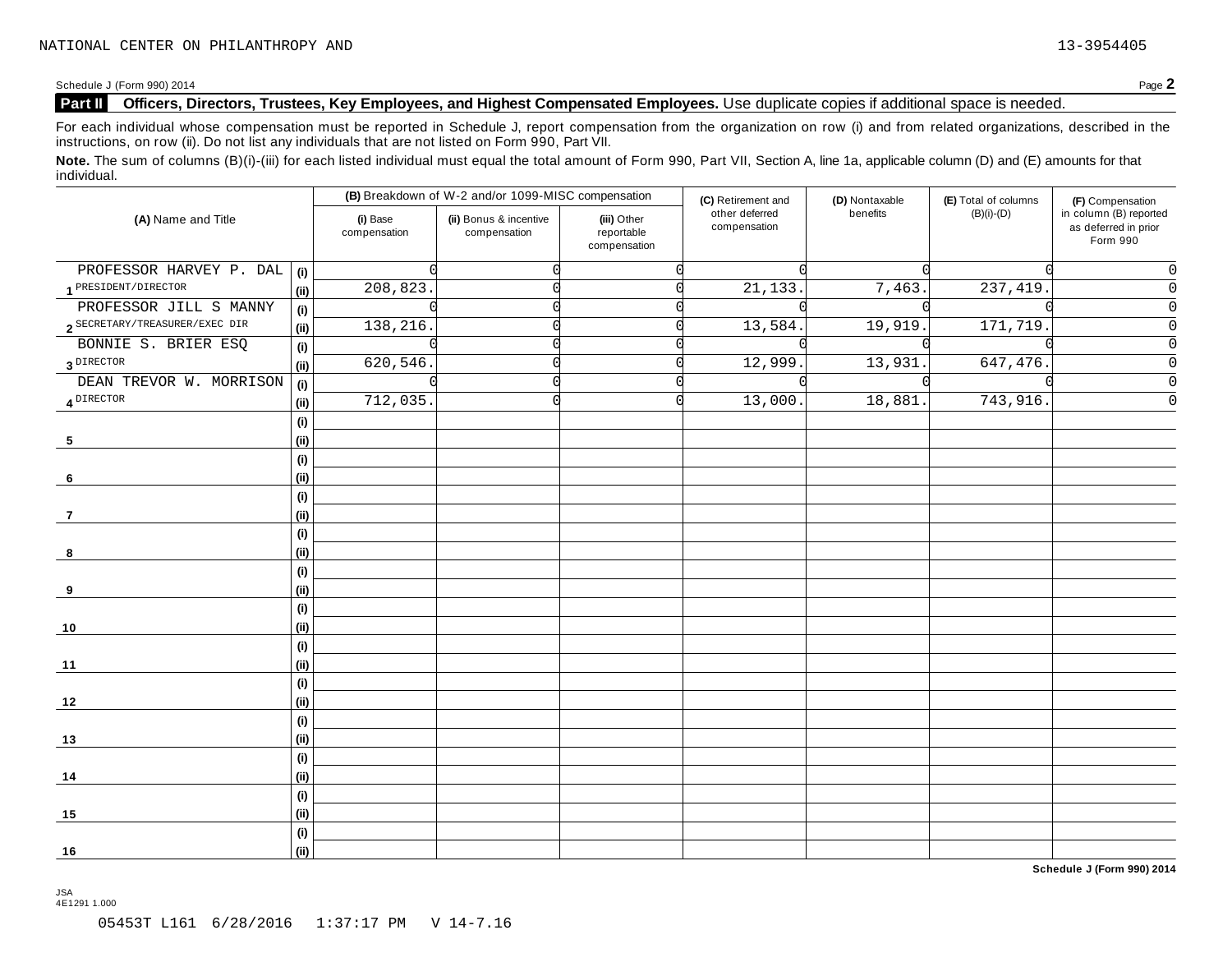Schedule J (Form 990) 2014  $P$ age  $2$ 

#### **Part II Officers, Directors, Trustees, Key Employees, and Highest Compensated Employees.** Use duplicate copies ifadditional space is needed.

For each individual whose compensation must be reported in Schedule J, report compensation from the organization on row (i) and from related organizations, described in the instructions, on row (ii). Do not list any individuals that are not listed on Form 990, Part VII.

Note. The sum of columns (B)(i)-(iii) for each listed individual must equal the total amount of Form 990, Part VII, Section A, line 1a, applicable column (D) and (E) amounts for that individual.

|                                |                              |                          | (B) Breakdown of W-2 and/or 1099-MISC compensation |                                           | (C) Retirement and             | (D) Nontaxable | (E) Total of columns | (F) Compensation                                           |
|--------------------------------|------------------------------|--------------------------|----------------------------------------------------|-------------------------------------------|--------------------------------|----------------|----------------------|------------------------------------------------------------|
| (A) Name and Title             |                              | (i) Base<br>compensation | (ii) Bonus & incentive<br>compensation             | (iii) Other<br>reportable<br>compensation | other deferred<br>compensation | benefits       | $(B)(i)-(D)$         | in column (B) reported<br>as deferred in prior<br>Form 990 |
| PROFESSOR HARVEY P. DAL        | (i)                          |                          |                                                    | U                                         |                                |                |                      | 0                                                          |
| 1 PRESIDENT/DIRECTOR           | (i)                          | 208, 823.                |                                                    |                                           | 21,133                         | 7,463          | 237, 419             | $\overline{0}$                                             |
| PROFESSOR JILL S MANNY         | (i)                          |                          |                                                    |                                           |                                |                |                      | $\mathbf 0$                                                |
| 2 SECRETARY/TREASURER/EXEC DIR | (ii)                         | 138, 216.                |                                                    |                                           | 13,584                         | 19,919         | 171,719              | $\mathbf 0$                                                |
| BONNIE S. BRIER ESQ            | $\qquad \qquad \textbf{(i)}$ |                          |                                                    |                                           |                                |                |                      | $\mathbf 0$                                                |
| $3$ DIRECTOR                   | (ii)                         | 620, 546.                |                                                    |                                           | 12,999                         | 13,931         | 647, 476.            | $\mathbf 0$                                                |
| DEAN TREVOR W. MORRISON        | (i)                          |                          |                                                    |                                           |                                |                |                      | $\Omega$                                                   |
| $4^{\text{DIRECTOR}}$          | (i)                          | 712,035.                 |                                                    |                                           | 13,000                         | 18,881         | 743,916.             | $\mathbf 0$                                                |
|                                | $\qquad \qquad \textbf{(i)}$ |                          |                                                    |                                           |                                |                |                      |                                                            |
| 5                              | (i)                          |                          |                                                    |                                           |                                |                |                      |                                                            |
|                                | $\qquad \qquad \textbf{(i)}$ |                          |                                                    |                                           |                                |                |                      |                                                            |
| 6                              | (i)                          |                          |                                                    |                                           |                                |                |                      |                                                            |
|                                | $\qquad \qquad \textbf{(i)}$ |                          |                                                    |                                           |                                |                |                      |                                                            |
| 7                              | (i)                          |                          |                                                    |                                           |                                |                |                      |                                                            |
|                                | $\qquad \qquad \textbf{(i)}$ |                          |                                                    |                                           |                                |                |                      |                                                            |
| 8                              | (i)                          |                          |                                                    |                                           |                                |                |                      |                                                            |
|                                | $\qquad \qquad \textbf{(i)}$ |                          |                                                    |                                           |                                |                |                      |                                                            |
| 9                              | (i)                          |                          |                                                    |                                           |                                |                |                      |                                                            |
|                                | $\qquad \qquad \textbf{(i)}$ |                          |                                                    |                                           |                                |                |                      |                                                            |
| 10                             | (i)                          |                          |                                                    |                                           |                                |                |                      |                                                            |
|                                | $\qquad \qquad \textbf{(i)}$ |                          |                                                    |                                           |                                |                |                      |                                                            |
| 11                             | (i)                          |                          |                                                    |                                           |                                |                |                      |                                                            |
|                                | $\qquad \qquad \textbf{(i)}$ |                          |                                                    |                                           |                                |                |                      |                                                            |
| 12                             | (i)                          |                          |                                                    |                                           |                                |                |                      |                                                            |
|                                | $\qquad \qquad \textbf{(i)}$ |                          |                                                    |                                           |                                |                |                      |                                                            |
| 13                             | (i)                          |                          |                                                    |                                           |                                |                |                      |                                                            |
|                                | $\qquad \qquad \textbf{(i)}$ |                          |                                                    |                                           |                                |                |                      |                                                            |
| 14                             | (i)                          |                          |                                                    |                                           |                                |                |                      |                                                            |
|                                | $\qquad \qquad \textbf{(i)}$ |                          |                                                    |                                           |                                |                |                      |                                                            |
| 15                             | (i)                          |                          |                                                    |                                           |                                |                |                      |                                                            |
|                                | $\qquad \qquad \textbf{(i)}$ |                          |                                                    |                                           |                                |                |                      |                                                            |
| 16                             | (ii)                         |                          |                                                    |                                           |                                |                |                      |                                                            |

**Schedule J (Form 990) 2014**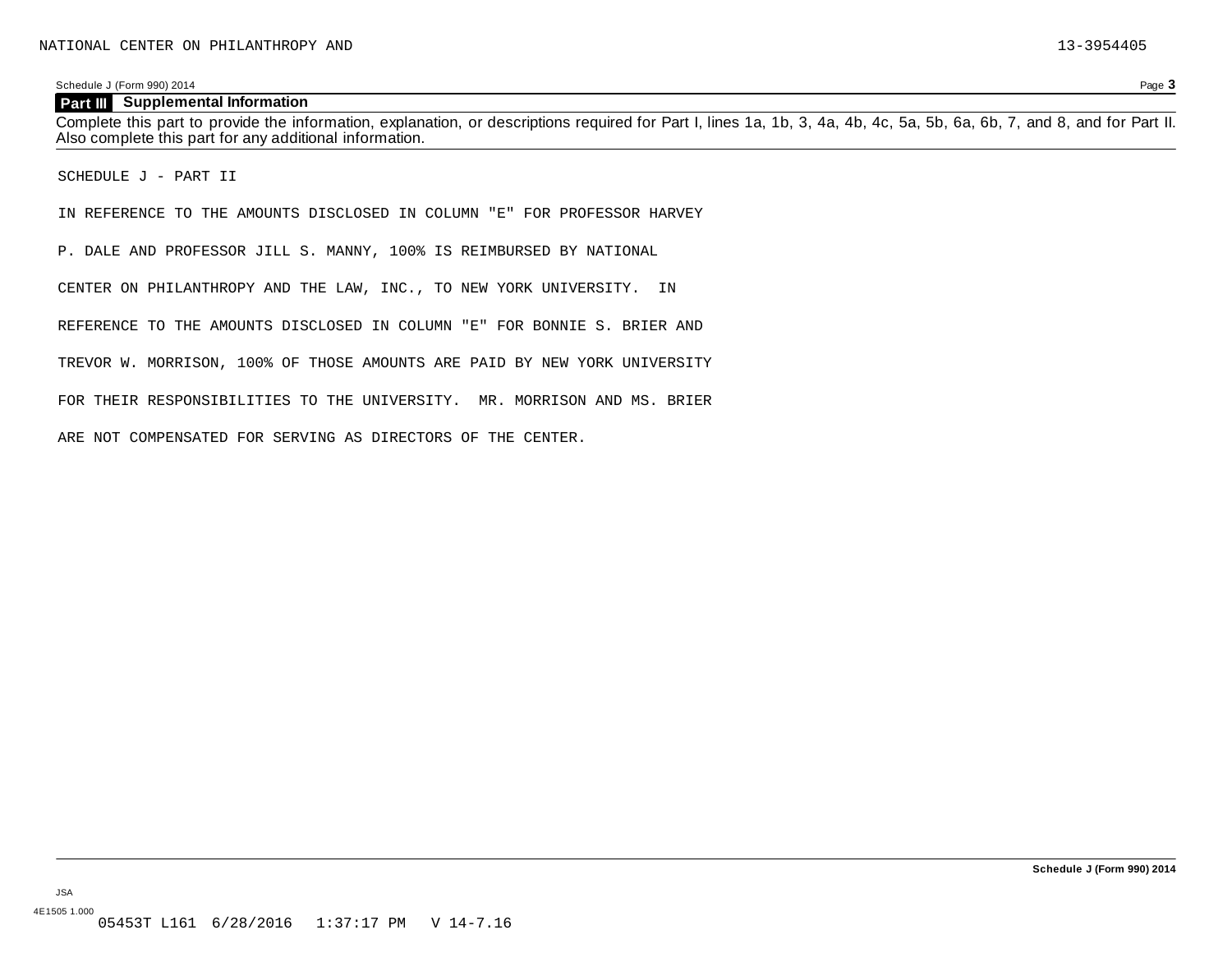#### **Part III Supplemental Information**

Complete this part to provide the information, explanation, or descriptions required for Part I, lines 1a, 1b, 3, 4a, 4b, 4c, 5a, 5b, 6a, 6b, 7, and 8, and for Part II. Also complete this part for any additional information.

SCHEDULE J - PART II

IN REFERENCE TO THE AMOUNTS DISCLOSED IN COLUMN "E" FOR PROFESSOR HARVEY

P. DALE AND PROFESSOR JILL S. MANNY, 100% IS REIMBURSED BY NATIONAL

CENTER ON PHILANTHROPY AND THE LAW, INC., TO NEW YORK UNIVERSITY. IN

REFERENCE TO THE AMOUNTS DISCLOSED IN COLUMN "E" FOR BONNIE S. BRIER AND

TREVOR W. MORRISON, 100% OF THOSE AMOUNTS ARE PAID BY NEW YORK UNIVERSITY

FOR THEIR RESPONSIBILITIES TO THE UNIVERSITY. MR. MORRISON AND MS. BRIER

ARE NOT COMPENSATED FOR SERVING AS DIRECTORS OF THE CENTER.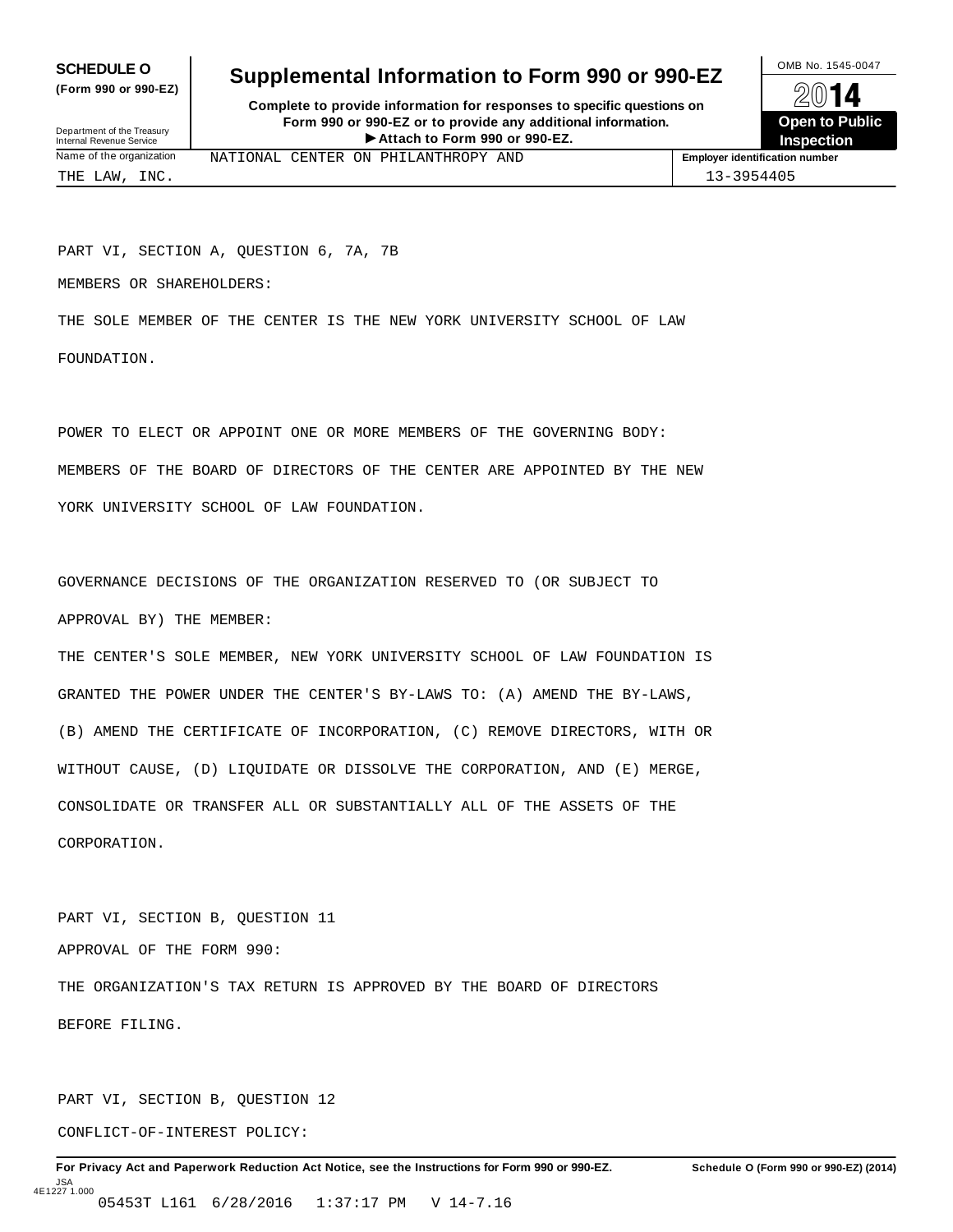**(Form 990 or 990-EZ)**

### **SCHEDULE O** Supplemental Information to Form 990 or 990-EZ  $\frac{100\text{dB No. }1545-0047}{\text{O}}$

**Complete to provide information for responses to specific questions on Form 990 or 990-EZ or to provide any additional information.** Fristmation for responses to specific questions on<br>
10-EZ or to provide any additional information.<br>
Attach to Form 990 or 990-EZ.<br>
Attach to Form 990 or 990-EZ. Department of the Treasury<br>Internal Revenue Service **Contract Contract Property Contract Property Contract Property**<br> **Internal Revenue Service Contract Property Contract Property Contract Property Contract Property** 



PART VI, SECTION A, QUESTION 6, 7A, 7B

MEMBERS OR SHAREHOLDERS:

THE SOLE MEMBER OF THE CENTER IS THE NEW YORK UNIVERSITY SCHOOL OF LAW FOUNDATION.

POWER TO ELECT OR APPOINT ONE OR MORE MEMBERS OF THE GOVERNING BODY: MEMBERS OF THE BOARD OF DIRECTORS OF THE CENTER ARE APPOINTED BY THE NEW YORK UNIVERSITY SCHOOL OF LAW FOUNDATION.

GOVERNANCE DECISIONS OF THE ORGANIZATION RESERVED TO (OR SUBJECT TO APPROVAL BY) THE MEMBER:

THE CENTER'S SOLE MEMBER, NEW YORK UNIVERSITY SCHOOL OF LAW FOUNDATION IS GRANTED THE POWER UNDER THE CENTER'S BY-LAWS TO: (A) AMEND THE BY-LAWS, (B) AMEND THE CERTIFICATE OF INCORPORATION, (C) REMOVE DIRECTORS, WITH OR WITHOUT CAUSE, (D) LIQUIDATE OR DISSOLVE THE CORPORATION, AND (E) MERGE, CONSOLIDATE OR TRANSFER ALL OR SUBSTANTIALLY ALL OF THE ASSETS OF THE CORPORATION.

PART VI, SECTION B, QUESTION 11 APPROVAL OF THE FORM 990: THE ORGANIZATION'S TAX RETURN IS APPROVED BY THE BOARD OF DIRECTORS BEFORE FILING.

PART VI, SECTION B, QUESTION 12

CONFLICT-OF-INTEREST POLICY: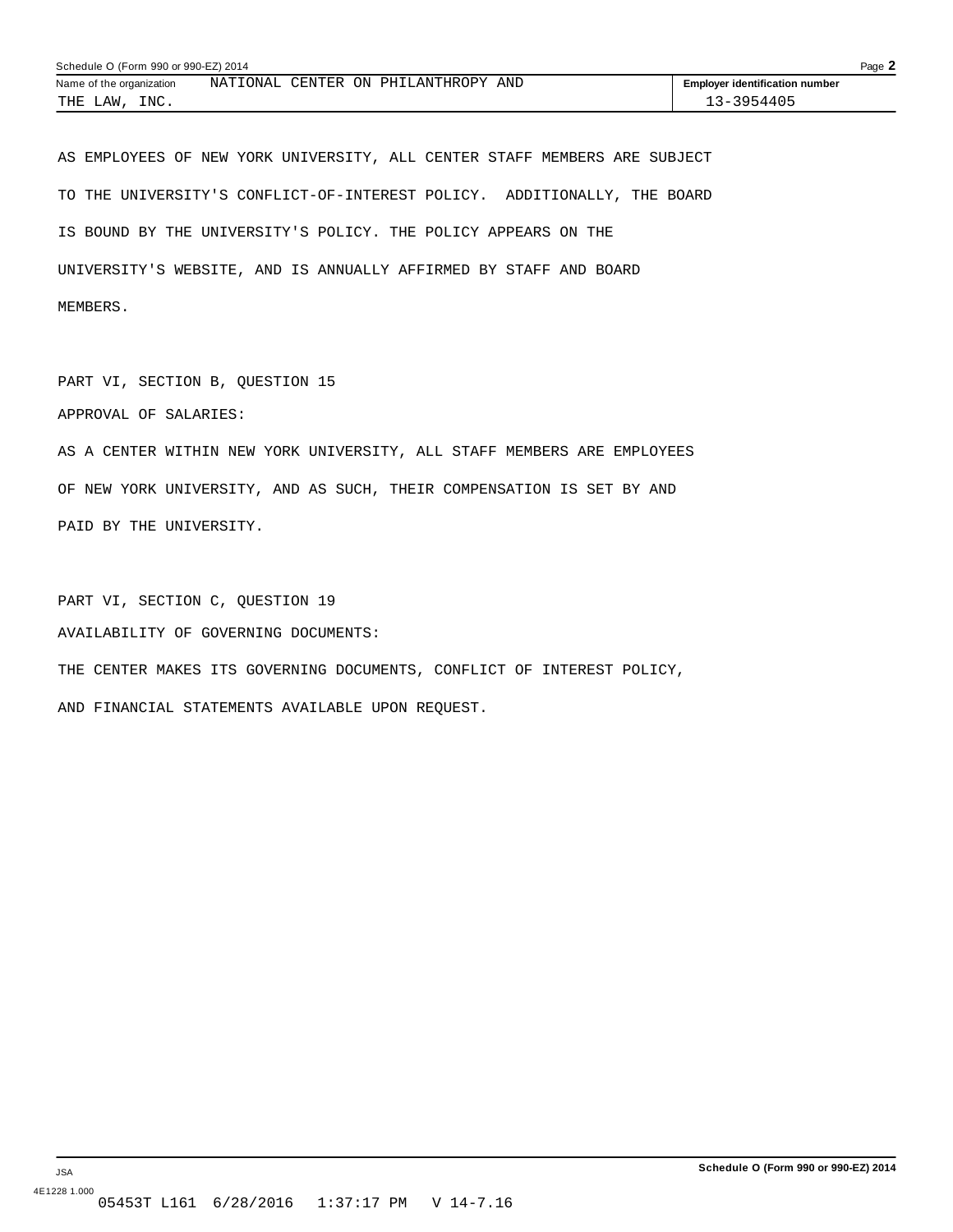| Schedule O (Form 990 or 990-EZ) 2014 |  |  |  |                                     |  |                                       | Page $\blacktriangle$ |
|--------------------------------------|--|--|--|-------------------------------------|--|---------------------------------------|-----------------------|
| Name of the organization             |  |  |  | NATIONAL CENTER ON PHILANTHROPY AND |  | <b>Employer identification number</b> |                       |
| THE LAW<br>INC.                      |  |  |  |                                     |  | 13-3954405                            |                       |

AS EMPLOYEES OF NEW YORK UNIVERSITY, ALL CENTER STAFF MEMBERS ARE SUBJECT TO THE UNIVERSITY'S CONFLICT-OF-INTEREST POLICY. ADDITIONALLY, THE BOARD IS BOUND BY THE UNIVERSITY'S POLICY. THE POLICY APPEARS ON THE UNIVERSITY'S WEBSITE, AND IS ANNUALLY AFFIRMED BY STAFF AND BOARD MEMBERS.

PART VI, SECTION B, QUESTION 15

APPROVAL OF SALARIES:

AS A CENTER WITHIN NEW YORK UNIVERSITY, ALL STAFF MEMBERS ARE EMPLOYEES OF NEW YORK UNIVERSITY, AND AS SUCH, THEIR COMPENSATION IS SET BY AND PAID BY THE UNIVERSITY.

PART VI, SECTION C, QUESTION 19 AVAILABILITY OF GOVERNING DOCUMENTS: THE CENTER MAKES ITS GOVERNING DOCUMENTS, CONFLICT OF INTEREST POLICY, AND FINANCIAL STATEMENTS AVAILABLE UPON REQUEST.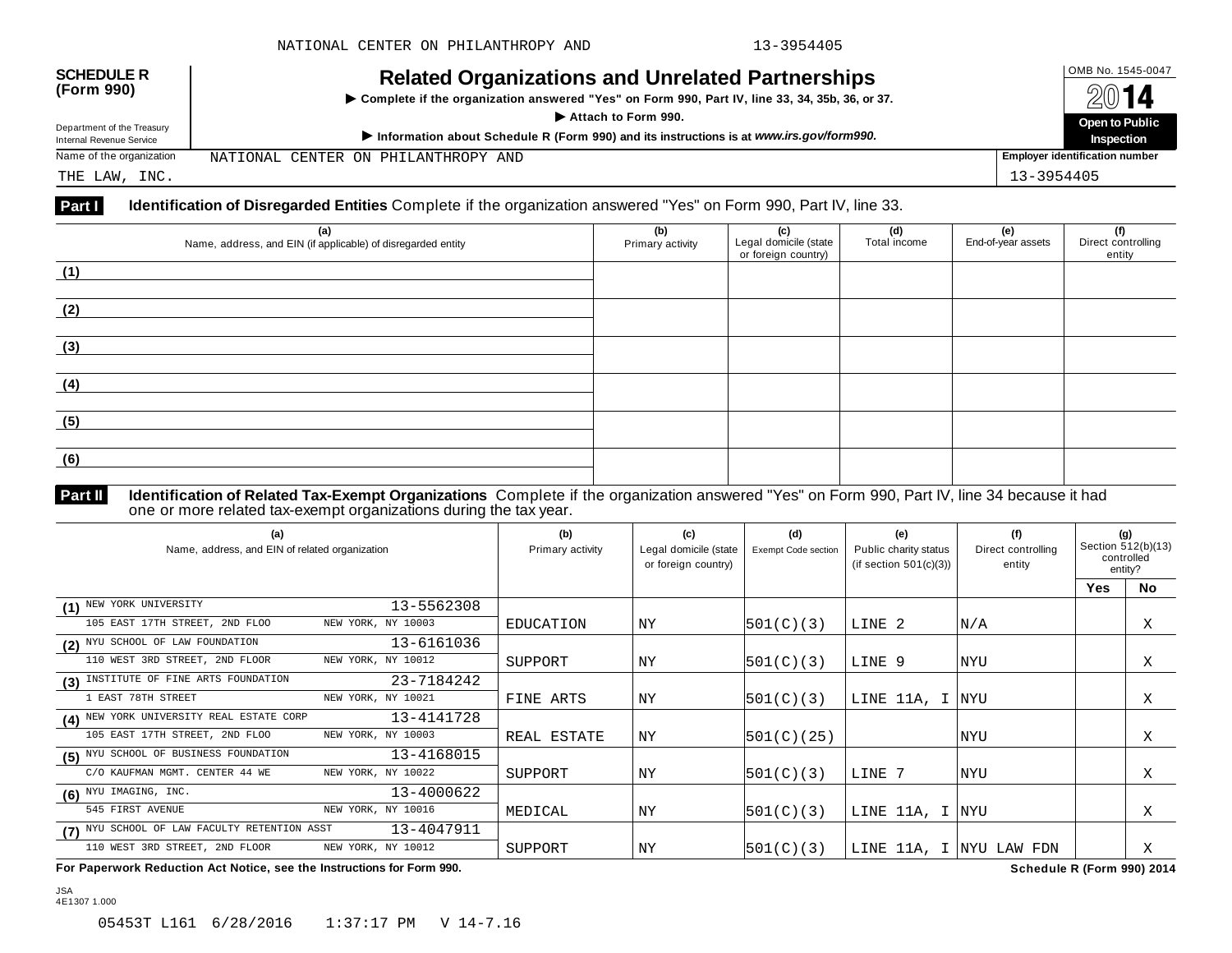| <b>SCHEDULE R</b><br>(Form 990)<br>Department of the Treasury<br>Internal Revenue Service | <b>Related Organizations and Unrelated Partnerships</b><br>► Complete if the organization answered "Yes" on Form 990, Part IV, line 33, 34, 35b, 36, or 37.<br>Attach to Form 990.<br>Information about Schedule R (Form 990) and its instructions is at www.irs.gov/form990. | OMB No. 1545-0047<br>2014<br>Open to Public<br><b>Inspection</b> |
|-------------------------------------------------------------------------------------------|-------------------------------------------------------------------------------------------------------------------------------------------------------------------------------------------------------------------------------------------------------------------------------|------------------------------------------------------------------|
| Name of the organization                                                                  | NATIONAL CENTER ON PHILANTHROPY AND                                                                                                                                                                                                                                           | <b>Employer identification number</b>                            |
| THE LAW, INC.                                                                             |                                                                                                                                                                                                                                                                               | 13-3954405                                                       |

| (a)<br>Name, address, and EIN (if applicable) of disregarded entity | (b)<br>Primary activity | (c)<br>Legal domicile (state<br>or foreign country) | (d)<br>Total income | (e)<br>End-of-year assets | (f)<br>Direct controlling<br>entity |
|---------------------------------------------------------------------|-------------------------|-----------------------------------------------------|---------------------|---------------------------|-------------------------------------|
| (1)                                                                 |                         |                                                     |                     |                           |                                     |
| (2)                                                                 |                         |                                                     |                     |                           |                                     |
| (3)                                                                 |                         |                                                     |                     |                           |                                     |
| (4)                                                                 |                         |                                                     |                     |                           |                                     |
| (5)                                                                 |                         |                                                     |                     |                           |                                     |
| (6)                                                                 |                         |                                                     |                     |                           |                                     |

## **Part II** Identification of Related Tax-Exempt Organizations Complete if the organization answered "Yes" on Form 990, Part IV, line 34 because it had<br>one or more related tax-exempt organizations during the tax year.

| (b)<br>Primary activity | (c)<br>Legal domicile (state<br>or foreign country) | (d)<br>Exempt Code section | (e)<br>Public charity status<br>(if section $501(c)(3)$ )             | (f)<br>Direct controlling<br>entity |                                                                                    | Section 512(b)(13)<br>entity? |
|-------------------------|-----------------------------------------------------|----------------------------|-----------------------------------------------------------------------|-------------------------------------|------------------------------------------------------------------------------------|-------------------------------|
|                         |                                                     |                            |                                                                       |                                     | Yes                                                                                | No                            |
|                         |                                                     |                            |                                                                       |                                     |                                                                                    |                               |
| EDUCATION               | <b>NY</b>                                           |                            | LINE 2                                                                |                                     |                                                                                    | Χ                             |
|                         |                                                     |                            |                                                                       |                                     |                                                                                    |                               |
| SUPPORT                 | <b>NY</b>                                           |                            | LINE 9                                                                | NYU                                 |                                                                                    | Χ                             |
|                         |                                                     |                            |                                                                       |                                     |                                                                                    |                               |
| FINE ARTS               | ΝY                                                  | 501(C)(3)                  |                                                                       |                                     |                                                                                    | Χ                             |
|                         |                                                     |                            |                                                                       |                                     |                                                                                    |                               |
| REAL ESTATE             | NY                                                  | 501(C)(25)                 |                                                                       |                                     |                                                                                    | Χ                             |
|                         |                                                     |                            |                                                                       |                                     |                                                                                    |                               |
| SUPPORT                 | <b>NY</b>                                           |                            | LINE 7                                                                |                                     |                                                                                    | Χ                             |
|                         |                                                     |                            |                                                                       |                                     |                                                                                    |                               |
| MEDICAL                 | <b>NY</b>                                           |                            |                                                                       |                                     |                                                                                    | Χ                             |
|                         |                                                     |                            |                                                                       |                                     |                                                                                    |                               |
| SUPPORT                 | ΝY                                                  |                            |                                                                       |                                     |                                                                                    | Χ                             |
|                         |                                                     |                            | 501(C)(3) <br> 501(C)(3) <br> 501(C)(3) <br> 501(C)(3) <br> 501(C)(3) |                                     | N/A<br>LINE 11A, I NYU<br>NYU<br>NYU<br>LINE 11A, I NYU<br>LINE 11A, I NYU LAW FDN | (g)<br>controlled             |

**For Paperwork Reduction Act Notice, see the Instructions for Form 990. Schedule R (Form 990) 2014**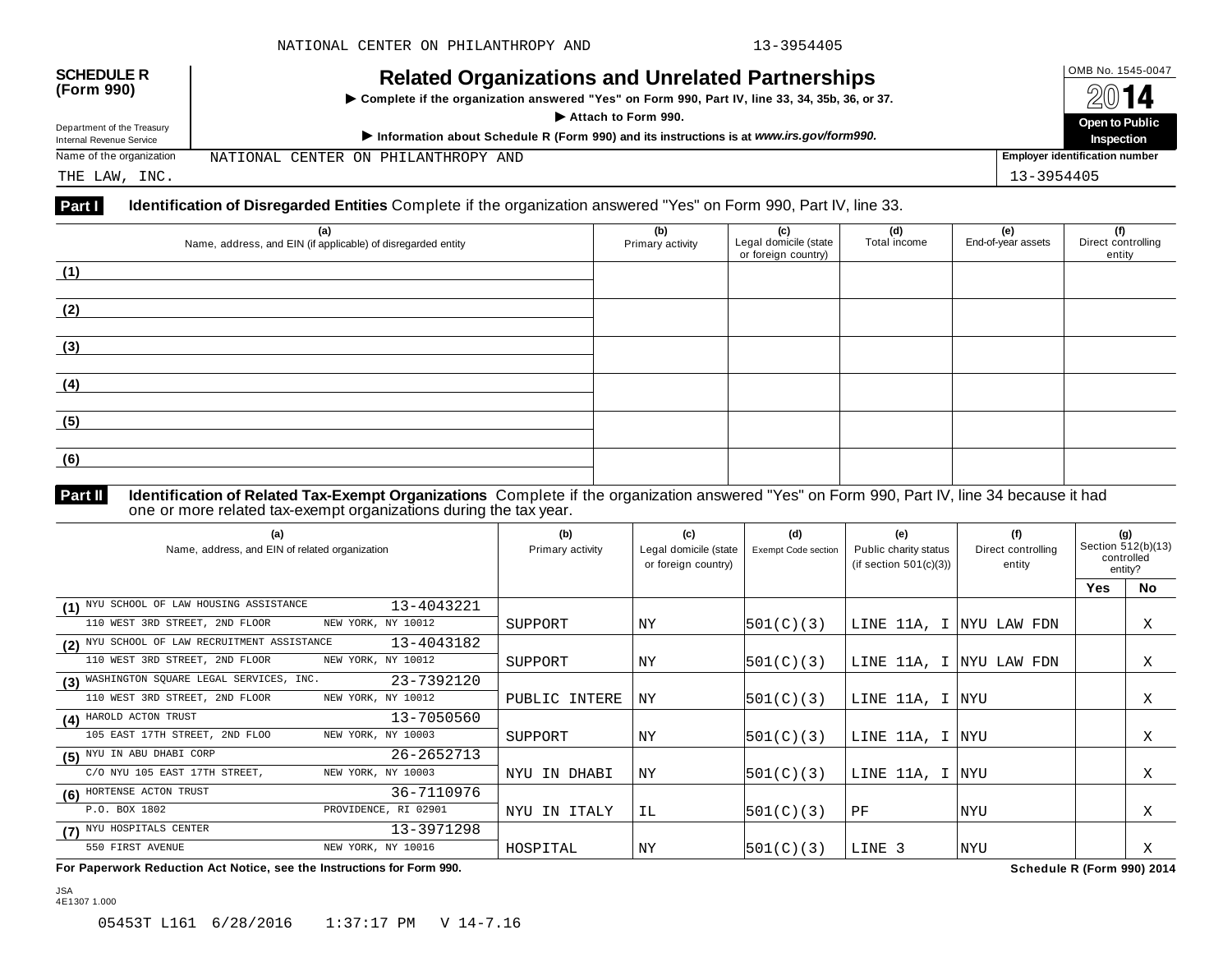| <b>SCHEDULE R</b><br>(Form 990)<br>Department of the Treasury<br>Internal Revenue Service | <b>Related Organizations and Unrelated Partnerships</b><br>▶ Complete if the organization answered "Yes" on Form 990, Part IV, line 33, 34, 35b, 36, or 37.<br>Attach to Form 990.<br>Information about Schedule R (Form 990) and its instructions is at www.irs.gov/form990. | OMB No. 1545-0047<br>2014<br>Open to Public<br>Inspection |
|-------------------------------------------------------------------------------------------|-------------------------------------------------------------------------------------------------------------------------------------------------------------------------------------------------------------------------------------------------------------------------------|-----------------------------------------------------------|
| Name of the organization                                                                  | NATIONAL CENTER ON PHILANTHROPY AND                                                                                                                                                                                                                                           | <b>Employer identification number</b>                     |
| THE LAW, INC.                                                                             |                                                                                                                                                                                                                                                                               | 13-3954405                                                |

| (a)<br>Name, address, and EIN (if applicable) of disregarded entity | (b)<br>Primary activity | (c)<br>Legal domicile (state<br>or foreign country) | (d)<br>Total income | (e)<br>End-of-year assets | (f)<br>Direct controlling<br>entity |
|---------------------------------------------------------------------|-------------------------|-----------------------------------------------------|---------------------|---------------------------|-------------------------------------|
| (1)                                                                 |                         |                                                     |                     |                           |                                     |
| (2)                                                                 |                         |                                                     |                     |                           |                                     |
| (3)                                                                 |                         |                                                     |                     |                           |                                     |
| (4)                                                                 |                         |                                                     |                     |                           |                                     |
| (5)                                                                 |                         |                                                     |                     |                           |                                     |
| (6)                                                                 |                         |                                                     |                     |                           |                                     |

**Part II** Identification of Related Tax-Exempt Organizations Complete if the organization answered "Yes" on Form 990, Part IV, line 34 because it had<br>one or more related tax-exempt organizations during the tax year.

| (a)<br>Name, address, and EIN of related organization      | (b)<br>Primary activity | (c)<br>Legal domicile (state<br>or foreign country) | (d)<br>Exempt Code section | (e)<br>Public charity status<br>(if section $501(c)(3)$ ) | (f)<br>Direct controlling<br>entity | (g)<br>Section 512(b)(13)<br>controlled<br>entity? |           |
|------------------------------------------------------------|-------------------------|-----------------------------------------------------|----------------------------|-----------------------------------------------------------|-------------------------------------|----------------------------------------------------|-----------|
|                                                            |                         |                                                     |                            |                                                           |                                     | <b>Yes</b>                                         | <b>No</b> |
| 13-4043221<br>(1) NYU SCHOOL OF LAW HOUSING ASSISTANCE     |                         |                                                     |                            |                                                           |                                     |                                                    |           |
| NEW YORK, NY 10012<br>110 WEST 3RD STREET, 2ND FLOOR       | SUPPORT                 | ΝY                                                  | 501(C)(3)                  | LINE 11A, I NYU LAW FDN                                   |                                     |                                                    | X         |
| 13-4043182<br>(2) NYU SCHOOL OF LAW RECRUITMENT ASSISTANCE |                         |                                                     |                            |                                                           |                                     |                                                    |           |
| 110 WEST 3RD STREET, 2ND FLOOR<br>NEW YORK, NY 10012       | SUPPORT                 | ΝY                                                  | 501(C)(3)                  | LINE 11A, I NYU LAW FDN                                   |                                     |                                                    | Χ         |
| 23-7392120<br>(3) WASHINGTON SQUARE LEGAL SERVICES, INC.   |                         |                                                     |                            |                                                           |                                     |                                                    |           |
| 110 WEST 3RD STREET, 2ND FLOOR<br>NEW YORK, NY 10012       | PUBLIC INTERE           | <b>NY</b>                                           | 501(C)(3)                  | LINE 11A, I NYU                                           |                                     |                                                    | Χ         |
| 13-7050560<br>(4) HAROLD ACTON TRUST                       |                         |                                                     |                            |                                                           |                                     |                                                    |           |
| 105 EAST 17TH STREET, 2ND FLOO<br>NEW YORK, NY 10003       | SUPPORT                 | NY                                                  | 501(C)(3)                  | LINE 11A, I NYU                                           |                                     |                                                    | X         |
| 26-2652713<br>(5) NYU IN ABU DHABI CORP                    |                         |                                                     |                            |                                                           |                                     |                                                    |           |
| C/O NYU 105 EAST 17TH STREET,<br>NEW YORK, NY 10003        | NYU IN DHABI            | ΝY                                                  | 501(C)(3)                  | LINE 11A, I NYU                                           |                                     |                                                    | X         |
| 36-7110976<br>(6) HORTENSE ACTON TRUST                     |                         |                                                     |                            |                                                           |                                     |                                                    |           |
| P.O. BOX 1802<br>PROVIDENCE, RI 02901                      | NYU IN ITALY            | IL                                                  | 501(C)(3)                  | PF                                                        | NYU                                 |                                                    | Χ         |
| 13-3971298<br>(7) NYU HOSPITALS CENTER                     |                         |                                                     |                            |                                                           |                                     |                                                    |           |
| 550 FIRST AVENUE<br>NEW YORK, NY 10016                     | HOSPITAL                | <b>NY</b>                                           | 501(C)(3)                  | LINE 3                                                    | NYU                                 |                                                    | Χ         |

**For Paperwork Reduction Act Notice, see the Instructions for Form 990. Schedule R (Form 990) 2014**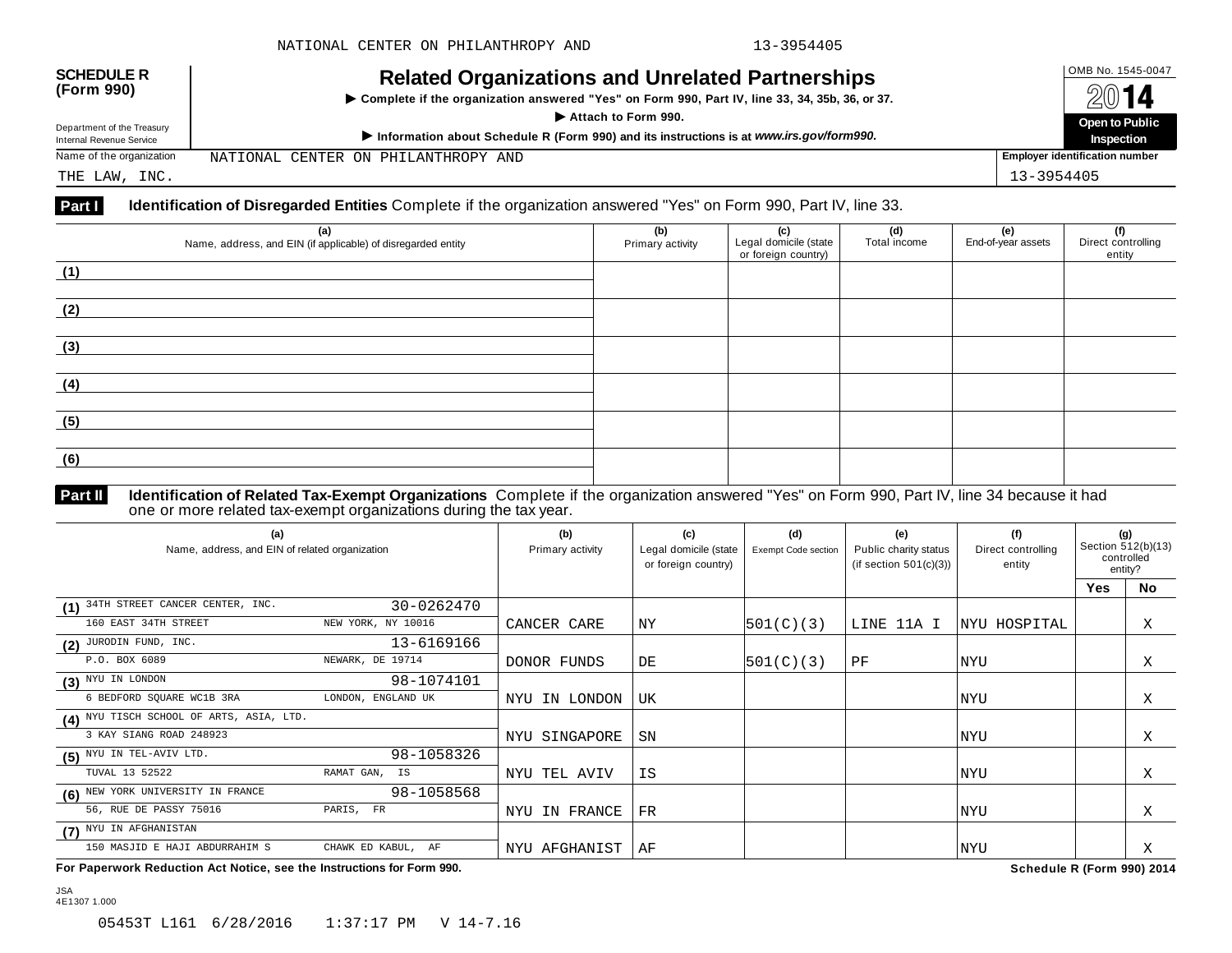| <b>SCHEDULE R</b><br>(Form 990)                        | <b>Related Organizations and Unrelated Partnerships</b><br>Complete if the organization answered "Yes" on Form 990, Part IV, line 33, 34, 35b, 36, or 37.<br>Attach to Form 990. | OMB No. 1545-0047<br>2014<br><b>Open to Public</b> |
|--------------------------------------------------------|----------------------------------------------------------------------------------------------------------------------------------------------------------------------------------|----------------------------------------------------|
| Department of the Treasury<br>Internal Revenue Service | Information about Schedule R (Form 990) and its instructions is at www.irs.gov/form990.                                                                                          | Inspection                                         |
| Name of the organization                               | NATIONAL CENTER ON PHILANTHROPY AND                                                                                                                                              | <b>Employer identification number</b>              |
| THE LAW, INC.                                          |                                                                                                                                                                                  | 13-3954405                                         |

| (a)<br>Name, address, and EIN (if applicable) of disregarded entity | (b)<br>Primary activity | (c)<br>Legal domicile (state<br>or foreign country) | (d)<br>Total income | (e)<br>End-of-year assets | (f)<br>Direct controlling<br>entity |
|---------------------------------------------------------------------|-------------------------|-----------------------------------------------------|---------------------|---------------------------|-------------------------------------|
| (1)                                                                 |                         |                                                     |                     |                           |                                     |
| (2)                                                                 |                         |                                                     |                     |                           |                                     |
| (3)                                                                 |                         |                                                     |                     |                           |                                     |
| (4)                                                                 |                         |                                                     |                     |                           |                                     |
| (5)                                                                 |                         |                                                     |                     |                           |                                     |
| (6)                                                                 |                         |                                                     |                     |                           |                                     |

**Part II** Identification of Related Tax-Exempt Organizations Complete if the organization answered "Yes" on Form 990, Part IV, line 34 because it had<br>one or more related tax-exempt organizations during the tax year.

| (a)<br>Name, address, and EIN of related organization |                       | (b)<br>Primary activity | (c)<br>Legal domicile (state<br>or foreign country) | (d)<br>Exempt Code section | (e)<br>Public charity status<br>(if section $501(c)(3)$ ) | (f)<br>Direct controlling<br>entity | (g)<br>controlled<br>entity? | Section 512(b)(13) |
|-------------------------------------------------------|-----------------------|-------------------------|-----------------------------------------------------|----------------------------|-----------------------------------------------------------|-------------------------------------|------------------------------|--------------------|
|                                                       |                       |                         |                                                     |                            |                                                           |                                     | <b>Yes</b>                   | <b>No</b>          |
| (1) 34TH STREET CANCER CENTER, INC.                   | 30-0262470            |                         |                                                     |                            |                                                           |                                     |                              |                    |
| 160 EAST 34TH STREET                                  | NEW YORK, NY 10016    | CANCER CARE             | ΝY                                                  | 501(C)(3)                  | LINE 11A I                                                | NYU HOSPITAL                        |                              | Χ                  |
| 13-6169166<br>$(2)$ JURODIN FUND, INC.                |                       |                         |                                                     |                            |                                                           |                                     |                              |                    |
| P.O. BOX 6089                                         | NEWARK, DE 19714      | DONOR FUNDS             | DE                                                  | 501(C)(3)                  | ΡF                                                        | NYU                                 |                              | Χ                  |
| (3) NYU IN LONDON                                     | 98-1074101            |                         |                                                     |                            |                                                           |                                     |                              |                    |
| 6 BEDFORD SQUARE WC1B 3RA                             | LONDON, ENGLAND UK    | NYU IN LONDON           | UK                                                  |                            |                                                           | <b>NYU</b>                          |                              | Χ                  |
| (4) NYU TISCH SCHOOL OF ARTS, ASIA, LTD.              |                       |                         |                                                     |                            |                                                           |                                     |                              |                    |
| 3 KAY SIANG ROAD 248923                               |                       | NYU SINGAPORE           | SN                                                  |                            |                                                           | NYU                                 |                              | Χ                  |
| $(5)$ NYU IN TEL-AVIV LTD.                            | 98-1058326            |                         |                                                     |                            |                                                           |                                     |                              |                    |
| TUVAL 13 52522                                        | RAMAT GAN, IS         | NYU TEL AVIV            | IS                                                  |                            |                                                           | NYU                                 |                              | Χ                  |
| (6) NEW YORK UNIVERSITY IN FRANCE                     | 98-1058568            |                         |                                                     |                            |                                                           |                                     |                              |                    |
| 56, RUE DE PASSY 75016                                | PARIS, FR             | NYU IN FRANCE           | FR                                                  |                            |                                                           | NYU                                 |                              | Χ                  |
| (7) NYU IN AFGHANISTAN                                |                       |                         |                                                     |                            |                                                           |                                     |                              |                    |
| 150 MASJID E HAJI ABDURRAHIM S                        | CHAWK ED KABUL,<br>AF | NYU AFGHANIST           | AF                                                  |                            |                                                           | <b>NYU</b>                          |                              | Χ                  |

**For Paperwork Reduction Act Notice, see the Instructions for Form 990. Schedule R (Form 990) 2014**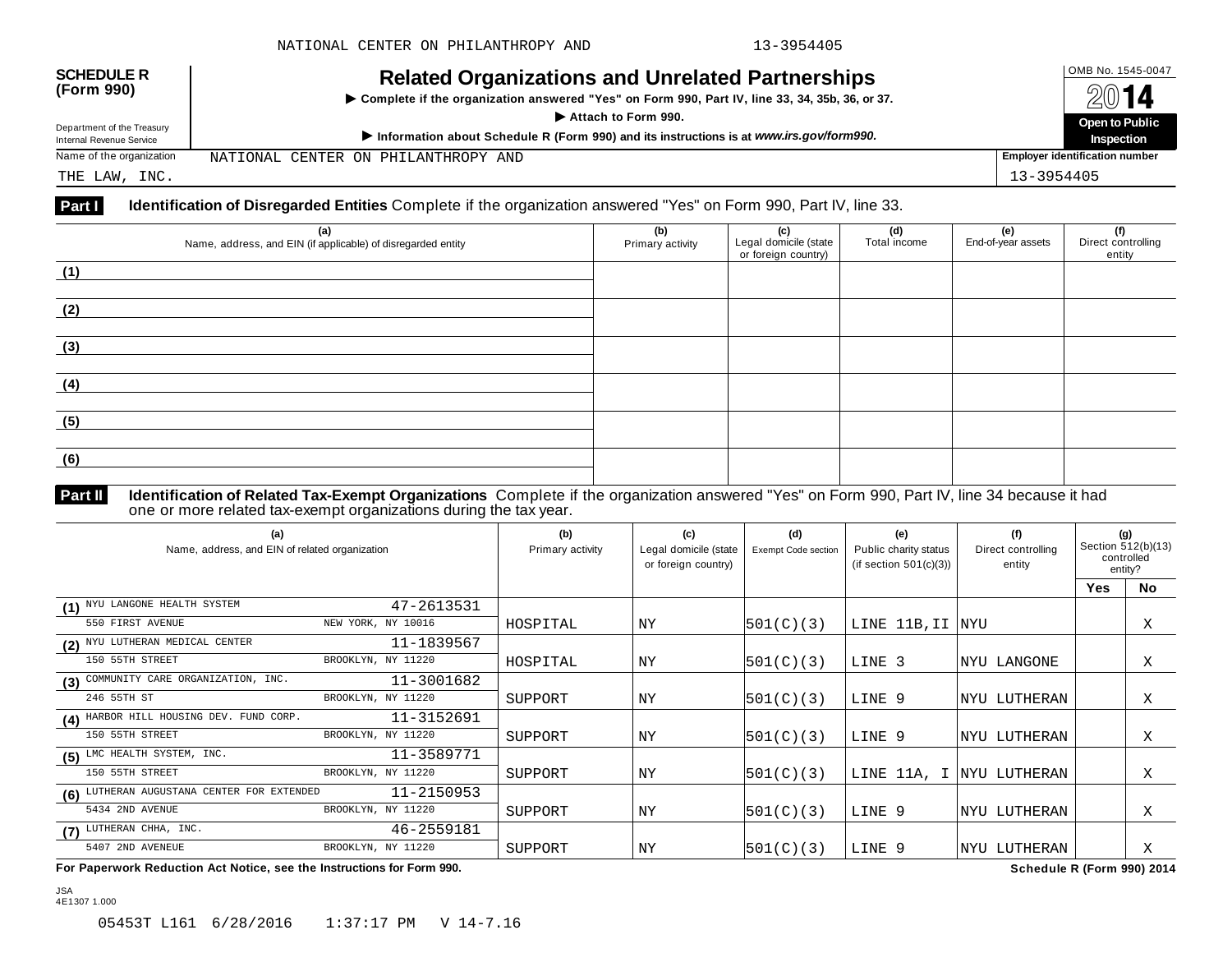| <b>SCHEDULE R</b><br>(Form 990)                        | <b>Related Organizations and Unrelated Partnerships</b><br>Complete if the organization answered "Yes" on Form 990, Part IV, line 33, 34, 35b, 36, or 37.<br>Attach to Form 990. | OMB No. 1545-0047<br>2014<br>Open to Public |
|--------------------------------------------------------|----------------------------------------------------------------------------------------------------------------------------------------------------------------------------------|---------------------------------------------|
| Department of the Treasury<br>Internal Revenue Service | Information about Schedule R (Form 990) and its instructions is at www.irs.gov/form990.                                                                                          | Inspection                                  |
| Name of the organization                               | NATIONAL CENTER ON PHILANTHROPY AND                                                                                                                                              | <b>Employer identification number</b>       |
| THE LAW, INC.                                          |                                                                                                                                                                                  | 13-3954405                                  |

| (a)<br>Name, address, and EIN (if applicable) of disregarded entity | (b)<br>Primary activity | (c)<br>Legal domicile (state<br>or foreign country) | (d)<br>Total income | (e)<br>End-of-year assets | (f)<br>Direct controlling<br>entity |
|---------------------------------------------------------------------|-------------------------|-----------------------------------------------------|---------------------|---------------------------|-------------------------------------|
| (1)                                                                 |                         |                                                     |                     |                           |                                     |
| (2)                                                                 |                         |                                                     |                     |                           |                                     |
| (3)                                                                 |                         |                                                     |                     |                           |                                     |
| (4)                                                                 |                         |                                                     |                     |                           |                                     |
| (5)                                                                 |                         |                                                     |                     |                           |                                     |
| (6)                                                                 |                         |                                                     |                     |                           |                                     |

## **Part II** Identification of Related Tax-Exempt Organizations Complete if the organization answered "Yes" on Form 990, Part IV, line 34 because it had<br>one or more related tax-exempt organizations during the tax year.

| (a)<br>Name, address, and EIN of related organization |                    | (b)<br>Primary activity | (c)<br>Legal domicile (state<br>or foreign country) | (d)<br><b>Exempt Code section</b> | (e)<br>Public charity status<br>(if section $501(c)(3)$ ) | (f)<br>Direct controlling<br>entity | (g)<br>Section 512(b)(13)<br>controlled<br>entity? |           |
|-------------------------------------------------------|--------------------|-------------------------|-----------------------------------------------------|-----------------------------------|-----------------------------------------------------------|-------------------------------------|----------------------------------------------------|-----------|
|                                                       |                    |                         |                                                     |                                   |                                                           |                                     | <b>Yes</b>                                         | <b>No</b> |
| (1) NYU LANGONE HEALTH SYSTEM                         | 47-2613531         |                         |                                                     |                                   |                                                           |                                     |                                                    |           |
| 550 FIRST AVENUE                                      | NEW YORK, NY 10016 | HOSPITAL                | <b>NY</b>                                           | 501(C)(3)                         | LINE 11B, II NYU                                          |                                     |                                                    | Χ         |
| (2) NYU LUTHERAN MEDICAL CENTER                       | 11-1839567         |                         |                                                     |                                   |                                                           |                                     |                                                    |           |
| 150 55TH STREET                                       | BROOKLYN, NY 11220 | HOSPITAL                | ΝY                                                  | 501(C)(3)                         | LINE 3                                                    | NYU LANGONE                         |                                                    | Χ         |
| (3) COMMUNITY CARE ORGANIZATION, INC.                 | 11-3001682         |                         |                                                     |                                   |                                                           |                                     |                                                    |           |
| 246 55TH ST                                           | BROOKLYN, NY 11220 | SUPPORT                 | ΝY                                                  | 501(C)(3)                         | LINE 9                                                    | NYU LUTHERAN                        |                                                    | X         |
| (4) HARBOR HILL HOUSING DEV. FUND CORP.               | 11-3152691         |                         |                                                     |                                   |                                                           |                                     |                                                    |           |
| 150 55TH STREET                                       | BROOKLYN, NY 11220 | SUPPORT                 | NY                                                  | 501(C)(3)                         | LINE 9                                                    | NYU LUTHERAN                        |                                                    | Χ         |
| (5) LMC HEALTH SYSTEM, INC.                           | 11-3589771         |                         |                                                     |                                   |                                                           |                                     |                                                    |           |
| 150 55TH STREET                                       | BROOKLYN, NY 11220 | SUPPORT                 | NY                                                  | 501(C)(3)                         |                                                           | LINE 11A, I NYU LUTHERAN            |                                                    | Χ         |
| LUTHERAN AUGUSTANA CENTER FOR EXTENDED<br>(6)         | 11-2150953         |                         |                                                     |                                   |                                                           |                                     |                                                    |           |
| 5434 2ND AVENUE                                       | BROOKLYN, NY 11220 | SUPPORT                 | ΝY                                                  | 501(C)(3)                         | LINE 9                                                    | NYU LUTHERAN                        |                                                    | Χ         |
| (7) LUTHERAN CHHA, INC.                               | 46-2559181         |                         |                                                     |                                   |                                                           |                                     |                                                    |           |
| 5407 2ND AVENEUE                                      | BROOKLYN, NY 11220 | SUPPORT                 | <b>NY</b>                                           | 501(C)(3)                         | LINE 9                                                    | NYU LUTHERAN                        |                                                    | Χ         |
| .                                                     | .                  |                         |                                                     |                                   |                                                           |                                     |                                                    |           |

**For Paperwork Reduction Act Notice, see the Instructions for Form 990. Schedule R (Form 990) 2014**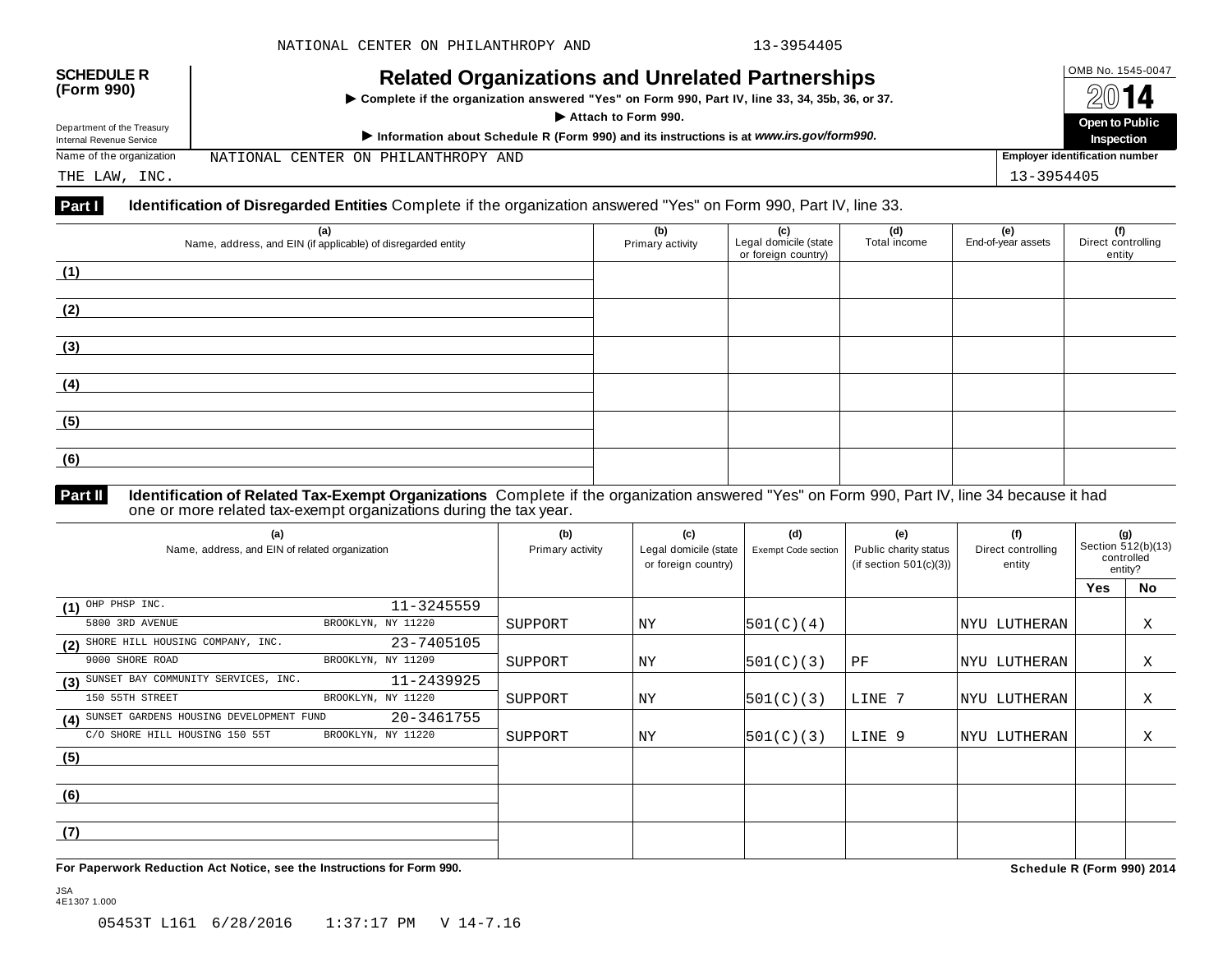| <b>SCHEDULE R</b><br>(Form 990)                        | <b>Related Organizations and Unrelated Partnerships</b><br>Complete if the organization answered "Yes" on Form 990, Part IV, line 33, 34, 35b, 36, or 37.<br>Attach to Form 990. | OMB No. 1545-0047<br>2014<br><b>Open to Public</b> |
|--------------------------------------------------------|----------------------------------------------------------------------------------------------------------------------------------------------------------------------------------|----------------------------------------------------|
| Department of the Treasury<br>Internal Revenue Service | Information about Schedule R (Form 990) and its instructions is at www.irs.gov/form990.                                                                                          | Inspection                                         |
| Name of the organization                               | NATIONAL CENTER ON PHILANTHROPY AND                                                                                                                                              | <b>Employer identification number</b>              |
| THE LAW, INC.                                          |                                                                                                                                                                                  | 13-3954405                                         |

| (a)<br>Name, address, and EIN (if applicable) of disregarded entity | (b)<br>Primary activity | (c)<br>Legal domicile (state<br>or foreign country) | (d)<br>Total income | (e)<br>End-of-year assets | (f)<br>Direct controlling<br>entity |
|---------------------------------------------------------------------|-------------------------|-----------------------------------------------------|---------------------|---------------------------|-------------------------------------|
| (1)                                                                 |                         |                                                     |                     |                           |                                     |
| (2)                                                                 |                         |                                                     |                     |                           |                                     |
| (3)                                                                 |                         |                                                     |                     |                           |                                     |
| (4)                                                                 |                         |                                                     |                     |                           |                                     |
| (5)                                                                 |                         |                                                     |                     |                           |                                     |
| (6)                                                                 |                         |                                                     |                     |                           |                                     |

## **Part II** Identification of Related Tax-Exempt Organizations Complete if the organization answered "Yes" on Form 990, Part IV, line 34 because it had<br>one or more related tax-exempt organizations during the tax year.

| (a)<br>Name, address, and EIN of related organization |                    | (b)<br>Primary activity | (c)<br>Legal domicile (state<br>or foreign country) | (d)<br>Exempt Code section | (e)<br>Public charity status<br>(if section $501(c)(3)$ ) | (f)<br>Direct controlling<br>entity | (g)<br>Section 512(b)(13)<br>controlled<br>entity? |    |
|-------------------------------------------------------|--------------------|-------------------------|-----------------------------------------------------|----------------------------|-----------------------------------------------------------|-------------------------------------|----------------------------------------------------|----|
|                                                       |                    |                         |                                                     |                            |                                                           |                                     | <b>Yes</b>                                         | No |
| $(1)$ OHP PHSP INC.                                   | 11-3245559         |                         |                                                     |                            |                                                           |                                     |                                                    |    |
| 5800 3RD AVENUE                                       | BROOKLYN, NY 11220 | SUPPORT                 | ΝY                                                  | 501(C)(4)                  |                                                           | NYU LUTHERAN                        |                                                    | X  |
| (2) SHORE HILL HOUSING COMPANY, INC.                  | 23-7405105         |                         |                                                     |                            |                                                           |                                     |                                                    |    |
| 9000 SHORE ROAD                                       | BROOKLYN, NY 11209 | SUPPORT                 | <b>NY</b>                                           | 501(C)(3)                  | PF                                                        | NYU LUTHERAN                        |                                                    | Χ  |
| (3) SUNSET BAY COMMUNITY SERVICES, INC.               | 11-2439925         |                         |                                                     |                            |                                                           |                                     |                                                    |    |
| 150 55TH STREET                                       | BROOKLYN, NY 11220 | SUPPORT                 | NY                                                  | 501(C)(3)                  | LINE 7                                                    | NYU LUTHERAN                        |                                                    | X  |
| (4) SUNSET GARDENS HOUSING DEVELOPMENT FUND           | 20-3461755         |                         |                                                     |                            |                                                           |                                     |                                                    |    |
| C/O SHORE HILL HOUSING 150 55T                        | BROOKLYN, NY 11220 | SUPPORT                 | <b>NY</b>                                           | 501(C)(3)                  | LINE 9                                                    | NYU LUTHERAN                        |                                                    | Χ  |
| (5)                                                   |                    |                         |                                                     |                            |                                                           |                                     |                                                    |    |
|                                                       |                    |                         |                                                     |                            |                                                           |                                     |                                                    |    |
| (6)                                                   |                    |                         |                                                     |                            |                                                           |                                     |                                                    |    |
|                                                       |                    |                         |                                                     |                            |                                                           |                                     |                                                    |    |
| (7)                                                   |                    |                         |                                                     |                            |                                                           |                                     |                                                    |    |
|                                                       |                    |                         |                                                     |                            |                                                           |                                     |                                                    |    |

**For Paperwork Reduction Act Notice, see the Instructions for Form 990. Schedule R (Form 990) 2014**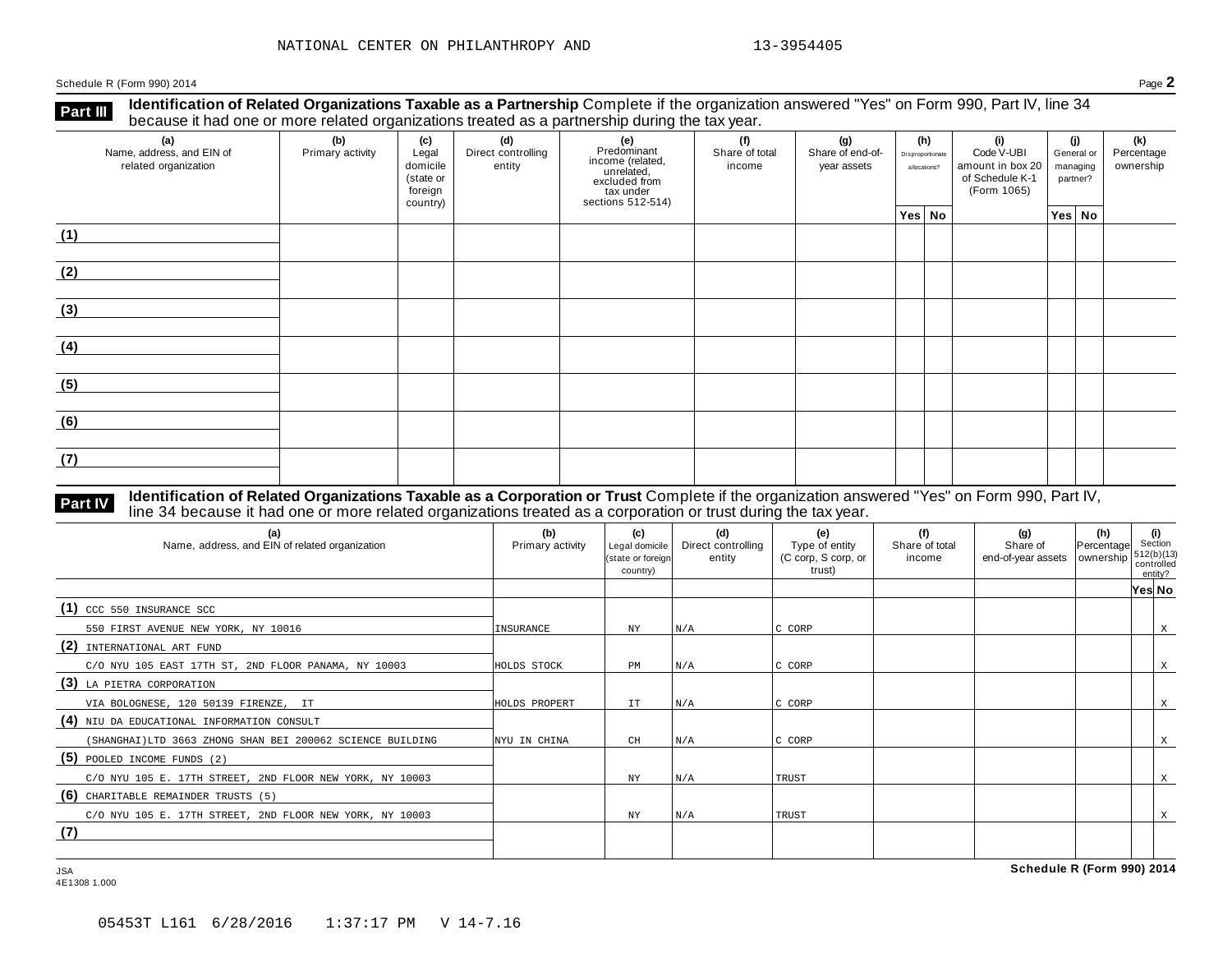Schedule <sup>R</sup> (Form 990) <sup>2014</sup> Page **2**

**Identification of Related Organizations Taxable as a Partnership** Complete if the organization answered "Yes" on Form 990, Part IV, line 34 **because it had one or more related organizations Taxable as a Partnership** Complete if the organization of more related organizations treated as a partnership during the tax year.

| (a)<br>Name, address, and EIN of<br>related organization | (b)<br>Primary activity | (c)<br>Legal<br>domicile<br>(state or<br>foreign<br>country) | (d)<br>Direct controlling<br>entity | (e)<br>Predominant<br>From (related,<br>income (related,<br>excluded from<br>tax under<br>sections 512-514) | (f)<br>Share of total<br>income | (g)<br>Share of end-of-<br>year assets | (h)<br>Disproportionate<br>allocations? | (i)<br>Code V-UBI<br>amount in box 20<br>of Schedule K-1<br>(Form 1065) |          | (j)<br>General or<br>managing<br>partner? | (k)<br>Percentage<br>ownership |
|----------------------------------------------------------|-------------------------|--------------------------------------------------------------|-------------------------------------|-------------------------------------------------------------------------------------------------------------|---------------------------------|----------------------------------------|-----------------------------------------|-------------------------------------------------------------------------|----------|-------------------------------------------|--------------------------------|
|                                                          |                         |                                                              |                                     |                                                                                                             |                                 |                                        | Yes No                                  |                                                                         | Yes   No |                                           |                                |
| (1)                                                      |                         |                                                              |                                     |                                                                                                             |                                 |                                        |                                         |                                                                         |          |                                           |                                |
| (2)                                                      |                         |                                                              |                                     |                                                                                                             |                                 |                                        |                                         |                                                                         |          |                                           |                                |
| (3)                                                      |                         |                                                              |                                     |                                                                                                             |                                 |                                        |                                         |                                                                         |          |                                           |                                |
| (4)                                                      |                         |                                                              |                                     |                                                                                                             |                                 |                                        |                                         |                                                                         |          |                                           |                                |
| (5)                                                      |                         |                                                              |                                     |                                                                                                             |                                 |                                        |                                         |                                                                         |          |                                           |                                |
| (6)                                                      |                         |                                                              |                                     |                                                                                                             |                                 |                                        |                                         |                                                                         |          |                                           |                                |
| (7)                                                      |                         |                                                              |                                     |                                                                                                             |                                 |                                        |                                         |                                                                         |          |                                           |                                |

#### **Identification of Related Organizations Taxable as a Corporation or Trust** Complete if the organization answered "Yes" on Form 990, Part IV, **Part IV** dentification of Related Organizations Taxable as a Corporation or Trust Complete if the organization answ<br>line 34 because it had one or more related organizations treated as a corporation or trust during the tax

| (a)<br>Name, address, and EIN of related organization     | (b)<br>Primary activity | (c)<br>Legal domicile<br>(state or foreign)<br>country) | (d)<br>Direct controlling<br>entity | (e)<br>Type of entity<br>(C corp, S corp, or<br>trust) | (f)<br>Share of total<br>income | (g)<br>Share of<br>end-of-year assets   ownership | (h)<br>Percentage | (i)<br>Section<br>512(b)(13)<br>controlled<br>entity? |   |
|-----------------------------------------------------------|-------------------------|---------------------------------------------------------|-------------------------------------|--------------------------------------------------------|---------------------------------|---------------------------------------------------|-------------------|-------------------------------------------------------|---|
|                                                           |                         |                                                         |                                     |                                                        |                                 |                                                   |                   | Yes No                                                |   |
| $(1)$ CCC 550 INSURANCE SCC                               |                         |                                                         |                                     |                                                        |                                 |                                                   |                   |                                                       |   |
| 550 FIRST AVENUE NEW YORK, NY 10016                       | INSURANCE               | ΝY                                                      | N/A                                 | C CORP                                                 |                                 |                                                   |                   |                                                       |   |
| (2) INTERNATIONAL ART FUND                                |                         |                                                         |                                     |                                                        |                                 |                                                   |                   |                                                       |   |
| C/O NYU 105 EAST 17TH ST, 2ND FLOOR PANAMA, NY 10003      | HOLDS STOCK             | РM                                                      | N/A                                 | C CORP                                                 |                                 |                                                   |                   |                                                       |   |
| (3) LA PIETRA CORPORATION                                 |                         |                                                         |                                     |                                                        |                                 |                                                   |                   |                                                       |   |
| VIA BOLOGNESE, 120 50139 FIRENZE, IT                      | HOLDS PROPERT           | IT                                                      | N/A                                 | C CORP                                                 |                                 |                                                   |                   |                                                       |   |
| (4) NIU DA EDUCATIONAL INFORMATION CONSULT                |                         |                                                         |                                     |                                                        |                                 |                                                   |                   |                                                       |   |
| (SHANGHAI)LTD 3663 ZHONG SHAN BEI 200062 SCIENCE BUILDING | NYU IN CHINA            | CH                                                      | N/A                                 | C CORP                                                 |                                 |                                                   |                   |                                                       |   |
| $(5)$ POOLED INCOME FUNDS $(2)$                           |                         |                                                         |                                     |                                                        |                                 |                                                   |                   |                                                       |   |
| C/O NYU 105 E. 17TH STREET, 2ND FLOOR NEW YORK, NY 10003  |                         | <b>NY</b>                                               | N/A                                 | TRUST                                                  |                                 |                                                   |                   |                                                       |   |
| (6)<br>CHARITABLE REMAINDER TRUSTS (5)                    |                         |                                                         |                                     |                                                        |                                 |                                                   |                   |                                                       |   |
| C/O NYU 105 E. 17TH STREET, 2ND FLOOR NEW YORK, NY 10003  |                         | NY                                                      | N/A                                 | TRUST                                                  |                                 |                                                   |                   |                                                       | X |
| (7)                                                       |                         |                                                         |                                     |                                                        |                                 |                                                   |                   |                                                       |   |
|                                                           |                         |                                                         |                                     |                                                        |                                 |                                                   |                   |                                                       |   |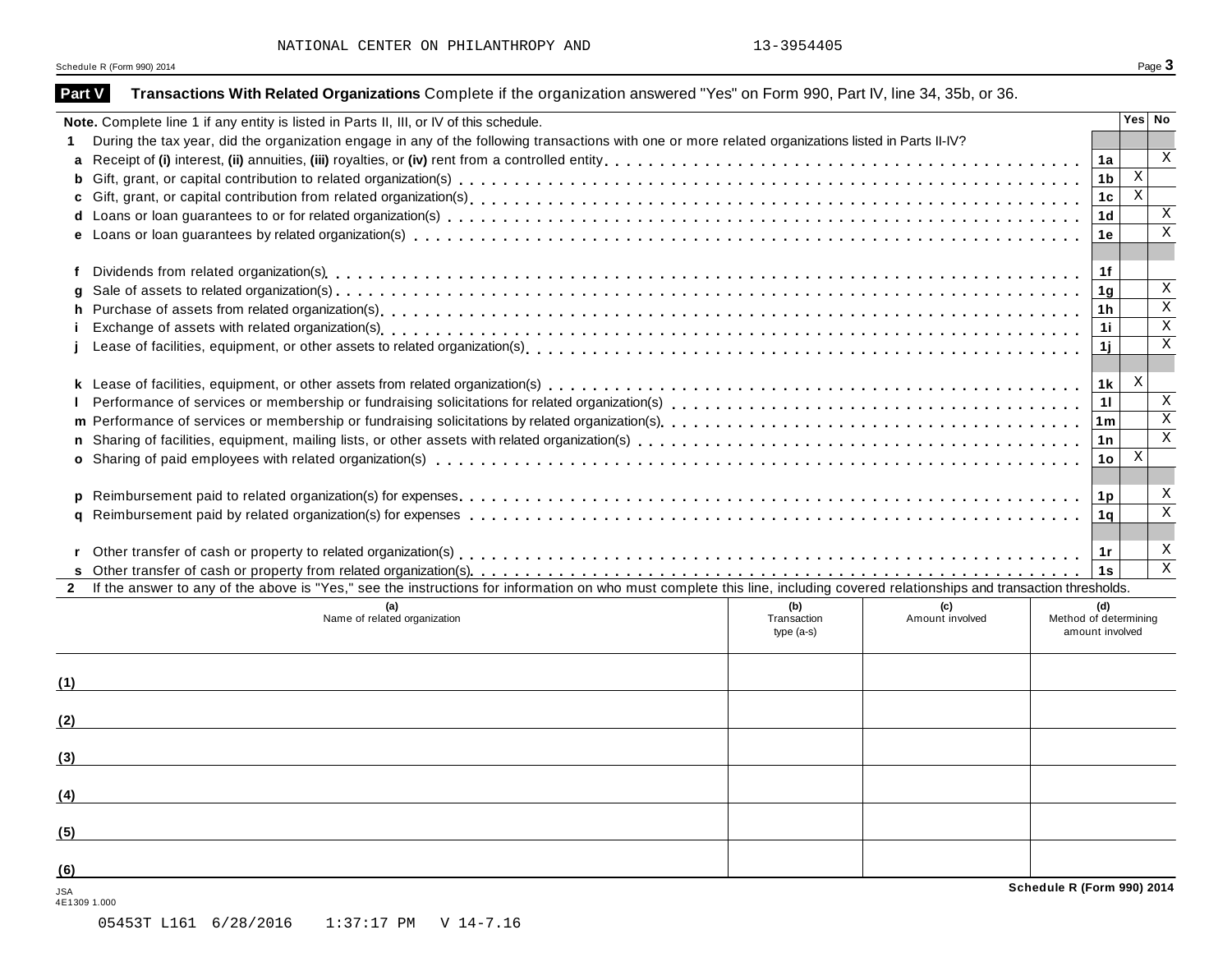Schedule R (Form 990) 2014 **Page**  $3$ 

| <b>Part V</b>       | Transactions With Related Organizations Complete if the organization answered "Yes" on Form 990, Part IV, line 34, 35b, or 36.                                                                                                 |                |        |                                        |  |  |  |
|---------------------|--------------------------------------------------------------------------------------------------------------------------------------------------------------------------------------------------------------------------------|----------------|--------|----------------------------------------|--|--|--|
|                     | Note. Complete line 1 if any entity is listed in Parts II, III, or IV of this schedule.                                                                                                                                        |                | Yes No |                                        |  |  |  |
|                     | During the tax year, did the organization engage in any of the following transactions with one or more related organizations listed in Parts II-IV?                                                                            |                |        |                                        |  |  |  |
|                     | 1a                                                                                                                                                                                                                             |                |        |                                        |  |  |  |
|                     |                                                                                                                                                                                                                                |                |        |                                        |  |  |  |
|                     |                                                                                                                                                                                                                                |                |        |                                        |  |  |  |
|                     |                                                                                                                                                                                                                                | 1 <sub>d</sub> |        | X                                      |  |  |  |
|                     |                                                                                                                                                                                                                                | 1e             |        | $\mathbf X$                            |  |  |  |
|                     |                                                                                                                                                                                                                                |                |        |                                        |  |  |  |
| f                   | Dividends from related organization(s) enterpresent contact control or contact to contact contact contact control or contact contact contact contact contact contact contact contact contact contact contact contact contact c | 1f             |        |                                        |  |  |  |
| g                   |                                                                                                                                                                                                                                | 1g             |        | $\mathbf X$<br>$\overline{\mathbf{x}}$ |  |  |  |
|                     |                                                                                                                                                                                                                                | 1 <sub>h</sub> |        | $\overline{\mathbf{x}}$                |  |  |  |
|                     |                                                                                                                                                                                                                                | 11             |        | $\mathbf X$                            |  |  |  |
|                     |                                                                                                                                                                                                                                | 1j             |        |                                        |  |  |  |
|                     |                                                                                                                                                                                                                                | 1k             | X      |                                        |  |  |  |
|                     |                                                                                                                                                                                                                                | 11             |        | X                                      |  |  |  |
|                     |                                                                                                                                                                                                                                | 1 <sub>m</sub> |        | $\overline{\mathbf{x}}$                |  |  |  |
|                     |                                                                                                                                                                                                                                | 1n             |        | $\mathbf x$                            |  |  |  |
|                     |                                                                                                                                                                                                                                |                |        |                                        |  |  |  |
|                     |                                                                                                                                                                                                                                | 1o             | X      |                                        |  |  |  |
| p                   |                                                                                                                                                                                                                                | 1p             |        | Χ                                      |  |  |  |
|                     |                                                                                                                                                                                                                                | 1 <sub>q</sub> |        | $\mathbf X$                            |  |  |  |
|                     |                                                                                                                                                                                                                                |                |        |                                        |  |  |  |
|                     |                                                                                                                                                                                                                                | 1r             |        | Χ                                      |  |  |  |
|                     |                                                                                                                                                                                                                                | 1s             |        | $\,$ X                                 |  |  |  |
| $\mathbf{2}$        | If the answer to any of the above is "Yes," see the instructions for information on who must complete this line, including covered relationships and transaction thresholds.                                                   |                |        |                                        |  |  |  |
|                     | (b)<br>(c)<br>(a)                                                                                                                                                                                                              | (d)            |        |                                        |  |  |  |
|                     | Name of related organization<br>Amount involved<br>Method of determining<br>Transaction<br>amount involved<br>$type(a-s)$                                                                                                      |                |        |                                        |  |  |  |
|                     |                                                                                                                                                                                                                                |                |        |                                        |  |  |  |
|                     |                                                                                                                                                                                                                                |                |        |                                        |  |  |  |
| (1)                 |                                                                                                                                                                                                                                |                |        |                                        |  |  |  |
| (2)                 |                                                                                                                                                                                                                                |                |        |                                        |  |  |  |
|                     |                                                                                                                                                                                                                                |                |        |                                        |  |  |  |
| (3)                 |                                                                                                                                                                                                                                |                |        |                                        |  |  |  |
| (4)                 |                                                                                                                                                                                                                                |                |        |                                        |  |  |  |
|                     |                                                                                                                                                                                                                                |                |        |                                        |  |  |  |
| (5)                 |                                                                                                                                                                                                                                |                |        |                                        |  |  |  |
| (6)                 |                                                                                                                                                                                                                                |                |        |                                        |  |  |  |
| JSA<br>4E1309 1.000 | Schedule R (Form 990) 2014                                                                                                                                                                                                     |                |        |                                        |  |  |  |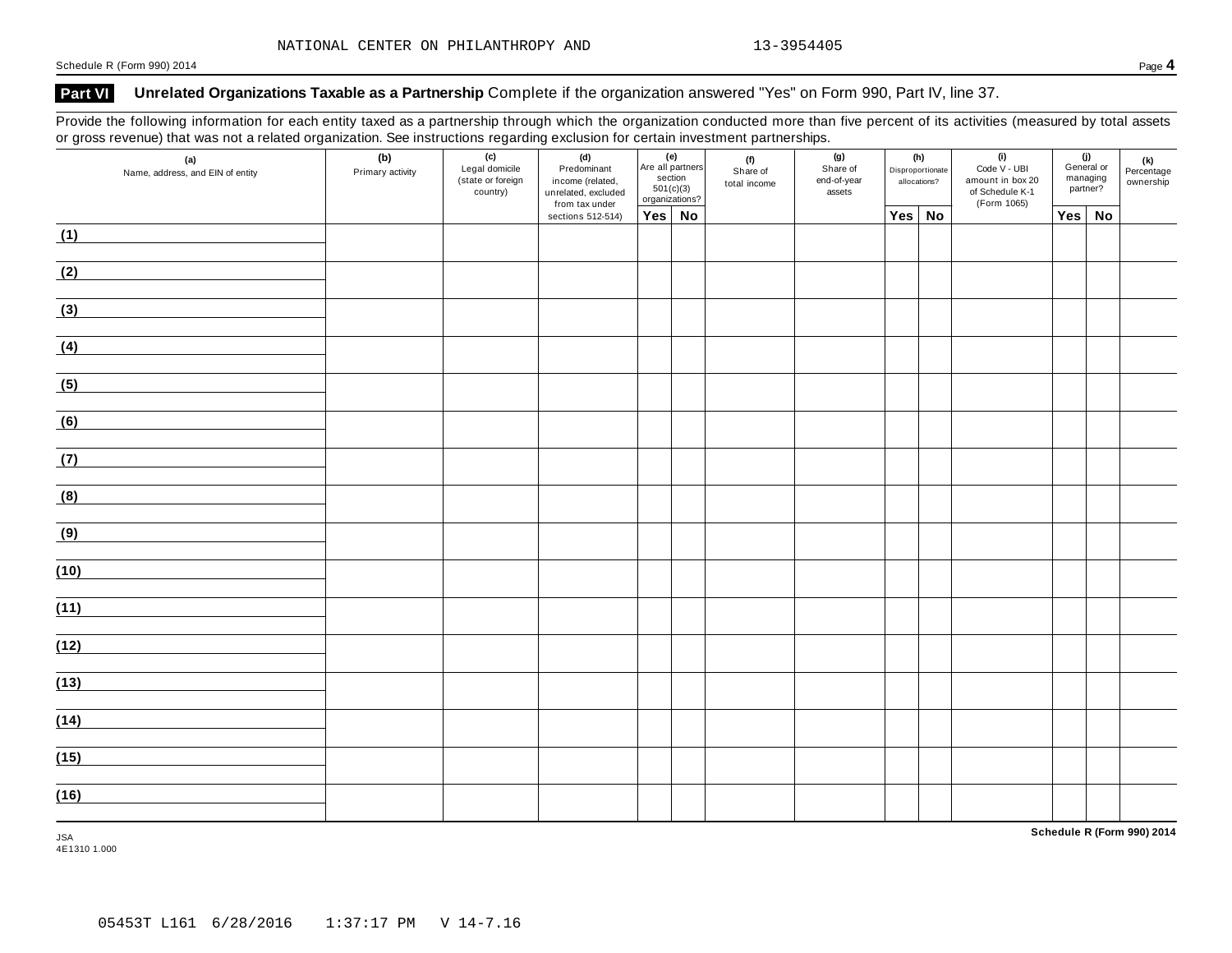### **Part VI Unrelated Organizations Taxable as a Partnership** Complete if the organization answered "Yes" on Form 990, Part IV, line 37.

Provide the following information for each entity taxed as a partnership through which the organization conducted more than five percent of its activities (measured by total assets or gross revenue) that was not a related organization. See instructions regarding exclusion for certain investment partnerships.

| $\tilde{}$<br>$\tilde{\phantom{a}}$<br>(a)<br>Name, address, and EIN of entity | (b)<br>Primary activity | $\tilde{\phantom{a}}$<br>(c)<br>Legal domicile<br>(state or foreign<br>country) | $\tilde{\phantom{a}}$<br>(d)<br>Predominant<br>income (related,<br>unrelated, excluded<br>from tax under | (e)<br>section<br>501(c)(3)<br>organizations? | Are all partners | (f)<br>Share of<br>total income | (g)<br>Share of<br>end-of-year<br>assets | (h)<br>Disproportionate<br>allocations? |  | (i)<br>Code V - UBI<br>amount in box 20<br>of Schedule K-1<br>(Form 1065) | (j)<br>General or<br>managing<br>partner? |  | (k)<br>Percentage<br>ownership |
|--------------------------------------------------------------------------------|-------------------------|---------------------------------------------------------------------------------|----------------------------------------------------------------------------------------------------------|-----------------------------------------------|------------------|---------------------------------|------------------------------------------|-----------------------------------------|--|---------------------------------------------------------------------------|-------------------------------------------|--|--------------------------------|
|                                                                                |                         |                                                                                 | sections 512-514)                                                                                        | Yes   No                                      |                  |                                 |                                          | Yes   No                                |  |                                                                           | $Yes \mid No$                             |  |                                |
| (1)                                                                            |                         |                                                                                 |                                                                                                          |                                               |                  |                                 |                                          |                                         |  |                                                                           |                                           |  |                                |
| (2)                                                                            |                         |                                                                                 |                                                                                                          |                                               |                  |                                 |                                          |                                         |  |                                                                           |                                           |  |                                |
| (3)                                                                            |                         |                                                                                 |                                                                                                          |                                               |                  |                                 |                                          |                                         |  |                                                                           |                                           |  |                                |
| (4)                                                                            |                         |                                                                                 |                                                                                                          |                                               |                  |                                 |                                          |                                         |  |                                                                           |                                           |  |                                |
| (5)                                                                            |                         |                                                                                 |                                                                                                          |                                               |                  |                                 |                                          |                                         |  |                                                                           |                                           |  |                                |
| (6)                                                                            |                         |                                                                                 |                                                                                                          |                                               |                  |                                 |                                          |                                         |  |                                                                           |                                           |  |                                |
| (7)                                                                            |                         |                                                                                 |                                                                                                          |                                               |                  |                                 |                                          |                                         |  |                                                                           |                                           |  |                                |
| (8)                                                                            |                         |                                                                                 |                                                                                                          |                                               |                  |                                 |                                          |                                         |  |                                                                           |                                           |  |                                |
| (9)                                                                            |                         |                                                                                 |                                                                                                          |                                               |                  |                                 |                                          |                                         |  |                                                                           |                                           |  |                                |
| (10)                                                                           |                         |                                                                                 |                                                                                                          |                                               |                  |                                 |                                          |                                         |  |                                                                           |                                           |  |                                |
| (11)                                                                           |                         |                                                                                 |                                                                                                          |                                               |                  |                                 |                                          |                                         |  |                                                                           |                                           |  |                                |
| (12)                                                                           |                         |                                                                                 |                                                                                                          |                                               |                  |                                 |                                          |                                         |  |                                                                           |                                           |  |                                |
| (13)                                                                           |                         |                                                                                 |                                                                                                          |                                               |                  |                                 |                                          |                                         |  |                                                                           |                                           |  |                                |
| (14)                                                                           |                         |                                                                                 |                                                                                                          |                                               |                  |                                 |                                          |                                         |  |                                                                           |                                           |  |                                |
| (15)                                                                           |                         |                                                                                 |                                                                                                          |                                               |                  |                                 |                                          |                                         |  |                                                                           |                                           |  |                                |
| (16)                                                                           |                         |                                                                                 |                                                                                                          |                                               |                  |                                 |                                          |                                         |  |                                                                           |                                           |  |                                |
|                                                                                |                         |                                                                                 |                                                                                                          |                                               |                  |                                 |                                          |                                         |  |                                                                           |                                           |  |                                |

JSA 4E1310 1.000 **Schedule R (Form 990) 2014**